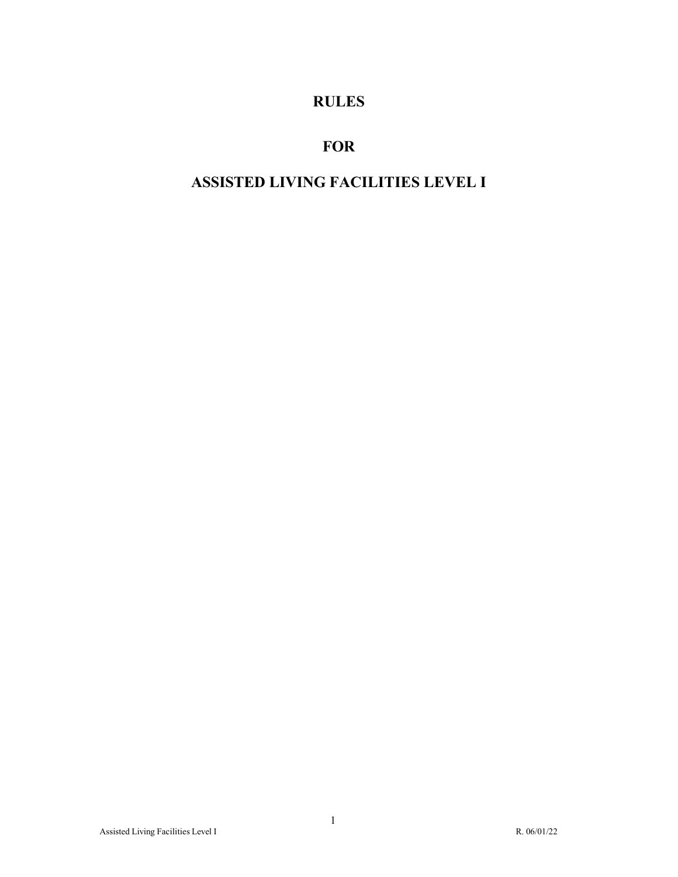# **RULES**

# **FOR**

# **ASSISTED LIVING FACILITIES LEVEL I**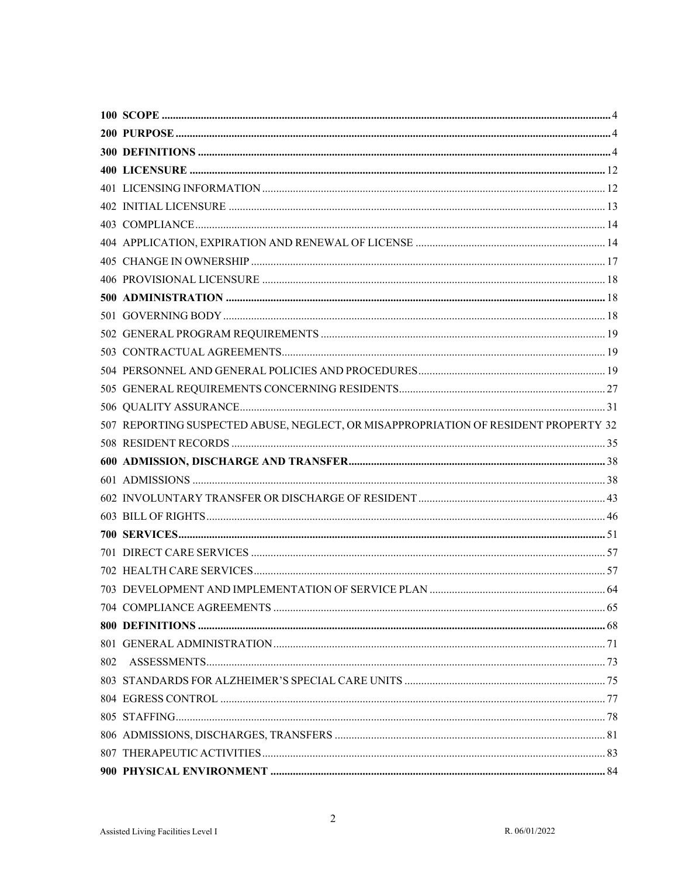|     | 507 REPORTING SUSPECTED ABUSE, NEGLECT, OR MISAPPROPRIATION OF RESIDENT PROPERTY 32 |  |
|-----|-------------------------------------------------------------------------------------|--|
|     |                                                                                     |  |
|     |                                                                                     |  |
|     |                                                                                     |  |
|     |                                                                                     |  |
|     |                                                                                     |  |
|     |                                                                                     |  |
|     |                                                                                     |  |
|     |                                                                                     |  |
|     |                                                                                     |  |
|     |                                                                                     |  |
|     |                                                                                     |  |
|     |                                                                                     |  |
| 802 |                                                                                     |  |
|     |                                                                                     |  |
|     |                                                                                     |  |
|     |                                                                                     |  |
|     |                                                                                     |  |
|     |                                                                                     |  |
|     |                                                                                     |  |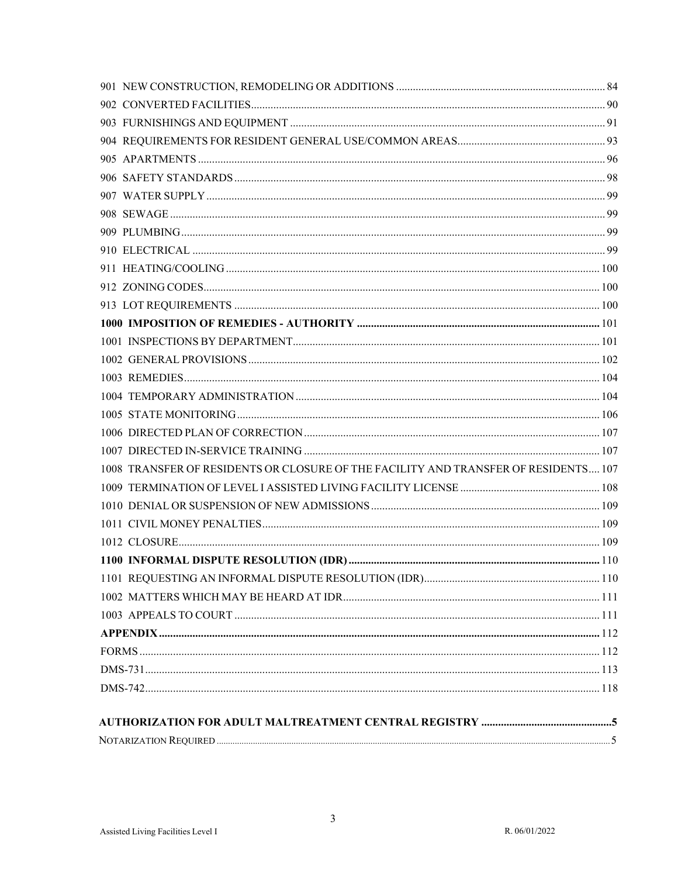| 1008 TRANSFER OF RESIDENTS OR CLOSURE OF THE FACILITY AND TRANSFER OF RESIDENTS 107 |  |
|-------------------------------------------------------------------------------------|--|
|                                                                                     |  |
|                                                                                     |  |
|                                                                                     |  |
|                                                                                     |  |
|                                                                                     |  |
|                                                                                     |  |
|                                                                                     |  |
|                                                                                     |  |
|                                                                                     |  |
|                                                                                     |  |
|                                                                                     |  |
|                                                                                     |  |
|                                                                                     |  |
|                                                                                     |  |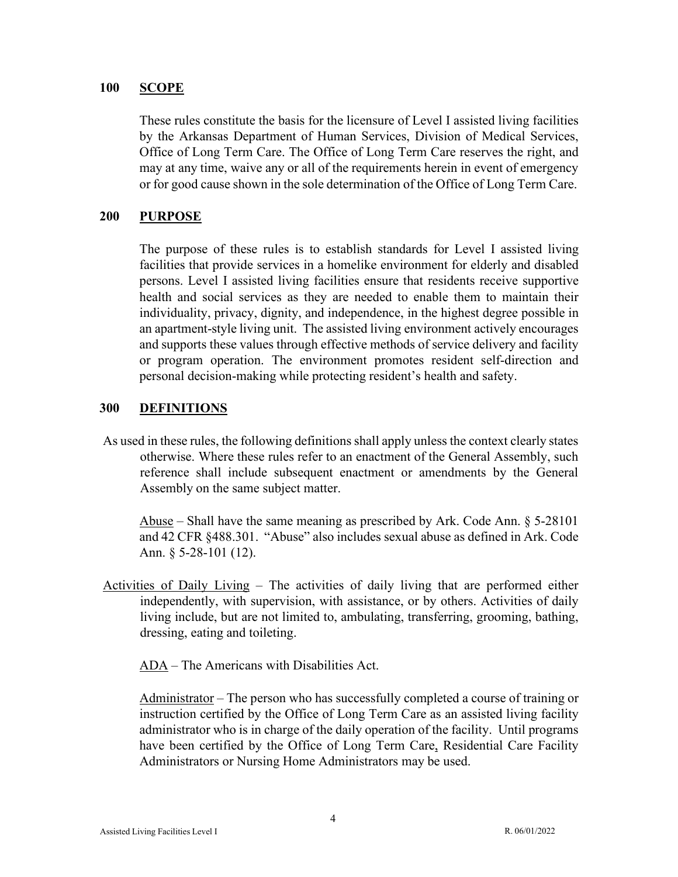#### <span id="page-3-0"></span>**100 SCOPE**

These rules constitute the basis for the licensure of Level I assisted living facilities by the Arkansas Department of Human Services, Division of Medical Services, Office of Long Term Care. The Office of Long Term Care reserves the right, and may at any time, waive any or all of the requirements herein in event of emergency or for good cause shown in the sole determination of the Office of Long Term Care.

## <span id="page-3-1"></span>**200 PURPOSE**

The purpose of these rules is to establish standards for Level I assisted living facilities that provide services in a homelike environment for elderly and disabled persons. Level I assisted living facilities ensure that residents receive supportive health and social services as they are needed to enable them to maintain their individuality, privacy, dignity, and independence, in the highest degree possible in an apartment-style living unit. The assisted living environment actively encourages and supports these values through effective methods of service delivery and facility or program operation. The environment promotes resident self-direction and personal decision-making while protecting resident's health and safety.

## <span id="page-3-2"></span>**300 DEFINITIONS**

As used in these rules, the following definitions shall apply unless the context clearly states otherwise. Where these rules refer to an enactment of the General Assembly, such reference shall include subsequent enactment or amendments by the General Assembly on the same subject matter.

Abuse – Shall have the same meaning as prescribed by Ark. Code Ann. § 5-28101 and 42 CFR §488.301. "Abuse" also includes sexual abuse as defined in Ark. Code Ann. § 5-28-101 (12).

Activities of Daily Living – The activities of daily living that are performed either independently, with supervision, with assistance, or by others. Activities of daily living include, but are not limited to, ambulating, transferring, grooming, bathing, dressing, eating and toileting.

ADA – The Americans with Disabilities Act.

Administrator – The person who has successfully completed a course of training or instruction certified by the Office of Long Term Care as an assisted living facility administrator who is in charge of the daily operation of the facility. Until programs have been certified by the Office of Long Term Care, Residential Care Facility Administrators or Nursing Home Administrators may be used.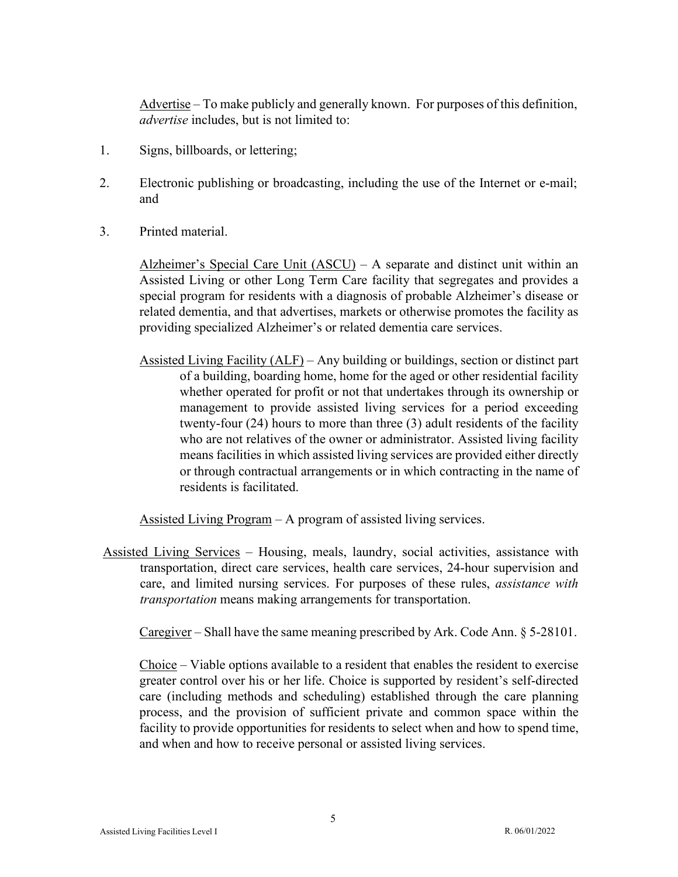Advertise – To make publicly and generally known. For purposes of this definition, *advertise* includes, but is not limited to:

- 1. Signs, billboards, or lettering;
- 2. Electronic publishing or broadcasting, including the use of the Internet or e-mail; and
- 3. Printed material.

Alzheimer's Special Care Unit (ASCU) – A separate and distinct unit within an Assisted Living or other Long Term Care facility that segregates and provides a special program for residents with a diagnosis of probable Alzheimer's disease or related dementia, and that advertises, markets or otherwise promotes the facility as providing specialized Alzheimer's or related dementia care services.

Assisted Living Facility (ALF) – Any building or buildings, section or distinct part of a building, boarding home, home for the aged or other residential facility whether operated for profit or not that undertakes through its ownership or management to provide assisted living services for a period exceeding twenty-four (24) hours to more than three (3) adult residents of the facility who are not relatives of the owner or administrator. Assisted living facility means facilities in which assisted living services are provided either directly or through contractual arrangements or in which contracting in the name of residents is facilitated.

Assisted Living Program – A program of assisted living services.

Assisted Living Services – Housing, meals, laundry, social activities, assistance with transportation, direct care services, health care services, 24-hour supervision and care, and limited nursing services. For purposes of these rules, *assistance with transportation* means making arrangements for transportation.

Caregiver – Shall have the same meaning prescribed by Ark. Code Ann. § 5-28101.

Choice – Viable options available to a resident that enables the resident to exercise greater control over his or her life. Choice is supported by resident's self-directed care (including methods and scheduling) established through the care planning process, and the provision of sufficient private and common space within the facility to provide opportunities for residents to select when and how to spend time, and when and how to receive personal or assisted living services.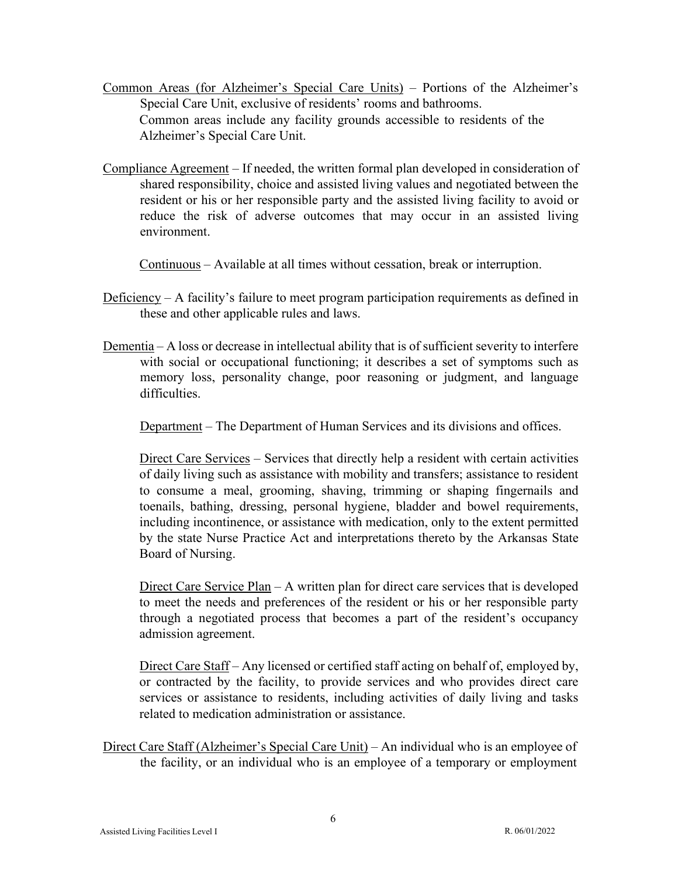- Common Areas (for Alzheimer's Special Care Units) Portions of the Alzheimer's Special Care Unit, exclusive of residents' rooms and bathrooms. Common areas include any facility grounds accessible to residents of the Alzheimer's Special Care Unit.
- Compliance Agreement If needed, the written formal plan developed in consideration of shared responsibility, choice and assisted living values and negotiated between the resident or his or her responsible party and the assisted living facility to avoid or reduce the risk of adverse outcomes that may occur in an assisted living environment.

Continuous – Available at all times without cessation, break or interruption.

- Deficiency A facility's failure to meet program participation requirements as defined in these and other applicable rules and laws.
- Dementia A loss or decrease in intellectual ability that is of sufficient severity to interfere with social or occupational functioning; it describes a set of symptoms such as memory loss, personality change, poor reasoning or judgment, and language difficulties.

Department – The Department of Human Services and its divisions and offices.

Direct Care Services – Services that directly help a resident with certain activities of daily living such as assistance with mobility and transfers; assistance to resident to consume a meal, grooming, shaving, trimming or shaping fingernails and toenails, bathing, dressing, personal hygiene, bladder and bowel requirements, including incontinence, or assistance with medication, only to the extent permitted by the state Nurse Practice Act and interpretations thereto by the Arkansas State Board of Nursing.

Direct Care Service Plan – A written plan for direct care services that is developed to meet the needs and preferences of the resident or his or her responsible party through a negotiated process that becomes a part of the resident's occupancy admission agreement.

Direct Care Staff – Any licensed or certified staff acting on behalf of, employed by, or contracted by the facility, to provide services and who provides direct care services or assistance to residents, including activities of daily living and tasks related to medication administration or assistance.

Direct Care Staff (Alzheimer's Special Care Unit) – An individual who is an employee of the facility, or an individual who is an employee of a temporary or employment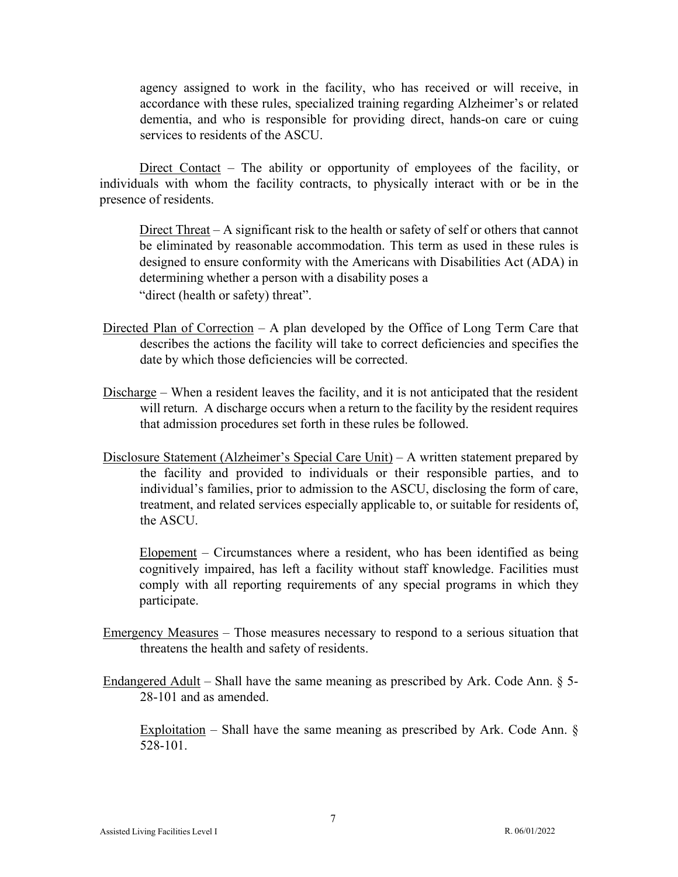agency assigned to work in the facility, who has received or will receive, in accordance with these rules, specialized training regarding Alzheimer's or related dementia, and who is responsible for providing direct, hands-on care or cuing services to residents of the ASCU.

Direct Contact – The ability or opportunity of employees of the facility, or individuals with whom the facility contracts, to physically interact with or be in the presence of residents.

Direct Threat  $-A$  significant risk to the health or safety of self or others that cannot be eliminated by reasonable accommodation. This term as used in these rules is designed to ensure conformity with the Americans with Disabilities Act (ADA) in determining whether a person with a disability poses a "direct (health or safety) threat".

- Directed Plan of Correction A plan developed by the Office of Long Term Care that describes the actions the facility will take to correct deficiencies and specifies the date by which those deficiencies will be corrected.
- Discharge When a resident leaves the facility, and it is not anticipated that the resident will return. A discharge occurs when a return to the facility by the resident requires that admission procedures set forth in these rules be followed.
- Disclosure Statement (Alzheimer's Special Care Unit) A written statement prepared by the facility and provided to individuals or their responsible parties, and to individual's families, prior to admission to the ASCU, disclosing the form of care, treatment, and related services especially applicable to, or suitable for residents of, the ASCU.

Elopement – Circumstances where a resident, who has been identified as being cognitively impaired, has left a facility without staff knowledge. Facilities must comply with all reporting requirements of any special programs in which they participate.

- Emergency Measures Those measures necessary to respond to a serious situation that threatens the health and safety of residents.
- Endangered Adult Shall have the same meaning as prescribed by Ark. Code Ann.  $\S$  5-28-101 and as amended.

Exploitation – Shall have the same meaning as prescribed by Ark. Code Ann.  $\S$ 528-101.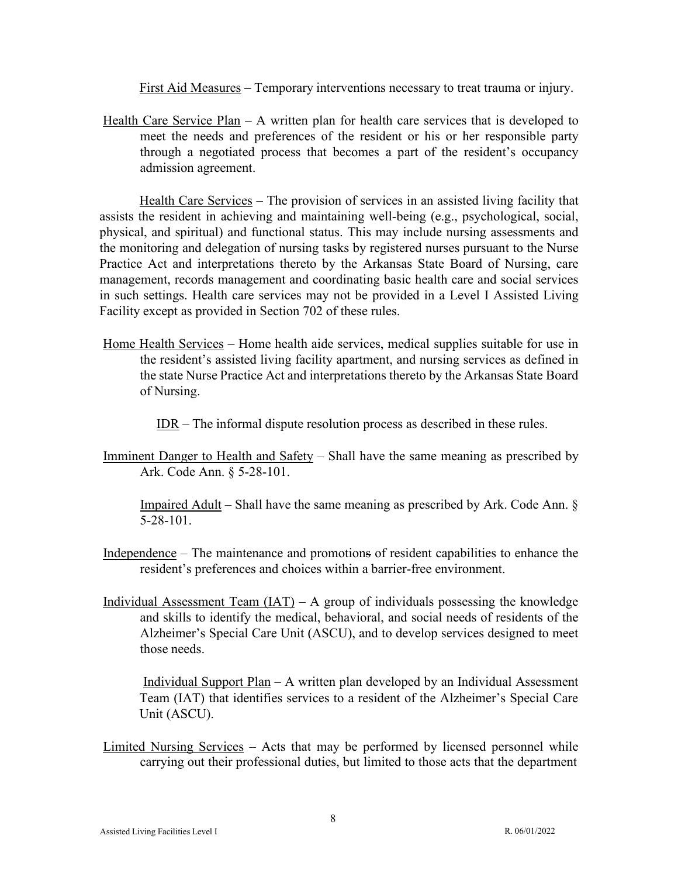First Aid Measures – Temporary interventions necessary to treat trauma or injury.

Health Care Service Plan  $- A$  written plan for health care services that is developed to meet the needs and preferences of the resident or his or her responsible party through a negotiated process that becomes a part of the resident's occupancy admission agreement.

Health Care Services – The provision of services in an assisted living facility that assists the resident in achieving and maintaining well-being (e.g., psychological, social, physical, and spiritual) and functional status. This may include nursing assessments and the monitoring and delegation of nursing tasks by registered nurses pursuant to the Nurse Practice Act and interpretations thereto by the Arkansas State Board of Nursing, care management, records management and coordinating basic health care and social services in such settings. Health care services may not be provided in a Level I Assisted Living Facility except as provided in Section 702 of these rules.

Home Health Services – Home health aide services, medical supplies suitable for use in the resident's assisted living facility apartment, and nursing services as defined in the state Nurse Practice Act and interpretations thereto by the Arkansas State Board of Nursing.

 $\underline{IDR}$  – The informal dispute resolution process as described in these rules.

Imminent Danger to Health and Safety – Shall have the same meaning as prescribed by Ark. Code Ann. § 5-28-101.

Impaired Adult – Shall have the same meaning as prescribed by Ark. Code Ann. § 5-28-101.

- Independence The maintenance and promotions of resident capabilities to enhance the resident's preferences and choices within a barrier-free environment.
- Individual Assessment Team  $(IAT) A$  group of individuals possessing the knowledge and skills to identify the medical, behavioral, and social needs of residents of the Alzheimer's Special Care Unit (ASCU), and to develop services designed to meet those needs.

Individual Support Plan – A written plan developed by an Individual Assessment Team (IAT) that identifies services to a resident of the Alzheimer's Special Care Unit (ASCU).

Limited Nursing Services – Acts that may be performed by licensed personnel while carrying out their professional duties, but limited to those acts that the department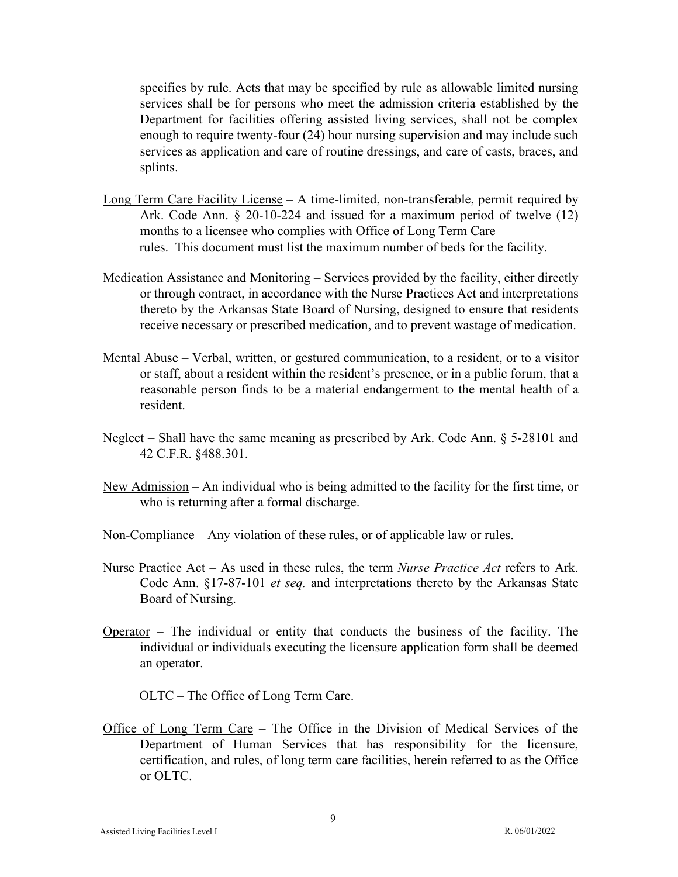specifies by rule. Acts that may be specified by rule as allowable limited nursing services shall be for persons who meet the admission criteria established by the Department for facilities offering assisted living services, shall not be complex enough to require twenty-four (24) hour nursing supervision and may include such services as application and care of routine dressings, and care of casts, braces, and splints.

- Long Term Care Facility License A time-limited, non-transferable, permit required by Ark. Code Ann. § 20-10-224 and issued for a maximum period of twelve (12) months to a licensee who complies with Office of Long Term Care rules. This document must list the maximum number of beds for the facility.
- Medication Assistance and Monitoring Services provided by the facility, either directly or through contract, in accordance with the Nurse Practices Act and interpretations thereto by the Arkansas State Board of Nursing, designed to ensure that residents receive necessary or prescribed medication, and to prevent wastage of medication.
- Mental Abuse Verbal, written, or gestured communication, to a resident, or to a visitor or staff, about a resident within the resident's presence, or in a public forum, that a reasonable person finds to be a material endangerment to the mental health of a resident.
- Neglect Shall have the same meaning as prescribed by Ark. Code Ann. § 5-28101 and 42 C.F.R. §488.301.
- New Admission An individual who is being admitted to the facility for the first time, or who is returning after a formal discharge.
- Non-Compliance Any violation of these rules, or of applicable law or rules.
- Nurse Practice Act As used in these rules, the term *Nurse Practice Act* refers to Ark. Code Ann. §17-87-101 *et seq.* and interpretations thereto by the Arkansas State Board of Nursing.
- Operator The individual or entity that conducts the business of the facility. The individual or individuals executing the licensure application form shall be deemed an operator.

OLTC – The Office of Long Term Care.

Office of Long Term Care – The Office in the Division of Medical Services of the Department of Human Services that has responsibility for the licensure, certification, and rules, of long term care facilities, herein referred to as the Office or OLTC.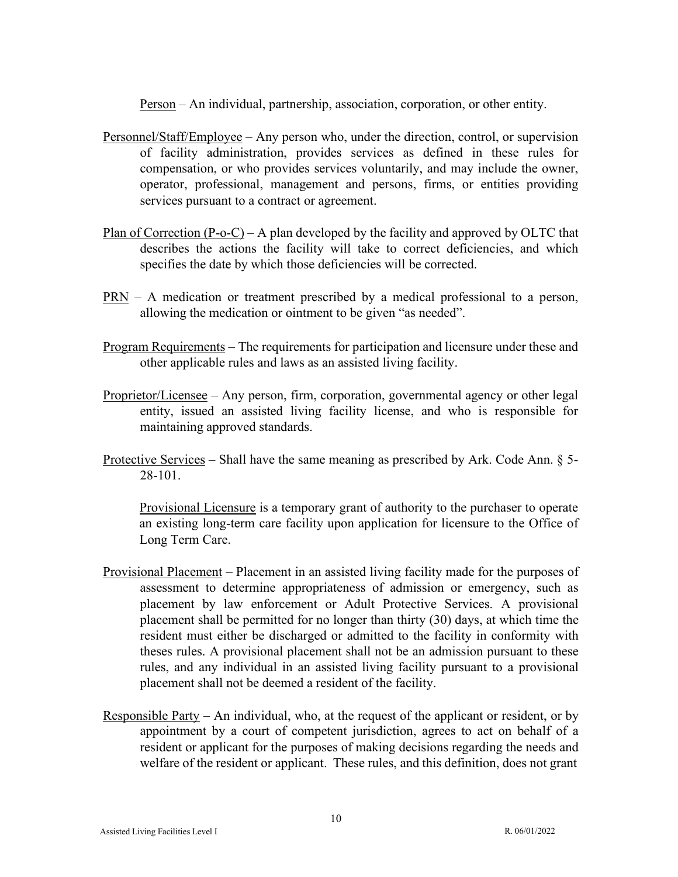Person – An individual, partnership, association, corporation, or other entity.

- Personnel/Staff/Employee Any person who, under the direction, control, or supervision of facility administration, provides services as defined in these rules for compensation, or who provides services voluntarily, and may include the owner, operator, professional, management and persons, firms, or entities providing services pursuant to a contract or agreement.
- Plan of Correction  $(P_{-o}-A)$  plan developed by the facility and approved by OLTC that describes the actions the facility will take to correct deficiencies, and which specifies the date by which those deficiencies will be corrected.
- $PRN A$  medication or treatment prescribed by a medical professional to a person, allowing the medication or ointment to be given "as needed".
- Program Requirements The requirements for participation and licensure under these and other applicable rules and laws as an assisted living facility.
- Proprietor/Licensee Any person, firm, corporation, governmental agency or other legal entity, issued an assisted living facility license, and who is responsible for maintaining approved standards.
- Protective Services Shall have the same meaning as prescribed by Ark. Code Ann. § 5- 28-101.

Provisional Licensure is a temporary grant of authority to the purchaser to operate an existing long-term care facility upon application for licensure to the Office of Long Term Care.

- Provisional Placement Placement in an assisted living facility made for the purposes of assessment to determine appropriateness of admission or emergency, such as placement by law enforcement or Adult Protective Services. A provisional placement shall be permitted for no longer than thirty (30) days, at which time the resident must either be discharged or admitted to the facility in conformity with theses rules. A provisional placement shall not be an admission pursuant to these rules, and any individual in an assisted living facility pursuant to a provisional placement shall not be deemed a resident of the facility.
- Responsible Party An individual, who, at the request of the applicant or resident, or by appointment by a court of competent jurisdiction, agrees to act on behalf of a resident or applicant for the purposes of making decisions regarding the needs and welfare of the resident or applicant. These rules, and this definition, does not grant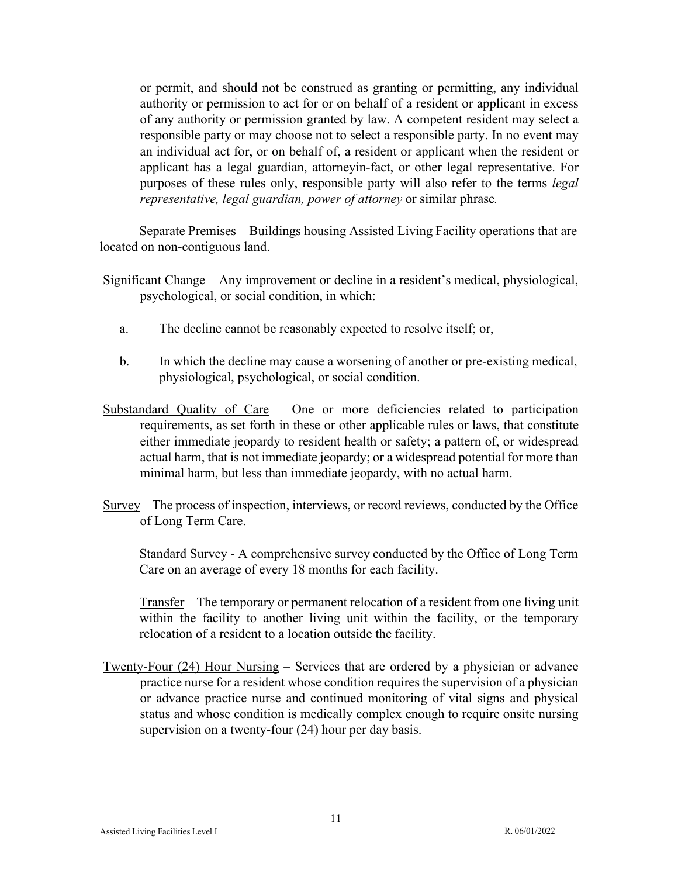or permit, and should not be construed as granting or permitting, any individual authority or permission to act for or on behalf of a resident or applicant in excess of any authority or permission granted by law. A competent resident may select a responsible party or may choose not to select a responsible party. In no event may an individual act for, or on behalf of, a resident or applicant when the resident or applicant has a legal guardian, attorneyin-fact, or other legal representative. For purposes of these rules only, responsible party will also refer to the terms *legal representative, legal guardian, power of attorney* or similar phrase*.* 

Separate Premises – Buildings housing Assisted Living Facility operations that are located on non-contiguous land.

- Significant Change Any improvement or decline in a resident's medical, physiological, psychological, or social condition, in which:
	- a. The decline cannot be reasonably expected to resolve itself; or,
	- b. In which the decline may cause a worsening of another or pre-existing medical, physiological, psychological, or social condition.
- Substandard Quality of Care One or more deficiencies related to participation requirements, as set forth in these or other applicable rules or laws, that constitute either immediate jeopardy to resident health or safety; a pattern of, or widespread actual harm, that is not immediate jeopardy; or a widespread potential for more than minimal harm, but less than immediate jeopardy, with no actual harm.
- Survey The process of inspection, interviews, or record reviews, conducted by the Office of Long Term Care.

Standard Survey - A comprehensive survey conducted by the Office of Long Term Care on an average of every 18 months for each facility.

Transfer – The temporary or permanent relocation of a resident from one living unit within the facility to another living unit within the facility, or the temporary relocation of a resident to a location outside the facility.

Twenty-Four (24) Hour Nursing – Services that are ordered by a physician or advance practice nurse for a resident whose condition requires the supervision of a physician or advance practice nurse and continued monitoring of vital signs and physical status and whose condition is medically complex enough to require onsite nursing supervision on a twenty-four (24) hour per day basis.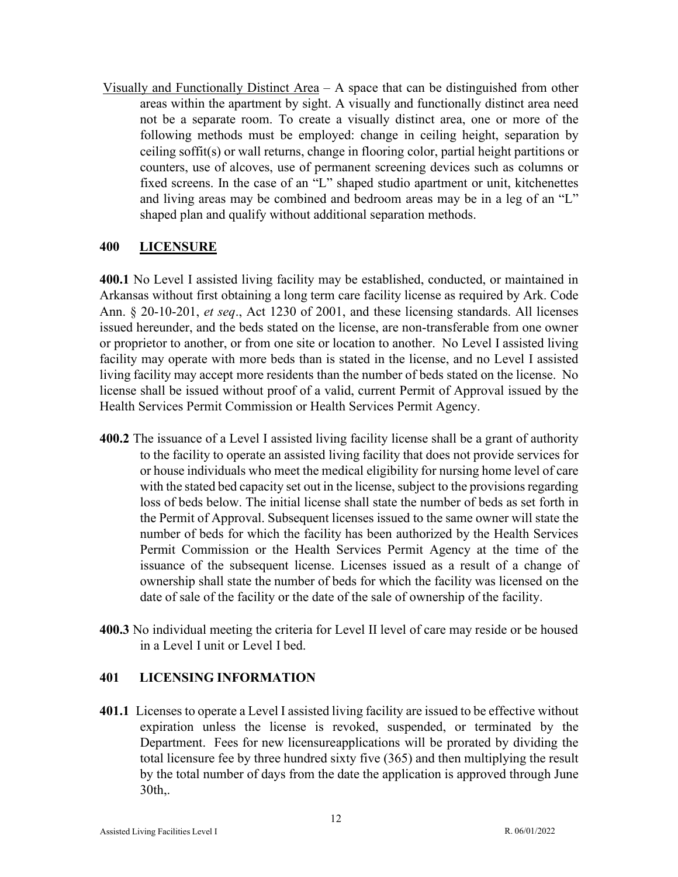Visually and Functionally Distinct Area – A space that can be distinguished from other areas within the apartment by sight. A visually and functionally distinct area need not be a separate room. To create a visually distinct area, one or more of the following methods must be employed: change in ceiling height, separation by ceiling soffit(s) or wall returns, change in flooring color, partial height partitions or counters, use of alcoves, use of permanent screening devices such as columns or fixed screens. In the case of an "L" shaped studio apartment or unit, kitchenettes and living areas may be combined and bedroom areas may be in a leg of an "L" shaped plan and qualify without additional separation methods.

## <span id="page-11-0"></span>**400 LICENSURE**

**400.1** No Level I assisted living facility may be established, conducted, or maintained in Arkansas without first obtaining a long term care facility license as required by Ark. Code Ann. § 20-10-201, *et seq*., Act 1230 of 2001, and these licensing standards. All licenses issued hereunder, and the beds stated on the license, are non-transferable from one owner or proprietor to another, or from one site or location to another. No Level I assisted living facility may operate with more beds than is stated in the license, and no Level I assisted living facility may accept more residents than the number of beds stated on the license. No license shall be issued without proof of a valid, current Permit of Approval issued by the Health Services Permit Commission or Health Services Permit Agency.

- **400.2** The issuance of a Level I assisted living facility license shall be a grant of authority to the facility to operate an assisted living facility that does not provide services for or house individuals who meet the medical eligibility for nursing home level of care with the stated bed capacity set out in the license, subject to the provisions regarding loss of beds below. The initial license shall state the number of beds as set forth in the Permit of Approval. Subsequent licenses issued to the same owner will state the number of beds for which the facility has been authorized by the Health Services Permit Commission or the Health Services Permit Agency at the time of the issuance of the subsequent license. Licenses issued as a result of a change of ownership shall state the number of beds for which the facility was licensed on the date of sale of the facility or the date of the sale of ownership of the facility.
- **400.3** No individual meeting the criteria for Level II level of care may reside or be housed in a Level I unit or Level I bed.

### <span id="page-11-1"></span>**401 LICENSING INFORMATION**

**401.1** Licenses to operate a Level I assisted living facility are issued to be effective without expiration unless the license is revoked, suspended, or terminated by the Department. Fees for new licensureapplications will be prorated by dividing the total licensure fee by three hundred sixty five (365) and then multiplying the result by the total number of days from the date the application is approved through June 30th,.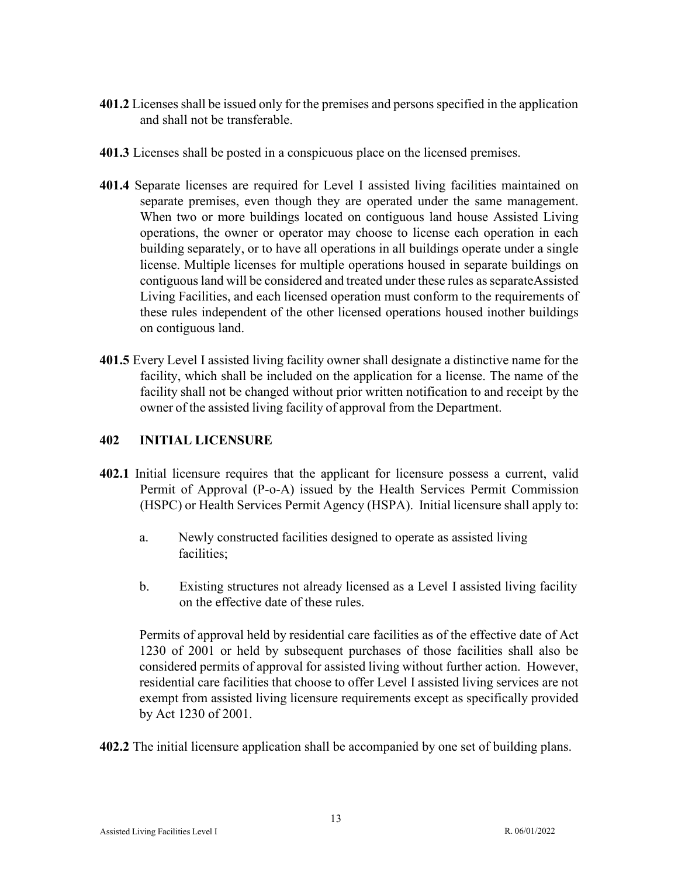- **401.2** Licensesshall be issued only for the premises and persons specified in the application and shall not be transferable.
- **401.3** Licenses shall be posted in a conspicuous place on the licensed premises.
- **401.4** Separate licenses are required for Level I assisted living facilities maintained on separate premises, even though they are operated under the same management. When two or more buildings located on contiguous land house Assisted Living operations, the owner or operator may choose to license each operation in each building separately, or to have all operations in all buildings operate under a single license. Multiple licenses for multiple operations housed in separate buildings on contiguous land will be considered and treated under these rules as separateAssisted Living Facilities, and each licensed operation must conform to the requirements of these rules independent of the other licensed operations housed inother buildings on contiguous land.
- **401.5** Every Level I assisted living facility owner shall designate a distinctive name for the facility, which shall be included on the application for a license. The name of the facility shall not be changed without prior written notification to and receipt by the owner of the assisted living facility of approval from the Department.

# <span id="page-12-0"></span>**402 INITIAL LICENSURE**

- **402.1** Initial licensure requires that the applicant for licensure possess a current, valid Permit of Approval (P-o-A) issued by the Health Services Permit Commission (HSPC) or Health Services Permit Agency (HSPA). Initial licensure shall apply to:
	- a. Newly constructed facilities designed to operate as assisted living facilities;
	- b. Existing structures not already licensed as a Level I assisted living facility on the effective date of these rules.

Permits of approval held by residential care facilities as of the effective date of Act 1230 of 2001 or held by subsequent purchases of those facilities shall also be considered permits of approval for assisted living without further action. However, residential care facilities that choose to offer Level I assisted living services are not exempt from assisted living licensure requirements except as specifically provided by Act 1230 of 2001.

**402.2** The initial licensure application shall be accompanied by one set of building plans.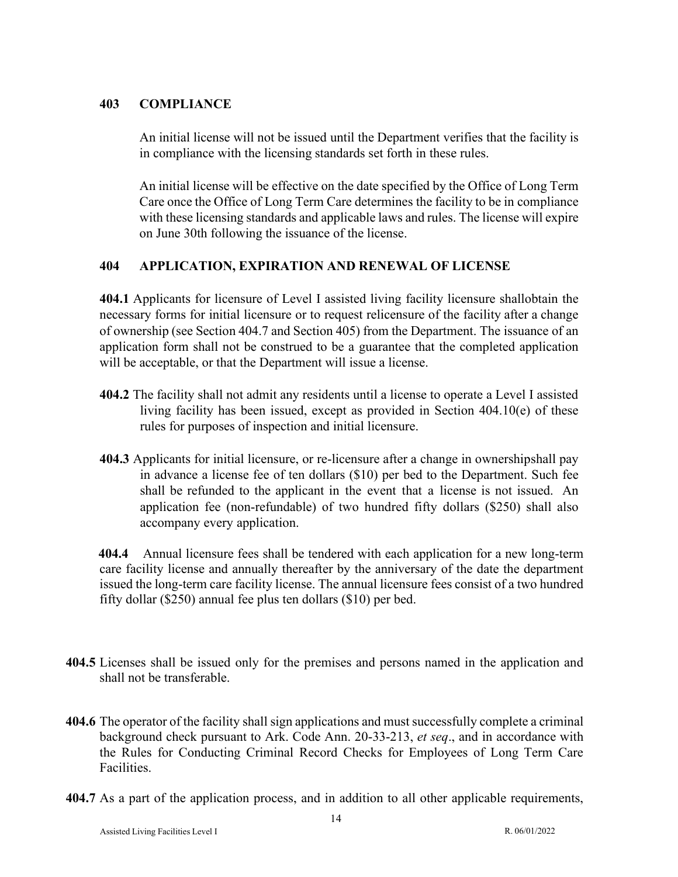# <span id="page-13-0"></span>**403 COMPLIANCE**

An initial license will not be issued until the Department verifies that the facility is in compliance with the licensing standards set forth in these rules.

An initial license will be effective on the date specified by the Office of Long Term Care once the Office of Long Term Care determines the facility to be in compliance with these licensing standards and applicable laws and rules. The license will expire on June 30th following the issuance of the license.

# <span id="page-13-1"></span>**404 APPLICATION, EXPIRATION AND RENEWAL OF LICENSE**

**404.1** Applicants for licensure of Level I assisted living facility licensure shallobtain the necessary forms for initial licensure or to request relicensure of the facility after a change of ownership (see Section 404.7 and Section 405) from the Department. The issuance of an application form shall not be construed to be a guarantee that the completed application will be acceptable, or that the Department will issue a license.

- **404.2** The facility shall not admit any residents until a license to operate a Level I assisted living facility has been issued, except as provided in Section 404.10(e) of these rules for purposes of inspection and initial licensure.
- **404.3** Applicants for initial licensure, or re-licensure after a change in ownershipshall pay in advance a license fee of ten dollars (\$10) per bed to the Department. Such fee shall be refunded to the applicant in the event that a license is not issued. An application fee (non-refundable) of two hundred fifty dollars (\$250) shall also accompany every application.

**404.4** Annual licensure fees shall be tendered with each application for a new long-term care facility license and annually thereafter by the anniversary of the date the department issued the long-term care facility license. The annual licensure fees consist of a two hundred fifty dollar (\$250) annual fee plus ten dollars (\$10) per bed.

- **404.5** Licenses shall be issued only for the premises and persons named in the application and shall not be transferable.
- **404.6** The operator of the facility shall sign applications and must successfully complete a criminal background check pursuant to Ark. Code Ann. 20-33-213, *et seq*., and in accordance with the Rules for Conducting Criminal Record Checks for Employees of Long Term Care Facilities.
- **404.7** As a part of the application process, and in addition to all other applicable requirements,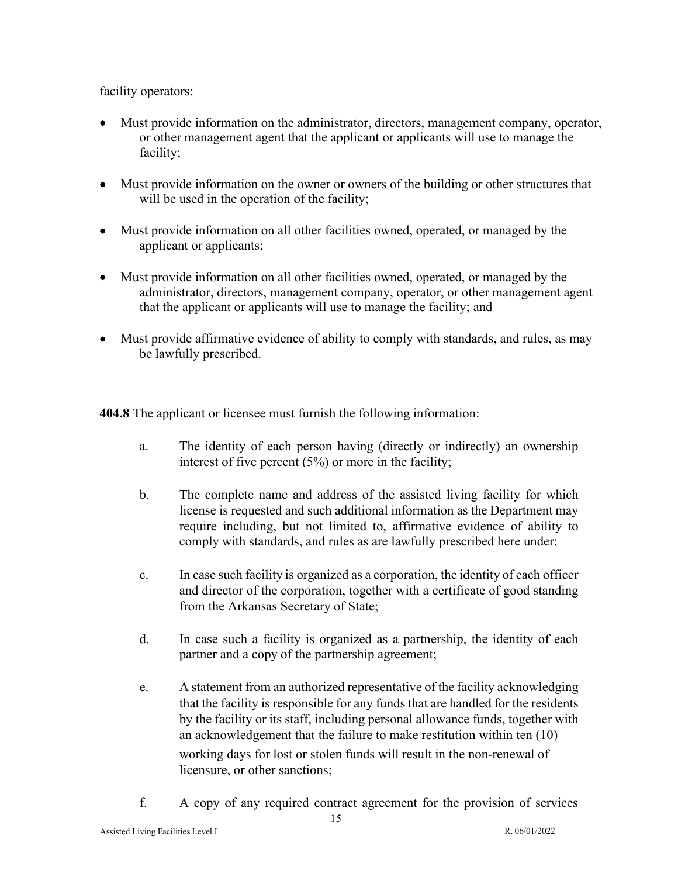facility operators:

- Must provide information on the administrator, directors, management company, operator, or other management agent that the applicant or applicants will use to manage the facility;
- Must provide information on the owner or owners of the building or other structures that will be used in the operation of the facility;
- Must provide information on all other facilities owned, operated, or managed by the applicant or applicants;
- Must provide information on all other facilities owned, operated, or managed by the administrator, directors, management company, operator, or other management agent that the applicant or applicants will use to manage the facility; and
- Must provide affirmative evidence of ability to comply with standards, and rules, as may be lawfully prescribed.

**404.8** The applicant or licensee must furnish the following information:

- a. The identity of each person having (directly or indirectly) an ownership interest of five percent (5%) or more in the facility;
- b. The complete name and address of the assisted living facility for which license is requested and such additional information as the Department may require including, but not limited to, affirmative evidence of ability to comply with standards, and rules as are lawfully prescribed here under;
- c. In case such facility is organized as a corporation, the identity of each officer and director of the corporation, together with a certificate of good standing from the Arkansas Secretary of State;
- d. In case such a facility is organized as a partnership, the identity of each partner and a copy of the partnership agreement;
- e. A statement from an authorized representative of the facility acknowledging that the facility is responsible for any funds that are handled for the residents by the facility or its staff, including personal allowance funds, together with an acknowledgement that the failure to make restitution within ten (10) working days for lost or stolen funds will result in the non-renewal of licensure, or other sanctions;
- f. A copy of any required contract agreement for the provision of services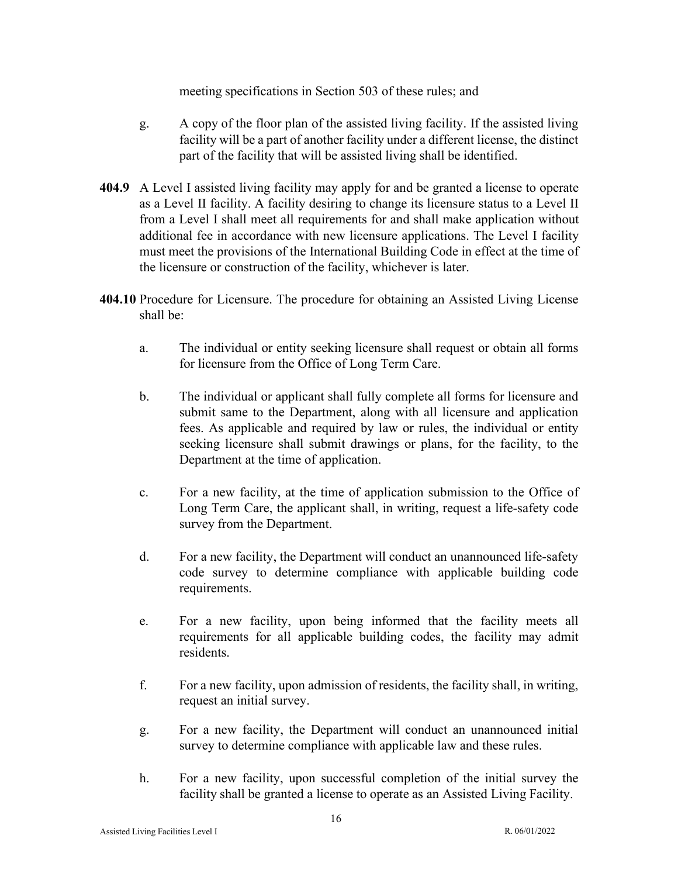meeting specifications in Section 503 of these rules; and

- g. A copy of the floor plan of the assisted living facility. If the assisted living facility will be a part of another facility under a different license, the distinct part of the facility that will be assisted living shall be identified.
- **404.9** A Level I assisted living facility may apply for and be granted a license to operate as a Level II facility. A facility desiring to change its licensure status to a Level II from a Level I shall meet all requirements for and shall make application without additional fee in accordance with new licensure applications. The Level I facility must meet the provisions of the International Building Code in effect at the time of the licensure or construction of the facility, whichever is later.
- **404.10** Procedure for Licensure. The procedure for obtaining an Assisted Living License shall be:
	- a. The individual or entity seeking licensure shall request or obtain all forms for licensure from the Office of Long Term Care.
	- b. The individual or applicant shall fully complete all forms for licensure and submit same to the Department, along with all licensure and application fees. As applicable and required by law or rules, the individual or entity seeking licensure shall submit drawings or plans, for the facility, to the Department at the time of application.
	- c. For a new facility, at the time of application submission to the Office of Long Term Care, the applicant shall, in writing, request a life-safety code survey from the Department.
	- d. For a new facility, the Department will conduct an unannounced life-safety code survey to determine compliance with applicable building code requirements.
	- e. For a new facility, upon being informed that the facility meets all requirements for all applicable building codes, the facility may admit residents.
	- f. For a new facility, upon admission of residents, the facility shall, in writing, request an initial survey.
	- g. For a new facility, the Department will conduct an unannounced initial survey to determine compliance with applicable law and these rules.
	- h. For a new facility, upon successful completion of the initial survey the facility shall be granted a license to operate as an Assisted Living Facility.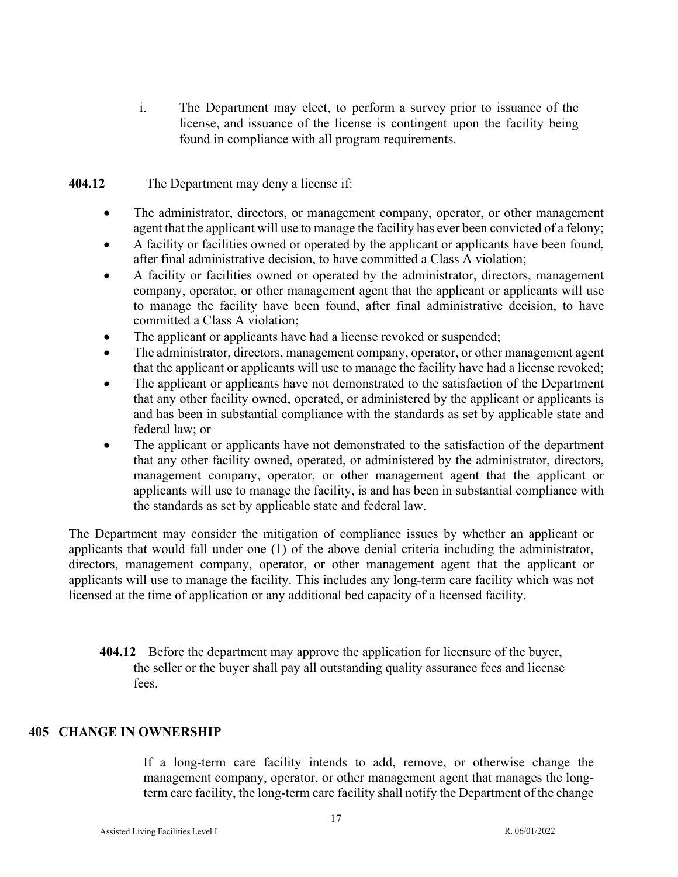i. The Department may elect, to perform a survey prior to issuance of the license, and issuance of the license is contingent upon the facility being found in compliance with all program requirements.

**404.12** The Department may deny a license if:

- The administrator, directors, or management company, operator, or other management agent that the applicant will use to manage the facility has ever been convicted of a felony;
- A facility or facilities owned or operated by the applicant or applicants have been found, after final administrative decision, to have committed a Class A violation;
- A facility or facilities owned or operated by the administrator, directors, management company, operator, or other management agent that the applicant or applicants will use to manage the facility have been found, after final administrative decision, to have committed a Class A violation;
- The applicant or applicants have had a license revoked or suspended;
- The administrator, directors, management company, operator, or other management agent that the applicant or applicants will use to manage the facility have had a license revoked;
- The applicant or applicants have not demonstrated to the satisfaction of the Department that any other facility owned, operated, or administered by the applicant or applicants is and has been in substantial compliance with the standards as set by applicable state and federal law; or
- The applicant or applicants have not demonstrated to the satisfaction of the department that any other facility owned, operated, or administered by the administrator, directors, management company, operator, or other management agent that the applicant or applicants will use to manage the facility, is and has been in substantial compliance with the standards as set by applicable state and federal law.

The Department may consider the mitigation of compliance issues by whether an applicant or applicants that would fall under one (1) of the above denial criteria including the administrator, directors, management company, operator, or other management agent that the applicant or applicants will use to manage the facility. This includes any long-term care facility which was not licensed at the time of application or any additional bed capacity of a licensed facility.

**404.12** Before the department may approve the application for licensure of the buyer, the seller or the buyer shall pay all outstanding quality assurance fees and license fees.

## **405 CHANGE IN OWNERSHIP**

If a long-term care facility intends to add, remove, or otherwise change the management company, operator, or other management agent that manages the longterm care facility, the long-term care facility shall notify the Department of the change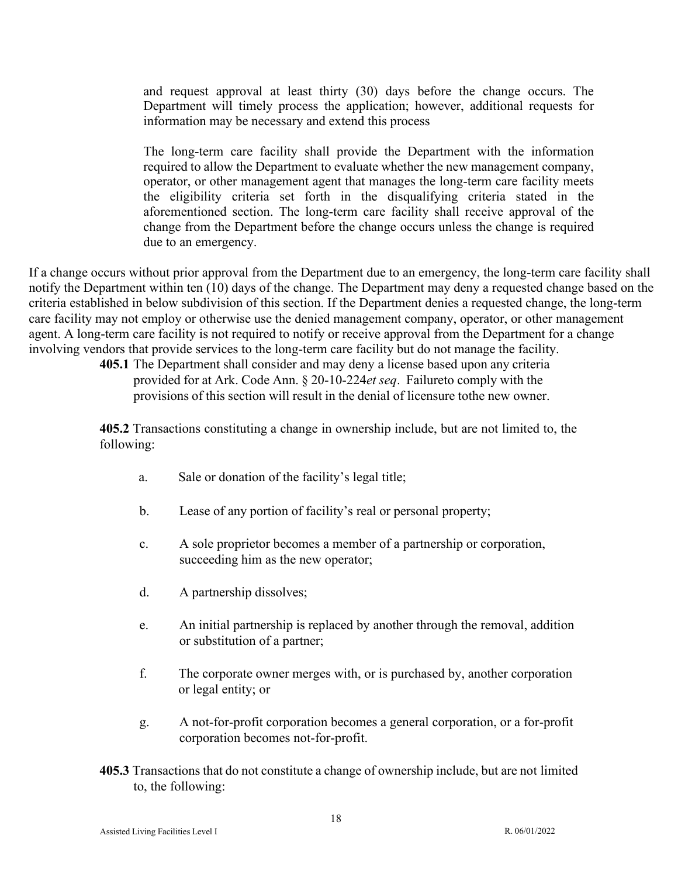and request approval at least thirty (30) days before the change occurs. The Department will timely process the application; however, additional requests for information may be necessary and extend this process

The long-term care facility shall provide the Department with the information required to allow the Department to evaluate whether the new management company, operator, or other management agent that manages the long-term care facility meets the eligibility criteria set forth in the disqualifying criteria stated in the aforementioned section. The long-term care facility shall receive approval of the change from the Department before the change occurs unless the change is required due to an emergency.

If a change occurs without prior approval from the Department due to an emergency, the long-term care facility shall notify the Department within ten (10) days of the change. The Department may deny a requested change based on the criteria established in below subdivision of this section. If the Department denies a requested change, the long-term care facility may not employ or otherwise use the denied management company, operator, or other management agent. A long-term care facility is not required to notify or receive approval from the Department for a change involving vendors that provide services to the long-term care facility but do not manage the facility.

> **405.1** The Department shall consider and may deny a license based upon any criteria provided for at Ark. Code Ann. § 20-10-224*et seq*. Failureto comply with the provisions of this section will result in the denial of licensure tothe new owner.

<span id="page-17-0"></span>**405.2** Transactions constituting a change in ownership include, but are not limited to, the following:

- a. Sale or donation of the facility's legal title;
- b. Lease of any portion of facility's real or personal property;
- c. A sole proprietor becomes a member of a partnership or corporation, succeeding him as the new operator;
- d. A partnership dissolves;
- e. An initial partnership is replaced by another through the removal, addition or substitution of a partner;
- f. The corporate owner merges with, or is purchased by, another corporation or legal entity; or
- g. A not-for-profit corporation becomes a general corporation, or a for-profit corporation becomes not-for-profit.
- **405.3** Transactions that do not constitute a change of ownership include, but are not limited to, the following: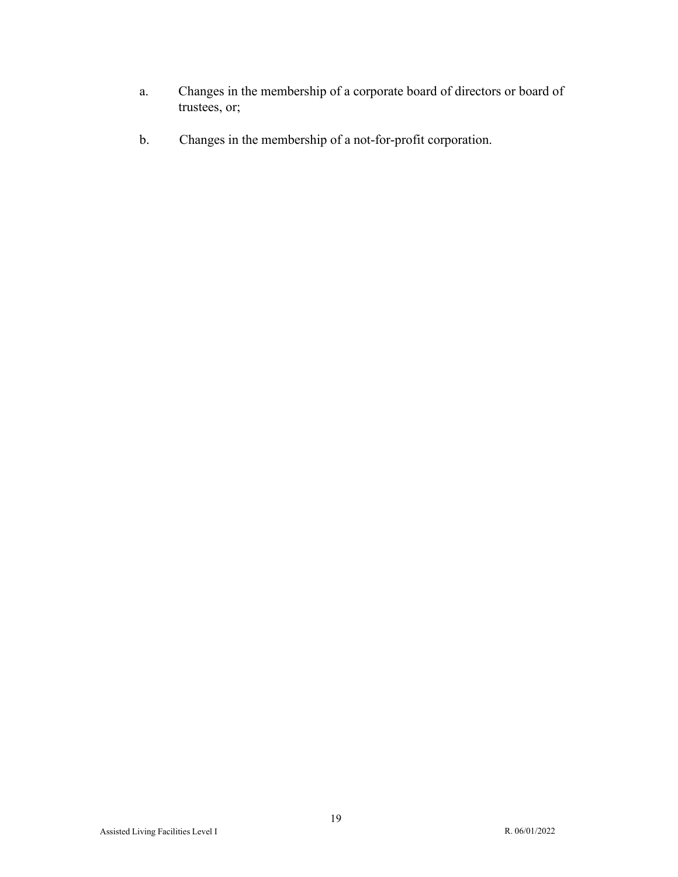- a. Changes in the membership of a corporate board of directors or board of trustees, or;
- b. Changes in the membership of a not-for-profit corporation.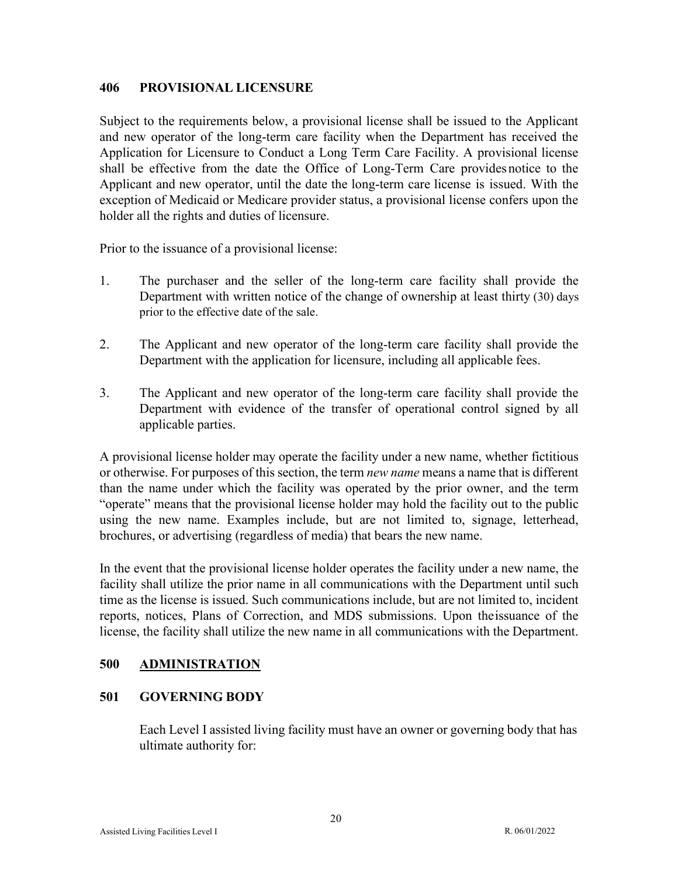## <span id="page-19-0"></span>**406 PROVISIONAL LICENSURE**

Subject to the requirements below, a provisional license shall be issued to the Applicant and new operator of the long-term care facility when the Department has received the Application for Licensure to Conduct a Long Term Care Facility. A provisional license shall be effective from the date the Office of Long-Term Care provides notice to the Applicant and new operator, until the date the long-term care license is issued. With the exception of Medicaid or Medicare provider status, a provisional license confers upon the holder all the rights and duties of licensure.

Prior to the issuance of a provisional license:

- 1. The purchaser and the seller of the long-term care facility shall provide the Department with written notice of the change of ownership at least thirty (30) days prior to the effective date of the sale.
- 2. The Applicant and new operator of the long-term care facility shall provide the Department with the application for licensure, including all applicable fees.
- 3. The Applicant and new operator of the long-term care facility shall provide the Department with evidence of the transfer of operational control signed by all applicable parties.

A provisional license holder may operate the facility under a new name, whether fictitious or otherwise. For purposes of this section, the term *new name* means a name that is different than the name under which the facility was operated by the prior owner, and the term "operate" means that the provisional license holder may hold the facility out to the public using the new name. Examples include, but are not limited to, signage, letterhead, brochures, or advertising (regardless of media) that bears the new name.

In the event that the provisional license holder operates the facility under a new name, the facility shall utilize the prior name in all communications with the Department until such time as the license is issued. Such communications include, but are not limited to, incident reports, notices, Plans of Correction, and MDS submissions. Upon theissuance of the license, the facility shall utilize the new name in all communications with the Department.

# <span id="page-19-1"></span>**500 ADMINISTRATION**

# <span id="page-19-2"></span>**501 GOVERNING BODY**

Each Level I assisted living facility must have an owner or governing body that has ultimate authority for: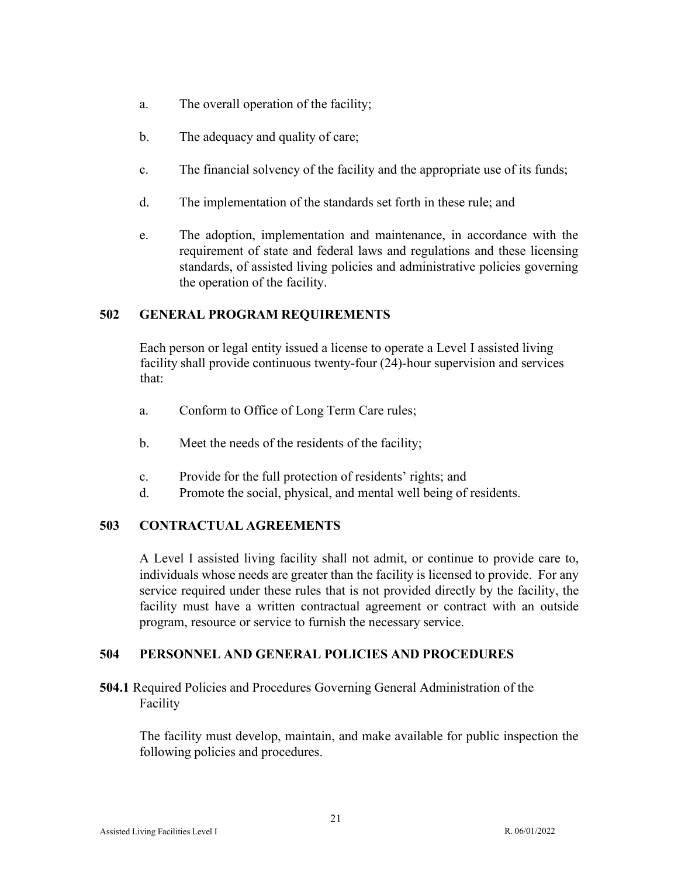- a. The overall operation of the facility;
- b. The adequacy and quality of care;
- c. The financial solvency of the facility and the appropriate use of its funds;
- d. The implementation of the standards set forth in these rule; and
- e. The adoption, implementation and maintenance, in accordance with the requirement of state and federal laws and regulations and these licensing standards, of assisted living policies and administrative policies governing the operation of the facility.

## <span id="page-20-0"></span>**502 GENERAL PROGRAM REQUIREMENTS**

Each person or legal entity issued a license to operate a Level I assisted living facility shall provide continuous twenty-four (24)-hour supervision and services that:

- a. Conform to Office of Long Term Care rules;
- b. Meet the needs of the residents of the facility;
- c. Provide for the full protection of residents' rights; and
- d. Promote the social, physical, and mental well being of residents.

## <span id="page-20-1"></span>**503 CONTRACTUAL AGREEMENTS**

A Level I assisted living facility shall not admit, or continue to provide care to, individuals whose needs are greater than the facility is licensed to provide. For any service required under these rules that is not provided directly by the facility, the facility must have a written contractual agreement or contract with an outside program, resource or service to furnish the necessary service.

### <span id="page-20-2"></span>**504 PERSONNEL AND GENERAL POLICIES AND PROCEDURES**

**504.1** Required Policies and Procedures Governing General Administration of the Facility

The facility must develop, maintain, and make available for public inspection the following policies and procedures.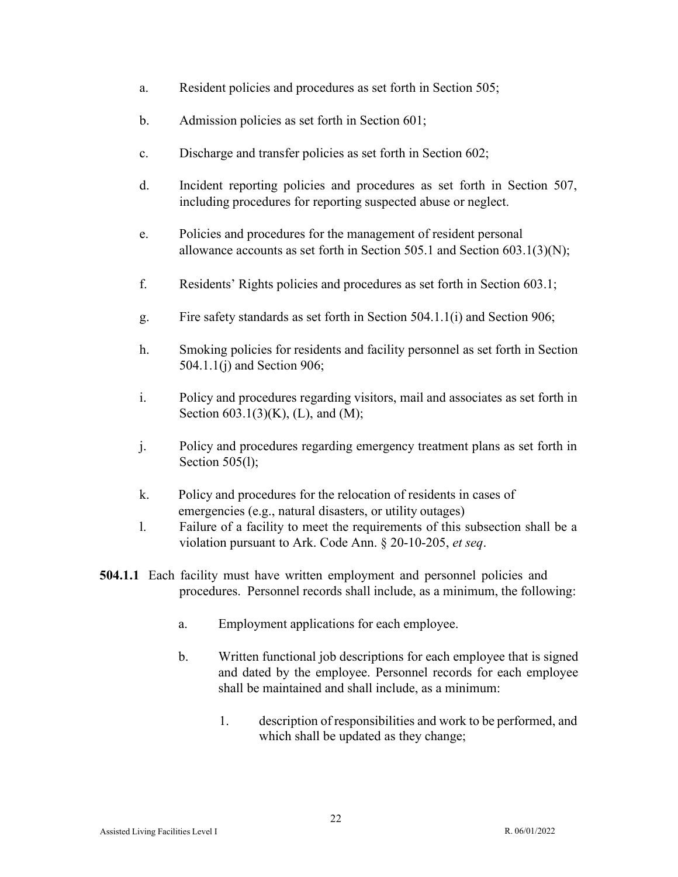- a. Resident policies and procedures as set forth in Section 505;
- b. Admission policies as set forth in Section 601;
- c. Discharge and transfer policies as set forth in Section 602;
- d. Incident reporting policies and procedures as set forth in Section 507, including procedures for reporting suspected abuse or neglect.
- e. Policies and procedures for the management of resident personal allowance accounts as set forth in Section 505.1 and Section 603.1(3)(N);
- f. Residents' Rights policies and procedures as set forth in Section 603.1;
- g. Fire safety standards as set forth in Section 504.1.1(i) and Section 906;
- h. Smoking policies for residents and facility personnel as set forth in Section 504.1.1(j) and Section 906;
- i. Policy and procedures regarding visitors, mail and associates as set forth in Section 603.1(3)(K), (L), and (M);
- j. Policy and procedures regarding emergency treatment plans as set forth in Section 505(1);
- k. Policy and procedures for the relocation of residents in cases of emergencies (e.g., natural disasters, or utility outages)
- l. Failure of a facility to meet the requirements of this subsection shall be a violation pursuant to Ark. Code Ann. § 20-10-205, *et seq*.
- **504.1.1** Each facility must have written employment and personnel policies and procedures. Personnel records shall include, as a minimum, the following:
	- a. Employment applications for each employee.
	- b. Written functional job descriptions for each employee that is signed and dated by the employee. Personnel records for each employee shall be maintained and shall include, as a minimum:
		- 1. description of responsibilities and work to be performed, and which shall be updated as they change;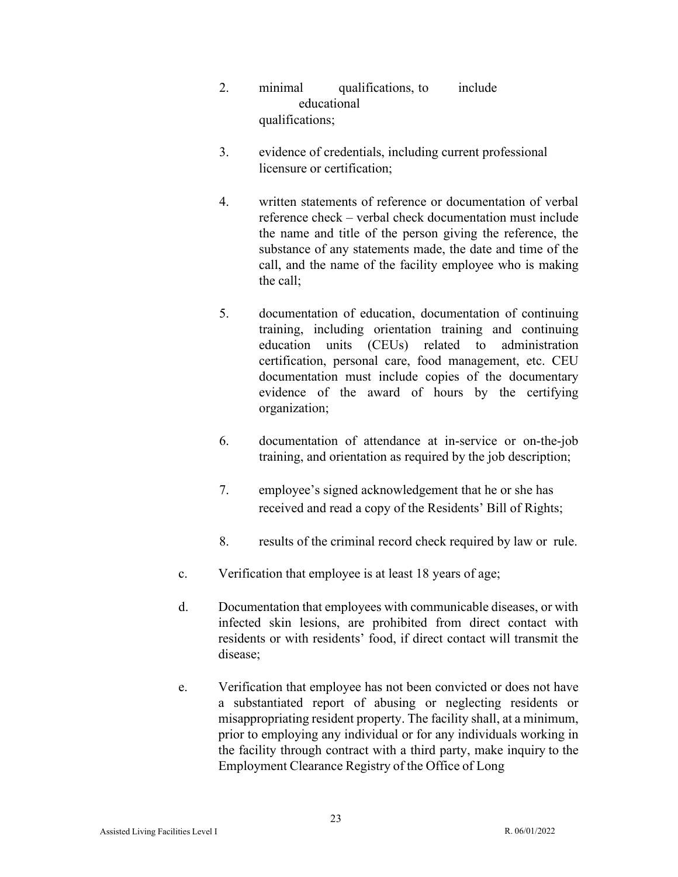- 2. minimal qualifications, to include educational qualifications;
- 3. evidence of credentials, including current professional licensure or certification;
- 4. written statements of reference or documentation of verbal reference check – verbal check documentation must include the name and title of the person giving the reference, the substance of any statements made, the date and time of the call, and the name of the facility employee who is making the call;
- 5. documentation of education, documentation of continuing training, including orientation training and continuing education units (CEUs) related to administration certification, personal care, food management, etc. CEU documentation must include copies of the documentary evidence of the award of hours by the certifying organization;
- 6. documentation of attendance at in-service or on-the-job training, and orientation as required by the job description;
- 7. employee's signed acknowledgement that he or she has received and read a copy of the Residents' Bill of Rights;
- 8. results of the criminal record check required by law or rule.
- c. Verification that employee is at least 18 years of age;
- d. Documentation that employees with communicable diseases, or with infected skin lesions, are prohibited from direct contact with residents or with residents' food, if direct contact will transmit the disease;
- e. Verification that employee has not been convicted or does not have a substantiated report of abusing or neglecting residents or misappropriating resident property. The facility shall, at a minimum, prior to employing any individual or for any individuals working in the facility through contract with a third party, make inquiry to the Employment Clearance Registry of the Office of Long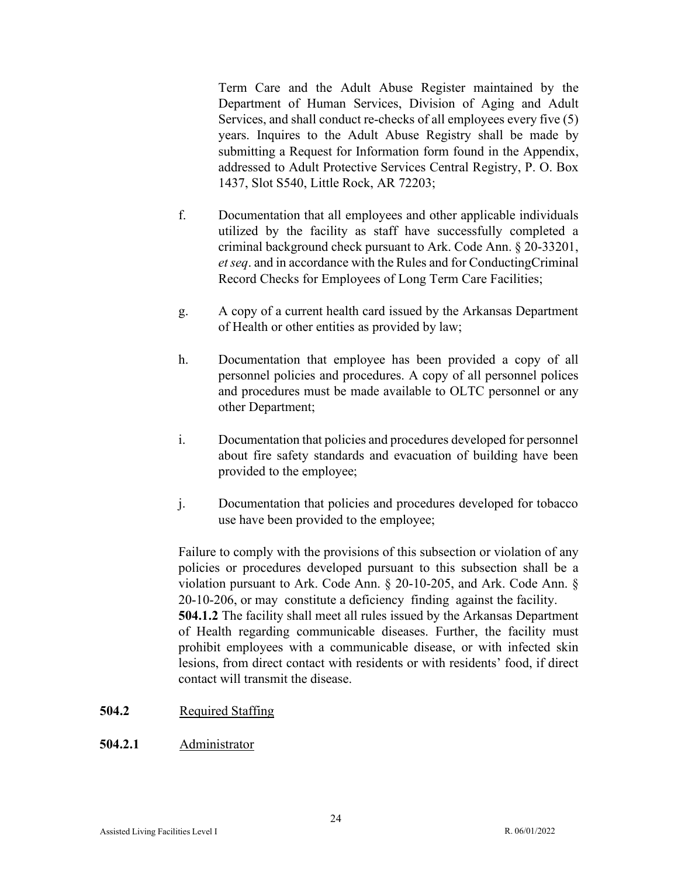Term Care and the Adult Abuse Register maintained by the Department of Human Services, Division of Aging and Adult Services, and shall conduct re-checks of all employees every five (5) years. Inquires to the Adult Abuse Registry shall be made by submitting a Request for Information form found in the Appendix, addressed to Adult Protective Services Central Registry, P. O. Box 1437, Slot S540, Little Rock, AR 72203;

- f. Documentation that all employees and other applicable individuals utilized by the facility as staff have successfully completed a criminal background check pursuant to Ark. Code Ann. § 20-33201, *etseq*. and in accordance with the Rules and for Conducting Criminal Record Checks for Employees of Long Term Care Facilities;
- g. A copy of a current health card issued by the Arkansas Department of Health or other entities as provided by law;
- h. Documentation that employee has been provided a copy of all personnel policies and procedures. A copy of all personnel polices and procedures must be made available to OLTC personnel or any other Department;
- i. Documentation that policies and procedures developed for personnel about fire safety standards and evacuation of building have been provided to the employee;
- j. Documentation that policies and procedures developed for tobacco use have been provided to the employee;

Failure to comply with the provisions of this subsection or violation of any policies or procedures developed pursuant to this subsection shall be a violation pursuant to Ark. Code Ann. § 20-10-205, and Ark. Code Ann. § 20-10-206, or may constitute a deficiency finding against the facility. **504.1.2** The facility shall meet all rules issued by the Arkansas Department of Health regarding communicable diseases. Further, the facility must prohibit employees with a communicable disease, or with infected skin lesions, from direct contact with residents or with residents' food, if direct contact will transmit the disease.

### **504.2** Required Staffing

#### **504.2.1** Administrator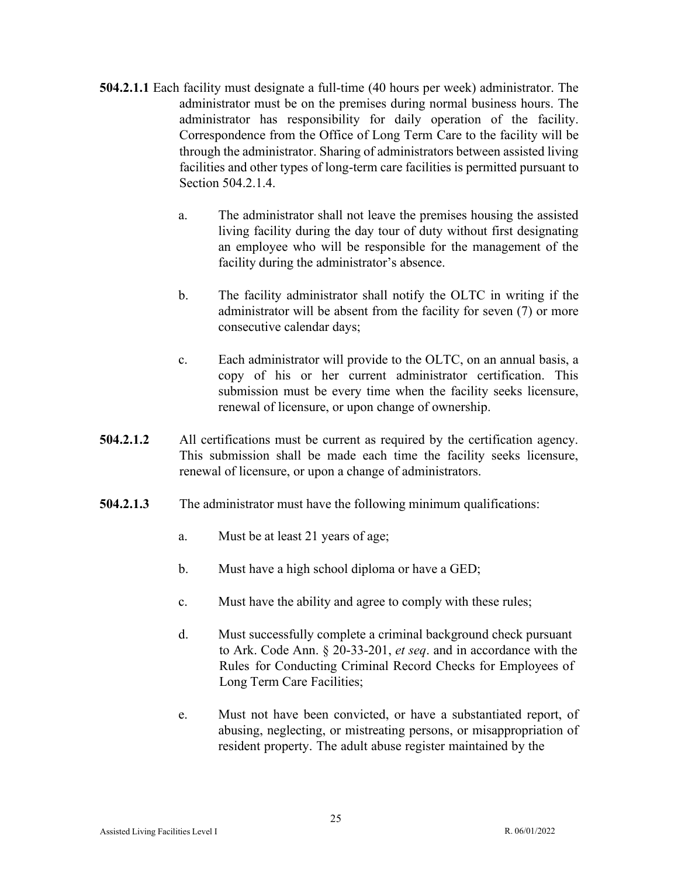- **504.2.1.1** Each facility must designate a full-time (40 hours per week) administrator. The administrator must be on the premises during normal business hours. The administrator has responsibility for daily operation of the facility. Correspondence from the Office of Long Term Care to the facility will be through the administrator. Sharing of administrators between assisted living facilities and other types of long-term care facilities is permitted pursuant to Section 504.2.1.4.
	- a. The administrator shall not leave the premises housing the assisted living facility during the day tour of duty without first designating an employee who will be responsible for the management of the facility during the administrator's absence.
	- b. The facility administrator shall notify the OLTC in writing if the administrator will be absent from the facility for seven (7) or more consecutive calendar days;
	- c. Each administrator will provide to the OLTC, on an annual basis, a copy of his or her current administrator certification. This submission must be every time when the facility seeks licensure, renewal of licensure, or upon change of ownership.
- **504.2.1.2** All certifications must be current as required by the certification agency. This submission shall be made each time the facility seeks licensure, renewal of licensure, or upon a change of administrators.
- **504.2.1.3** The administrator must have the following minimum qualifications:
	- a. Must be at least 21 years of age;
	- b. Must have a high school diploma or have a GED;
	- c. Must have the ability and agree to comply with these rules;
	- d. Must successfully complete a criminal background check pursuant to Ark. Code Ann. § 20-33-201, *et seq*. and in accordance with the Rules for Conducting Criminal Record Checks for Employees of Long Term Care Facilities;
	- e. Must not have been convicted, or have a substantiated report, of abusing, neglecting, or mistreating persons, or misappropriation of resident property. The adult abuse register maintained by the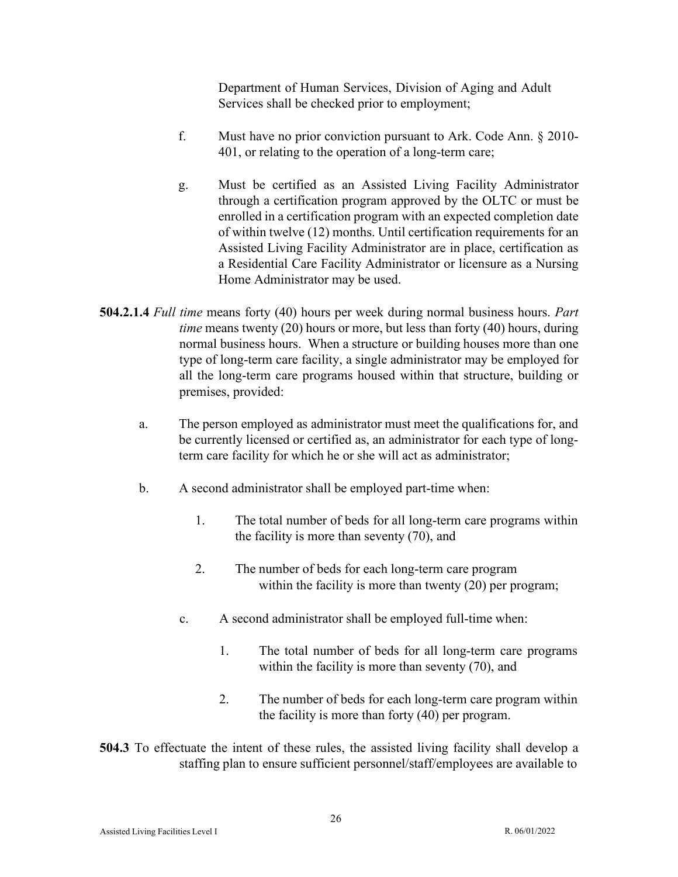Department of Human Services, Division of Aging and Adult Services shall be checked prior to employment;

- f. Must have no prior conviction pursuant to Ark. Code Ann. § 2010- 401, or relating to the operation of a long-term care;
- g. Must be certified as an Assisted Living Facility Administrator through a certification program approved by the OLTC or must be enrolled in a certification program with an expected completion date of within twelve (12) months. Until certification requirements for an Assisted Living Facility Administrator are in place, certification as a Residential Care Facility Administrator or licensure as a Nursing Home Administrator may be used.
- **504.2.1.4** *Full time* means forty (40) hours per week during normal business hours. *Part time* means twenty (20) hours or more, but less than forty (40) hours, during normal business hours. When a structure or building houses more than one type of long-term care facility, a single administrator may be employed for all the long-term care programs housed within that structure, building or premises, provided:
	- a. The person employed as administrator must meet the qualifications for, and be currently licensed or certified as, an administrator for each type of longterm care facility for which he or she will act as administrator;
	- b. A second administrator shall be employed part-time when:
		- 1. The total number of beds for all long-term care programs within the facility is more than seventy (70), and
		- 2. The number of beds for each long-term care program within the facility is more than twenty (20) per program;
		- c. A second administrator shall be employed full-time when:
			- 1. The total number of beds for all long-term care programs within the facility is more than seventy (70), and
			- 2. The number of beds for each long-term care program within the facility is more than forty (40) per program.
- **504.3** To effectuate the intent of these rules, the assisted living facility shall develop a staffing plan to ensure sufficient personnel/staff/employees are available to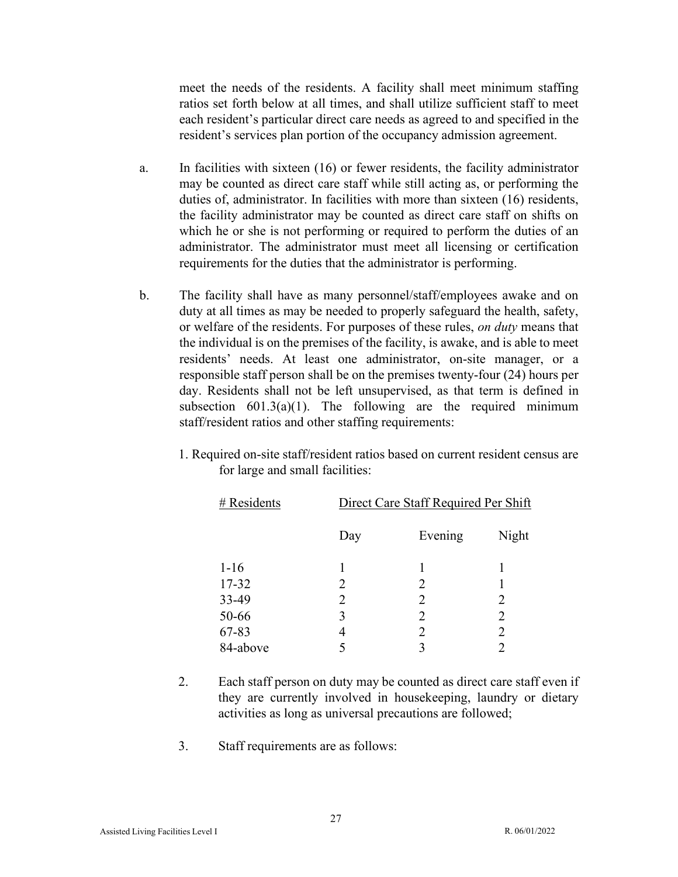meet the needs of the residents. A facility shall meet minimum staffing ratios set forth below at all times, and shall utilize sufficient staff to meet each resident's particular direct care needs as agreed to and specified in the resident's services plan portion of the occupancy admission agreement.

- a. In facilities with sixteen (16) or fewer residents, the facility administrator may be counted as direct care staff while still acting as, or performing the duties of, administrator. In facilities with more than sixteen (16) residents, the facility administrator may be counted as direct care staff on shifts on which he or she is not performing or required to perform the duties of an administrator. The administrator must meet all licensing or certification requirements for the duties that the administrator is performing.
- b. The facility shall have as many personnel/staff/employees awake and on duty at all times as may be needed to properly safeguard the health, safety, or welfare of the residents. For purposes of these rules, *on duty* means that the individual is on the premises of the facility, is awake, and is able to meet residents' needs. At least one administrator, on-site manager, or a responsible staff person shall be on the premises twenty-four (24) hours per day. Residents shall not be left unsupervised, as that term is defined in subsection  $601.3(a)(1)$ . The following are the required minimum staff/resident ratios and other staffing requirements:
	- 1. Required on-site staff/resident ratios based on current resident census are for large and small facilities:

| # Residents | Direct Care Staff Required Per Shift |         |       |  |
|-------------|--------------------------------------|---------|-------|--|
|             | Day                                  | Evening | Night |  |
| $1 - 16$    |                                      |         |       |  |
| $17 - 32$   | 2                                    |         |       |  |
| 33-49       | 2                                    | 2       | 2     |  |
| 50-66       | 3                                    | 2       | 2     |  |
| 67-83       | 4                                    |         | 2     |  |
| 84-above    |                                      |         |       |  |

- 2. Each staff person on duty may be counted as direct care staff even if they are currently involved in housekeeping, laundry or dietary activities as long as universal precautions are followed;
- 3. Staff requirements are as follows: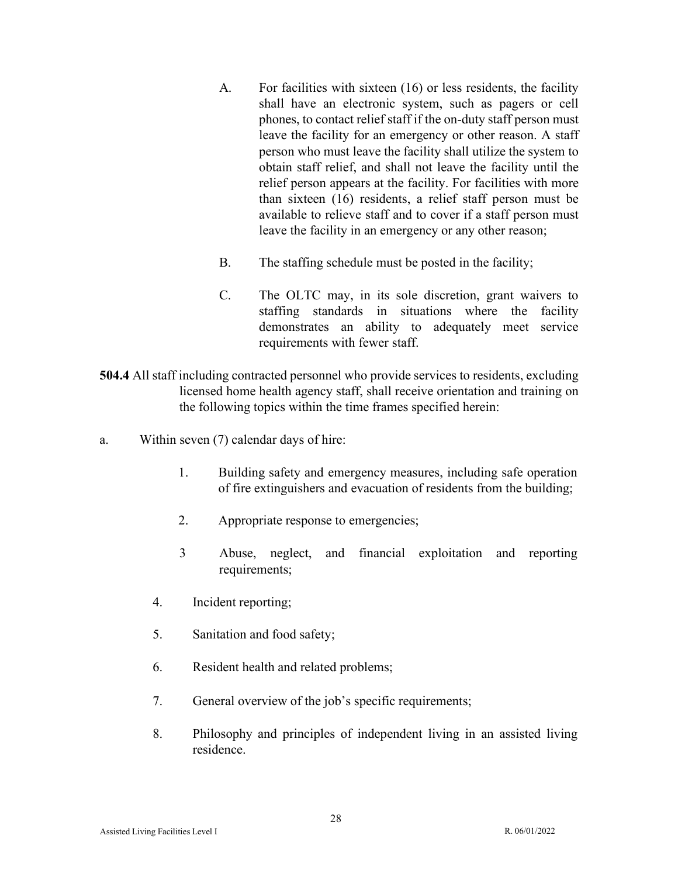- A. For facilities with sixteen (16) or less residents, the facility shall have an electronic system, such as pagers or cell phones, to contact relief staff if the on-duty staff person must leave the facility for an emergency or other reason. A staff person who must leave the facility shall utilize the system to obtain staff relief, and shall not leave the facility until the relief person appears at the facility. For facilities with more than sixteen (16) residents, a relief staff person must be available to relieve staff and to cover if a staff person must leave the facility in an emergency or any other reason;
- B. The staffing schedule must be posted in the facility;
- C. The OLTC may, in its sole discretion, grant waivers to staffing standards in situations where the facility demonstrates an ability to adequately meet service requirements with fewer staff.
- **504.4** All staff including contracted personnel who provide services to residents, excluding licensed home health agency staff, shall receive orientation and training on the following topics within the time frames specified herein:
- a. Within seven (7) calendar days of hire:
	- 1. Building safety and emergency measures, including safe operation of fire extinguishers and evacuation of residents from the building;
	- 2. Appropriate response to emergencies;
	- 3 Abuse, neglect, and financial exploitation and reporting requirements;
	- 4. Incident reporting;
	- 5. Sanitation and food safety;
	- 6. Resident health and related problems;
	- 7. General overview of the job's specific requirements;
	- 8. Philosophy and principles of independent living in an assisted living residence.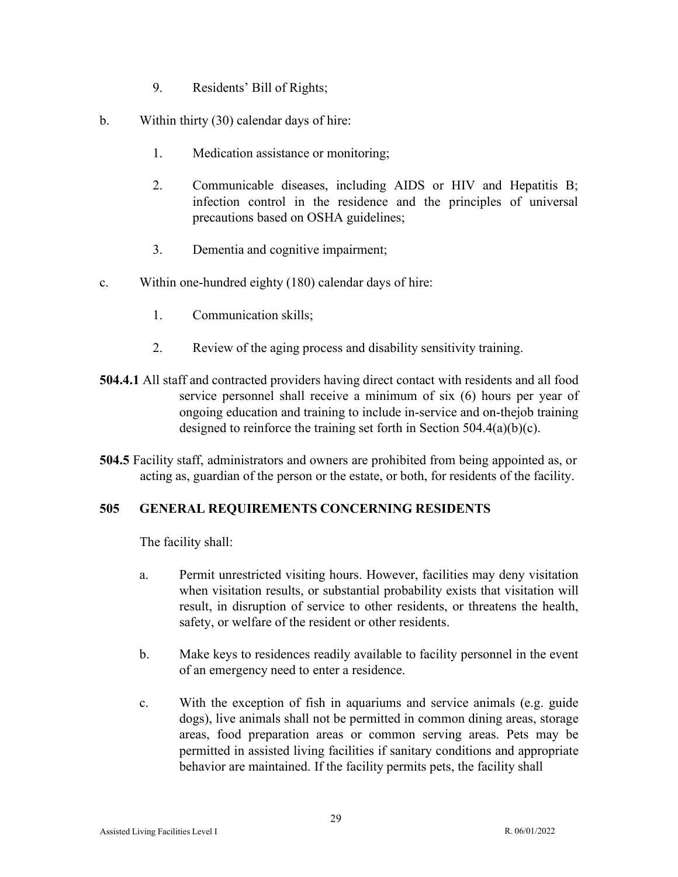- 9. Residents' Bill of Rights;
- b. Within thirty (30) calendar days of hire:
	- 1. Medication assistance or monitoring;
	- 2. Communicable diseases, including AIDS or HIV and Hepatitis B; infection control in the residence and the principles of universal precautions based on OSHA guidelines;
	- 3. Dementia and cognitive impairment;
- c. Within one-hundred eighty (180) calendar days of hire:
	- 1. Communication skills;
	- 2. Review of the aging process and disability sensitivity training.
- **504.4.1** All staff and contracted providers having direct contact with residents and all food service personnel shall receive a minimum of six (6) hours per year of ongoing education and training to include in-service and on-thejob training designed to reinforce the training set forth in Section 504.4(a)(b)(c).
- **504.5** Facility staff, administrators and owners are prohibited from being appointed as, or acting as, guardian of the person or the estate, or both, for residents of the facility.

# <span id="page-28-0"></span>**505 GENERAL REQUIREMENTS CONCERNING RESIDENTS**

The facility shall:

- a. Permit unrestricted visiting hours. However, facilities may deny visitation when visitation results, or substantial probability exists that visitation will result, in disruption of service to other residents, or threatens the health, safety, or welfare of the resident or other residents.
- b. Make keys to residences readily available to facility personnel in the event of an emergency need to enter a residence.
- c. With the exception of fish in aquariums and service animals (e.g. guide dogs), live animals shall not be permitted in common dining areas, storage areas, food preparation areas or common serving areas. Pets may be permitted in assisted living facilities if sanitary conditions and appropriate behavior are maintained. If the facility permits pets, the facility shall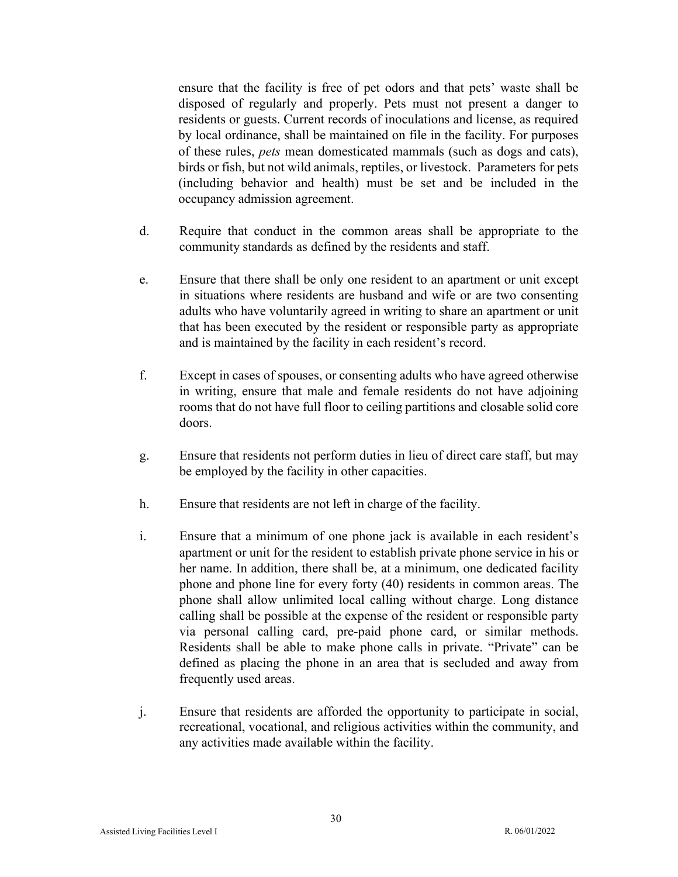ensure that the facility is free of pet odors and that pets' waste shall be disposed of regularly and properly. Pets must not present a danger to residents or guests. Current records of inoculations and license, as required by local ordinance, shall be maintained on file in the facility. For purposes of these rules, *pets* mean domesticated mammals (such as dogs and cats), birds or fish, but not wild animals, reptiles, or livestock. Parameters for pets (including behavior and health) must be set and be included in the occupancy admission agreement.

- d. Require that conduct in the common areas shall be appropriate to the community standards as defined by the residents and staff.
- e. Ensure that there shall be only one resident to an apartment or unit except in situations where residents are husband and wife or are two consenting adults who have voluntarily agreed in writing to share an apartment or unit that has been executed by the resident or responsible party as appropriate and is maintained by the facility in each resident's record.
- f. Except in cases of spouses, or consenting adults who have agreed otherwise in writing, ensure that male and female residents do not have adjoining rooms that do not have full floor to ceiling partitions and closable solid core doors.
- g. Ensure that residents not perform duties in lieu of direct care staff, but may be employed by the facility in other capacities.
- h. Ensure that residents are not left in charge of the facility.
- i. Ensure that a minimum of one phone jack is available in each resident's apartment or unit for the resident to establish private phone service in his or her name. In addition, there shall be, at a minimum, one dedicated facility phone and phone line for every forty (40) residents in common areas. The phone shall allow unlimited local calling without charge. Long distance calling shall be possible at the expense of the resident or responsible party via personal calling card, pre-paid phone card, or similar methods. Residents shall be able to make phone calls in private. "Private" can be defined as placing the phone in an area that is secluded and away from frequently used areas.
- j. Ensure that residents are afforded the opportunity to participate in social, recreational, vocational, and religious activities within the community, and any activities made available within the facility.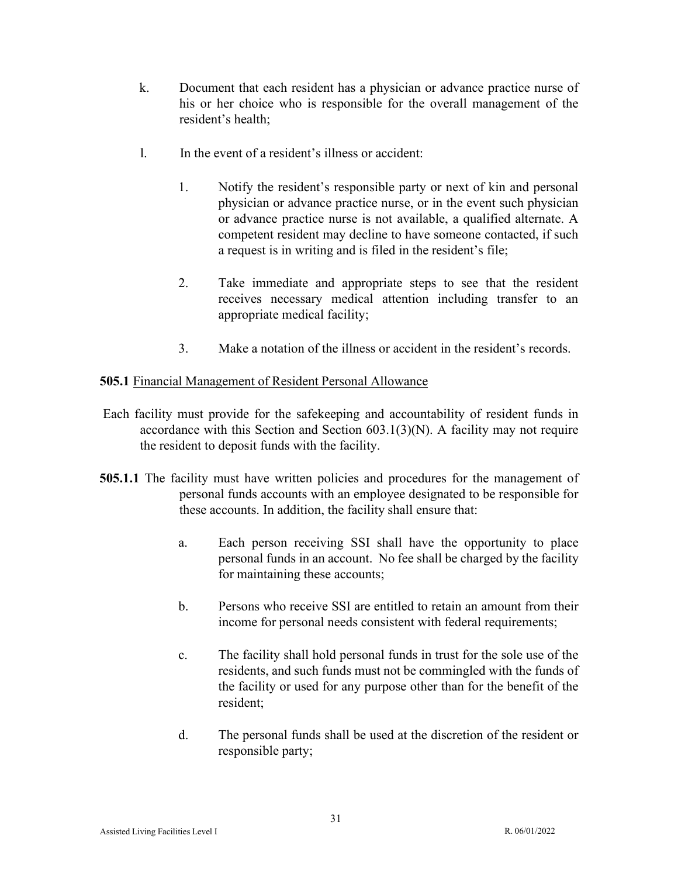- k. Document that each resident has a physician or advance practice nurse of his or her choice who is responsible for the overall management of the resident's health;
- l. In the event of a resident's illness or accident:
	- 1. Notify the resident's responsible party or next of kin and personal physician or advance practice nurse, or in the event such physician or advance practice nurse is not available, a qualified alternate. A competent resident may decline to have someone contacted, if such a request is in writing and is filed in the resident's file;
	- 2. Take immediate and appropriate steps to see that the resident receives necessary medical attention including transfer to an appropriate medical facility;
	- 3. Make a notation of the illness or accident in the resident's records.

# **505.1** Financial Management of Resident Personal Allowance

- Each facility must provide for the safekeeping and accountability of resident funds in accordance with this Section and Section  $603.1(3)(N)$ . A facility may not require the resident to deposit funds with the facility.
- **505.1.1** The facility must have written policies and procedures for the management of personal funds accounts with an employee designated to be responsible for these accounts. In addition, the facility shall ensure that:
	- a. Each person receiving SSI shall have the opportunity to place personal funds in an account. No fee shall be charged by the facility for maintaining these accounts;
	- b. Persons who receive SSI are entitled to retain an amount from their income for personal needs consistent with federal requirements;
	- c. The facility shall hold personal funds in trust for the sole use of the residents, and such funds must not be commingled with the funds of the facility or used for any purpose other than for the benefit of the resident;
	- d. The personal funds shall be used at the discretion of the resident or responsible party;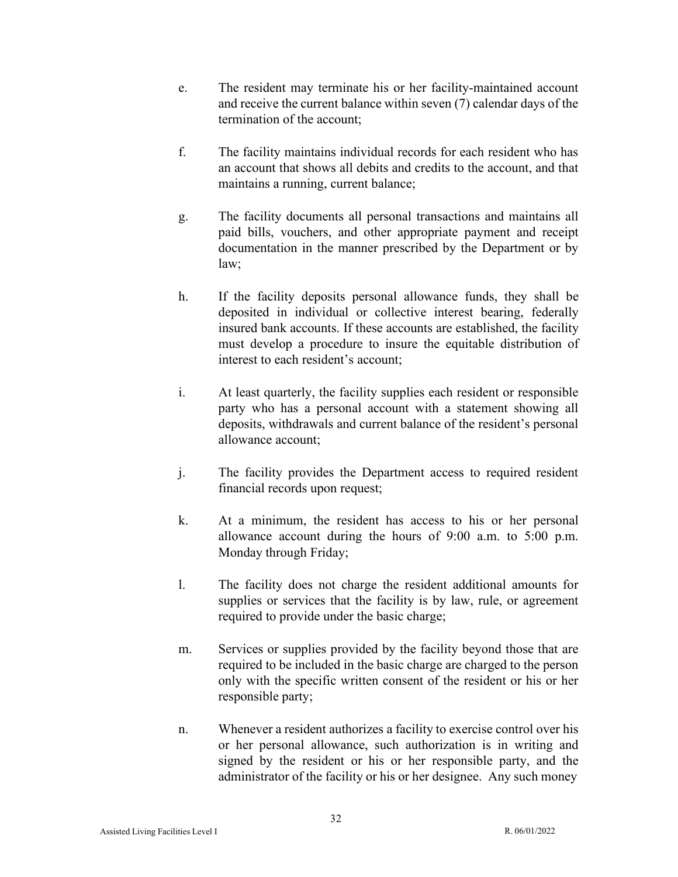- e. The resident may terminate his or her facility-maintained account and receive the current balance within seven (7) calendar days of the termination of the account;
- f. The facility maintains individual records for each resident who has an account that shows all debits and credits to the account, and that maintains a running, current balance;
- g. The facility documents all personal transactions and maintains all paid bills, vouchers, and other appropriate payment and receipt documentation in the manner prescribed by the Department or by law;
- h. If the facility deposits personal allowance funds, they shall be deposited in individual or collective interest bearing, federally insured bank accounts. If these accounts are established, the facility must develop a procedure to insure the equitable distribution of interest to each resident's account;
- i. At least quarterly, the facility supplies each resident or responsible party who has a personal account with a statement showing all deposits, withdrawals and current balance of the resident's personal allowance account;
- j. The facility provides the Department access to required resident financial records upon request;
- k. At a minimum, the resident has access to his or her personal allowance account during the hours of 9:00 a.m. to 5:00 p.m. Monday through Friday;
- l. The facility does not charge the resident additional amounts for supplies or services that the facility is by law, rule, or agreement required to provide under the basic charge;
- m. Services or supplies provided by the facility beyond those that are required to be included in the basic charge are charged to the person only with the specific written consent of the resident or his or her responsible party;
- n. Whenever a resident authorizes a facility to exercise control over his or her personal allowance, such authorization is in writing and signed by the resident or his or her responsible party, and the administrator of the facility or his or her designee. Any such money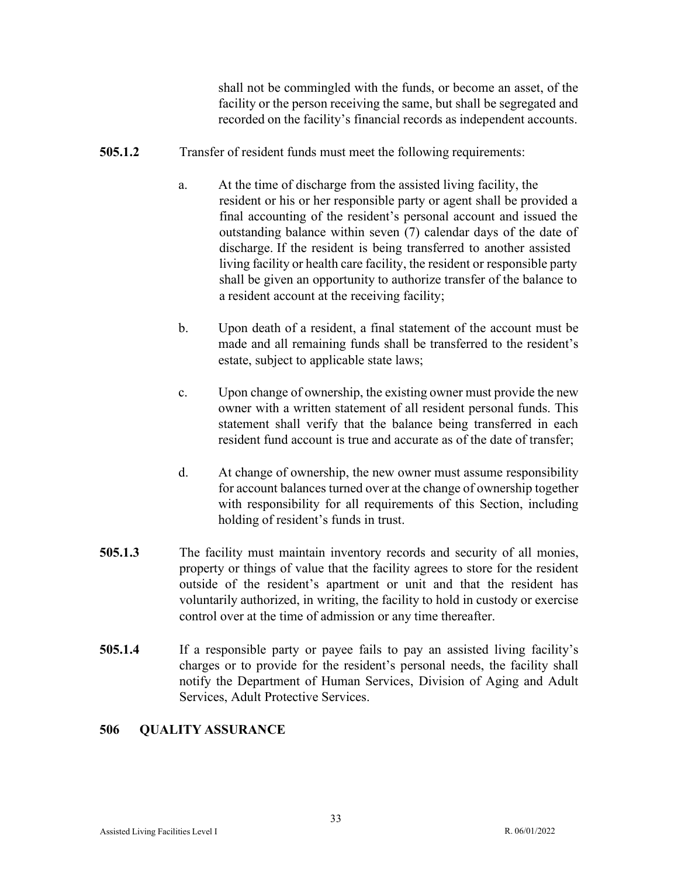shall not be commingled with the funds, or become an asset, of the facility or the person receiving the same, but shall be segregated and recorded on the facility's financial records as independent accounts.

- **505.1.2** Transfer of resident funds must meet the following requirements:
	- a. At the time of discharge from the assisted living facility, the resident or his or her responsible party or agent shall be provided a final accounting of the resident's personal account and issued the outstanding balance within seven (7) calendar days of the date of discharge. If the resident is being transferred to another assisted living facility or health care facility, the resident or responsible party shall be given an opportunity to authorize transfer of the balance to a resident account at the receiving facility;
	- b. Upon death of a resident, a final statement of the account must be made and all remaining funds shall be transferred to the resident's estate, subject to applicable state laws;
	- c. Upon change of ownership, the existing owner must provide the new owner with a written statement of all resident personal funds. This statement shall verify that the balance being transferred in each resident fund account is true and accurate as of the date of transfer;
	- d. At change of ownership, the new owner must assume responsibility for account balances turned over at the change of ownership together with responsibility for all requirements of this Section, including holding of resident's funds in trust.
- **505.1.3** The facility must maintain inventory records and security of all monies, property or things of value that the facility agrees to store for the resident outside of the resident's apartment or unit and that the resident has voluntarily authorized, in writing, the facility to hold in custody or exercise control over at the time of admission or any time thereafter.
- **505.1.4** If a responsible party or payee fails to pay an assisted living facility's charges or to provide for the resident's personal needs, the facility shall notify the Department of Human Services, Division of Aging and Adult Services, Adult Protective Services.

# <span id="page-32-0"></span>**506 QUALITY ASSURANCE**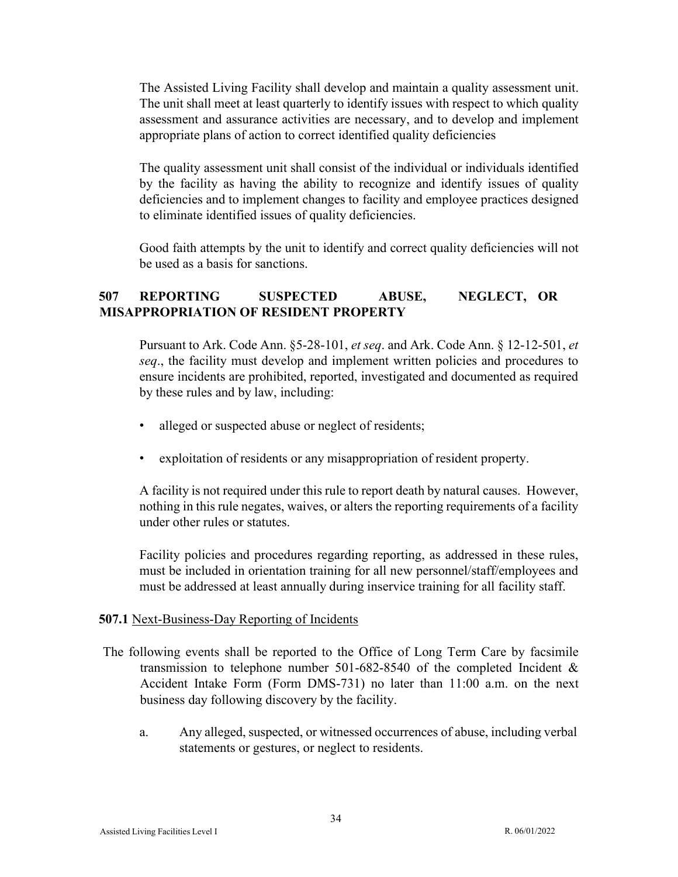The Assisted Living Facility shall develop and maintain a quality assessment unit. The unit shall meet at least quarterly to identify issues with respect to which quality assessment and assurance activities are necessary, and to develop and implement appropriate plans of action to correct identified quality deficiencies

The quality assessment unit shall consist of the individual or individuals identified by the facility as having the ability to recognize and identify issues of quality deficiencies and to implement changes to facility and employee practices designed to eliminate identified issues of quality deficiencies.

Good faith attempts by the unit to identify and correct quality deficiencies will not be used as a basis for sanctions.

# <span id="page-33-0"></span>**507 REPORTING SUSPECTED ABUSE, NEGLECT, OR MISAPPROPRIATION OF RESIDENT PROPERTY**

Pursuant to Ark. Code Ann. §5-28-101, *et seq*. and Ark. Code Ann. § 12-12-501, *et seq*., the facility must develop and implement written policies and procedures to ensure incidents are prohibited, reported, investigated and documented as required by these rules and by law, including:

- alleged or suspected abuse or neglect of residents;
- exploitation of residents or any misappropriation of resident property.

A facility is not required under this rule to report death by natural causes. However, nothing in this rule negates, waives, or alters the reporting requirements of a facility under other rules or statutes.

Facility policies and procedures regarding reporting, as addressed in these rules, must be included in orientation training for all new personnel/staff/employees and must be addressed at least annually during inservice training for all facility staff.

#### **507.1** Next-Business-Day Reporting of Incidents

- The following events shall be reported to the Office of Long Term Care by facsimile transmission to telephone number 501-682-8540 of the completed Incident & Accident Intake Form (Form DMS-731) no later than 11:00 a.m. on the next business day following discovery by the facility.
	- a. Any alleged, suspected, or witnessed occurrences of abuse, including verbal statements or gestures, or neglect to residents.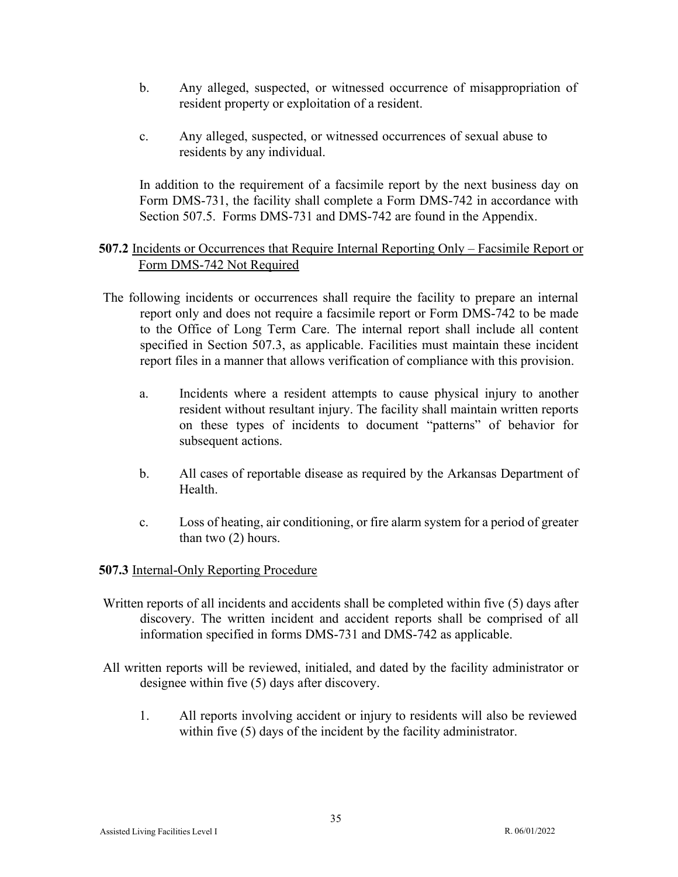- b. Any alleged, suspected, or witnessed occurrence of misappropriation of resident property or exploitation of a resident.
- c. Any alleged, suspected, or witnessed occurrences of sexual abuse to residents by any individual.

In addition to the requirement of a facsimile report by the next business day on Form DMS-731, the facility shall complete a Form DMS-742 in accordance with Section 507.5. Forms DMS-731 and DMS-742 are found in the Appendix.

## **507.2** Incidents or Occurrences that Require Internal Reporting Only – Facsimile Report or Form DMS-742 Not Required

- The following incidents or occurrences shall require the facility to prepare an internal report only and does not require a facsimile report or Form DMS-742 to be made to the Office of Long Term Care. The internal report shall include all content specified in Section 507.3, as applicable. Facilities must maintain these incident report files in a manner that allows verification of compliance with this provision.
	- a. Incidents where a resident attempts to cause physical injury to another resident without resultant injury. The facility shall maintain written reports on these types of incidents to document "patterns" of behavior for subsequent actions.
	- b. All cases of reportable disease as required by the Arkansas Department of Health.
	- c. Loss of heating, air conditioning, or fire alarm system for a period of greater than two (2) hours.

# **507.3** Internal-Only Reporting Procedure

- Written reports of all incidents and accidents shall be completed within five (5) days after discovery. The written incident and accident reports shall be comprised of all information specified in forms DMS-731 and DMS-742 as applicable.
- All written reports will be reviewed, initialed, and dated by the facility administrator or designee within five (5) days after discovery.
	- 1. All reports involving accident or injury to residents will also be reviewed within five (5) days of the incident by the facility administrator.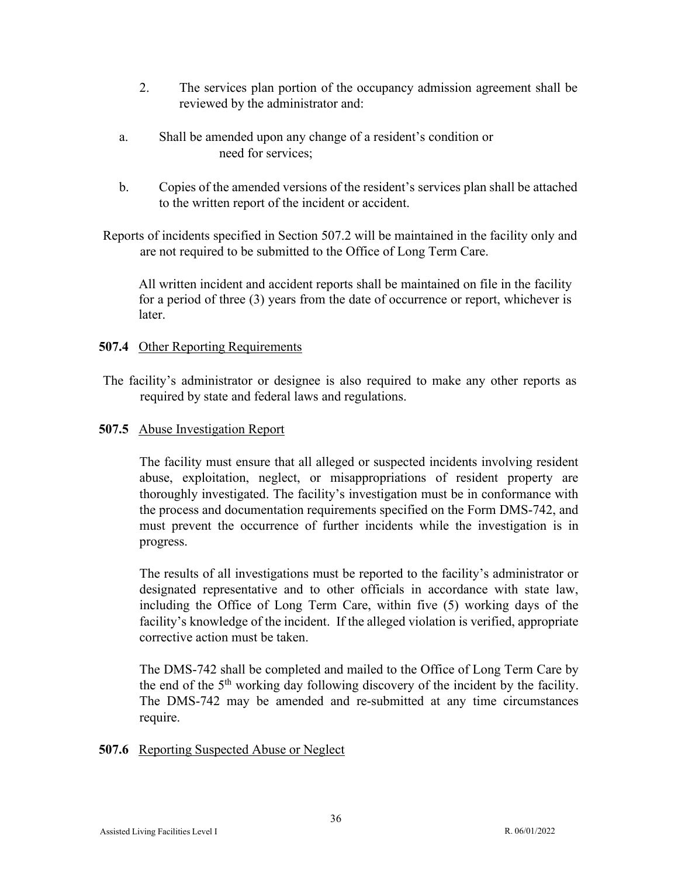- 2. The services plan portion of the occupancy admission agreement shall be reviewed by the administrator and:
- a. Shall be amended upon any change of a resident's condition or need for services;
- b. Copies of the amended versions of the resident's services plan shall be attached to the written report of the incident or accident.
- Reports of incidents specified in Section 507.2 will be maintained in the facility only and are not required to be submitted to the Office of Long Term Care.

All written incident and accident reports shall be maintained on file in the facility for a period of three (3) years from the date of occurrence or report, whichever is later.

### **507.4** Other Reporting Requirements

The facility's administrator or designee is also required to make any other reports as required by state and federal laws and regulations.

### **507.5** Abuse Investigation Report

The facility must ensure that all alleged or suspected incidents involving resident abuse, exploitation, neglect, or misappropriations of resident property are thoroughly investigated. The facility's investigation must be in conformance with the process and documentation requirements specified on the Form DMS-742, and must prevent the occurrence of further incidents while the investigation is in progress.

The results of all investigations must be reported to the facility's administrator or designated representative and to other officials in accordance with state law, including the Office of Long Term Care, within five (5) working days of the facility's knowledge of the incident. If the alleged violation is verified, appropriate corrective action must be taken.

The DMS-742 shall be completed and mailed to the Office of Long Term Care by the end of the  $5<sup>th</sup>$  working day following discovery of the incident by the facility. The DMS-742 may be amended and re-submitted at any time circumstances require.

### **507.6** Reporting Suspected Abuse or Neglect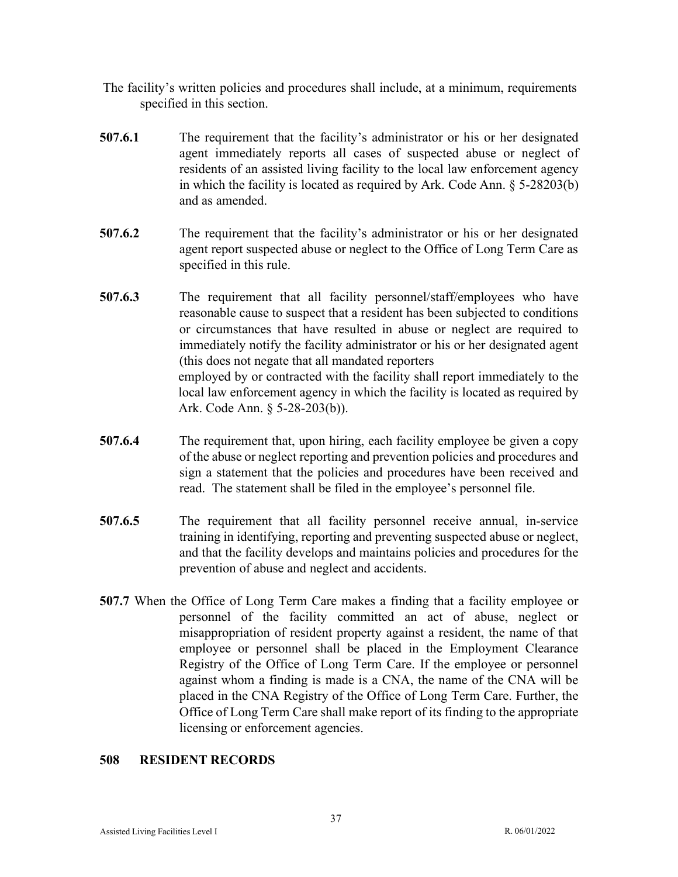- The facility's written policies and procedures shall include, at a minimum, requirements specified in this section.
- **507.6.1** The requirement that the facility's administrator or his or her designated agent immediately reports all cases of suspected abuse or neglect of residents of an assisted living facility to the local law enforcement agency in which the facility is located as required by Ark. Code Ann. § 5-28203(b) and as amended.
- **507.6.2** The requirement that the facility's administrator or his or her designated agent report suspected abuse or neglect to the Office of Long Term Care as specified in this rule.
- **507.6.3** The requirement that all facility personnel/staff/employees who have reasonable cause to suspect that a resident has been subjected to conditions or circumstances that have resulted in abuse or neglect are required to immediately notify the facility administrator or his or her designated agent (this does not negate that all mandated reporters employed by or contracted with the facility shall report immediately to the local law enforcement agency in which the facility is located as required by Ark. Code Ann. § 5-28-203(b)).
- **507.6.4** The requirement that, upon hiring, each facility employee be given a copy of the abuse or neglect reporting and prevention policies and procedures and sign a statement that the policies and procedures have been received and read. The statement shall be filed in the employee's personnel file.
- **507.6.5** The requirement that all facility personnel receive annual, in-service training in identifying, reporting and preventing suspected abuse or neglect, and that the facility develops and maintains policies and procedures for the prevention of abuse and neglect and accidents.
- **507.7** When the Office of Long Term Care makes a finding that a facility employee or personnel of the facility committed an act of abuse, neglect or misappropriation of resident property against a resident, the name of that employee or personnel shall be placed in the Employment Clearance Registry of the Office of Long Term Care. If the employee or personnel against whom a finding is made is a CNA, the name of the CNA will be placed in the CNA Registry of the Office of Long Term Care. Further, the Office of Long Term Care shall make report of its finding to the appropriate licensing or enforcement agencies.

### **508 RESIDENT RECORDS**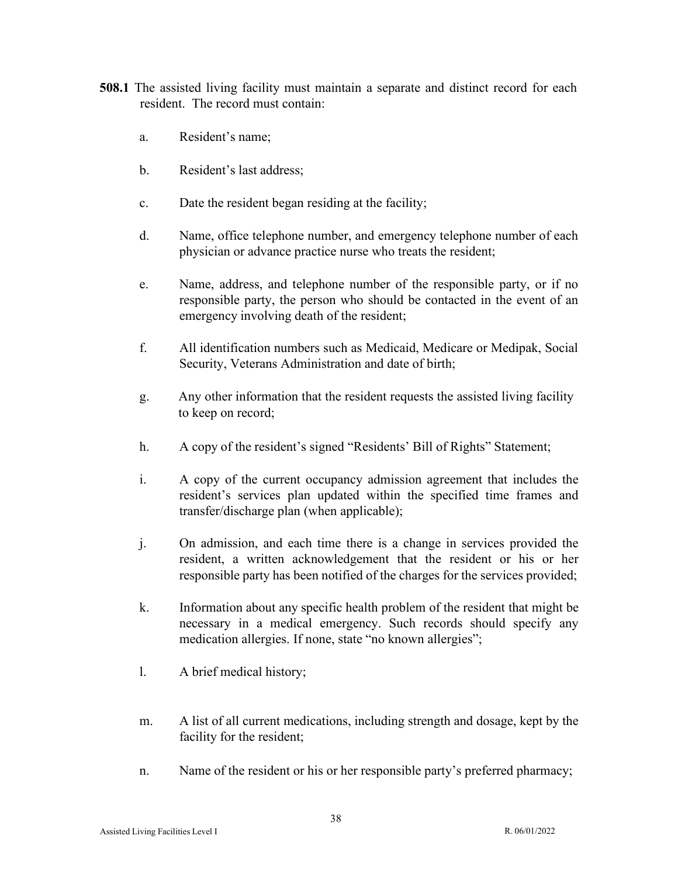- **508.1** The assisted living facility must maintain a separate and distinct record for each resident. The record must contain:
	- a. Resident's name;
	- b. Resident's last address;
	- c. Date the resident began residing at the facility;
	- d. Name, office telephone number, and emergency telephone number of each physician or advance practice nurse who treats the resident;
	- e. Name, address, and telephone number of the responsible party, or if no responsible party, the person who should be contacted in the event of an emergency involving death of the resident;
	- f. All identification numbers such as Medicaid, Medicare or Medipak, Social Security, Veterans Administration and date of birth;
	- g. Any other information that the resident requests the assisted living facility to keep on record;
	- h. A copy of the resident's signed "Residents' Bill of Rights" Statement;
	- i. A copy of the current occupancy admission agreement that includes the resident's services plan updated within the specified time frames and transfer/discharge plan (when applicable);
	- j. On admission, and each time there is a change in services provided the resident, a written acknowledgement that the resident or his or her responsible party has been notified of the charges for the services provided;
	- k. Information about any specific health problem of the resident that might be necessary in a medical emergency. Such records should specify any medication allergies. If none, state "no known allergies";
	- l. A brief medical history;
	- m. A list of all current medications, including strength and dosage, kept by the facility for the resident;
	- n. Name of the resident or his or her responsible party's preferred pharmacy;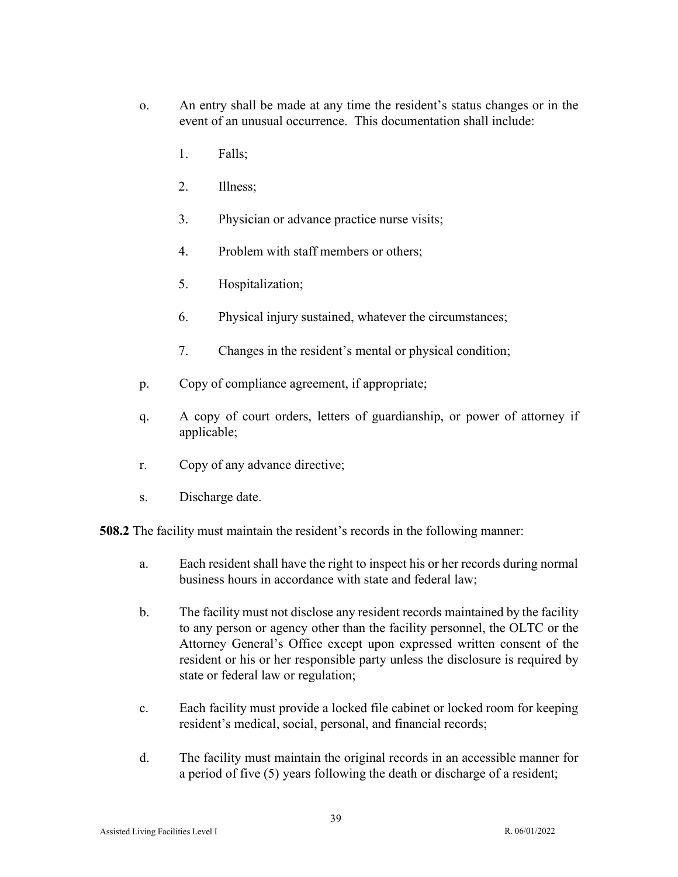- o. An entry shall be made at any time the resident's status changes or in the event of an unusual occurrence. This documentation shall include:
	- 1. Falls;
	- 2. Illness;
	- 3. Physician or advance practice nurse visits;
	- 4. Problem with staff members or others;
	- 5. Hospitalization;
	- 6. Physical injury sustained, whatever the circumstances;
	- 7. Changes in the resident's mental or physical condition;
- p. Copy of compliance agreement, if appropriate;
- q. A copy of court orders, letters of guardianship, or power of attorney if applicable;
- r. Copy of any advance directive;
- s. Discharge date.

**508.2** The facility must maintain the resident's records in the following manner:

- a. Each resident shall have the right to inspect his or her records during normal business hours in accordance with state and federal law;
- b. The facility must not disclose any resident records maintained by the facility to any person or agency other than the facility personnel, the OLTC or the Attorney General's Office except upon expressed written consent of the resident or his or her responsible party unless the disclosure is required by state or federal law or regulation;
- c. Each facility must provide a locked file cabinet or locked room for keeping resident's medical, social, personal, and financial records;
- d. The facility must maintain the original records in an accessible manner for a period of five (5) years following the death or discharge of a resident;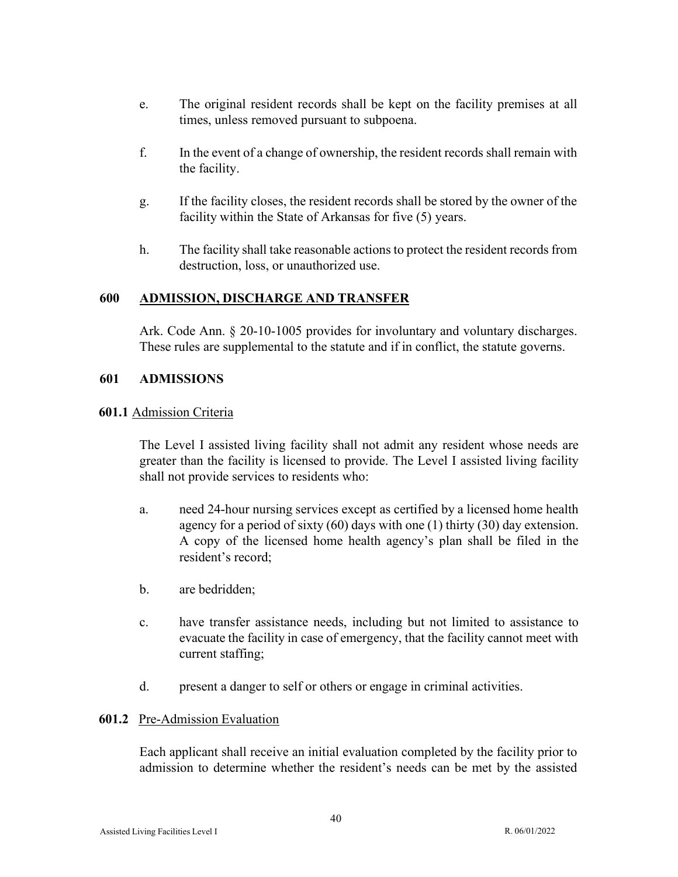- e. The original resident records shall be kept on the facility premises at all times, unless removed pursuant to subpoena.
- f. In the event of a change of ownership, the resident records shall remain with the facility.
- g. If the facility closes, the resident records shall be stored by the owner of the facility within the State of Arkansas for five (5) years.
- h. The facility shall take reasonable actions to protect the resident records from destruction, loss, or unauthorized use.

### **600 ADMISSION, DISCHARGE AND TRANSFER**

Ark. Code Ann. § 20-10-1005 provides for involuntary and voluntary discharges. These rules are supplemental to the statute and if in conflict, the statute governs.

### **601 ADMISSIONS**

#### **601.1** Admission Criteria

The Level I assisted living facility shall not admit any resident whose needs are greater than the facility is licensed to provide. The Level I assisted living facility shall not provide services to residents who:

- a. need 24-hour nursing services except as certified by a licensed home health agency for a period of sixty (60) days with one (1) thirty (30) day extension. A copy of the licensed home health agency's plan shall be filed in the resident's record;
- b. are bedridden;
- c. have transfer assistance needs, including but not limited to assistance to evacuate the facility in case of emergency, that the facility cannot meet with current staffing;
- d. present a danger to self or others or engage in criminal activities.

### **601.2** Pre-Admission Evaluation

Each applicant shall receive an initial evaluation completed by the facility prior to admission to determine whether the resident's needs can be met by the assisted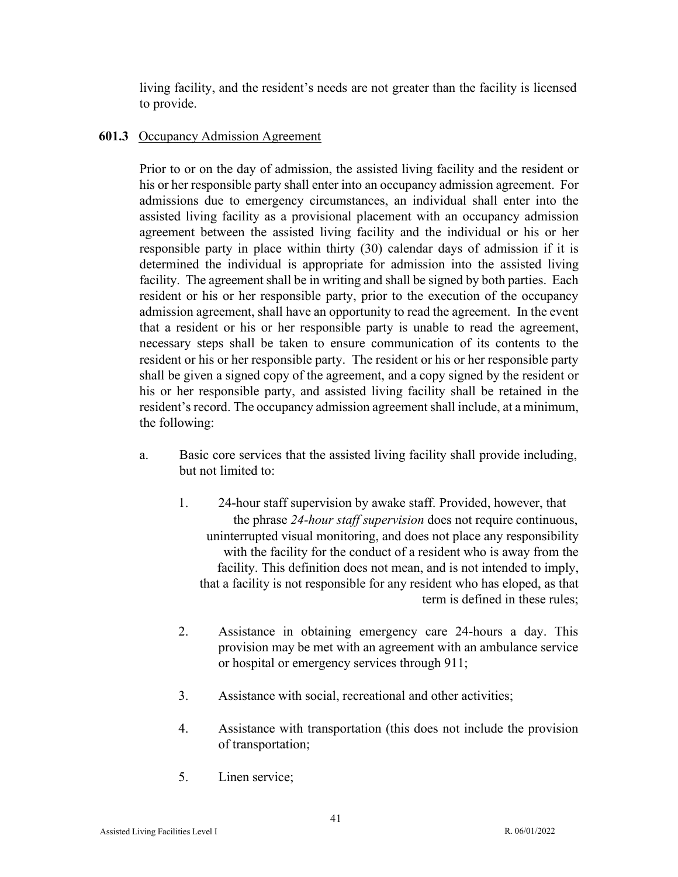living facility, and the resident's needs are not greater than the facility is licensed to provide.

### **601.3** Occupancy Admission Agreement

Prior to or on the day of admission, the assisted living facility and the resident or his or her responsible party shall enter into an occupancy admission agreement. For admissions due to emergency circumstances, an individual shall enter into the assisted living facility as a provisional placement with an occupancy admission agreement between the assisted living facility and the individual or his or her responsible party in place within thirty (30) calendar days of admission if it is determined the individual is appropriate for admission into the assisted living facility. The agreement shall be in writing and shall be signed by both parties. Each resident or his or her responsible party, prior to the execution of the occupancy admission agreement, shall have an opportunity to read the agreement. In the event that a resident or his or her responsible party is unable to read the agreement, necessary steps shall be taken to ensure communication of its contents to the resident or his or her responsible party. The resident or his or her responsible party shall be given a signed copy of the agreement, and a copy signed by the resident or his or her responsible party, and assisted living facility shall be retained in the resident's record. The occupancy admission agreement shall include, at a minimum, the following:

- a. Basic core services that the assisted living facility shall provide including, but not limited to:
	- 1. 24-hour staff supervision by awake staff. Provided, however, that the phrase *24-hour staff supervision* does not require continuous, uninterrupted visual monitoring, and does not place any responsibility with the facility for the conduct of a resident who is away from the facility. This definition does not mean, and is not intended to imply, that a facility is not responsible for any resident who has eloped, as that term is defined in these rules;
	- 2. Assistance in obtaining emergency care 24-hours a day. This provision may be met with an agreement with an ambulance service or hospital or emergency services through 911;
	- 3. Assistance with social, recreational and other activities;
	- 4. Assistance with transportation (this does not include the provision of transportation;
	- 5. Linen service;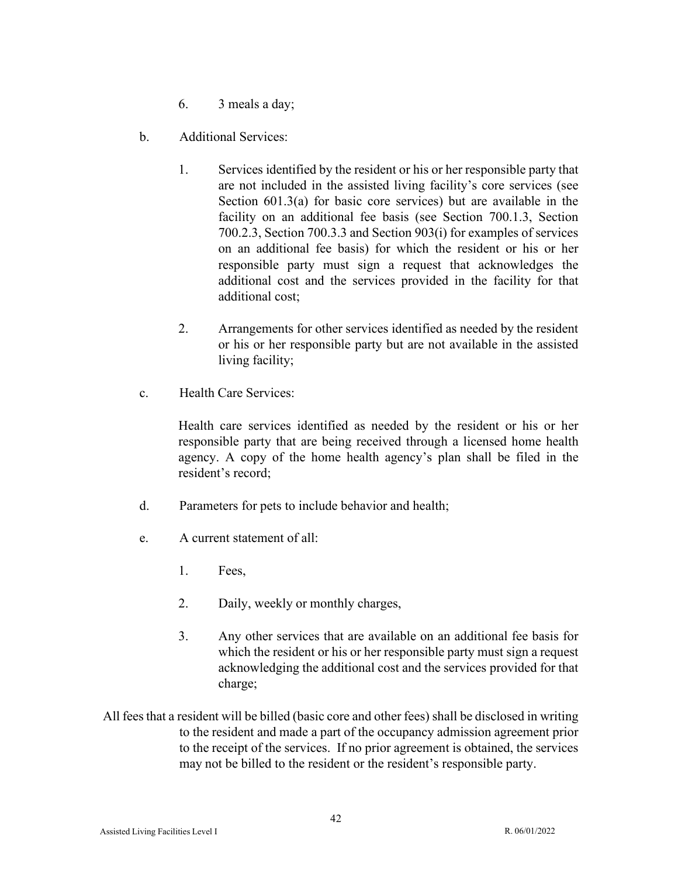- 6. 3 meals a day;
- b. Additional Services:
	- 1. Services identified by the resident or his or her responsible party that are not included in the assisted living facility's core services (see Section 601.3(a) for basic core services) but are available in the facility on an additional fee basis (see Section 700.1.3, Section 700.2.3, Section 700.3.3 and Section 903(i) for examples of services on an additional fee basis) for which the resident or his or her responsible party must sign a request that acknowledges the additional cost and the services provided in the facility for that additional cost;
	- 2. Arrangements for other services identified as needed by the resident or his or her responsible party but are not available in the assisted living facility;
- c. Health Care Services:

Health care services identified as needed by the resident or his or her responsible party that are being received through a licensed home health agency. A copy of the home health agency's plan shall be filed in the resident's record;

- d. Parameters for pets to include behavior and health;
- e. A current statement of all:
	- 1. Fees,
	- 2. Daily, weekly or monthly charges,
	- 3. Any other services that are available on an additional fee basis for which the resident or his or her responsible party must sign a request acknowledging the additional cost and the services provided for that charge;
- All feesthat a resident will be billed (basic core and other fees) shall be disclosed in writing to the resident and made a part of the occupancy admission agreement prior to the receipt of the services. If no prior agreement is obtained, the services may not be billed to the resident or the resident's responsible party.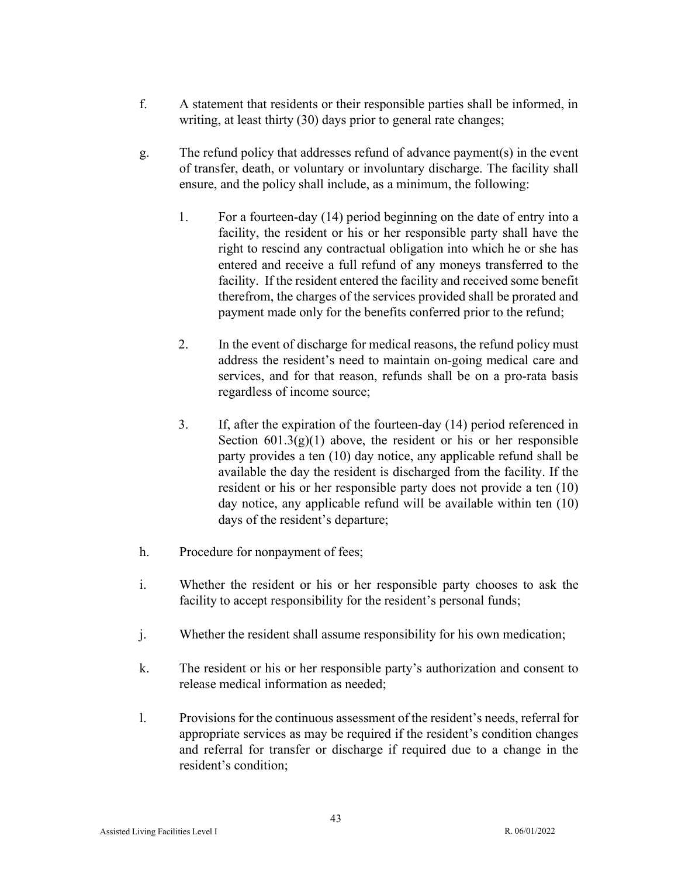- f. A statement that residents or their responsible parties shall be informed, in writing, at least thirty (30) days prior to general rate changes;
- g. The refund policy that addresses refund of advance payment(s) in the event of transfer, death, or voluntary or involuntary discharge. The facility shall ensure, and the policy shall include, as a minimum, the following:
	- 1. For a fourteen-day (14) period beginning on the date of entry into a facility, the resident or his or her responsible party shall have the right to rescind any contractual obligation into which he or she has entered and receive a full refund of any moneys transferred to the facility. If the resident entered the facility and received some benefit therefrom, the charges of the services provided shall be prorated and payment made only for the benefits conferred prior to the refund;
	- 2. In the event of discharge for medical reasons, the refund policy must address the resident's need to maintain on-going medical care and services, and for that reason, refunds shall be on a pro-rata basis regardless of income source;
	- 3. If, after the expiration of the fourteen-day (14) period referenced in Section  $601.3(g)(1)$  above, the resident or his or her responsible party provides a ten (10) day notice, any applicable refund shall be available the day the resident is discharged from the facility. If the resident or his or her responsible party does not provide a ten (10) day notice, any applicable refund will be available within ten (10) days of the resident's departure;
- h. Procedure for nonpayment of fees;
- i. Whether the resident or his or her responsible party chooses to ask the facility to accept responsibility for the resident's personal funds;
- j. Whether the resident shall assume responsibility for his own medication;
- k. The resident or his or her responsible party's authorization and consent to release medical information as needed;
- l. Provisions for the continuous assessment of the resident's needs, referral for appropriate services as may be required if the resident's condition changes and referral for transfer or discharge if required due to a change in the resident's condition;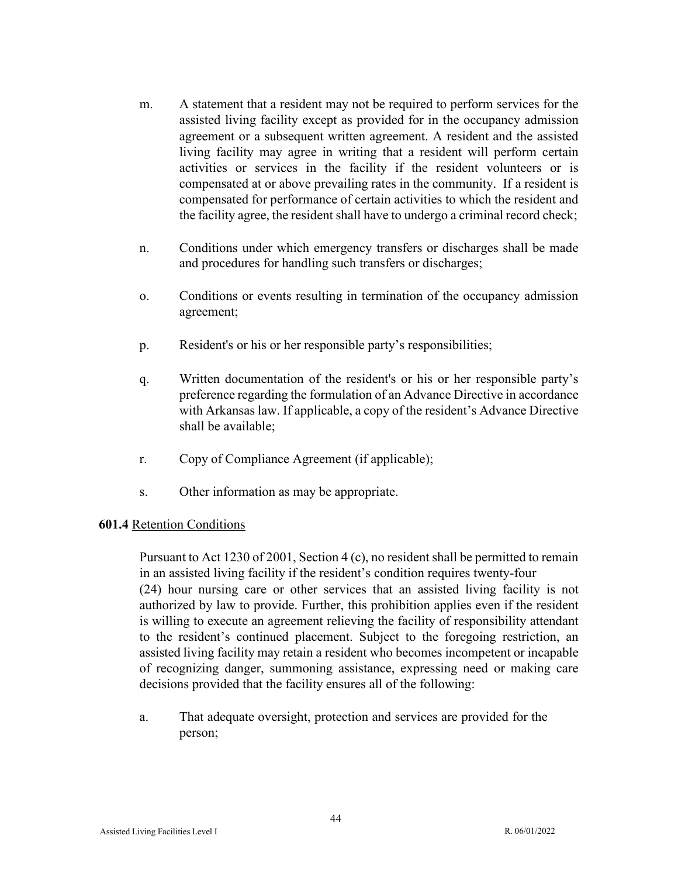- m. A statement that a resident may not be required to perform services for the assisted living facility except as provided for in the occupancy admission agreement or a subsequent written agreement. A resident and the assisted living facility may agree in writing that a resident will perform certain activities or services in the facility if the resident volunteers or is compensated at or above prevailing rates in the community. If a resident is compensated for performance of certain activities to which the resident and the facility agree, the resident shall have to undergo a criminal record check;
- n. Conditions under which emergency transfers or discharges shall be made and procedures for handling such transfers or discharges;
- o. Conditions or events resulting in termination of the occupancy admission agreement;
- p. Resident's or his or her responsible party's responsibilities;
- q. Written documentation of the resident's or his or her responsible party's preference regarding the formulation of an Advance Directive in accordance with Arkansas law. If applicable, a copy of the resident's Advance Directive shall be available;
- r. Copy of Compliance Agreement (if applicable);
- s. Other information as may be appropriate.

## **601.4** Retention Conditions

Pursuant to Act 1230 of 2001, Section 4 (c), no resident shall be permitted to remain in an assisted living facility if the resident's condition requires twenty-four (24) hour nursing care or other services that an assisted living facility is not authorized by law to provide. Further, this prohibition applies even if the resident is willing to execute an agreement relieving the facility of responsibility attendant to the resident's continued placement. Subject to the foregoing restriction, an assisted living facility may retain a resident who becomes incompetent or incapable of recognizing danger, summoning assistance, expressing need or making care decisions provided that the facility ensures all of the following:

a. That adequate oversight, protection and services are provided for the person;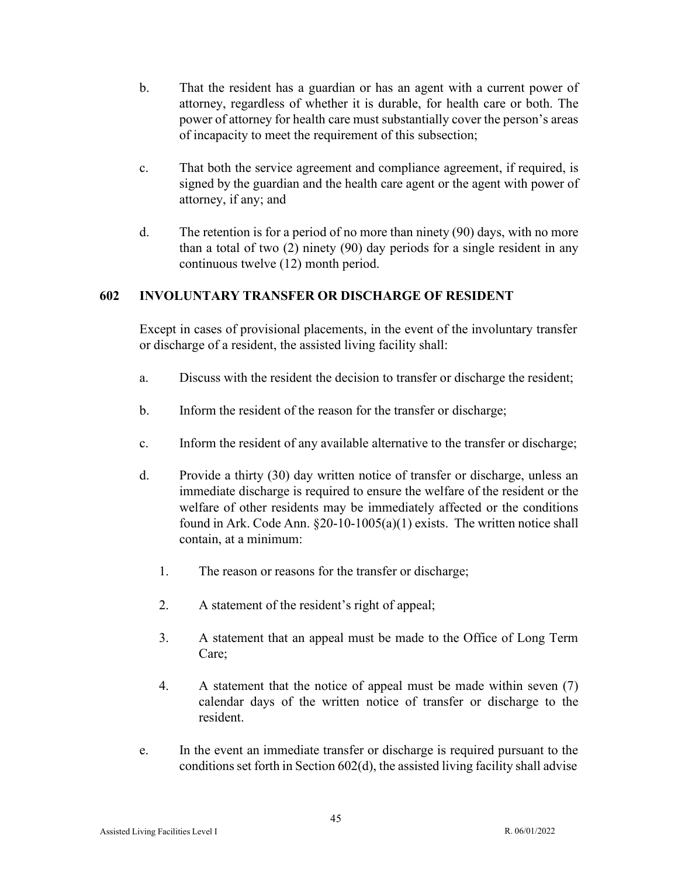- b. That the resident has a guardian or has an agent with a current power of attorney, regardless of whether it is durable, for health care or both. The power of attorney for health care must substantially cover the person's areas of incapacity to meet the requirement of this subsection;
- c. That both the service agreement and compliance agreement, if required, is signed by the guardian and the health care agent or the agent with power of attorney, if any; and
- d. The retention is for a period of no more than ninety (90) days, with no more than a total of two (2) ninety (90) day periods for a single resident in any continuous twelve (12) month period.

## **602 INVOLUNTARY TRANSFER OR DISCHARGE OF RESIDENT**

Except in cases of provisional placements, in the event of the involuntary transfer or discharge of a resident, the assisted living facility shall:

- a. Discuss with the resident the decision to transfer or discharge the resident;
- b. Inform the resident of the reason for the transfer or discharge;
- c. Inform the resident of any available alternative to the transfer or discharge;
- d. Provide a thirty (30) day written notice of transfer or discharge, unless an immediate discharge is required to ensure the welfare of the resident or the welfare of other residents may be immediately affected or the conditions found in Ark. Code Ann.  $\S20-10-1005(a)(1)$  exists. The written notice shall contain, at a minimum:
	- 1. The reason or reasons for the transfer or discharge;
	- 2. A statement of the resident's right of appeal;
	- 3. A statement that an appeal must be made to the Office of Long Term Care;
	- 4. A statement that the notice of appeal must be made within seven (7) calendar days of the written notice of transfer or discharge to the resident.
- e. In the event an immediate transfer or discharge is required pursuant to the conditions set forth in Section  $602(d)$ , the assisted living facility shall advise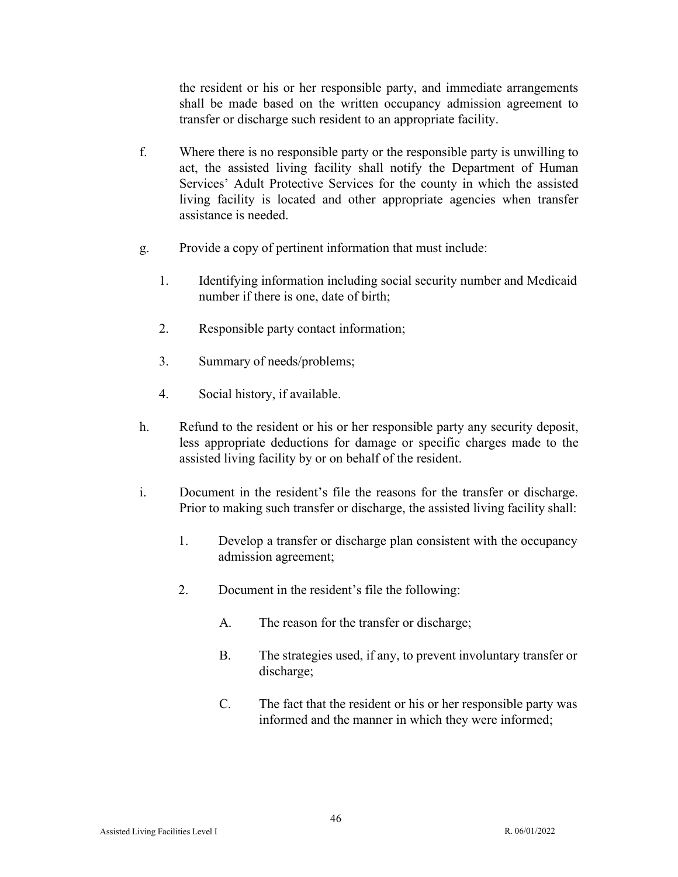the resident or his or her responsible party, and immediate arrangements shall be made based on the written occupancy admission agreement to transfer or discharge such resident to an appropriate facility.

- f. Where there is no responsible party or the responsible party is unwilling to act, the assisted living facility shall notify the Department of Human Services' Adult Protective Services for the county in which the assisted living facility is located and other appropriate agencies when transfer assistance is needed.
- g. Provide a copy of pertinent information that must include:
	- 1. Identifying information including social security number and Medicaid number if there is one, date of birth;
	- 2. Responsible party contact information;
	- 3. Summary of needs/problems;
	- 4. Social history, if available.
- h. Refund to the resident or his or her responsible party any security deposit, less appropriate deductions for damage or specific charges made to the assisted living facility by or on behalf of the resident.
- i. Document in the resident's file the reasons for the transfer or discharge. Prior to making such transfer or discharge, the assisted living facility shall:
	- 1. Develop a transfer or discharge plan consistent with the occupancy admission agreement;
	- 2. Document in the resident's file the following:
		- A. The reason for the transfer or discharge;
		- B. The strategies used, if any, to prevent involuntary transfer or discharge;
		- C. The fact that the resident or his or her responsible party was informed and the manner in which they were informed;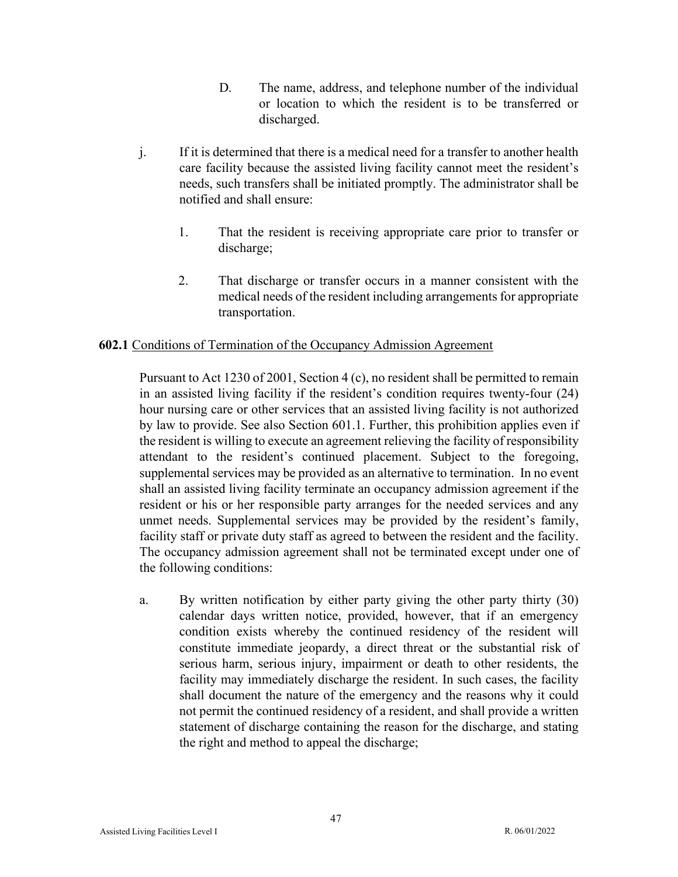- D. The name, address, and telephone number of the individual or location to which the resident is to be transferred or discharged.
- j. If it is determined that there is a medical need for a transfer to another health care facility because the assisted living facility cannot meet the resident's needs, such transfers shall be initiated promptly. The administrator shall be notified and shall ensure:
	- 1. That the resident is receiving appropriate care prior to transfer or discharge;
	- 2. That discharge or transfer occurs in a manner consistent with the medical needs of the resident including arrangements for appropriate transportation.

# **602.1** Conditions of Termination of the Occupancy Admission Agreement

Pursuant to Act 1230 of 2001, Section 4 (c), no resident shall be permitted to remain in an assisted living facility if the resident's condition requires twenty-four (24) hour nursing care or other services that an assisted living facility is not authorized by law to provide. See also Section 601.1. Further, this prohibition applies even if the resident is willing to execute an agreement relieving the facility of responsibility attendant to the resident's continued placement. Subject to the foregoing, supplemental services may be provided as an alternative to termination. In no event shall an assisted living facility terminate an occupancy admission agreement if the resident or his or her responsible party arranges for the needed services and any unmet needs. Supplemental services may be provided by the resident's family, facility staff or private duty staff as agreed to between the resident and the facility. The occupancy admission agreement shall not be terminated except under one of the following conditions:

a. By written notification by either party giving the other party thirty (30) calendar days written notice, provided, however, that if an emergency condition exists whereby the continued residency of the resident will constitute immediate jeopardy, a direct threat or the substantial risk of serious harm, serious injury, impairment or death to other residents, the facility may immediately discharge the resident. In such cases, the facility shall document the nature of the emergency and the reasons why it could not permit the continued residency of a resident, and shall provide a written statement of discharge containing the reason for the discharge, and stating the right and method to appeal the discharge;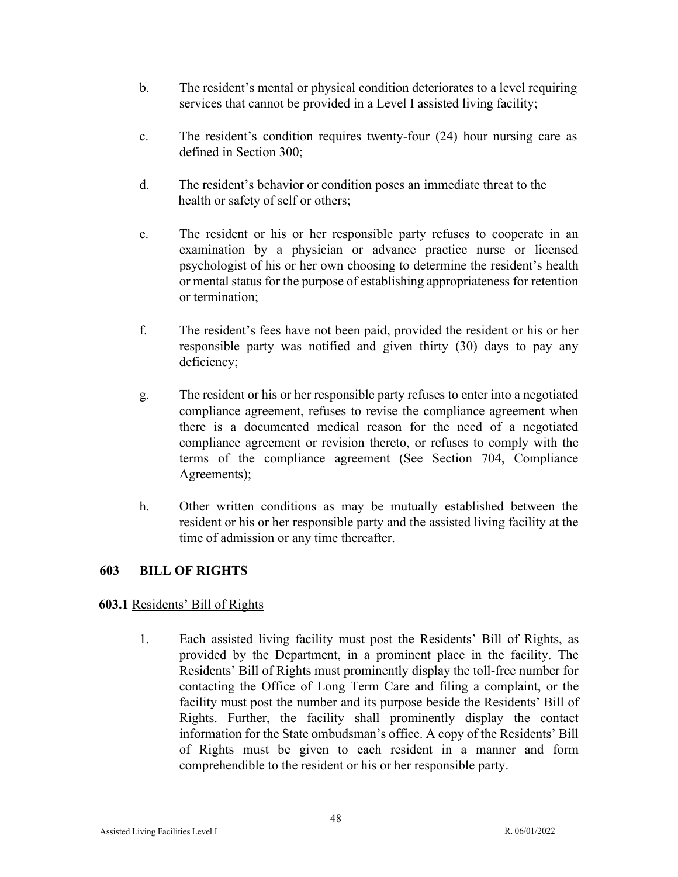- b. The resident's mental or physical condition deteriorates to a level requiring services that cannot be provided in a Level I assisted living facility;
- c. The resident's condition requires twenty-four (24) hour nursing care as defined in Section 300;
- d. The resident's behavior or condition poses an immediate threat to the health or safety of self or others;
- e. The resident or his or her responsible party refuses to cooperate in an examination by a physician or advance practice nurse or licensed psychologist of his or her own choosing to determine the resident's health or mental status for the purpose of establishing appropriateness for retention or termination;
- f. The resident's fees have not been paid, provided the resident or his or her responsible party was notified and given thirty (30) days to pay any deficiency;
- g. The resident or his or her responsible party refuses to enter into a negotiated compliance agreement, refuses to revise the compliance agreement when there is a documented medical reason for the need of a negotiated compliance agreement or revision thereto, or refuses to comply with the terms of the compliance agreement (See Section 704, Compliance Agreements);
- h. Other written conditions as may be mutually established between the resident or his or her responsible party and the assisted living facility at the time of admission or any time thereafter.

# **603 BILL OF RIGHTS**

# **603.1** Residents' Bill of Rights

1. Each assisted living facility must post the Residents' Bill of Rights, as provided by the Department, in a prominent place in the facility. The Residents' Bill of Rights must prominently display the toll-free number for contacting the Office of Long Term Care and filing a complaint, or the facility must post the number and its purpose beside the Residents' Bill of Rights. Further, the facility shall prominently display the contact information for the State ombudsman's office. A copy of the Residents' Bill of Rights must be given to each resident in a manner and form comprehendible to the resident or his or her responsible party.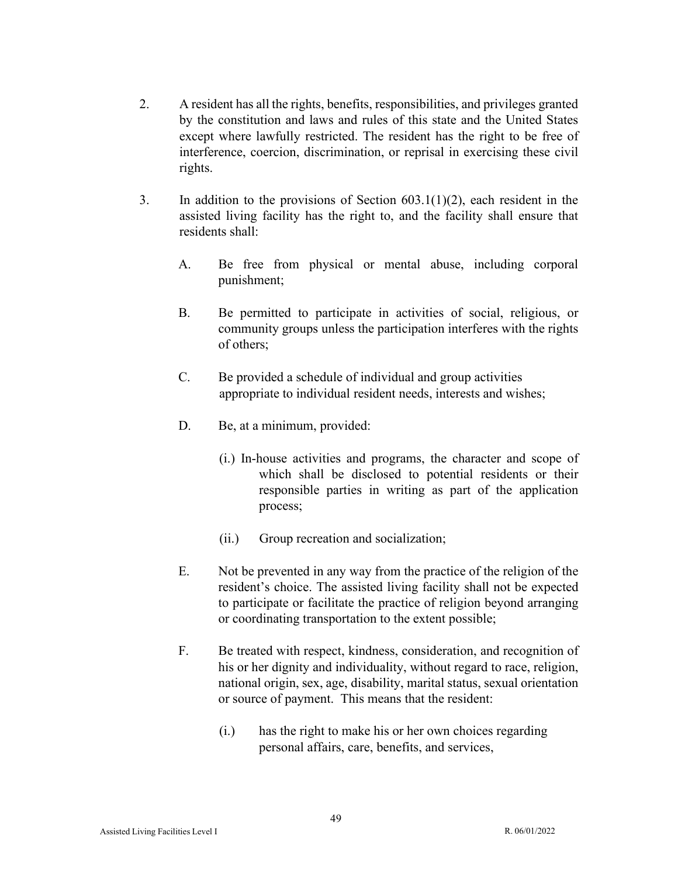- 2. A resident has all the rights, benefits, responsibilities, and privileges granted by the constitution and laws and rules of this state and the United States except where lawfully restricted. The resident has the right to be free of interference, coercion, discrimination, or reprisal in exercising these civil rights.
- 3. In addition to the provisions of Section  $603.1(1)(2)$ , each resident in the assisted living facility has the right to, and the facility shall ensure that residents shall:
	- A. Be free from physical or mental abuse, including corporal punishment;
	- B. Be permitted to participate in activities of social, religious, or community groups unless the participation interferes with the rights of others;
	- C. Be provided a schedule of individual and group activities appropriate to individual resident needs, interests and wishes;
	- D. Be, at a minimum, provided:
		- (i.) In-house activities and programs, the character and scope of which shall be disclosed to potential residents or their responsible parties in writing as part of the application process;
		- (ii.) Group recreation and socialization;
	- E. Not be prevented in any way from the practice of the religion of the resident's choice. The assisted living facility shall not be expected to participate or facilitate the practice of religion beyond arranging or coordinating transportation to the extent possible;
	- F. Be treated with respect, kindness, consideration, and recognition of his or her dignity and individuality, without regard to race, religion, national origin, sex, age, disability, marital status, sexual orientation or source of payment. This means that the resident:
		- (i.) has the right to make his or her own choices regarding personal affairs, care, benefits, and services,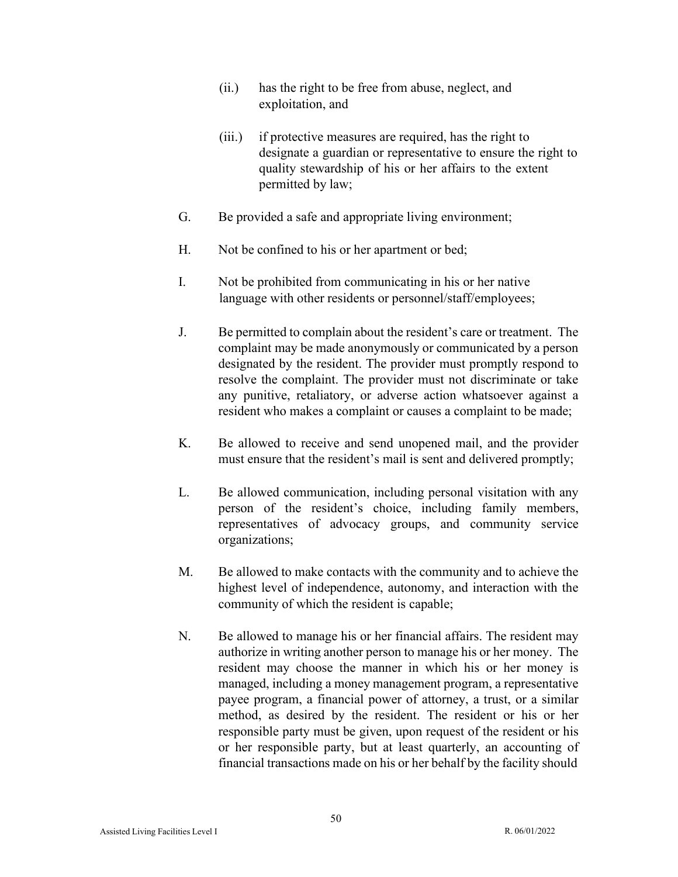- (ii.) has the right to be free from abuse, neglect, and exploitation, and
- (iii.) if protective measures are required, has the right to designate a guardian or representative to ensure the right to quality stewardship of his or her affairs to the extent permitted by law;
- G. Be provided a safe and appropriate living environment;
- H. Not be confined to his or her apartment or bed;
- I. Not be prohibited from communicating in his or her native language with other residents or personnel/staff/employees;
- J. Be permitted to complain about the resident's care or treatment. The complaint may be made anonymously or communicated by a person designated by the resident. The provider must promptly respond to resolve the complaint. The provider must not discriminate or take any punitive, retaliatory, or adverse action whatsoever against a resident who makes a complaint or causes a complaint to be made;
- K. Be allowed to receive and send unopened mail, and the provider must ensure that the resident's mail is sent and delivered promptly;
- L. Be allowed communication, including personal visitation with any person of the resident's choice, including family members, representatives of advocacy groups, and community service organizations;
- M. Be allowed to make contacts with the community and to achieve the highest level of independence, autonomy, and interaction with the community of which the resident is capable;
- N. Be allowed to manage his or her financial affairs. The resident may authorize in writing another person to manage his or her money. The resident may choose the manner in which his or her money is managed, including a money management program, a representative payee program, a financial power of attorney, a trust, or a similar method, as desired by the resident. The resident or his or her responsible party must be given, upon request of the resident or his or her responsible party, but at least quarterly, an accounting of financial transactions made on his or her behalf by the facility should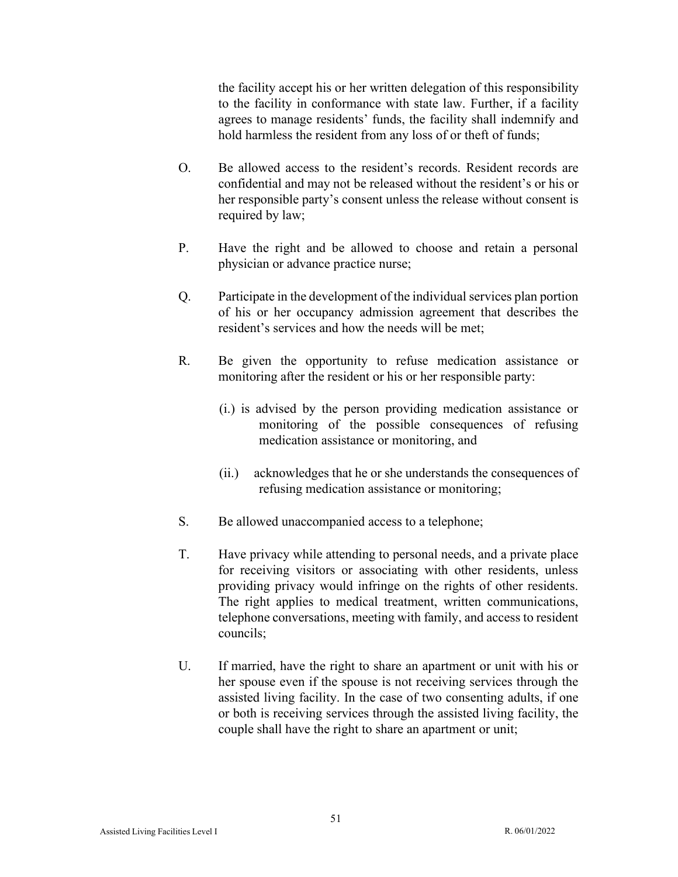the facility accept his or her written delegation of this responsibility to the facility in conformance with state law. Further, if a facility agrees to manage residents' funds, the facility shall indemnify and hold harmless the resident from any loss of or theft of funds;

- O. Be allowed access to the resident's records. Resident records are confidential and may not be released without the resident's or his or her responsible party's consent unless the release without consent is required by law;
- P. Have the right and be allowed to choose and retain a personal physician or advance practice nurse;
- Q. Participate in the development of the individual services plan portion of his or her occupancy admission agreement that describes the resident's services and how the needs will be met;
- R. Be given the opportunity to refuse medication assistance or monitoring after the resident or his or her responsible party:
	- (i.) is advised by the person providing medication assistance or monitoring of the possible consequences of refusing medication assistance or monitoring, and
	- (ii.) acknowledges that he or she understands the consequences of refusing medication assistance or monitoring;
- S. Be allowed unaccompanied access to a telephone;
- T. Have privacy while attending to personal needs, and a private place for receiving visitors or associating with other residents, unless providing privacy would infringe on the rights of other residents. The right applies to medical treatment, written communications, telephone conversations, meeting with family, and access to resident councils;
- U. If married, have the right to share an apartment or unit with his or her spouse even if the spouse is not receiving services through the assisted living facility. In the case of two consenting adults, if one or both is receiving services through the assisted living facility, the couple shall have the right to share an apartment or unit;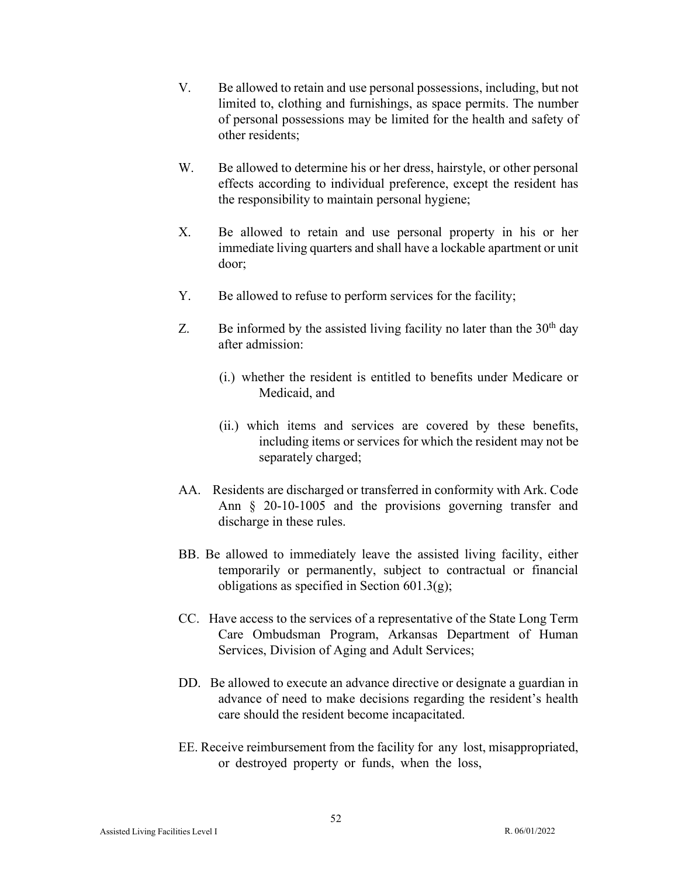- V. Be allowed to retain and use personal possessions, including, but not limited to, clothing and furnishings, as space permits. The number of personal possessions may be limited for the health and safety of other residents;
- W. Be allowed to determine his or her dress, hairstyle, or other personal effects according to individual preference, except the resident has the responsibility to maintain personal hygiene;
- X. Be allowed to retain and use personal property in his or her immediate living quarters and shall have a lockable apartment or unit door;
- Y. Be allowed to refuse to perform services for the facility;
- Z. Be informed by the assisted living facility no later than the  $30<sup>th</sup>$  day after admission:
	- (i.) whether the resident is entitled to benefits under Medicare or Medicaid, and
	- (ii.) which items and services are covered by these benefits, including items or services for which the resident may not be separately charged;
- AA. Residents are discharged or transferred in conformity with Ark. Code Ann § 20-10-1005 and the provisions governing transfer and discharge in these rules.
- BB. Be allowed to immediately leave the assisted living facility, either temporarily or permanently, subject to contractual or financial obligations as specified in Section 601.3(g);
- CC. Have access to the services of a representative of the State Long Term Care Ombudsman Program, Arkansas Department of Human Services, Division of Aging and Adult Services;
- DD. Be allowed to execute an advance directive or designate a guardian in advance of need to make decisions regarding the resident's health care should the resident become incapacitated.
- EE. Receive reimbursement from the facility for any lost, misappropriated, or destroyed property or funds, when the loss,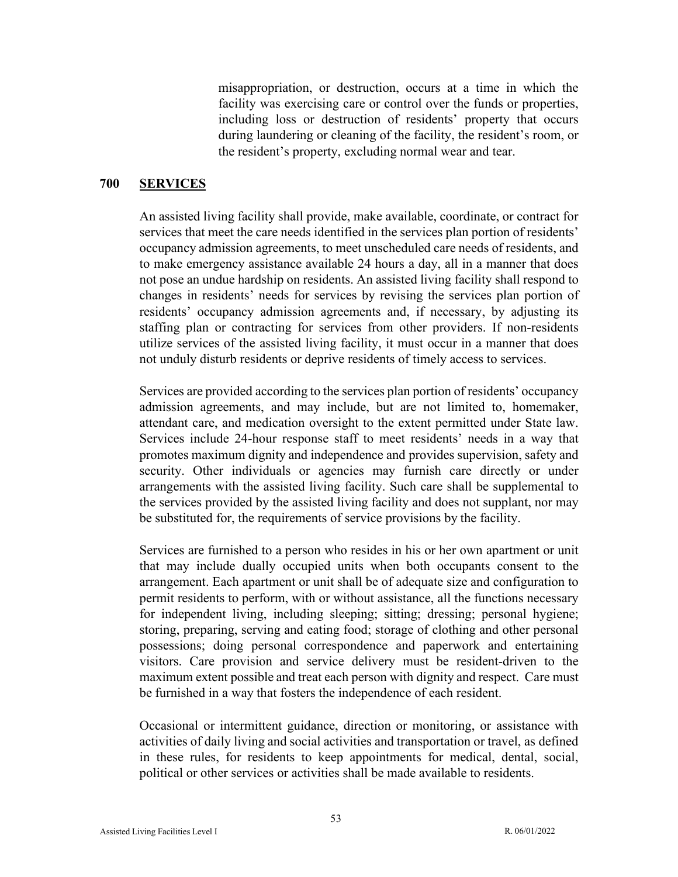misappropriation, or destruction, occurs at a time in which the facility was exercising care or control over the funds or properties, including loss or destruction of residents' property that occurs during laundering or cleaning of the facility, the resident's room, or the resident's property, excluding normal wear and tear.

# **700 SERVICES**

An assisted living facility shall provide, make available, coordinate, or contract for services that meet the care needs identified in the services plan portion of residents' occupancy admission agreements, to meet unscheduled care needs of residents, and to make emergency assistance available 24 hours a day, all in a manner that does not pose an undue hardship on residents. An assisted living facility shall respond to changes in residents' needs for services by revising the services plan portion of residents' occupancy admission agreements and, if necessary, by adjusting its staffing plan or contracting for services from other providers. If non-residents utilize services of the assisted living facility, it must occur in a manner that does not unduly disturb residents or deprive residents of timely access to services.

Services are provided according to the services plan portion of residents' occupancy admission agreements, and may include, but are not limited to, homemaker, attendant care, and medication oversight to the extent permitted under State law. Services include 24-hour response staff to meet residents' needs in a way that promotes maximum dignity and independence and provides supervision, safety and security. Other individuals or agencies may furnish care directly or under arrangements with the assisted living facility. Such care shall be supplemental to the services provided by the assisted living facility and does not supplant, nor may be substituted for, the requirements of service provisions by the facility.

Services are furnished to a person who resides in his or her own apartment or unit that may include dually occupied units when both occupants consent to the arrangement. Each apartment or unit shall be of adequate size and configuration to permit residents to perform, with or without assistance, all the functions necessary for independent living, including sleeping; sitting; dressing; personal hygiene; storing, preparing, serving and eating food; storage of clothing and other personal possessions; doing personal correspondence and paperwork and entertaining visitors. Care provision and service delivery must be resident-driven to the maximum extent possible and treat each person with dignity and respect. Care must be furnished in a way that fosters the independence of each resident.

Occasional or intermittent guidance, direction or monitoring, or assistance with activities of daily living and social activities and transportation or travel, as defined in these rules, for residents to keep appointments for medical, dental, social, political or other services or activities shall be made available to residents.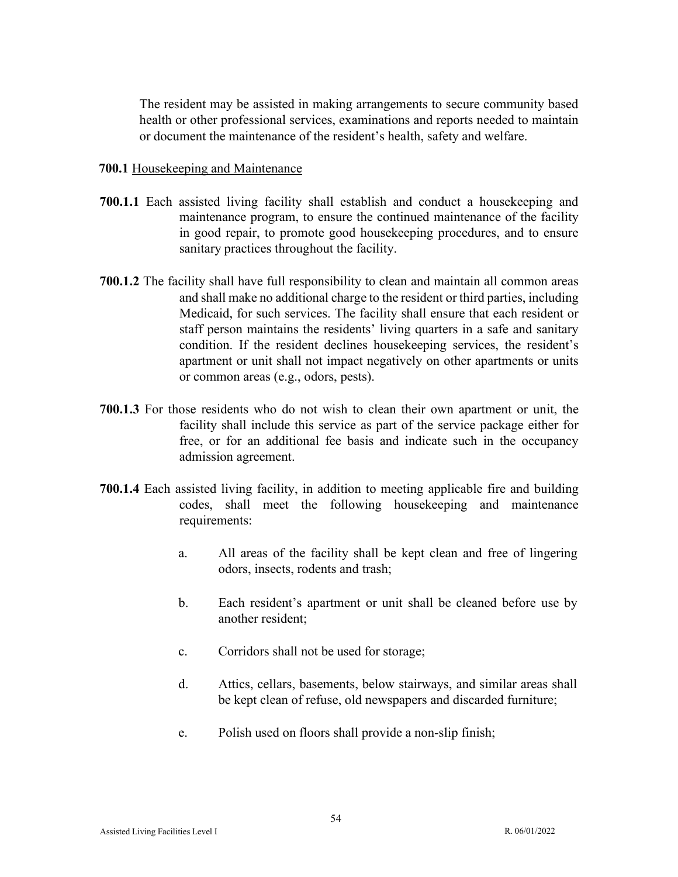The resident may be assisted in making arrangements to secure community based health or other professional services, examinations and reports needed to maintain or document the maintenance of the resident's health, safety and welfare.

#### **700.1** Housekeeping and Maintenance

- **700.1.1** Each assisted living facility shall establish and conduct a housekeeping and maintenance program, to ensure the continued maintenance of the facility in good repair, to promote good housekeeping procedures, and to ensure sanitary practices throughout the facility.
- **700.1.2** The facility shall have full responsibility to clean and maintain all common areas and shall make no additional charge to the resident or third parties, including Medicaid, for such services. The facility shall ensure that each resident or staff person maintains the residents' living quarters in a safe and sanitary condition. If the resident declines housekeeping services, the resident's apartment or unit shall not impact negatively on other apartments or units or common areas (e.g., odors, pests).
- **700.1.3** For those residents who do not wish to clean their own apartment or unit, the facility shall include this service as part of the service package either for free, or for an additional fee basis and indicate such in the occupancy admission agreement.
- **700.1.4** Each assisted living facility, in addition to meeting applicable fire and building codes, shall meet the following housekeeping and maintenance requirements:
	- a. All areas of the facility shall be kept clean and free of lingering odors, insects, rodents and trash;
	- b. Each resident's apartment or unit shall be cleaned before use by another resident;
	- c. Corridors shall not be used for storage;
	- d. Attics, cellars, basements, below stairways, and similar areas shall be kept clean of refuse, old newspapers and discarded furniture;
	- e. Polish used on floors shall provide a non-slip finish;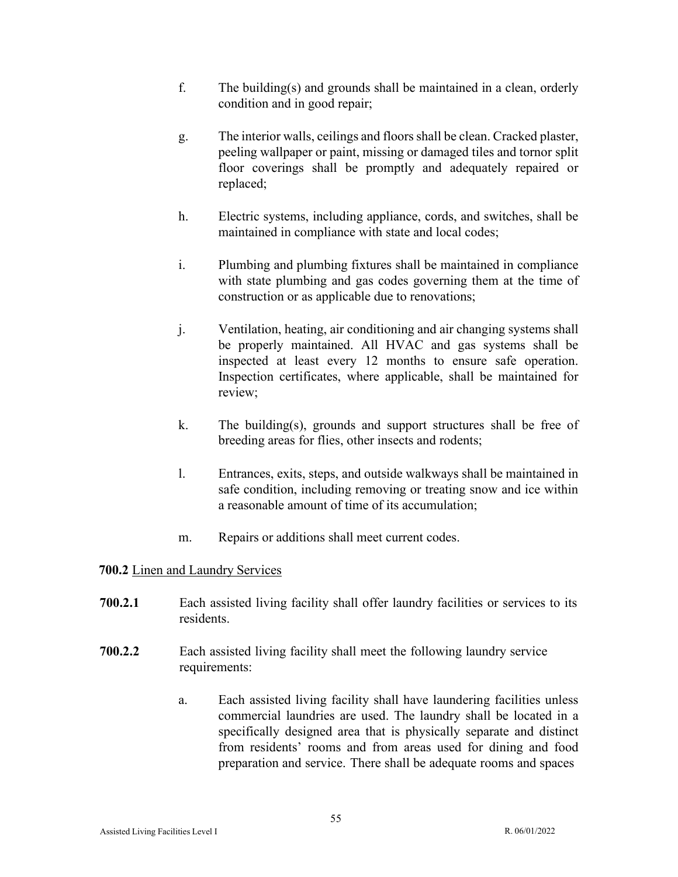- f. The building(s) and grounds shall be maintained in a clean, orderly condition and in good repair;
- g. The interior walls, ceilings and floors shall be clean. Cracked plaster, peeling wallpaper or paint, missing or damaged tiles and torn or split floor coverings shall be promptly and adequately repaired or replaced;
- h. Electric systems, including appliance, cords, and switches, shall be maintained in compliance with state and local codes;
- i. Plumbing and plumbing fixtures shall be maintained in compliance with state plumbing and gas codes governing them at the time of construction or as applicable due to renovations;
- j. Ventilation, heating, air conditioning and air changing systems shall be properly maintained. All HVAC and gas systems shall be inspected at least every 12 months to ensure safe operation. Inspection certificates, where applicable, shall be maintained for review;
- k. The building(s), grounds and support structures shall be free of breeding areas for flies, other insects and rodents;
- l. Entrances, exits, steps, and outside walkways shall be maintained in safe condition, including removing or treating snow and ice within a reasonable amount of time of its accumulation;
- m. Repairs or additions shall meet current codes.

# **700.2** Linen and Laundry Services

- **700.2.1** Each assisted living facility shall offer laundry facilities or services to its residents.
- **700.2.2** Each assisted living facility shall meet the following laundry service requirements:
	- a. Each assisted living facility shall have laundering facilities unless commercial laundries are used. The laundry shall be located in a specifically designed area that is physically separate and distinct from residents' rooms and from areas used for dining and food preparation and service. There shall be adequate rooms and spaces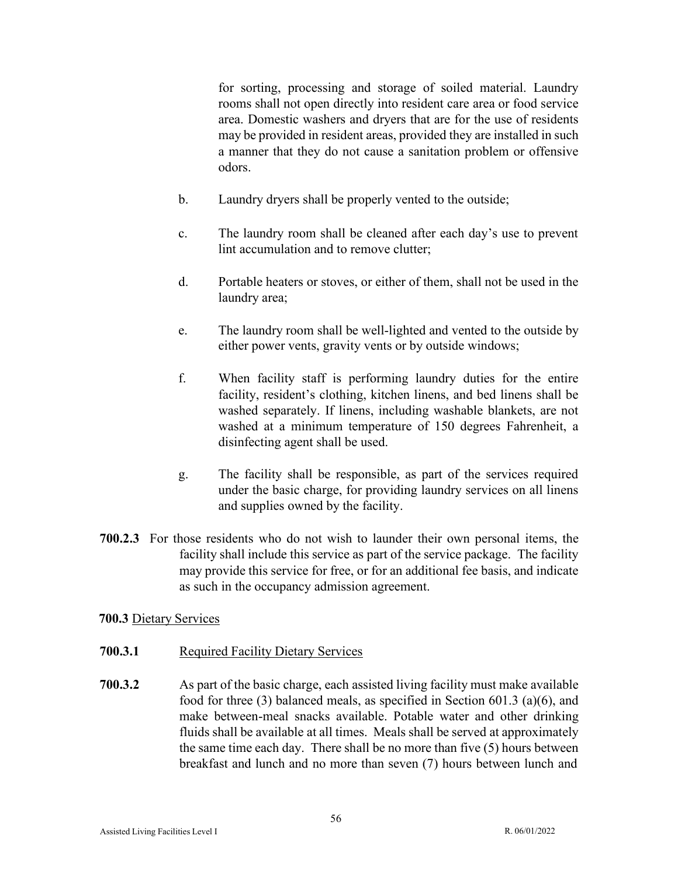for sorting, processing and storage of soiled material. Laundry rooms shall not open directly into resident care area or food service area. Domestic washers and dryers that are for the use of residents may be provided in resident areas, provided they are installed in such a manner that they do not cause a sanitation problem or offensive odors.

- b. Laundry dryers shall be properly vented to the outside;
- c. The laundry room shall be cleaned after each day's use to prevent lint accumulation and to remove clutter;
- d. Portable heaters or stoves, or either of them, shall not be used in the laundry area;
- e. The laundry room shall be well-lighted and vented to the outside by either power vents, gravity vents or by outside windows;
- f. When facility staff is performing laundry duties for the entire facility, resident's clothing, kitchen linens, and bed linens shall be washed separately. If linens, including washable blankets, are not washed at a minimum temperature of 150 degrees Fahrenheit, a disinfecting agent shall be used.
- g. The facility shall be responsible, as part of the services required under the basic charge, for providing laundry services on all linens and supplies owned by the facility.
- **700.2.3** For those residents who do not wish to launder their own personal items, the facility shall include this service as part of the service package. The facility may provide this service for free, or for an additional fee basis, and indicate as such in the occupancy admission agreement.

# **700.3** Dietary Services

- **700.3.1** Required Facility Dietary Services
- **700.3.2** As part of the basic charge, each assisted living facility must make available food for three (3) balanced meals, as specified in Section 601.3 (a)(6), and make between-meal snacks available. Potable water and other drinking fluids shall be available at all times. Meals shall be served at approximately the same time each day. There shall be no more than five (5) hours between breakfast and lunch and no more than seven (7) hours between lunch and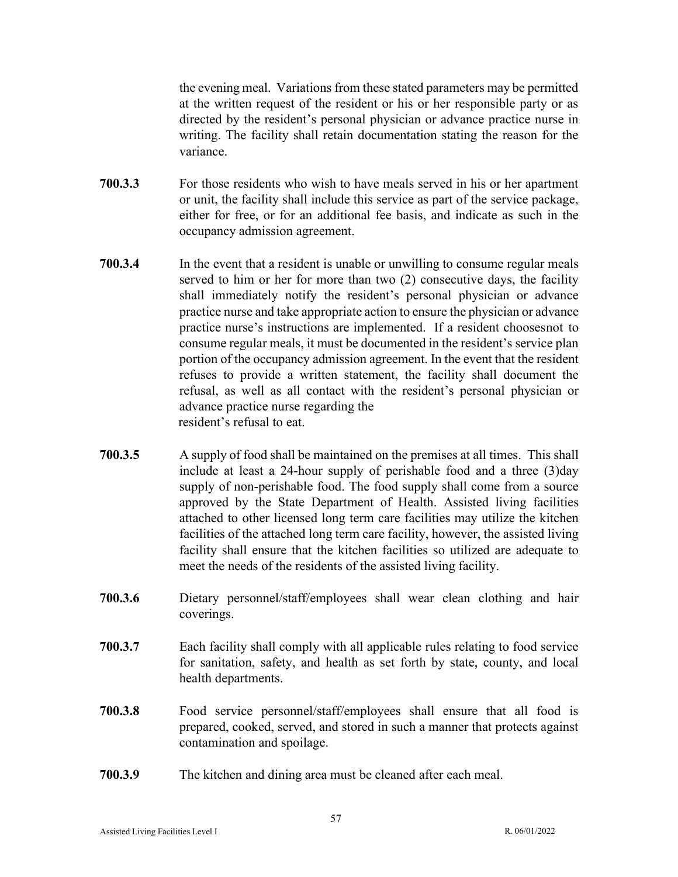the evening meal. Variations from these stated parameters may be permitted at the written request of the resident or his or her responsible party or as directed by the resident's personal physician or advance practice nurse in writing. The facility shall retain documentation stating the reason for the variance.

- **700.3.3** For those residents who wish to have meals served in his or her apartment or unit, the facility shall include this service as part of the service package, either for free, or for an additional fee basis, and indicate as such in the occupancy admission agreement.
- **700.3.4** In the event that a resident is unable or unwilling to consume regular meals served to him or her for more than two (2) consecutive days, the facility shall immediately notify the resident's personal physician or advance practice nurse and take appropriate action to ensure the physician or advance practice nurse's instructions are implemented. If a resident choosesnot to consume regular meals, it must be documented in the resident's service plan portion of the occupancy admission agreement. In the event that the resident refuses to provide a written statement, the facility shall document the refusal, as well as all contact with the resident's personal physician or advance practice nurse regarding the resident's refusal to eat.
- **700.3.5** A supply of food shall be maintained on the premises at all times. This shall include at least a 24-hour supply of perishable food and a three (3)day supply of non-perishable food. The food supply shall come from a source approved by the State Department of Health. Assisted living facilities attached to other licensed long term care facilities may utilize the kitchen facilities of the attached long term care facility, however, the assisted living facility shall ensure that the kitchen facilities so utilized are adequate to meet the needs of the residents of the assisted living facility.
- **700.3.6** Dietary personnel/staff/employees shall wear clean clothing and hair coverings.
- **700.3.7** Each facility shall comply with all applicable rules relating to food service for sanitation, safety, and health as set forth by state, county, and local health departments.
- **700.3.8** Food service personnel/staff/employees shall ensure that all food is prepared, cooked, served, and stored in such a manner that protects against contamination and spoilage.
- **700.3.9** The kitchen and dining area must be cleaned after each meal.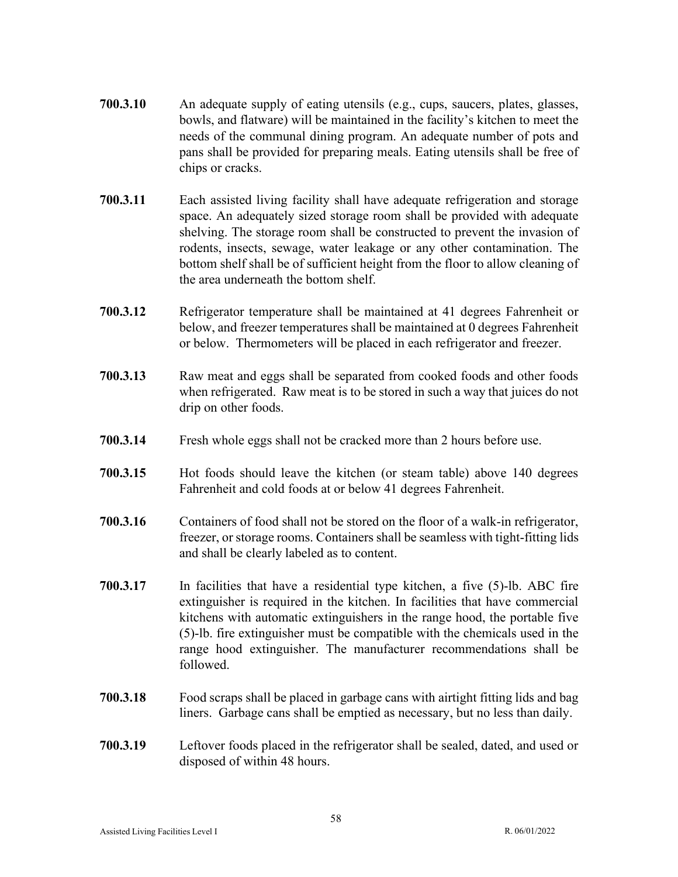- **700.3.10** An adequate supply of eating utensils (e.g., cups, saucers, plates, glasses, bowls, and flatware) will be maintained in the facility's kitchen to meet the needs of the communal dining program. An adequate number of pots and pans shall be provided for preparing meals. Eating utensils shall be free of chips or cracks.
- **700.3.11** Each assisted living facility shall have adequate refrigeration and storage space. An adequately sized storage room shall be provided with adequate shelving. The storage room shall be constructed to prevent the invasion of rodents, insects, sewage, water leakage or any other contamination. The bottom shelf shall be of sufficient height from the floor to allow cleaning of the area underneath the bottom shelf.
- **700.3.12** Refrigerator temperature shall be maintained at 41 degrees Fahrenheit or below, and freezer temperatures shall be maintained at 0 degrees Fahrenheit or below. Thermometers will be placed in each refrigerator and freezer.
- **700.3.13** Raw meat and eggs shall be separated from cooked foods and other foods when refrigerated. Raw meat is to be stored in such a way that juices do not drip on other foods.
- **700.3.14** Fresh whole eggs shall not be cracked more than 2 hours before use.
- **700.3.15** Hot foods should leave the kitchen (or steam table) above 140 degrees Fahrenheit and cold foods at or below 41 degrees Fahrenheit.
- **700.3.16** Containers of food shall not be stored on the floor of a walk-in refrigerator, freezer, or storage rooms. Containers shall be seamless with tight-fitting lids and shall be clearly labeled as to content.
- **700.3.17** In facilities that have a residential type kitchen, a five (5)-lb. ABC fire extinguisher is required in the kitchen. In facilities that have commercial kitchens with automatic extinguishers in the range hood, the portable five (5)-lb. fire extinguisher must be compatible with the chemicals used in the range hood extinguisher. The manufacturer recommendations shall be followed.
- **700.3.18** Food scraps shall be placed in garbage cans with airtight fitting lids and bag liners. Garbage cans shall be emptied as necessary, but no less than daily.
- **700.3.19** Leftover foods placed in the refrigerator shall be sealed, dated, and used or disposed of within 48 hours.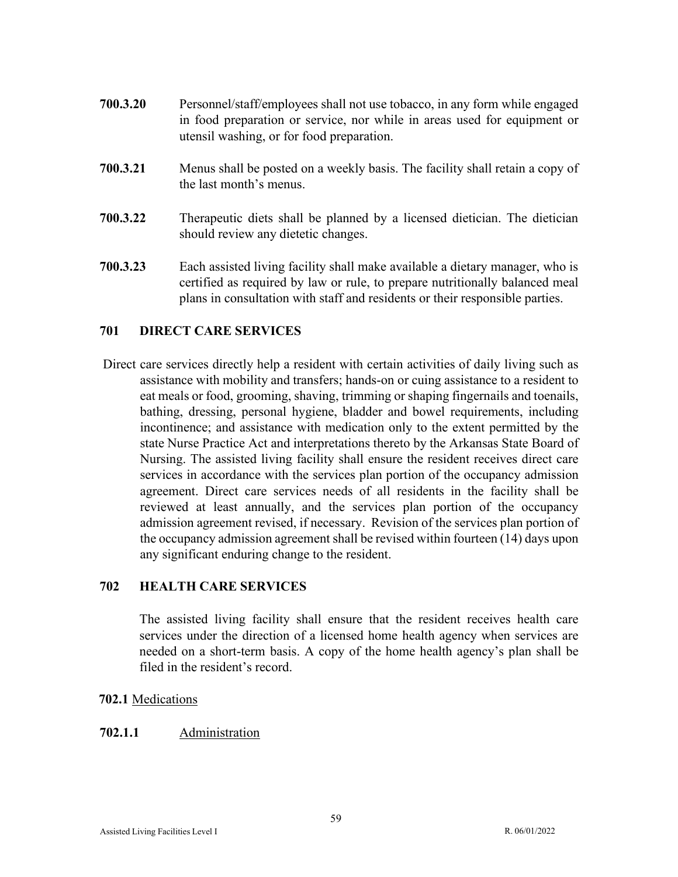- **700.3.20** Personnel/staff/employees shall not use tobacco, in any form while engaged in food preparation or service, nor while in areas used for equipment or utensil washing, or for food preparation.
- **700.3.21** Menus shall be posted on a weekly basis. The facility shall retain a copy of the last month's menus.
- **700.3.22** Therapeutic diets shall be planned by a licensed dietician. The dietician should review any dietetic changes.
- **700.3.23** Each assisted living facility shall make available a dietary manager, who is certified as required by law or rule, to prepare nutritionally balanced meal plans in consultation with staff and residents or their responsible parties.

## **701 DIRECT CARE SERVICES**

Direct care services directly help a resident with certain activities of daily living such as assistance with mobility and transfers; hands-on or cuing assistance to a resident to eat meals or food, grooming, shaving, trimming or shaping fingernails and toenails, bathing, dressing, personal hygiene, bladder and bowel requirements, including incontinence; and assistance with medication only to the extent permitted by the state Nurse Practice Act and interpretations thereto by the Arkansas State Board of Nursing. The assisted living facility shall ensure the resident receives direct care services in accordance with the services plan portion of the occupancy admission agreement. Direct care services needs of all residents in the facility shall be reviewed at least annually, and the services plan portion of the occupancy admission agreement revised, if necessary. Revision of the services plan portion of the occupancy admission agreement shall be revised within fourteen (14) days upon any significant enduring change to the resident.

### **702 HEALTH CARE SERVICES**

The assisted living facility shall ensure that the resident receives health care services under the direction of a licensed home health agency when services are needed on a short-term basis. A copy of the home health agency's plan shall be filed in the resident's record.

### **702.1** Medications

## **702.1.1** Administration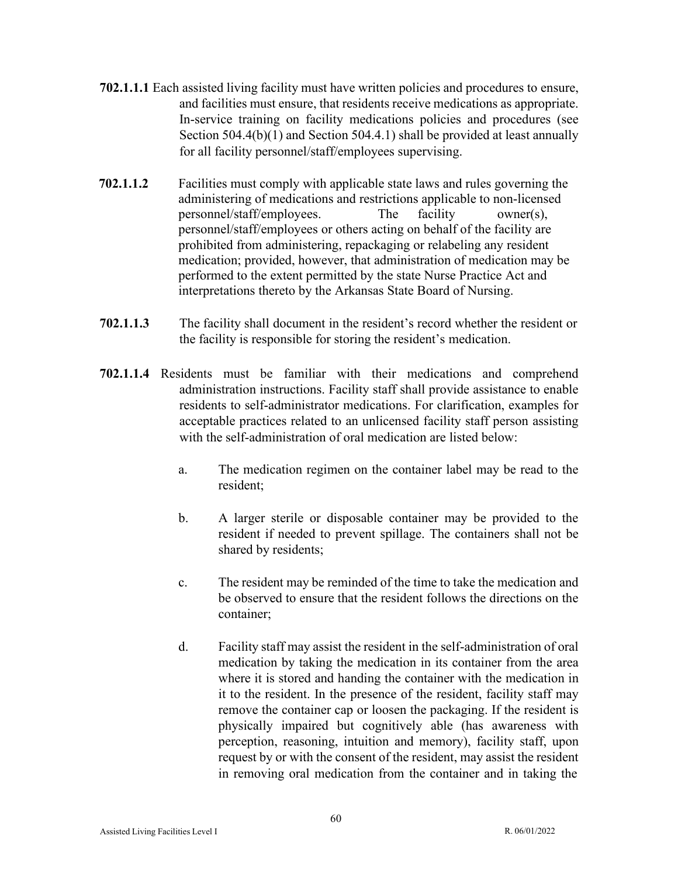- **702.1.1.1** Each assisted living facility must have written policies and procedures to ensure, and facilities must ensure, that residents receive medications as appropriate. In-service training on facility medications policies and procedures (see Section 504.4(b)(1) and Section 504.4.1) shall be provided at least annually for all facility personnel/staff/employees supervising.
- **702.1.1.2** Facilities must comply with applicable state laws and rules governing the administering of medications and restrictions applicable to non-licensed personnel/staff/employees. The facility owner(s), personnel/staff/employees or others acting on behalf of the facility are prohibited from administering, repackaging or relabeling any resident medication; provided, however, that administration of medication may be performed to the extent permitted by the state Nurse Practice Act and interpretations thereto by the Arkansas State Board of Nursing.
- **702.1.1.3** The facility shall document in the resident's record whether the resident or the facility is responsible for storing the resident's medication.
- **702.1.1.4** Residents must be familiar with their medications and comprehend administration instructions. Facility staff shall provide assistance to enable residents to self-administrator medications. For clarification, examples for acceptable practices related to an unlicensed facility staff person assisting with the self-administration of oral medication are listed below:
	- a. The medication regimen on the container label may be read to the resident;
	- b. A larger sterile or disposable container may be provided to the resident if needed to prevent spillage. The containers shall not be shared by residents;
	- c. The resident may be reminded of the time to take the medication and be observed to ensure that the resident follows the directions on the container;
	- d. Facility staff may assist the resident in the self-administration of oral medication by taking the medication in its container from the area where it is stored and handing the container with the medication in it to the resident. In the presence of the resident, facility staff may remove the container cap or loosen the packaging. If the resident is physically impaired but cognitively able (has awareness with perception, reasoning, intuition and memory), facility staff, upon request by or with the consent of the resident, may assist the resident in removing oral medication from the container and in taking the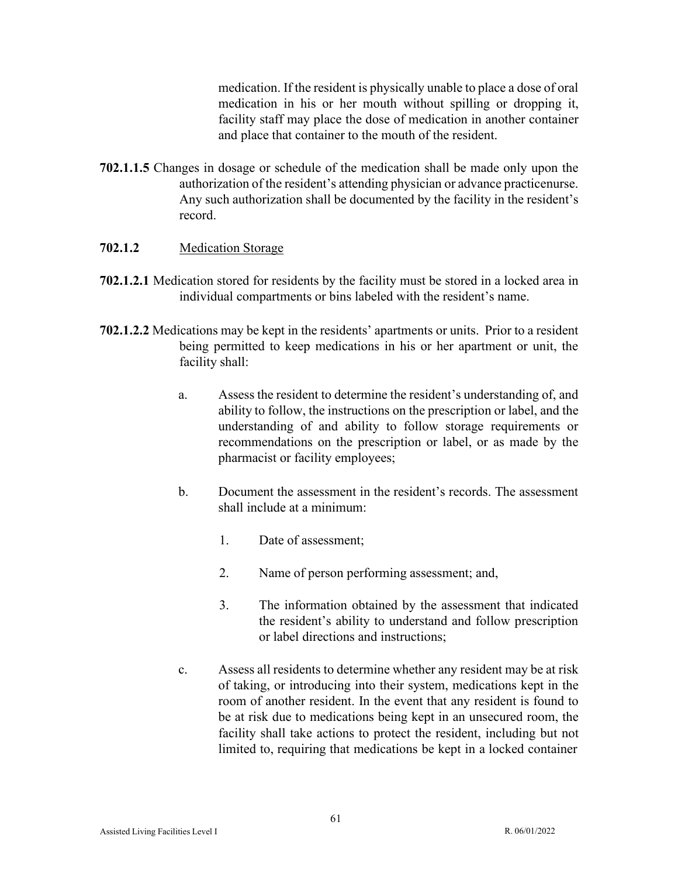medication. If the resident is physically unable to place a dose of oral medication in his or her mouth without spilling or dropping it, facility staff may place the dose of medication in another container and place that container to the mouth of the resident.

**702.1.1.5** Changes in dosage or schedule of the medication shall be made only upon the authorization of the resident's attending physician or advance practicenurse. Any such authorization shall be documented by the facility in the resident's record.

### **702.1.2** Medication Storage

- **702.1.2.1** Medication stored for residents by the facility must be stored in a locked area in individual compartments or bins labeled with the resident's name.
- **702.1.2.2** Medications may be kept in the residents' apartments or units. Prior to a resident being permitted to keep medications in his or her apartment or unit, the facility shall:
	- a. Assess the resident to determine the resident's understanding of, and ability to follow, the instructions on the prescription or label, and the understanding of and ability to follow storage requirements or recommendations on the prescription or label, or as made by the pharmacist or facility employees;
	- b. Document the assessment in the resident's records. The assessment shall include at a minimum:
		- 1. Date of assessment;
		- 2. Name of person performing assessment; and,
		- 3. The information obtained by the assessment that indicated the resident's ability to understand and follow prescription or label directions and instructions;
	- c. Assess all residents to determine whether any resident may be at risk of taking, or introducing into their system, medications kept in the room of another resident. In the event that any resident is found to be at risk due to medications being kept in an unsecured room, the facility shall take actions to protect the resident, including but not limited to, requiring that medications be kept in a locked container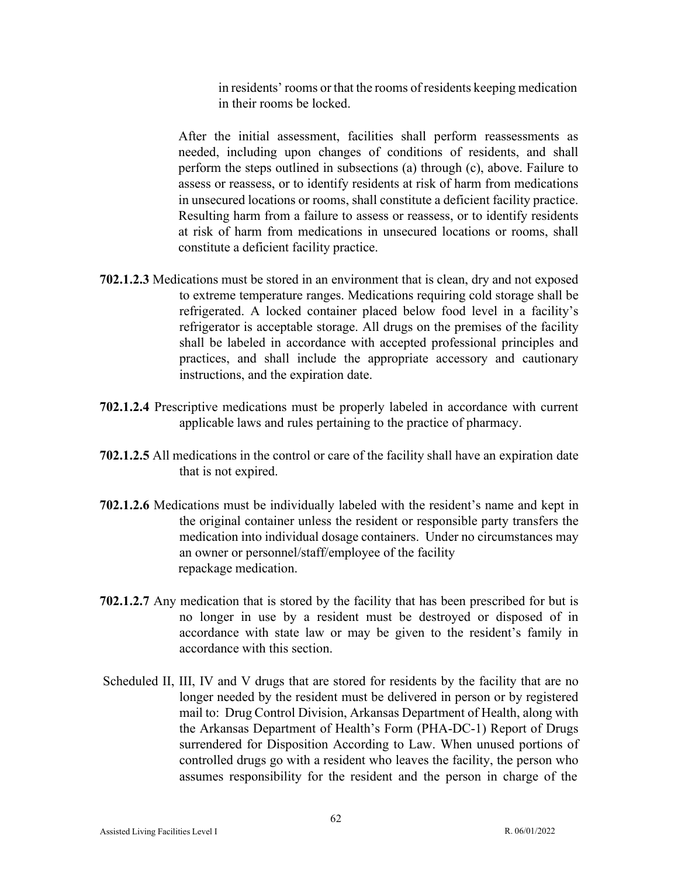in residents' rooms or that the rooms of residents keeping medication in their rooms be locked.

After the initial assessment, facilities shall perform reassessments as needed, including upon changes of conditions of residents, and shall perform the steps outlined in subsections (a) through (c), above. Failure to assess or reassess, or to identify residents at risk of harm from medications in unsecured locations or rooms, shall constitute a deficient facility practice. Resulting harm from a failure to assess or reassess, or to identify residents at risk of harm from medications in unsecured locations or rooms, shall constitute a deficient facility practice.

- **702.1.2.3** Medications must be stored in an environment that is clean, dry and not exposed to extreme temperature ranges. Medications requiring cold storage shall be refrigerated. A locked container placed below food level in a facility's refrigerator is acceptable storage. All drugs on the premises of the facility shall be labeled in accordance with accepted professional principles and practices, and shall include the appropriate accessory and cautionary instructions, and the expiration date.
- **702.1.2.4** Prescriptive medications must be properly labeled in accordance with current applicable laws and rules pertaining to the practice of pharmacy.
- **702.1.2.5** All medications in the control or care of the facility shall have an expiration date that is not expired.
- **702.1.2.6** Medications must be individually labeled with the resident's name and kept in the original container unless the resident or responsible party transfers the medication into individual dosage containers. Under no circumstances may an owner or personnel/staff/employee of the facility repackage medication.
- **702.1.2.7** Any medication that is stored by the facility that has been prescribed for but is no longer in use by a resident must be destroyed or disposed of in accordance with state law or may be given to the resident's family in accordance with this section.
- Scheduled II, III, IV and V drugs that are stored for residents by the facility that are no longer needed by the resident must be delivered in person or by registered mail to: Drug Control Division, Arkansas Department of Health, along with the Arkansas Department of Health's Form (PHA-DC-1) Report of Drugs surrendered for Disposition According to Law. When unused portions of controlled drugs go with a resident who leaves the facility, the person who assumes responsibility for the resident and the person in charge of the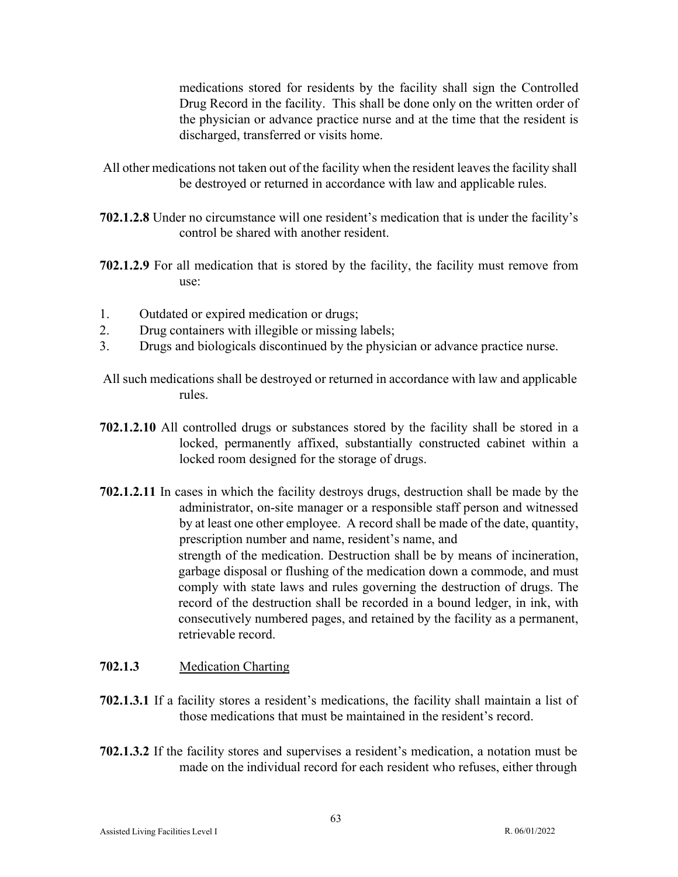medications stored for residents by the facility shall sign the Controlled Drug Record in the facility. This shall be done only on the written order of the physician or advance practice nurse and at the time that the resident is discharged, transferred or visits home.

- All other medications not taken out of the facility when the resident leaves the facility shall be destroyed or returned in accordance with law and applicable rules.
- **702.1.2.8** Under no circumstance will one resident's medication that is under the facility's control be shared with another resident.
- **702.1.2.9** For all medication that is stored by the facility, the facility must remove from use:
- 1. Outdated or expired medication or drugs;
- 2. Drug containers with illegible or missing labels;
- 3. Drugs and biologicals discontinued by the physician or advance practice nurse.

All such medications shall be destroyed or returned in accordance with law and applicable rules.

- **702.1.2.10** All controlled drugs or substances stored by the facility shall be stored in a locked, permanently affixed, substantially constructed cabinet within a locked room designed for the storage of drugs.
- **702.1.2.11** In cases in which the facility destroys drugs, destruction shall be made by the administrator, on-site manager or a responsible staff person and witnessed by at least one other employee. A record shall be made of the date, quantity, prescription number and name, resident's name, and strength of the medication. Destruction shall be by means of incineration, garbage disposal or flushing of the medication down a commode, and must comply with state laws and rules governing the destruction of drugs. The record of the destruction shall be recorded in a bound ledger, in ink, with consecutively numbered pages, and retained by the facility as a permanent, retrievable record.

# **702.1.3** Medication Charting

- **702.1.3.1** If a facility stores a resident's medications, the facility shall maintain a list of those medications that must be maintained in the resident's record.
- **702.1.3.2** If the facility stores and supervises a resident's medication, a notation must be made on the individual record for each resident who refuses, either through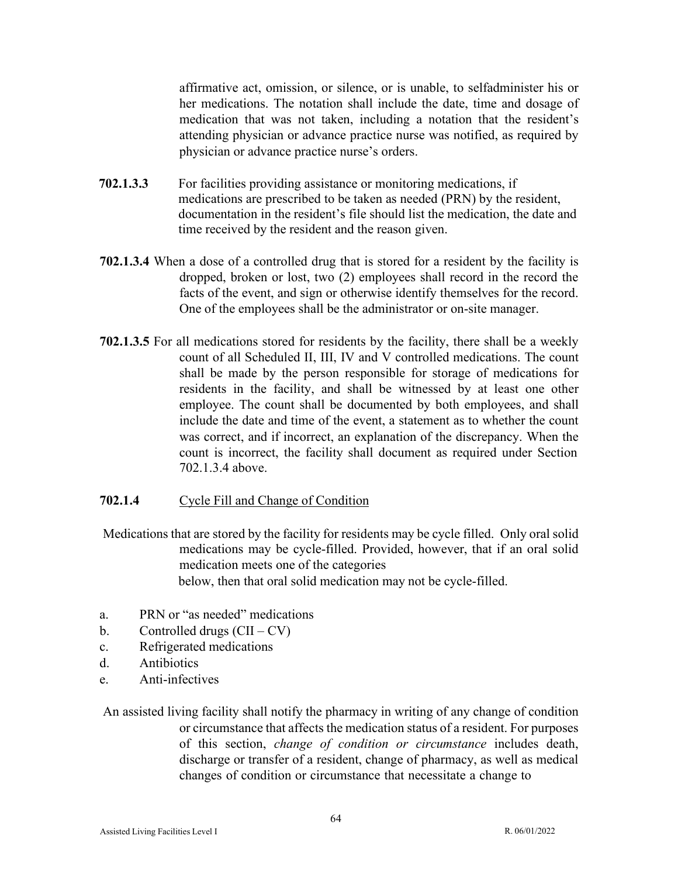affirmative act, omission, or silence, or is unable, to selfadminister his or her medications. The notation shall include the date, time and dosage of medication that was not taken, including a notation that the resident's attending physician or advance practice nurse was notified, as required by physician or advance practice nurse's orders.

- **702.1.3.3** For facilities providing assistance or monitoring medications, if medications are prescribed to be taken as needed (PRN) by the resident, documentation in the resident's file should list the medication, the date and time received by the resident and the reason given.
- **702.1.3.4** When a dose of a controlled drug that is stored for a resident by the facility is dropped, broken or lost, two (2) employees shall record in the record the facts of the event, and sign or otherwise identify themselves for the record. One of the employees shall be the administrator or on-site manager.
- **702.1.3.5** For all medications stored for residents by the facility, there shall be a weekly count of all Scheduled II, III, IV and V controlled medications. The count shall be made by the person responsible for storage of medications for residents in the facility, and shall be witnessed by at least one other employee. The count shall be documented by both employees, and shall include the date and time of the event, a statement as to whether the count was correct, and if incorrect, an explanation of the discrepancy. When the count is incorrect, the facility shall document as required under Section 702.1.3.4 above.

#### **702.1.4** Cycle Fill and Change of Condition

Medications that are stored by the facility for residents may be cycle filled. Only oral solid medications may be cycle-filled. Provided, however, that if an oral solid medication meets one of the categories below, then that oral solid medication may not be cycle-filled.

- a. PRN or "as needed" medications
- b. Controlled drugs  $(CII CV)$
- c. Refrigerated medications
- d. Antibiotics
- e. Anti-infectives

An assisted living facility shall notify the pharmacy in writing of any change of condition or circumstance that affects the medication status of a resident. For purposes of this section, *change of condition or circumstance* includes death, discharge or transfer of a resident, change of pharmacy, as well as medical changes of condition or circumstance that necessitate a change to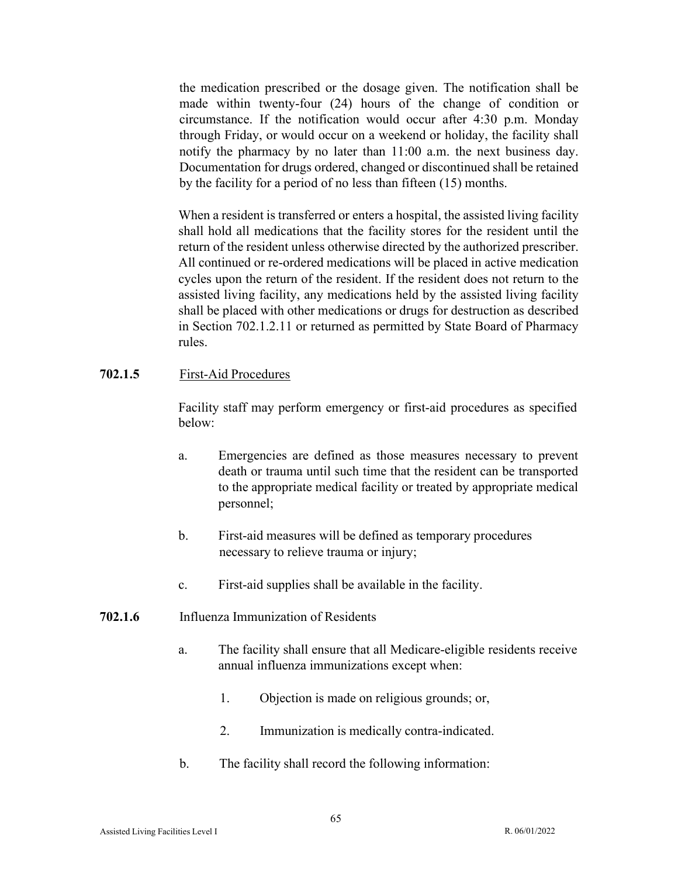the medication prescribed or the dosage given. The notification shall be made within twenty-four (24) hours of the change of condition or circumstance. If the notification would occur after 4:30 p.m. Monday through Friday, or would occur on a weekend or holiday, the facility shall notify the pharmacy by no later than 11:00 a.m. the next business day. Documentation for drugs ordered, changed or discontinued shall be retained by the facility for a period of no less than fifteen (15) months.

When a resident is transferred or enters a hospital, the assisted living facility shall hold all medications that the facility stores for the resident until the return of the resident unless otherwise directed by the authorized prescriber. All continued or re-ordered medications will be placed in active medication cycles upon the return of the resident. If the resident does not return to the assisted living facility, any medications held by the assisted living facility shall be placed with other medications or drugs for destruction as described in Section 702.1.2.11 or returned as permitted by State Board of Pharmacy rules.

### **702.1.5** First-Aid Procedures

Facility staff may perform emergency or first-aid procedures as specified below:

- a. Emergencies are defined as those measures necessary to prevent death or trauma until such time that the resident can be transported to the appropriate medical facility or treated by appropriate medical personnel;
- b. First-aid measures will be defined as temporary procedures necessary to relieve trauma or injury;
- c. First-aid supplies shall be available in the facility.
- **702.1.6** Influenza Immunization of Residents
	- a. The facility shall ensure that all Medicare-eligible residents receive annual influenza immunizations except when:
		- 1. Objection is made on religious grounds; or,
		- 2. Immunization is medically contra-indicated.
	- b. The facility shall record the following information: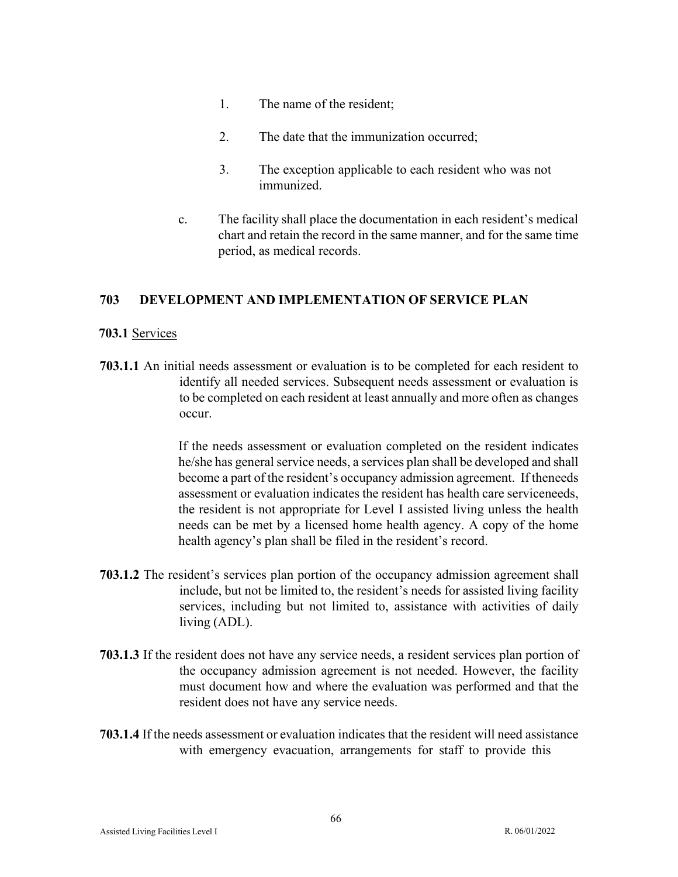- 1. The name of the resident;
- 2. The date that the immunization occurred;
- 3. The exception applicable to each resident who was not immunized.
- c. The facility shall place the documentation in each resident's medical chart and retain the record in the same manner, and for the same time period, as medical records.

## **703 DEVELOPMENT AND IMPLEMENTATION OF SERVICE PLAN**

### **703.1** Services

**703.1.1** An initial needs assessment or evaluation is to be completed for each resident to identify all needed services. Subsequent needs assessment or evaluation is to be completed on each resident at least annually and more often as changes occur.

> If the needs assessment or evaluation completed on the resident indicates he/she has general service needs, a services plan shall be developed and shall become a part of the resident's occupancy admission agreement. If the needs assessment or evaluation indicates the resident has health care serviceneeds, the resident is not appropriate for Level I assisted living unless the health needs can be met by a licensed home health agency. A copy of the home health agency's plan shall be filed in the resident's record.

- **703.1.2** The resident's services plan portion of the occupancy admission agreement shall include, but not be limited to, the resident's needs for assisted living facility services, including but not limited to, assistance with activities of daily living (ADL).
- **703.1.3** If the resident does not have any service needs, a resident services plan portion of the occupancy admission agreement is not needed. However, the facility must document how and where the evaluation was performed and that the resident does not have any service needs.
- **703.1.4** If the needs assessment or evaluation indicates that the resident will need assistance with emergency evacuation, arrangements for staff to provide this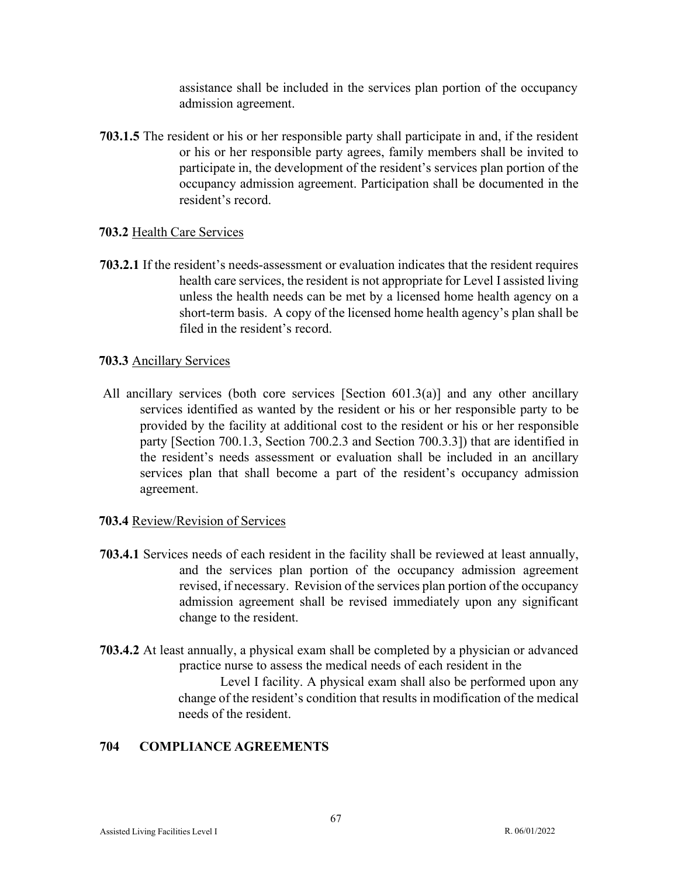assistance shall be included in the services plan portion of the occupancy admission agreement.

**703.1.5** The resident or his or her responsible party shall participate in and, if the resident or his or her responsible party agrees, family members shall be invited to participate in, the development of the resident's services plan portion of the occupancy admission agreement. Participation shall be documented in the resident's record.

## **703.2** Health Care Services

**703.2.1** If the resident's needs-assessment or evaluation indicates that the resident requires health care services, the resident is not appropriate for Level I assisted living unless the health needs can be met by a licensed home health agency on a short-term basis. A copy of the licensed home health agency's plan shall be filed in the resident's record.

## **703.3** Ancillary Services

All ancillary services (both core services [Section 601.3(a)] and any other ancillary services identified as wanted by the resident or his or her responsible party to be provided by the facility at additional cost to the resident or his or her responsible party [Section 700.1.3, Section 700.2.3 and Section 700.3.3]) that are identified in the resident's needs assessment or evaluation shall be included in an ancillary services plan that shall become a part of the resident's occupancy admission agreement.

# **703.4** Review/Revision of Services

- **703.4.1** Services needs of each resident in the facility shall be reviewed at least annually, and the services plan portion of the occupancy admission agreement revised, if necessary. Revision of the services plan portion of the occupancy admission agreement shall be revised immediately upon any significant change to the resident.
- **703.4.2** At least annually, a physical exam shall be completed by a physician or advanced practice nurse to assess the medical needs of each resident in the Level I facility. A physical exam shall also be performed upon any change of the resident's condition that results in modification of the medical needs of the resident.

# **704 COMPLIANCE AGREEMENTS**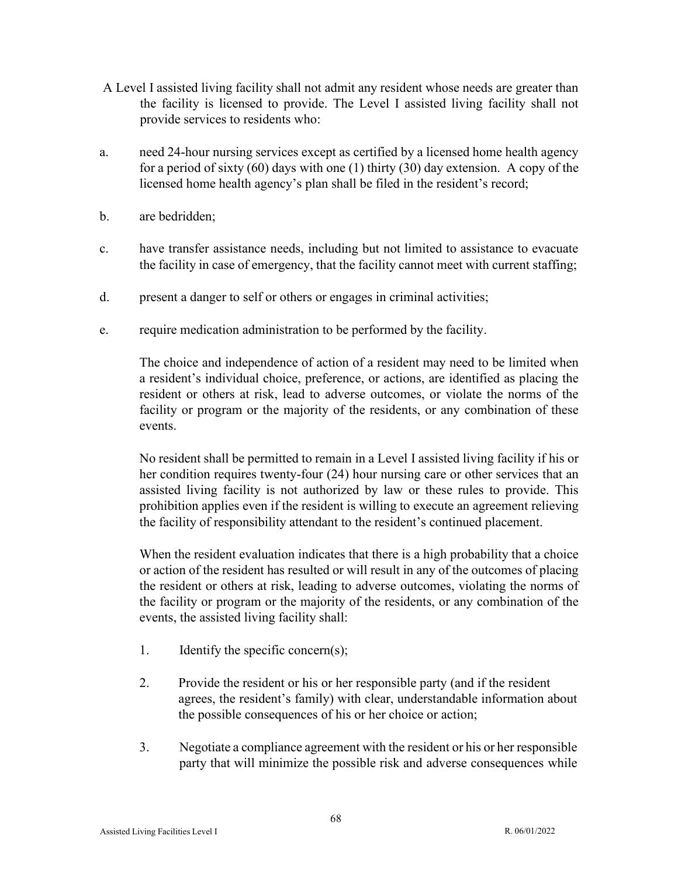- A Level I assisted living facility shall not admit any resident whose needs are greater than the facility is licensed to provide. The Level I assisted living facility shall not provide services to residents who:
- a. need 24-hour nursing services except as certified by a licensed home health agency for a period of sixty (60) days with one (1) thirty (30) day extension. A copy of the licensed home health agency's plan shall be filed in the resident's record;
- b. are bedridden;
- c. have transfer assistance needs, including but not limited to assistance to evacuate the facility in case of emergency, that the facility cannot meet with current staffing;
- d. present a danger to self or others or engages in criminal activities;
- e. require medication administration to be performed by the facility.

The choice and independence of action of a resident may need to be limited when a resident's individual choice, preference, or actions, are identified as placing the resident or others at risk, lead to adverse outcomes, or violate the norms of the facility or program or the majority of the residents, or any combination of these events.

No resident shall be permitted to remain in a Level I assisted living facility if his or her condition requires twenty-four (24) hour nursing care or other services that an assisted living facility is not authorized by law or these rules to provide. This prohibition applies even if the resident is willing to execute an agreement relieving the facility of responsibility attendant to the resident's continued placement.

When the resident evaluation indicates that there is a high probability that a choice or action of the resident has resulted or will result in any of the outcomes of placing the resident or others at risk, leading to adverse outcomes, violating the norms of the facility or program or the majority of the residents, or any combination of the events, the assisted living facility shall:

- 1. Identify the specific concern(s);
- 2. Provide the resident or his or her responsible party (and if the resident agrees, the resident's family) with clear, understandable information about the possible consequences of his or her choice or action;
- 3. Negotiate a compliance agreement with the resident or his or her responsible party that will minimize the possible risk and adverse consequences while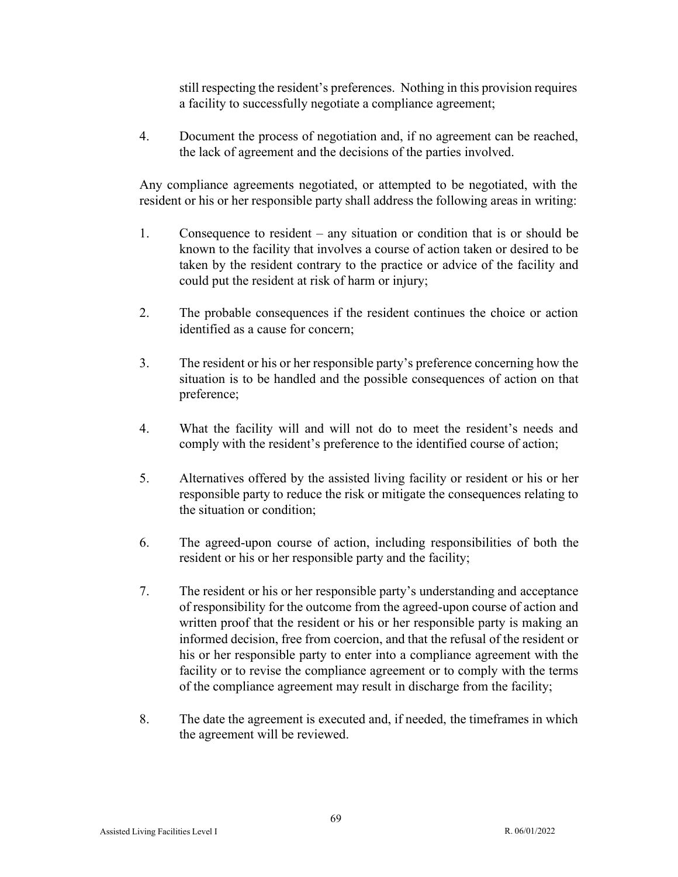still respecting the resident's preferences. Nothing in this provision requires a facility to successfully negotiate a compliance agreement;

4. Document the process of negotiation and, if no agreement can be reached, the lack of agreement and the decisions of the parties involved.

Any compliance agreements negotiated, or attempted to be negotiated, with the resident or his or her responsible party shall address the following areas in writing:

- 1. Consequence to resident any situation or condition that is or should be known to the facility that involves a course of action taken or desired to be taken by the resident contrary to the practice or advice of the facility and could put the resident at risk of harm or injury;
- 2. The probable consequences if the resident continues the choice or action identified as a cause for concern;
- 3. The resident or his or her responsible party's preference concerning how the situation is to be handled and the possible consequences of action on that preference;
- 4. What the facility will and will not do to meet the resident's needs and comply with the resident's preference to the identified course of action;
- 5. Alternatives offered by the assisted living facility or resident or his or her responsible party to reduce the risk or mitigate the consequences relating to the situation or condition;
- 6. The agreed-upon course of action, including responsibilities of both the resident or his or her responsible party and the facility;
- 7. The resident or his or her responsible party's understanding and acceptance of responsibility for the outcome from the agreed-upon course of action and written proof that the resident or his or her responsible party is making an informed decision, free from coercion, and that the refusal of the resident or his or her responsible party to enter into a compliance agreement with the facility or to revise the compliance agreement or to comply with the terms of the compliance agreement may result in discharge from the facility;
- 8. The date the agreement is executed and, if needed, the timeframes in which the agreement will be reviewed.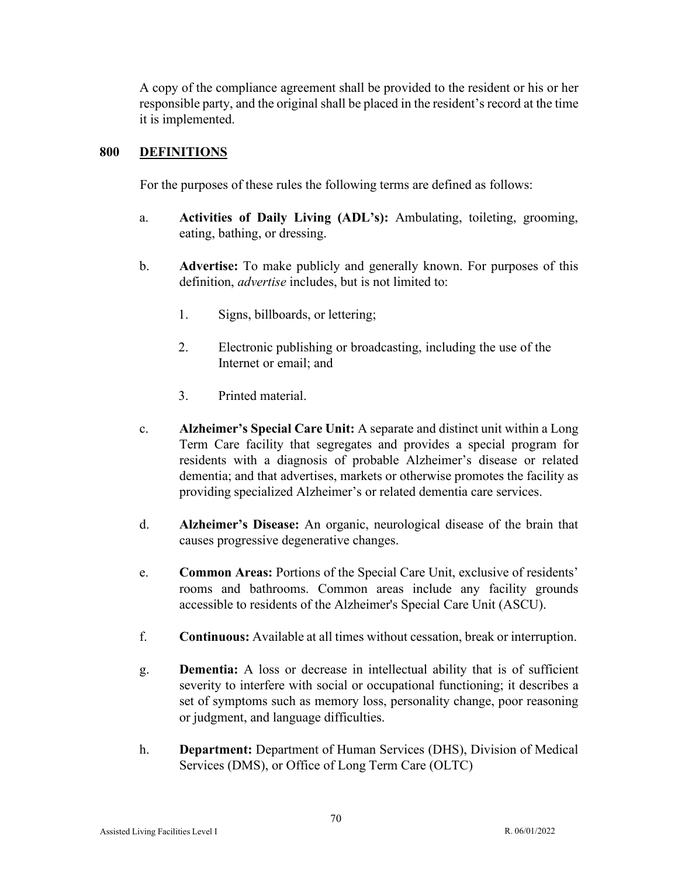A copy of the compliance agreement shall be provided to the resident or his or her responsible party, and the original shall be placed in the resident's record at the time it is implemented.

### **800 DEFINITIONS**

For the purposes of these rules the following terms are defined as follows:

- a. **Activities of Daily Living (ADL's):** Ambulating, toileting, grooming, eating, bathing, or dressing.
- b. **Advertise:** To make publicly and generally known. For purposes of this definition, *advertise* includes, but is not limited to:
	- 1. Signs, billboards, or lettering;
	- 2. Electronic publishing or broadcasting, including the use of the Internet or email; and
	- 3. Printed material.
- c. **Alzheimer's Special Care Unit:** A separate and distinct unit within a Long Term Care facility that segregates and provides a special program for residents with a diagnosis of probable Alzheimer's disease or related dementia; and that advertises, markets or otherwise promotes the facility as providing specialized Alzheimer's or related dementia care services.
- d. **Alzheimer's Disease:** An organic, neurological disease of the brain that causes progressive degenerative changes.
- e. **Common Areas:** Portions of the Special Care Unit, exclusive of residents' rooms and bathrooms. Common areas include any facility grounds accessible to residents of the Alzheimer's Special Care Unit (ASCU).
- f. **Continuous:** Available at all times without cessation, break or interruption.
- g. **Dementia:** A loss or decrease in intellectual ability that is of sufficient severity to interfere with social or occupational functioning; it describes a set of symptoms such as memory loss, personality change, poor reasoning or judgment, and language difficulties.
- h. **Department:** Department of Human Services (DHS), Division of Medical Services (DMS), or Office of Long Term Care (OLTC)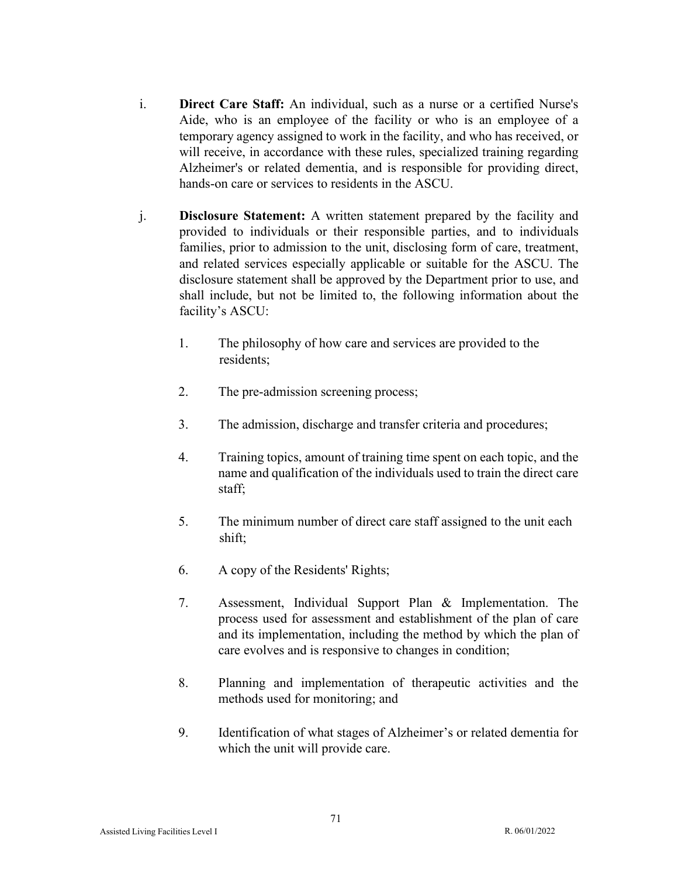- i. **Direct Care Staff:** An individual, such as a nurse or a certified Nurse's Aide, who is an employee of the facility or who is an employee of a temporary agency assigned to work in the facility, and who has received, or will receive, in accordance with these rules, specialized training regarding Alzheimer's or related dementia, and is responsible for providing direct, hands-on care or services to residents in the ASCU.
- j. **Disclosure Statement:** A written statement prepared by the facility and provided to individuals or their responsible parties, and to individuals families, prior to admission to the unit, disclosing form of care, treatment, and related services especially applicable or suitable for the ASCU. The disclosure statement shall be approved by the Department prior to use, and shall include, but not be limited to, the following information about the facility's ASCU:
	- 1. The philosophy of how care and services are provided to the residents;
	- 2. The pre-admission screening process;
	- 3. The admission, discharge and transfer criteria and procedures;
	- 4. Training topics, amount of training time spent on each topic, and the name and qualification of the individuals used to train the direct care staff;
	- 5. The minimum number of direct care staff assigned to the unit each shift;
	- 6. A copy of the Residents' Rights;
	- 7. Assessment, Individual Support Plan & Implementation. The process used for assessment and establishment of the plan of care and its implementation, including the method by which the plan of care evolves and is responsive to changes in condition;
	- 8. Planning and implementation of therapeutic activities and the methods used for monitoring; and
	- 9. Identification of what stages of Alzheimer's or related dementia for which the unit will provide care.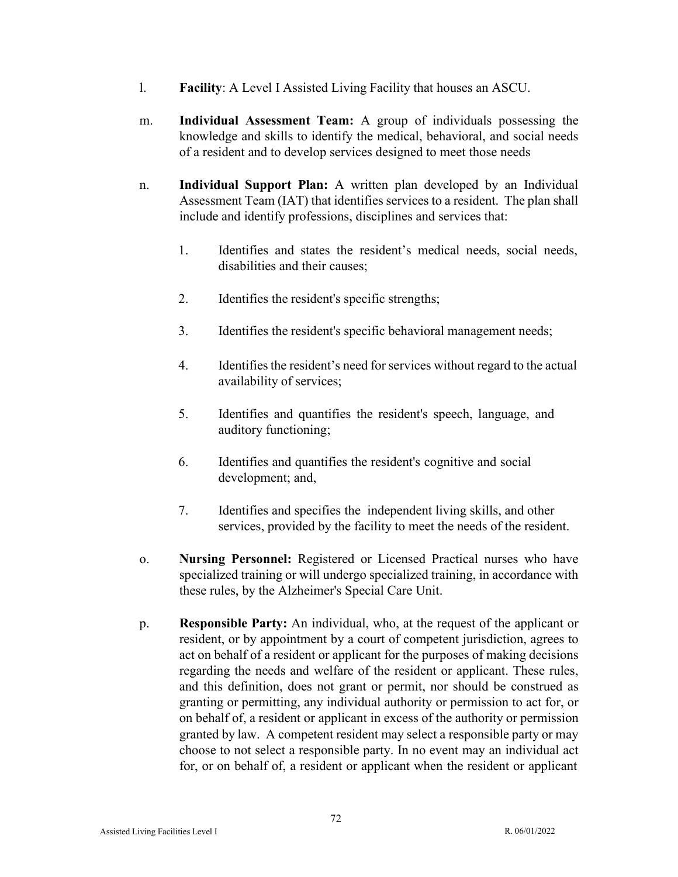- l. **Facility**: A Level I Assisted Living Facility that houses an ASCU.
- m. **Individual Assessment Team:** A group of individuals possessing the knowledge and skills to identify the medical, behavioral, and social needs of a resident and to develop services designed to meet those needs
- n. **Individual Support Plan:** A written plan developed by an Individual Assessment Team (IAT) that identifies services to a resident. The plan shall include and identify professions, disciplines and services that:
	- 1. Identifies and states the resident's medical needs, social needs, disabilities and their causes;
	- 2. Identifies the resident's specific strengths;
	- 3. Identifies the resident's specific behavioral management needs;
	- 4. Identifies the resident's need for services without regard to the actual availability of services;
	- 5. Identifies and quantifies the resident's speech, language, and auditory functioning;
	- 6. Identifies and quantifies the resident's cognitive and social development; and,
	- 7. Identifies and specifies the independent living skills, and other services, provided by the facility to meet the needs of the resident.
- o. **Nursing Personnel:** Registered or Licensed Practical nurses who have specialized training or will undergo specialized training, in accordance with these rules, by the Alzheimer's Special Care Unit.
- p. **Responsible Party:** An individual, who, at the request of the applicant or resident, or by appointment by a court of competent jurisdiction, agrees to act on behalf of a resident or applicant for the purposes of making decisions regarding the needs and welfare of the resident or applicant. These rules, and this definition, does not grant or permit, nor should be construed as granting or permitting, any individual authority or permission to act for, or on behalf of, a resident or applicant in excess of the authority or permission granted by law. A competent resident may select a responsible party or may choose to not select a responsible party. In no event may an individual act for, or on behalf of, a resident or applicant when the resident or applicant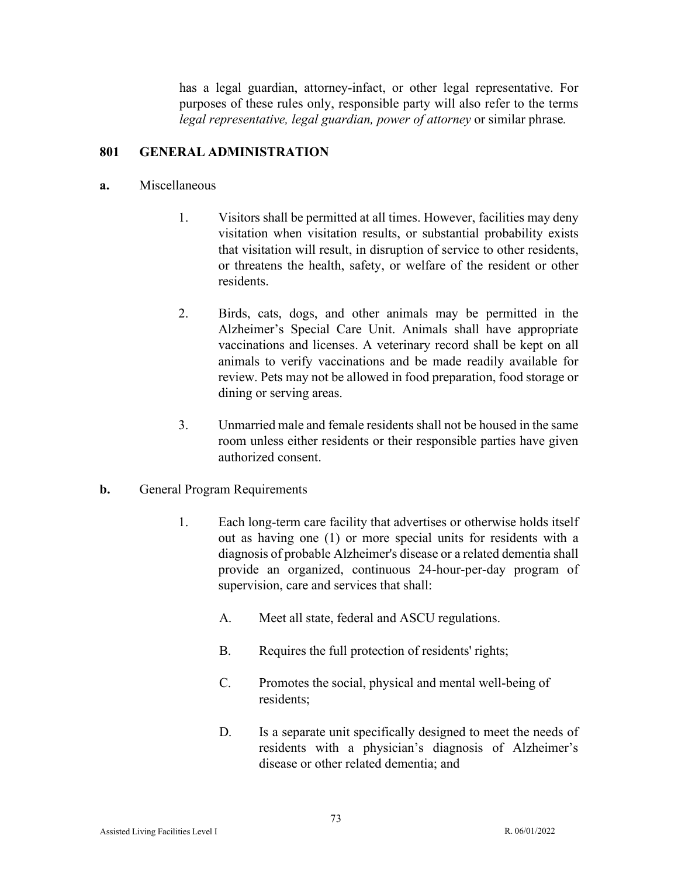has a legal guardian, attorney-infact, or other legal representative. For purposes of these rules only, responsible party will also refer to the terms *legal representative, legal guardian, power of attorney* or similar phrase*.*

### **801 GENERAL ADMINISTRATION**

### **a.** Miscellaneous

- 1. Visitors shall be permitted at all times. However, facilities may deny visitation when visitation results, or substantial probability exists that visitation will result, in disruption of service to other residents, or threatens the health, safety, or welfare of the resident or other residents.
- 2. Birds, cats, dogs, and other animals may be permitted in the Alzheimer's Special Care Unit. Animals shall have appropriate vaccinations and licenses. A veterinary record shall be kept on all animals to verify vaccinations and be made readily available for review. Pets may not be allowed in food preparation, food storage or dining or serving areas.
- 3. Unmarried male and female residents shall not be housed in the same room unless either residents or their responsible parties have given authorized consent.
- **b.** General Program Requirements
	- 1. Each long-term care facility that advertises or otherwise holds itself out as having one (1) or more special units for residents with a diagnosis of probable Alzheimer's disease or a related dementia shall provide an organized, continuous 24-hour-per-day program of supervision, care and services that shall:
		- A. Meet all state, federal and ASCU regulations.
		- B. Requires the full protection of residents' rights;
		- C. Promotes the social, physical and mental well-being of residents;
		- D. Is a separate unit specifically designed to meet the needs of residents with a physician's diagnosis of Alzheimer's disease or other related dementia; and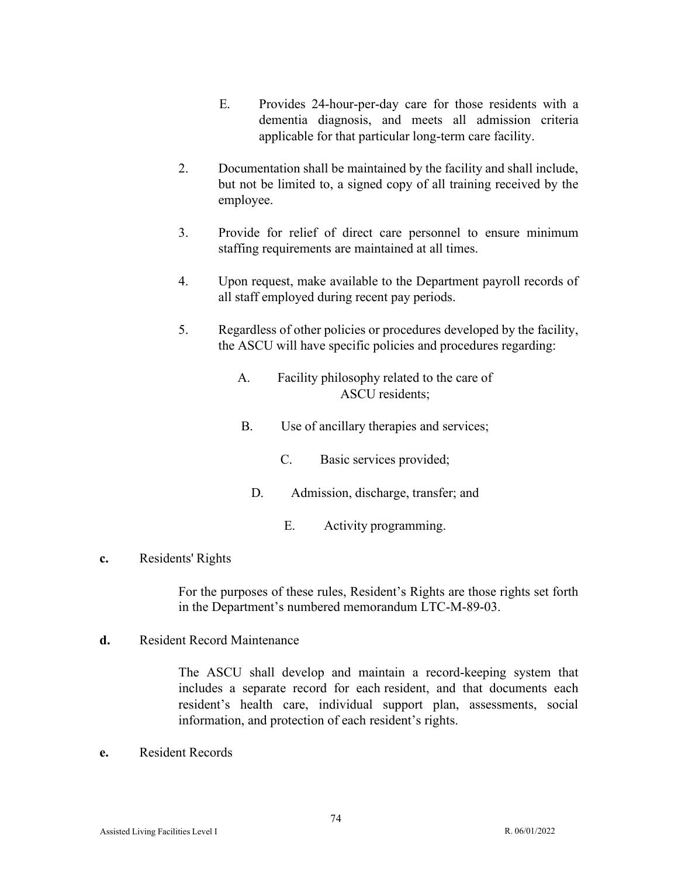- E. Provides 24-hour-per-day care for those residents with a dementia diagnosis, and meets all admission criteria applicable for that particular long-term care facility.
- 2. Documentation shall be maintained by the facility and shall include, but not be limited to, a signed copy of all training received by the employee.
- 3. Provide for relief of direct care personnel to ensure minimum staffing requirements are maintained at all times.
- 4. Upon request, make available to the Department payroll records of all staff employed during recent pay periods.
- 5. Regardless of other policies or procedures developed by the facility, the ASCU will have specific policies and procedures regarding:
	- A. Facility philosophy related to the care of ASCU residents;
	- B. Use of ancillary therapies and services;
		- C. Basic services provided;
		- D. Admission, discharge, transfer; and
			- E. Activity programming.
- **c.** Residents' Rights

For the purposes of these rules, Resident's Rights are those rights set forth in the Department's numbered memorandum LTC-M-89-03.

**d.** Resident Record Maintenance

The ASCU shall develop and maintain a record-keeping system that includes a separate record for each resident, and that documents each resident's health care, individual support plan, assessments, social information, and protection of each resident's rights.

**e.** Resident Records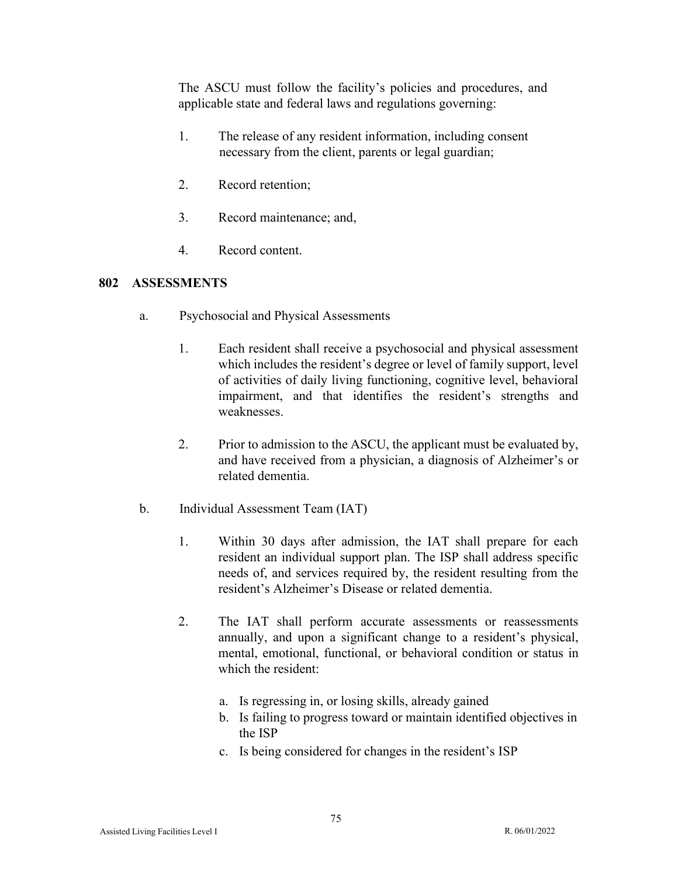The ASCU must follow the facility's policies and procedures, and applicable state and federal laws and regulations governing:

- 1. The release of any resident information, including consent necessary from the client, parents or legal guardian;
- 2. Record retention;
- 3. Record maintenance; and,
- 4. Record content.

## **802 ASSESSMENTS**

- a. Psychosocial and Physical Assessments
	- 1. Each resident shall receive a psychosocial and physical assessment which includes the resident's degree or level of family support, level of activities of daily living functioning, cognitive level, behavioral impairment, and that identifies the resident's strengths and weaknesses.
	- 2. Prior to admission to the ASCU, the applicant must be evaluated by, and have received from a physician, a diagnosis of Alzheimer's or related dementia.
- b. Individual Assessment Team (IAT)
	- 1. Within 30 days after admission, the IAT shall prepare for each resident an individual support plan. The ISP shall address specific needs of, and services required by, the resident resulting from the resident's Alzheimer's Disease or related dementia.
	- 2. The IAT shall perform accurate assessments or reassessments annually, and upon a significant change to a resident's physical, mental, emotional, functional, or behavioral condition or status in which the resident:
		- a. Is regressing in, or losing skills, already gained
		- b. Is failing to progress toward or maintain identified objectives in the ISP
		- c. Is being considered for changes in the resident's ISP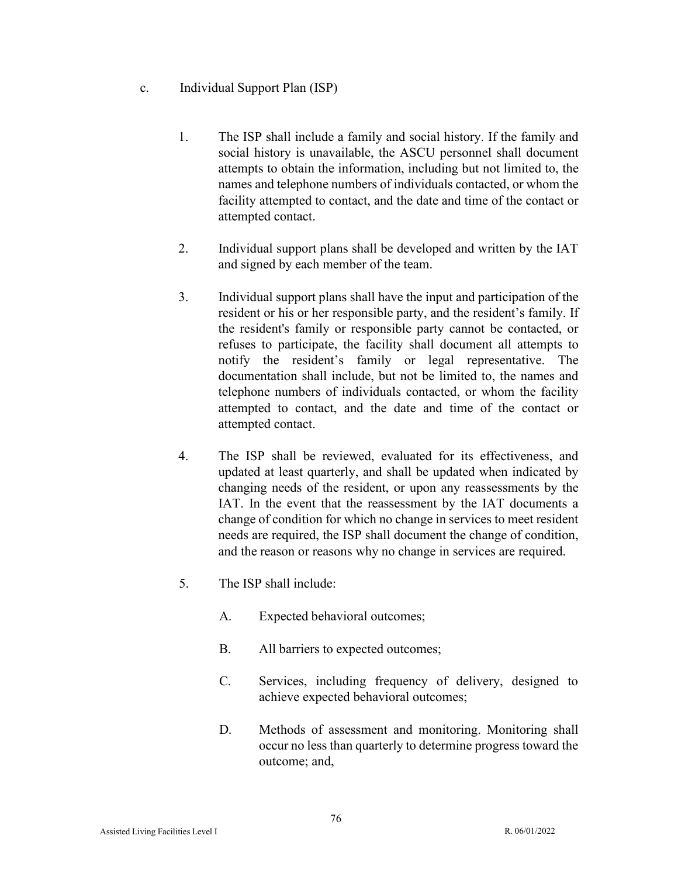- c. Individual Support Plan (ISP)
	- 1. The ISP shall include a family and social history. If the family and social history is unavailable, the ASCU personnel shall document attempts to obtain the information, including but not limited to, the names and telephone numbers of individuals contacted, or whom the facility attempted to contact, and the date and time of the contact or attempted contact.
	- 2. Individual support plans shall be developed and written by the IAT and signed by each member of the team.
	- 3. Individual support plans shall have the input and participation of the resident or his or her responsible party, and the resident's family. If the resident's family or responsible party cannot be contacted, or refuses to participate, the facility shall document all attempts to notify the resident's family or legal representative. The documentation shall include, but not be limited to, the names and telephone numbers of individuals contacted, or whom the facility attempted to contact, and the date and time of the contact or attempted contact.
	- 4. The ISP shall be reviewed, evaluated for its effectiveness, and updated at least quarterly, and shall be updated when indicated by changing needs of the resident, or upon any reassessments by the IAT. In the event that the reassessment by the IAT documents a change of condition for which no change in services to meet resident needs are required, the ISP shall document the change of condition, and the reason or reasons why no change in services are required.
	- 5. The ISP shall include:
		- A. Expected behavioral outcomes;
		- B. All barriers to expected outcomes;
		- C. Services, including frequency of delivery, designed to achieve expected behavioral outcomes;
		- D. Methods of assessment and monitoring. Monitoring shall occur no less than quarterly to determine progress toward the outcome; and,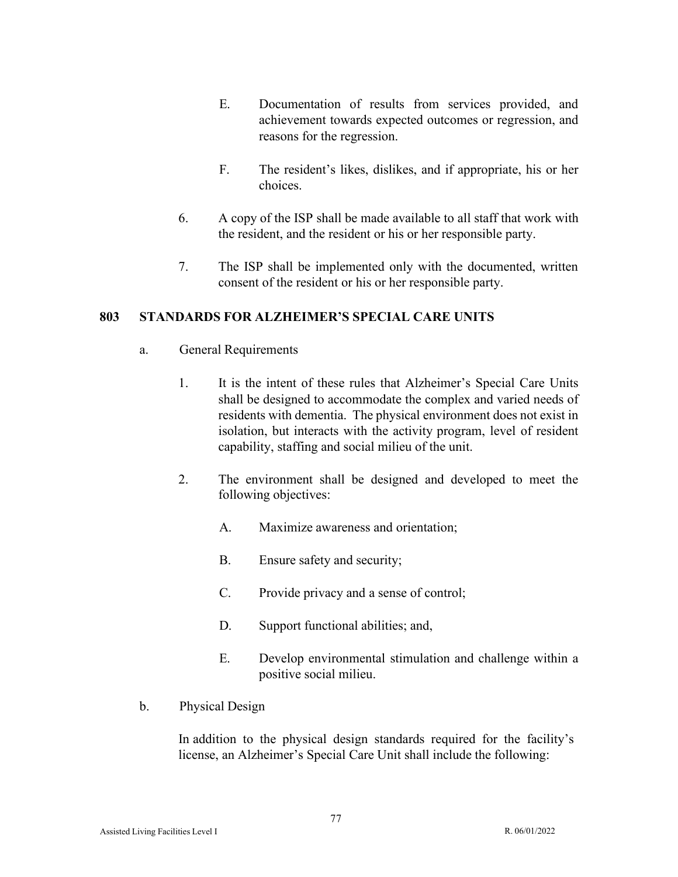- E. Documentation of results from services provided, and achievement towards expected outcomes or regression, and reasons for the regression.
- F. The resident's likes, dislikes, and if appropriate, his or her choices.
- 6. A copy of the ISP shall be made available to all staff that work with the resident, and the resident or his or her responsible party.
- 7. The ISP shall be implemented only with the documented, written consent of the resident or his or her responsible party.

# **803 STANDARDS FOR ALZHEIMER'S SPECIAL CARE UNITS**

### a. General Requirements

- 1. It is the intent of these rules that Alzheimer's Special Care Units shall be designed to accommodate the complex and varied needs of residents with dementia. The physical environment does not exist in isolation, but interacts with the activity program, level of resident capability, staffing and social milieu of the unit.
- 2. The environment shall be designed and developed to meet the following objectives:
	- A. Maximize awareness and orientation;
	- B. Ensure safety and security;
	- C. Provide privacy and a sense of control;
	- D. Support functional abilities; and,
	- E. Develop environmental stimulation and challenge within a positive social milieu.
- b. Physical Design

In addition to the physical design standards required for the facility's license, an Alzheimer's Special Care Unit shall include the following: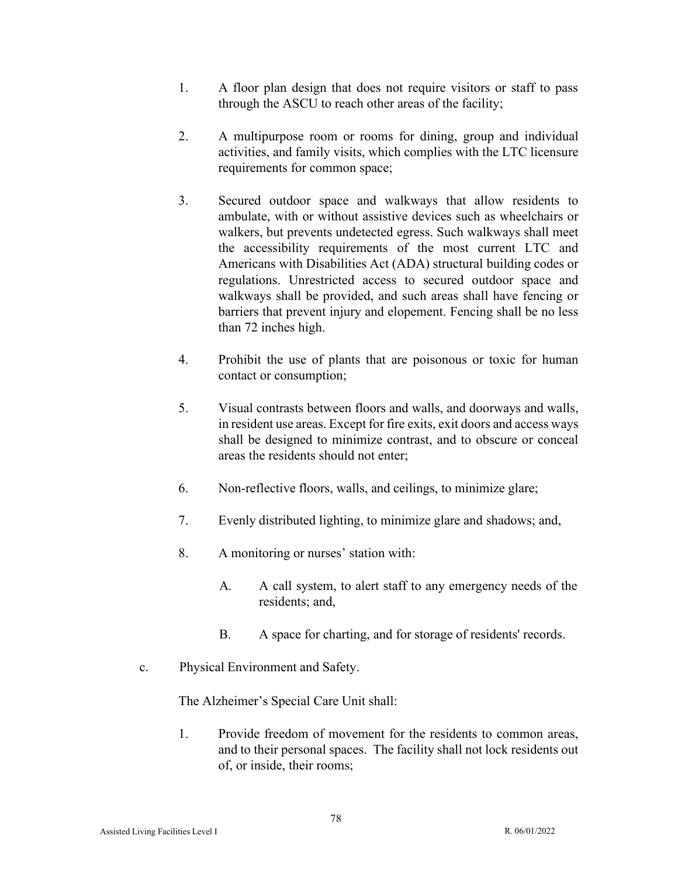- 1. A floor plan design that does not require visitors or staff to pass through the ASCU to reach other areas of the facility;
- 2. A multipurpose room or rooms for dining, group and individual activities, and family visits, which complies with the LTC licensure requirements for common space;
- 3. Secured outdoor space and walkways that allow residents to ambulate, with or without assistive devices such as wheelchairs or walkers, but prevents undetected egress. Such walkways shall meet the accessibility requirements of the most current LTC and Americans with Disabilities Act (ADA) structural building codes or regulations. Unrestricted access to secured outdoor space and walkways shall be provided, and such areas shall have fencing or barriers that prevent injury and elopement. Fencing shall be no less than 72 inches high.
- 4. Prohibit the use of plants that are poisonous or toxic for human contact or consumption;
- 5. Visual contrasts between floors and walls, and doorways and walls, in resident use areas. Except for fire exits, exit doors and access ways shall be designed to minimize contrast, and to obscure or conceal areas the residents should not enter;
- 6. Non-reflective floors, walls, and ceilings, to minimize glare;
- 7. Evenly distributed lighting, to minimize glare and shadows; and,
- 8. A monitoring or nurses' station with:
	- A. A call system, to alert staff to any emergency needs of the residents; and,
	- B. A space for charting, and for storage of residents' records.
- c. Physical Environment and Safety.

The Alzheimer's Special Care Unit shall:

1. Provide freedom of movement for the residents to common areas, and to their personal spaces. The facility shall not lock residents out of, or inside, their rooms;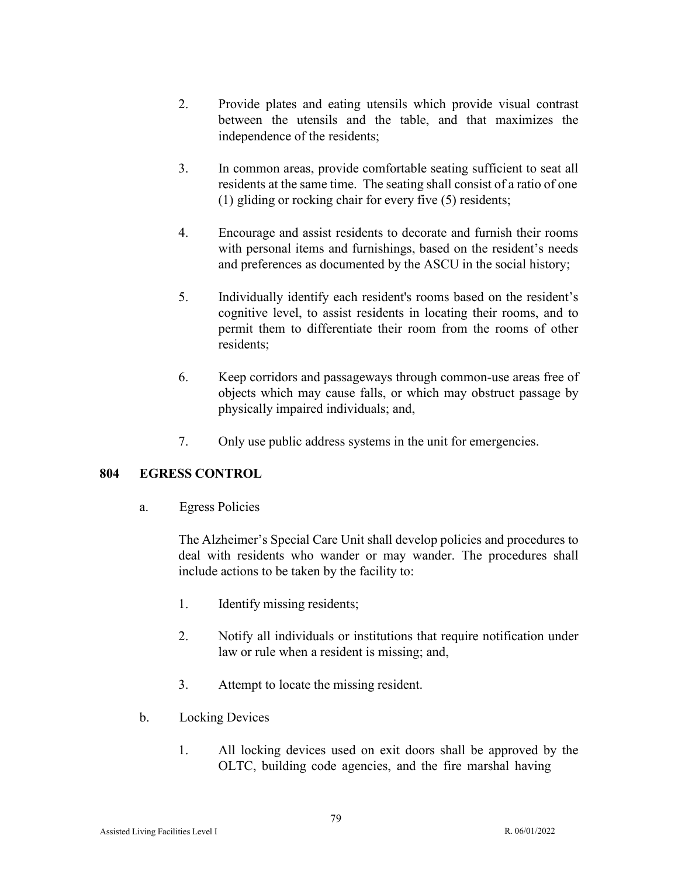- 2. Provide plates and eating utensils which provide visual contrast between the utensils and the table, and that maximizes the independence of the residents;
- 3. In common areas, provide comfortable seating sufficient to seat all residents at the same time. The seating shall consist of a ratio of one (1) gliding or rocking chair for every five (5) residents;
- 4. Encourage and assist residents to decorate and furnish their rooms with personal items and furnishings, based on the resident's needs and preferences as documented by the ASCU in the social history;
- 5. Individually identify each resident's rooms based on the resident's cognitive level, to assist residents in locating their rooms, and to permit them to differentiate their room from the rooms of other residents;
- 6. Keep corridors and passageways through common-use areas free of objects which may cause falls, or which may obstruct passage by physically impaired individuals; and,
- 7. Only use public address systems in the unit for emergencies.

# **804 EGRESS CONTROL**

a. Egress Policies

The Alzheimer's Special Care Unit shall develop policies and procedures to deal with residents who wander or may wander. The procedures shall include actions to be taken by the facility to:

- 1. Identify missing residents;
- 2. Notify all individuals or institutions that require notification under law or rule when a resident is missing; and,
- 3. Attempt to locate the missing resident.
- b. Locking Devices
	- 1. All locking devices used on exit doors shall be approved by the OLTC, building code agencies, and the fire marshal having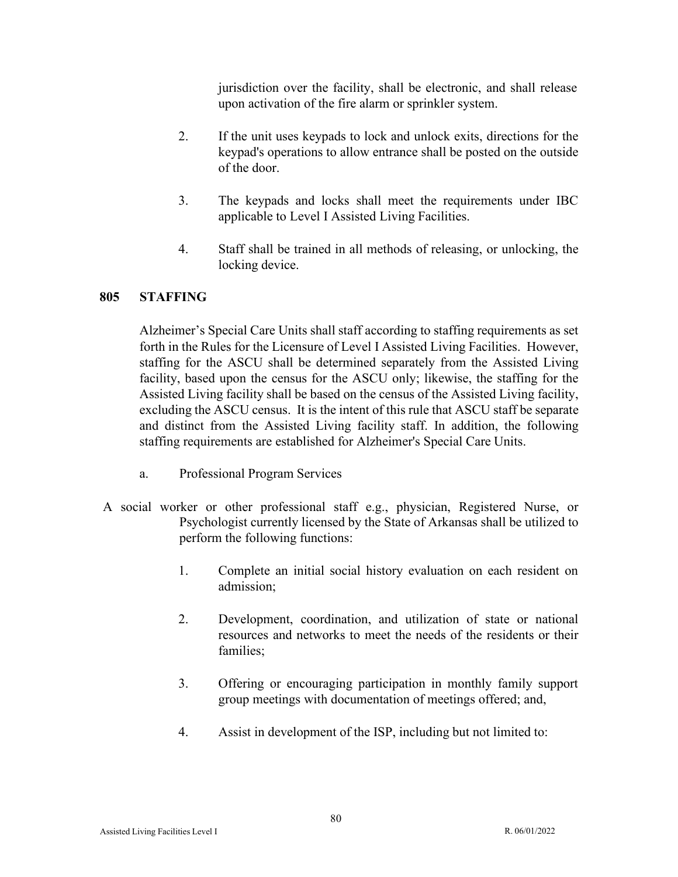jurisdiction over the facility, shall be electronic, and shall release upon activation of the fire alarm or sprinkler system.

- 2. If the unit uses keypads to lock and unlock exits, directions for the keypad's operations to allow entrance shall be posted on the outside of the door.
- 3. The keypads and locks shall meet the requirements under IBC applicable to Level I Assisted Living Facilities.
- 4. Staff shall be trained in all methods of releasing, or unlocking, the locking device.

# **805 STAFFING**

Alzheimer's Special Care Units shall staff according to staffing requirements as set forth in the Rules for the Licensure of Level I Assisted Living Facilities. However, staffing for the ASCU shall be determined separately from the Assisted Living facility, based upon the census for the ASCU only; likewise, the staffing for the Assisted Living facility shall be based on the census of the Assisted Living facility, excluding the ASCU census. It is the intent of this rule that ASCU staff be separate and distinct from the Assisted Living facility staff. In addition, the following staffing requirements are established for Alzheimer's Special Care Units.

- a. Professional Program Services
- A social worker or other professional staff e.g., physician, Registered Nurse, or Psychologist currently licensed by the State of Arkansas shall be utilized to perform the following functions:
	- 1. Complete an initial social history evaluation on each resident on admission;
	- 2. Development, coordination, and utilization of state or national resources and networks to meet the needs of the residents or their families;
	- 3. Offering or encouraging participation in monthly family support group meetings with documentation of meetings offered; and,
	- 4. Assist in development of the ISP, including but not limited to: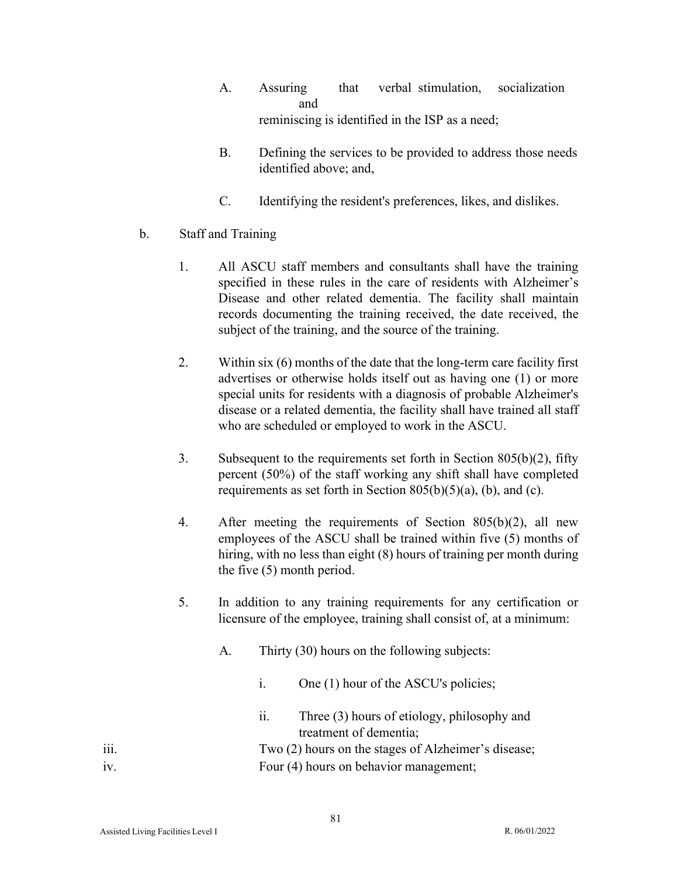- A. Assuring that verbal stimulation, socialization and reminiscing is identified in the ISP as a need;
- B. Defining the services to be provided to address those needs identified above; and,
- C. Identifying the resident's preferences, likes, and dislikes.
- b. Staff and Training
	- 1. All ASCU staff members and consultants shall have the training specified in these rules in the care of residents with Alzheimer's Disease and other related dementia. The facility shall maintain records documenting the training received, the date received, the subject of the training, and the source of the training.
	- 2. Within six (6) months of the date that the long-term care facility first advertises or otherwise holds itself out as having one (1) or more special units for residents with a diagnosis of probable Alzheimer's disease or a related dementia, the facility shall have trained all staff who are scheduled or employed to work in the ASCU.
	- 3. Subsequent to the requirements set forth in Section 805(b)(2), fifty percent (50%) of the staff working any shift shall have completed requirements as set forth in Section  $805(b)(5)(a)$ , (b), and (c).
	- 4. After meeting the requirements of Section 805(b)(2), all new employees of the ASCU shall be trained within five (5) months of hiring, with no less than eight (8) hours of training per month during the five (5) month period.
	- 5. In addition to any training requirements for any certification or licensure of the employee, training shall consist of, at a minimum:
		- A. Thirty (30) hours on the following subjects:
			- i. One (1) hour of the ASCU's policies;
- ii. Three (3) hours of etiology, philosophy and treatment of dementia; iii. Two (2) hours on the stages of Alzheimer's disease; iv. Four (4) hours on behavior management;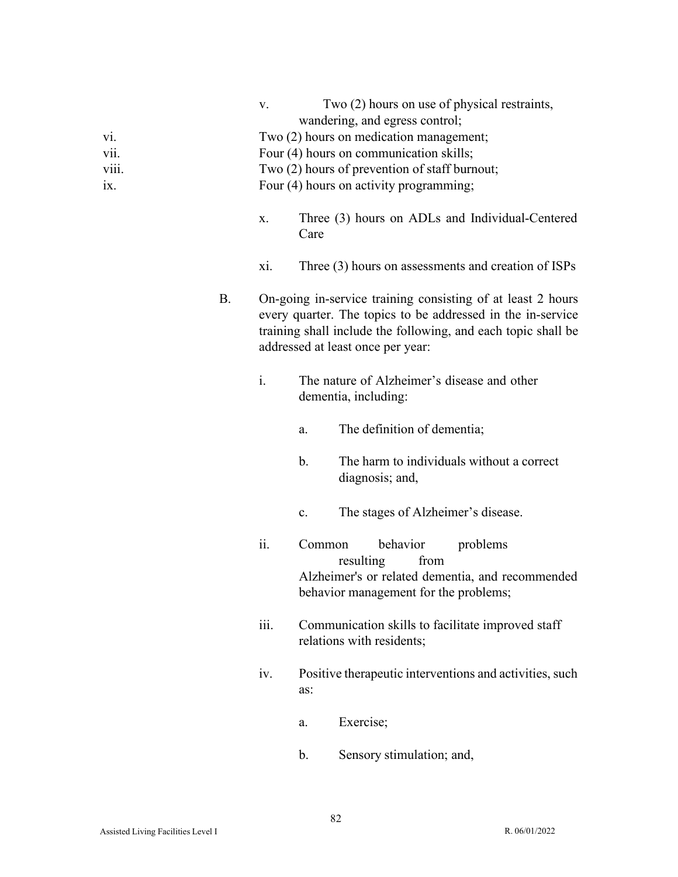| Vİ.<br>vii.<br>V111.<br>ix. |           | V.                | Two (2) hours on use of physical restraints,<br>wandering, and egress control;<br>Two (2) hours on medication management;<br>Four (4) hours on communication skills;<br>Two (2) hours of prevention of staff burnout;<br>Four (4) hours on activity programming; |
|-----------------------------|-----------|-------------------|------------------------------------------------------------------------------------------------------------------------------------------------------------------------------------------------------------------------------------------------------------------|
|                             |           | X.                | Three (3) hours on ADLs and Individual-Centered<br>Care                                                                                                                                                                                                          |
|                             |           | xi.               | Three $(3)$ hours on assessments and creation of ISPs                                                                                                                                                                                                            |
|                             | <b>B.</b> |                   | On-going in-service training consisting of at least 2 hours<br>every quarter. The topics to be addressed in the in-service<br>training shall include the following, and each topic shall be<br>addressed at least once per year:                                 |
|                             |           | $\mathbf{i}$ .    | The nature of Alzheimer's disease and other<br>dementia, including:                                                                                                                                                                                              |
|                             |           |                   | The definition of dementia;<br>a.                                                                                                                                                                                                                                |
|                             |           |                   | The harm to individuals without a correct<br>$\mathbf{b}$ .<br>diagnosis; and,                                                                                                                                                                                   |
|                             |           |                   | The stages of Alzheimer's disease.<br>$\mathbf{c}$ .                                                                                                                                                                                                             |
|                             |           | $\overline{11}$ . | behavior<br>problems<br>Common<br>resulting<br>from<br>Alzheimer's or related dementia, and recommended<br>behavior management for the problems;                                                                                                                 |
|                             |           | iii.              | Communication skills to facilitate improved staff<br>relations with residents;                                                                                                                                                                                   |
|                             |           | iv.               | Positive therapeutic interventions and activities, such<br>as:                                                                                                                                                                                                   |
|                             |           |                   | Exercise;<br>a.                                                                                                                                                                                                                                                  |
|                             |           |                   | Sensory stimulation; and,<br>b.                                                                                                                                                                                                                                  |
|                             |           |                   |                                                                                                                                                                                                                                                                  |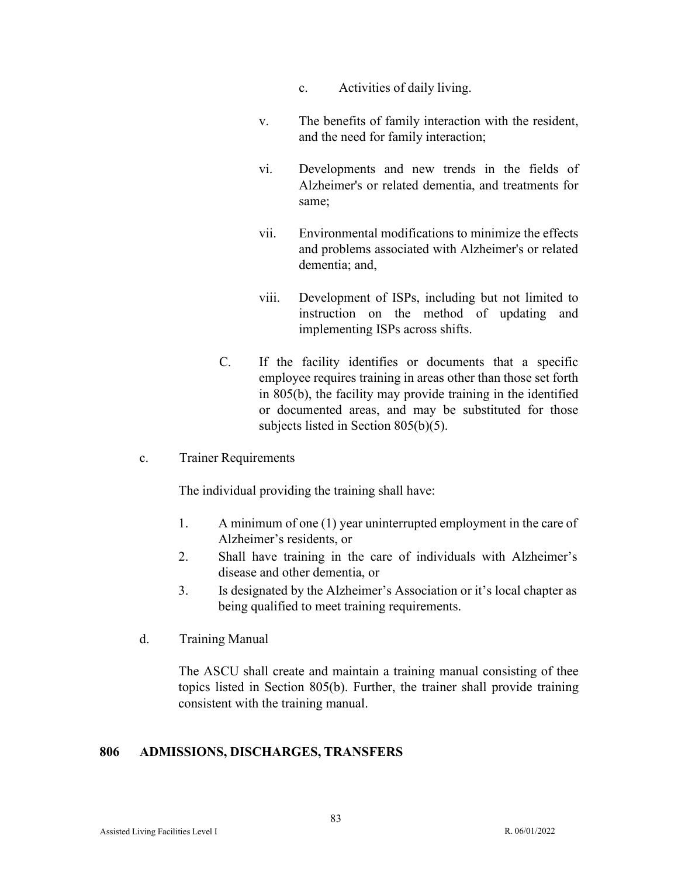- c. Activities of daily living.
- v. The benefits of family interaction with the resident, and the need for family interaction;
- vi. Developments and new trends in the fields of Alzheimer's or related dementia, and treatments for same;
- vii. Environmental modifications to minimize the effects and problems associated with Alzheimer's or related dementia; and,
- viii. Development of ISPs, including but not limited to instruction on the method of updating and implementing ISPs across shifts.
- C. If the facility identifies or documents that a specific employee requires training in areas other than those set forth in 805(b), the facility may provide training in the identified or documented areas, and may be substituted for those subjects listed in Section 805(b)(5).
- c. Trainer Requirements

The individual providing the training shall have:

- 1. A minimum of one (1) year uninterrupted employment in the care of Alzheimer's residents, or
- 2. Shall have training in the care of individuals with Alzheimer's disease and other dementia, or
- 3. Is designated by the Alzheimer's Association or it's local chapter as being qualified to meet training requirements.
- d. Training Manual

The ASCU shall create and maintain a training manual consisting of thee topics listed in Section 805(b). Further, the trainer shall provide training consistent with the training manual.

### **806 ADMISSIONS, DISCHARGES, TRANSFERS**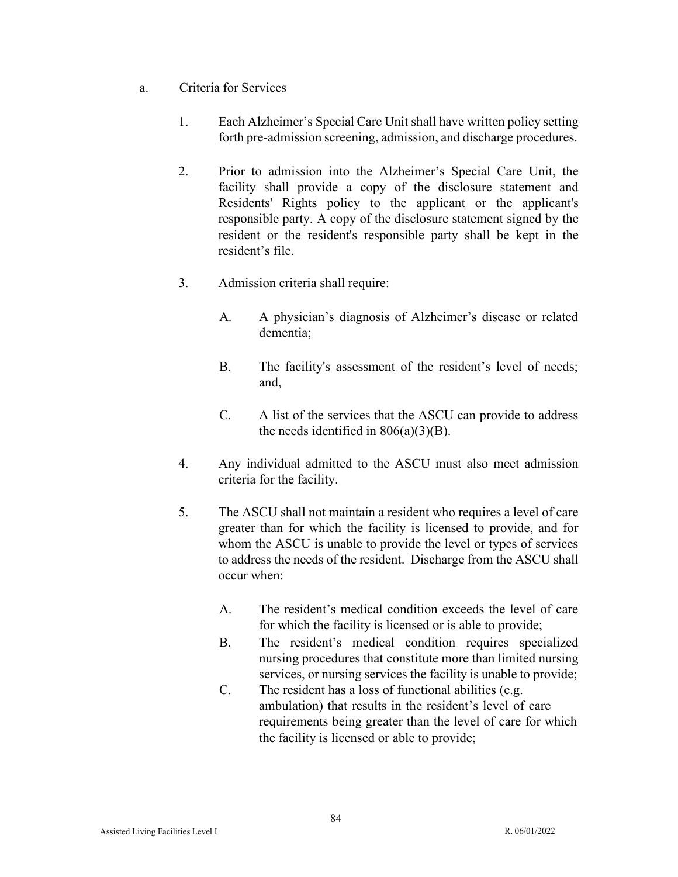- a. Criteria for Services
	- 1. Each Alzheimer's Special Care Unit shall have written policy setting forth pre-admission screening, admission, and discharge procedures.
	- 2. Prior to admission into the Alzheimer's Special Care Unit, the facility shall provide a copy of the disclosure statement and Residents' Rights policy to the applicant or the applicant's responsible party. A copy of the disclosure statement signed by the resident or the resident's responsible party shall be kept in the resident's file.
	- 3. Admission criteria shall require:
		- A. A physician's diagnosis of Alzheimer's disease or related dementia;
		- B. The facility's assessment of the resident's level of needs; and,
		- C. A list of the services that the ASCU can provide to address the needs identified in  $806(a)(3)(B)$ .
	- 4. Any individual admitted to the ASCU must also meet admission criteria for the facility.
	- 5. The ASCU shall not maintain a resident who requires a level of care greater than for which the facility is licensed to provide, and for whom the ASCU is unable to provide the level or types of services to address the needs of the resident. Discharge from the ASCU shall occur when:
		- A. The resident's medical condition exceeds the level of care for which the facility is licensed or is able to provide;
		- B. The resident's medical condition requires specialized nursing procedures that constitute more than limited nursing services, or nursing services the facility is unable to provide;
		- C. The resident has a loss of functional abilities (e.g. ambulation) that results in the resident's level of care requirements being greater than the level of care for which the facility is licensed or able to provide;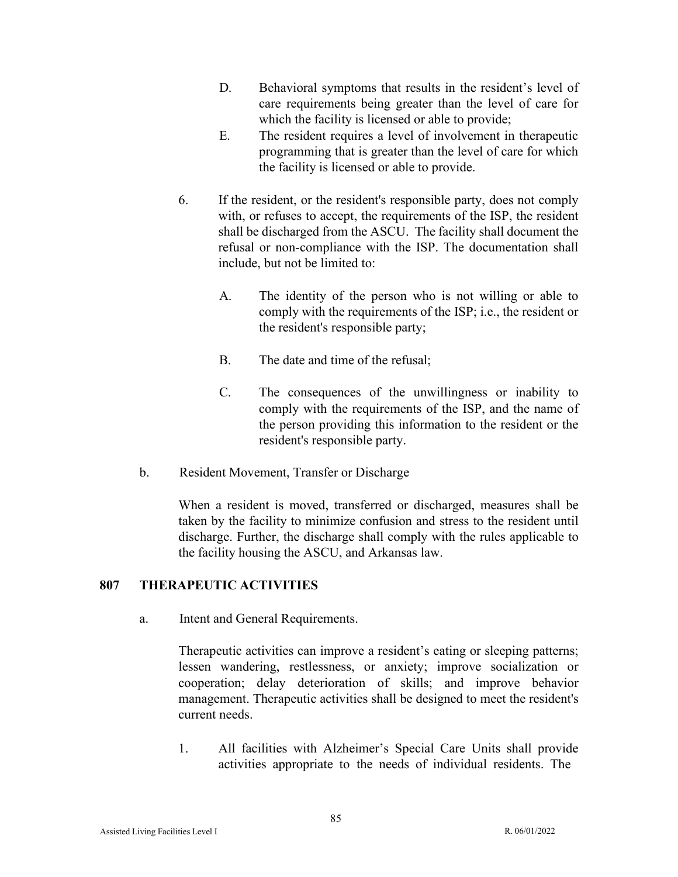- D. Behavioral symptoms that results in the resident's level of care requirements being greater than the level of care for which the facility is licensed or able to provide;
- E. The resident requires a level of involvement in therapeutic programming that is greater than the level of care for which the facility is licensed or able to provide.
- 6. If the resident, or the resident's responsible party, does not comply with, or refuses to accept, the requirements of the ISP, the resident shall be discharged from the ASCU. The facility shall document the refusal or non-compliance with the ISP. The documentation shall include, but not be limited to:
	- A. The identity of the person who is not willing or able to comply with the requirements of the ISP; i.e., the resident or the resident's responsible party;
	- B. The date and time of the refusal;
	- C. The consequences of the unwillingness or inability to comply with the requirements of the ISP, and the name of the person providing this information to the resident or the resident's responsible party.
- b. Resident Movement, Transfer or Discharge

When a resident is moved, transferred or discharged, measures shall be taken by the facility to minimize confusion and stress to the resident until discharge. Further, the discharge shall comply with the rules applicable to the facility housing the ASCU, and Arkansas law.

# **807 THERAPEUTIC ACTIVITIES**

a. Intent and General Requirements.

Therapeutic activities can improve a resident's eating or sleeping patterns; lessen wandering, restlessness, or anxiety; improve socialization or cooperation; delay deterioration of skills; and improve behavior management. Therapeutic activities shall be designed to meet the resident's current needs.

1. All facilities with Alzheimer's Special Care Units shall provide activities appropriate to the needs of individual residents. The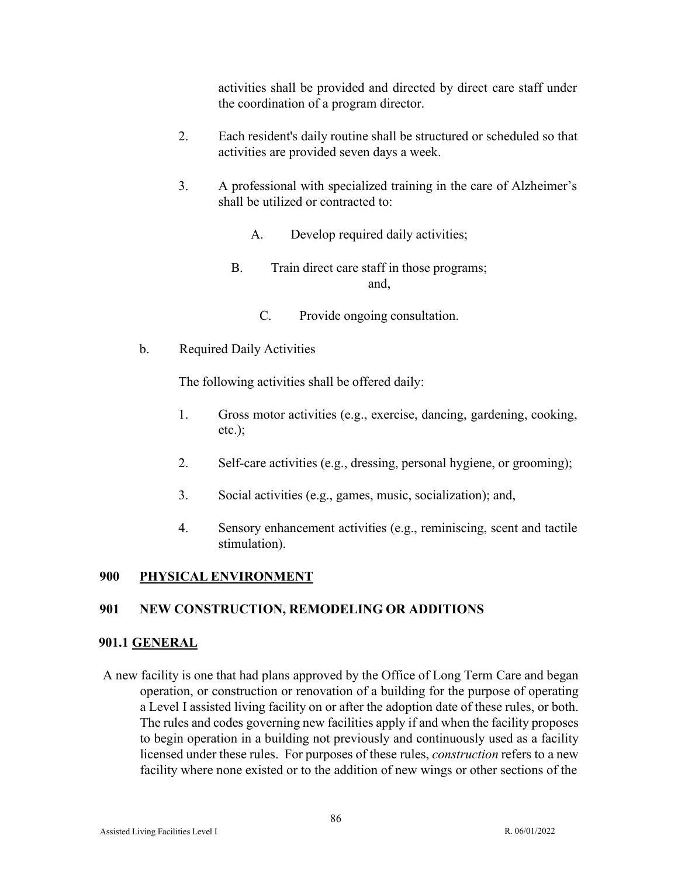activities shall be provided and directed by direct care staff under the coordination of a program director.

- 2. Each resident's daily routine shall be structured or scheduled so that activities are provided seven days a week.
- 3. A professional with specialized training in the care of Alzheimer's shall be utilized or contracted to:
	- A. Develop required daily activities;
	- B. Train direct care staff in those programs; and,
		- C. Provide ongoing consultation.
- b. Required Daily Activities

The following activities shall be offered daily:

- 1. Gross motor activities (e.g., exercise, dancing, gardening, cooking, etc.);
- 2. Self-care activities (e.g., dressing, personal hygiene, or grooming);
- 3. Social activities (e.g., games, music, socialization); and,
- 4. Sensory enhancement activities (e.g., reminiscing, scent and tactile stimulation).

# **900 PHYSICAL ENVIRONMENT**

# **901 NEW CONSTRUCTION, REMODELING OR ADDITIONS**

### **901.1 GENERAL**

A new facility is one that had plans approved by the Office of Long Term Care and began operation, or construction or renovation of a building for the purpose of operating a Level I assisted living facility on or after the adoption date of these rules, or both. The rules and codes governing new facilities apply if and when the facility proposes to begin operation in a building not previously and continuously used as a facility licensed under these rules. For purposes of these rules, *construction* refers to a new facility where none existed or to the addition of new wings or other sections of the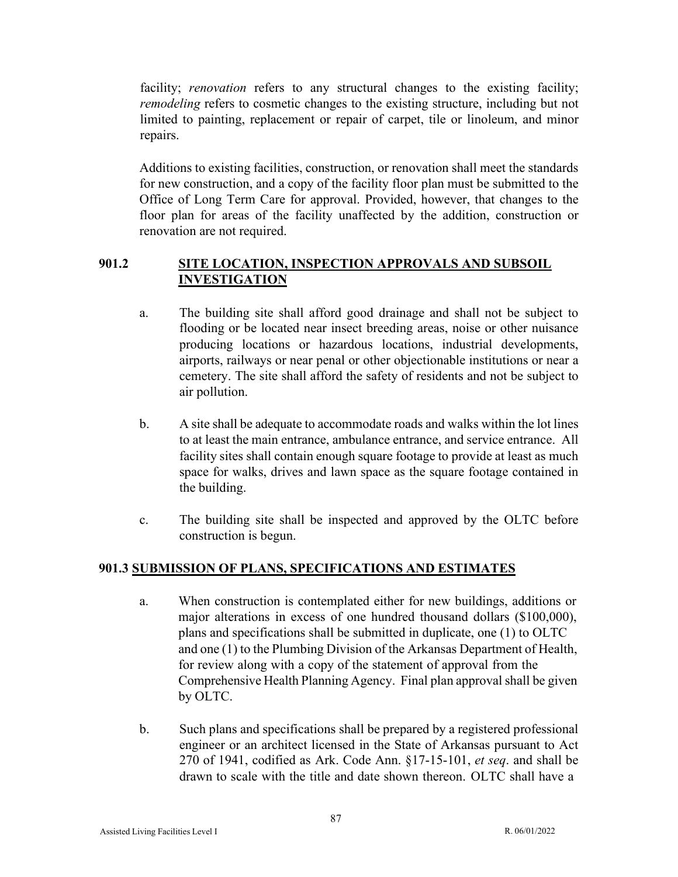facility; *renovation* refers to any structural changes to the existing facility; *remodeling* refers to cosmetic changes to the existing structure, including but not limited to painting, replacement or repair of carpet, tile or linoleum, and minor repairs.

Additions to existing facilities, construction, or renovation shall meet the standards for new construction, and a copy of the facility floor plan must be submitted to the Office of Long Term Care for approval. Provided, however, that changes to the floor plan for areas of the facility unaffected by the addition, construction or renovation are not required.

# **901.2 SITE LOCATION, INSPECTION APPROVALS AND SUBSOIL INVESTIGATION**

- a. The building site shall afford good drainage and shall not be subject to flooding or be located near insect breeding areas, noise or other nuisance producing locations or hazardous locations, industrial developments, airports, railways or near penal or other objectionable institutions or near a cemetery. The site shall afford the safety of residents and not be subject to air pollution.
- b. A site shall be adequate to accommodate roads and walks within the lot lines to at least the main entrance, ambulance entrance, and service entrance. All facility sites shall contain enough square footage to provide at least as much space for walks, drives and lawn space as the square footage contained in the building.
- c. The building site shall be inspected and approved by the OLTC before construction is begun.

# **901.3 SUBMISSION OF PLANS, SPECIFICATIONS AND ESTIMATES**

- a. When construction is contemplated either for new buildings, additions or major alterations in excess of one hundred thousand dollars (\$100,000), plans and specifications shall be submitted in duplicate, one (1) to OLTC and one (1) to the Plumbing Division of the Arkansas Department of Health, for review along with a copy of the statement of approval from the Comprehensive Health Planning Agency. Final plan approval shall be given by OLTC.
- b. Such plans and specifications shall be prepared by a registered professional engineer or an architect licensed in the State of Arkansas pursuant to Act 270 of 1941, codified as Ark. Code Ann. §17-15-101, *et seq*. and shall be drawn to scale with the title and date shown thereon. OLTC shall have a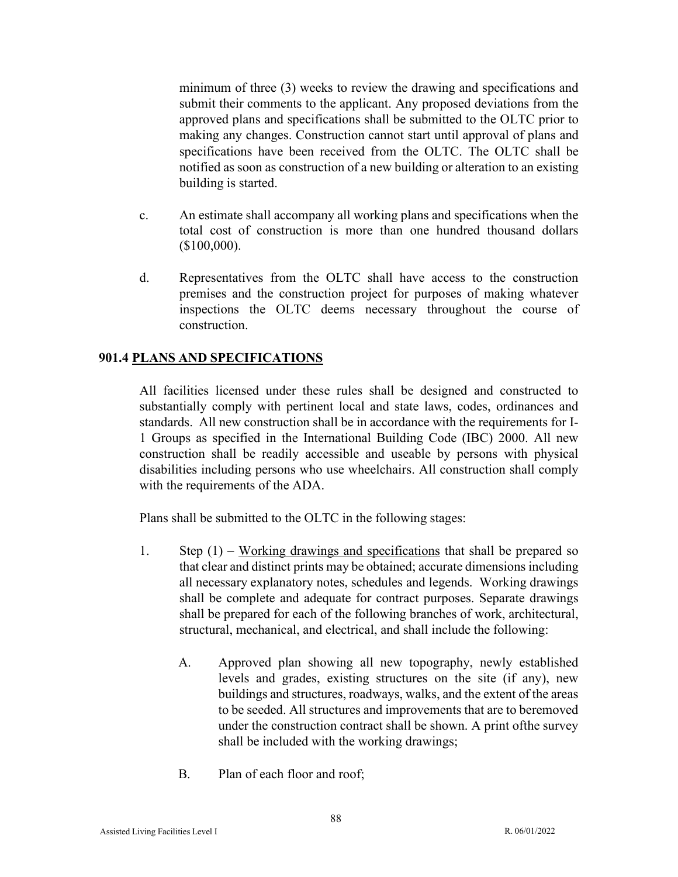minimum of three (3) weeks to review the drawing and specifications and submit their comments to the applicant. Any proposed deviations from the approved plans and specifications shall be submitted to the OLTC prior to making any changes. Construction cannot start until approval of plans and specifications have been received from the OLTC. The OLTC shall be notified as soon as construction of a new building or alteration to an existing building is started.

- c. An estimate shall accompany all working plans and specifications when the total cost of construction is more than one hundred thousand dollars (\$100,000).
- d. Representatives from the OLTC shall have access to the construction premises and the construction project for purposes of making whatever inspections the OLTC deems necessary throughout the course of construction.

# **901.4 PLANS AND SPECIFICATIONS**

All facilities licensed under these rules shall be designed and constructed to substantially comply with pertinent local and state laws, codes, ordinances and standards. All new construction shall be in accordance with the requirements for I-1 Groups as specified in the International Building Code (IBC) 2000. All new construction shall be readily accessible and useable by persons with physical disabilities including persons who use wheelchairs. All construction shall comply with the requirements of the ADA.

Plans shall be submitted to the OLTC in the following stages:

- 1. Step (1) Working drawings and specifications that shall be prepared so that clear and distinct prints may be obtained; accurate dimensions including all necessary explanatory notes, schedules and legends. Working drawings shall be complete and adequate for contract purposes. Separate drawings shall be prepared for each of the following branches of work, architectural, structural, mechanical, and electrical, and shall include the following:
	- A. Approved plan showing all new topography, newly established levels and grades, existing structures on the site (if any), new buildings and structures, roadways, walks, and the extent of the areas to be seeded. All structures and improvements that are to beremoved under the construction contract shall be shown. A print of the survey shall be included with the working drawings;
	- B. Plan of each floor and roof;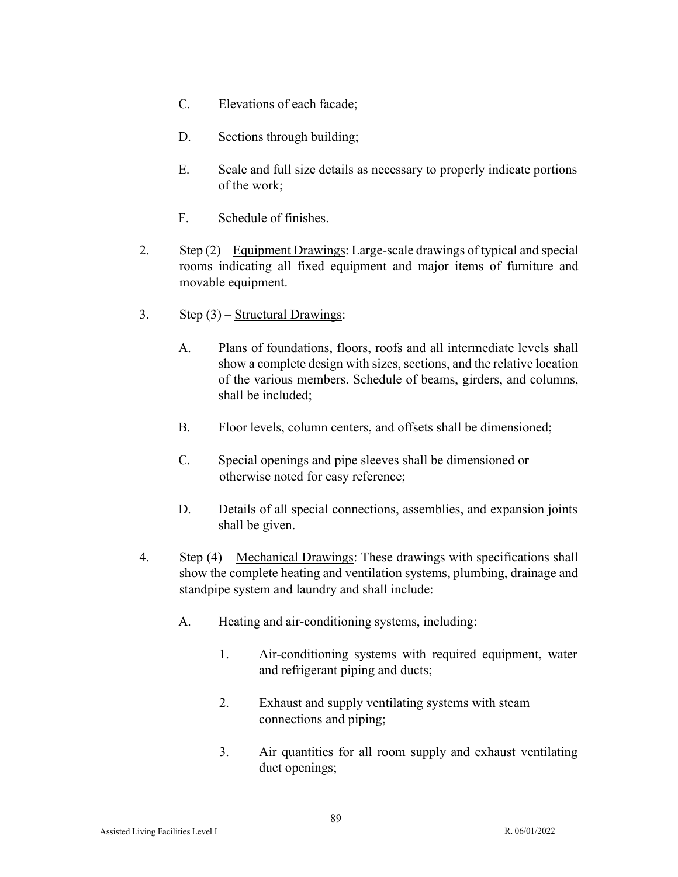- C. Elevations of each facade;
- D. Sections through building;
- E. Scale and full size details as necessary to properly indicate portions of the work;
- F. Schedule of finishes.
- 2. Step (2) Equipment Drawings: Large-scale drawings of typical and special rooms indicating all fixed equipment and major items of furniture and movable equipment.
- 3. Step (3) Structural Drawings:
	- A. Plans of foundations, floors, roofs and all intermediate levels shall show a complete design with sizes, sections, and the relative location of the various members. Schedule of beams, girders, and columns, shall be included;
	- B. Floor levels, column centers, and offsets shall be dimensioned;
	- C. Special openings and pipe sleeves shall be dimensioned or otherwise noted for easy reference;
	- D. Details of all special connections, assemblies, and expansion joints shall be given.
- 4. Step (4) Mechanical Drawings: These drawings with specifications shall show the complete heating and ventilation systems, plumbing, drainage and standpipe system and laundry and shall include:
	- A. Heating and air-conditioning systems, including:
		- 1. Air-conditioning systems with required equipment, water and refrigerant piping and ducts;
		- 2. Exhaust and supply ventilating systems with steam connections and piping;
		- 3. Air quantities for all room supply and exhaust ventilating duct openings;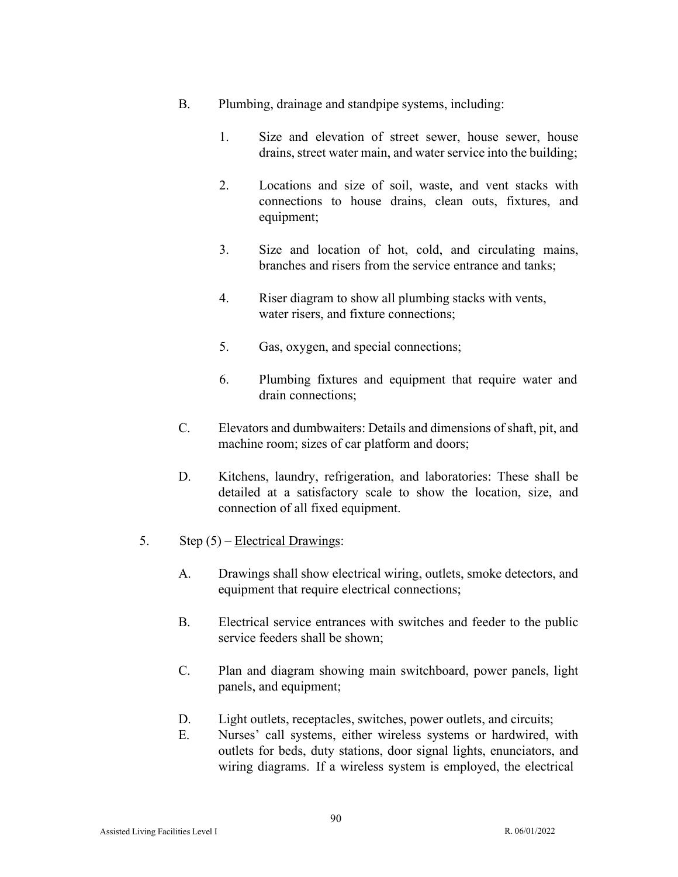- B. Plumbing, drainage and standpipe systems, including:
	- 1. Size and elevation of street sewer, house sewer, house drains, street water main, and water service into the building;
	- 2. Locations and size of soil, waste, and vent stacks with connections to house drains, clean outs, fixtures, and equipment;
	- 3. Size and location of hot, cold, and circulating mains, branches and risers from the service entrance and tanks;
	- 4. Riser diagram to show all plumbing stacks with vents, water risers, and fixture connections;
	- 5. Gas, oxygen, and special connections;
	- 6. Plumbing fixtures and equipment that require water and drain connections;
- C. Elevators and dumbwaiters: Details and dimensions of shaft, pit, and machine room; sizes of car platform and doors;
- D. Kitchens, laundry, refrigeration, and laboratories: These shall be detailed at a satisfactory scale to show the location, size, and connection of all fixed equipment.
- 5. Step (5) Electrical Drawings:
	- A. Drawings shall show electrical wiring, outlets, smoke detectors, and equipment that require electrical connections;
	- B. Electrical service entrances with switches and feeder to the public service feeders shall be shown;
	- C. Plan and diagram showing main switchboard, power panels, light panels, and equipment;
	- D. Light outlets, receptacles, switches, power outlets, and circuits;
	- E. Nurses' call systems, either wireless systems or hardwired, with outlets for beds, duty stations, door signal lights, enunciators, and wiring diagrams. If a wireless system is employed, the electrical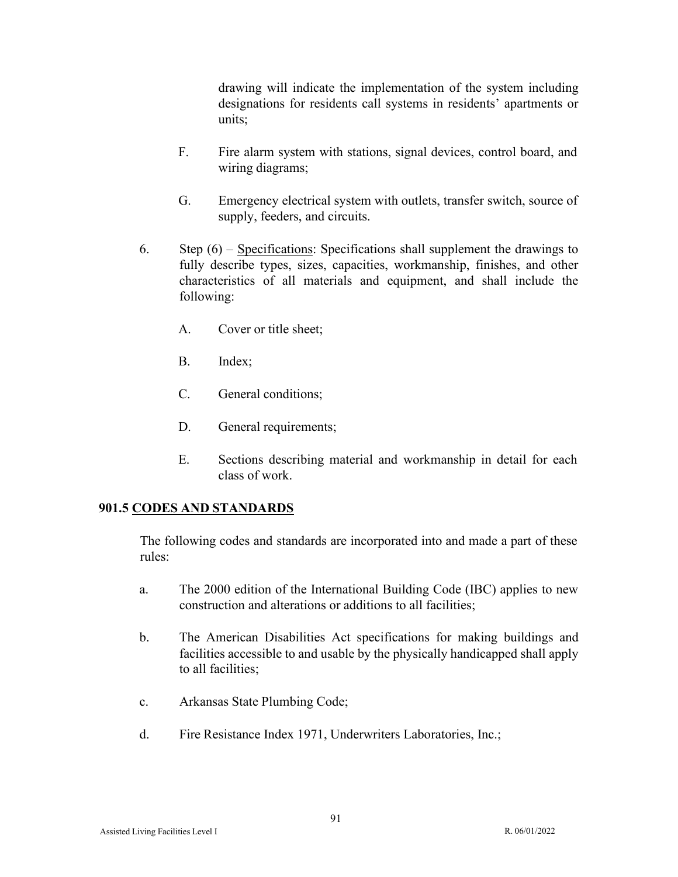drawing will indicate the implementation of the system including designations for residents call systems in residents' apartments or units;

- F. Fire alarm system with stations, signal devices, control board, and wiring diagrams;
- G. Emergency electrical system with outlets, transfer switch, source of supply, feeders, and circuits.
- 6. Step  $(6)$  Specifications: Specifications shall supplement the drawings to fully describe types, sizes, capacities, workmanship, finishes, and other characteristics of all materials and equipment, and shall include the following:
	- A. Cover or title sheet;
	- B. Index;
	- C. General conditions;
	- D. General requirements;
	- E. Sections describing material and workmanship in detail for each class of work.

### **901.5 CODES AND STANDARDS**

The following codes and standards are incorporated into and made a part of these rules:

- a. The 2000 edition of the International Building Code (IBC) applies to new construction and alterations or additions to all facilities;
- b. The American Disabilities Act specifications for making buildings and facilities accessible to and usable by the physically handicapped shall apply to all facilities;
- c. Arkansas State Plumbing Code;
- d. Fire Resistance Index 1971, Underwriters Laboratories, Inc.;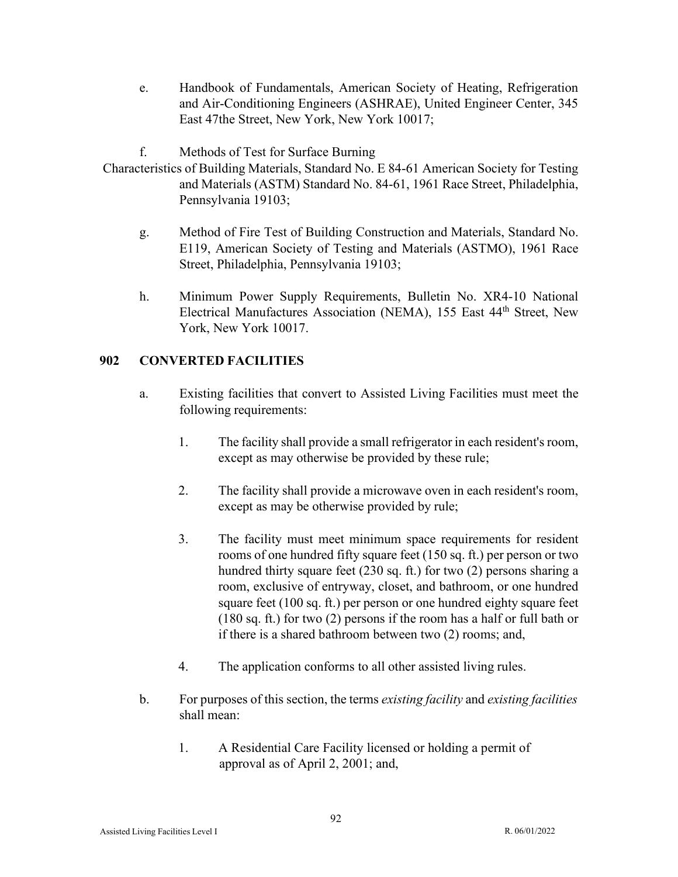- e. Handbook of Fundamentals, American Society of Heating, Refrigeration and Air-Conditioning Engineers (ASHRAE), United Engineer Center, 345 East 47the Street, New York, New York 10017;
- f. Methods of Test for Surface Burning
- Characteristics of Building Materials, Standard No. E 84-61 American Society for Testing and Materials (ASTM) Standard No. 84-61, 1961 Race Street, Philadelphia, Pennsylvania 19103;
	- g. Method of Fire Test of Building Construction and Materials, Standard No. E119, American Society of Testing and Materials (ASTMO), 1961 Race Street, Philadelphia, Pennsylvania 19103;
	- h. Minimum Power Supply Requirements, Bulletin No. XR4-10 National Electrical Manufactures Association (NEMA), 155 East 44<sup>th</sup> Street, New York, New York 10017.

# **902 CONVERTED FACILITIES**

- a. Existing facilities that convert to Assisted Living Facilities must meet the following requirements:
	- 1. The facility shall provide a small refrigerator in each resident's room, except as may otherwise be provided by these rule;
	- 2. The facility shall provide a microwave oven in each resident's room, except as may be otherwise provided by rule;
	- 3. The facility must meet minimum space requirements for resident rooms of one hundred fifty square feet (150 sq. ft.) per person or two hundred thirty square feet (230 sq. ft.) for two (2) persons sharing a room, exclusive of entryway, closet, and bathroom, or one hundred square feet (100 sq. ft.) per person or one hundred eighty square feet (180 sq. ft.) for two (2) persons if the room has a half or full bath or if there is a shared bathroom between two (2) rooms; and,
	- 4. The application conforms to all other assisted living rules.
- b. For purposes of this section, the terms *existing facility* and *existing facilities* shall mean:
	- 1. A Residential Care Facility licensed or holding a permit of approval as of April 2, 2001; and,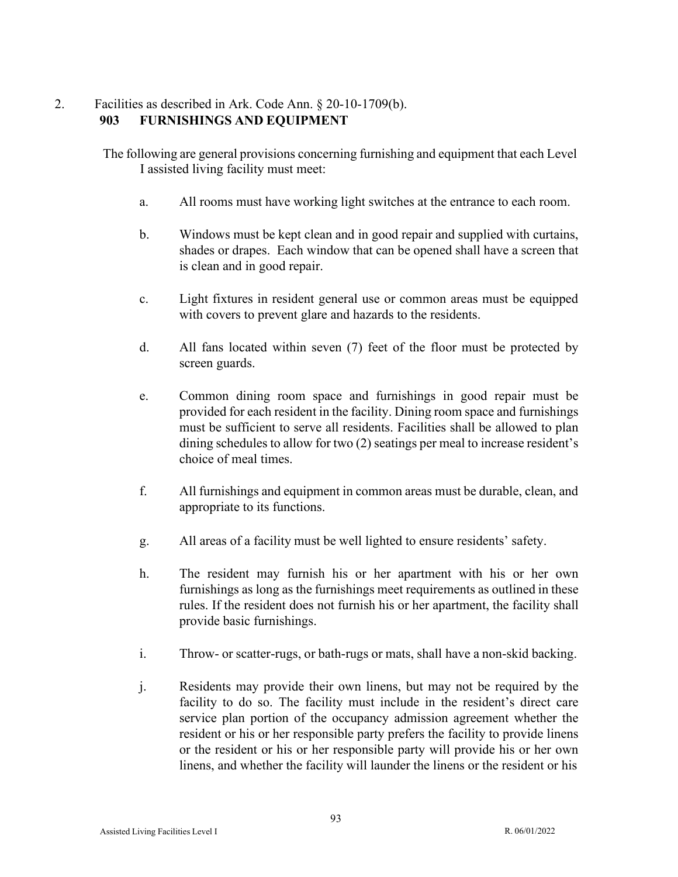# 2. Facilities as described in Ark. Code Ann. § 20-10-1709(b). **903 FURNISHINGS AND EQUIPMENT**

The following are general provisions concerning furnishing and equipment that each Level I assisted living facility must meet:

- a. All rooms must have working light switches at the entrance to each room.
- b. Windows must be kept clean and in good repair and supplied with curtains, shades or drapes. Each window that can be opened shall have a screen that is clean and in good repair.
- c. Light fixtures in resident general use or common areas must be equipped with covers to prevent glare and hazards to the residents.
- d. All fans located within seven (7) feet of the floor must be protected by screen guards.
- e. Common dining room space and furnishings in good repair must be provided for each resident in the facility. Dining room space and furnishings must be sufficient to serve all residents. Facilities shall be allowed to plan dining schedules to allow for two (2) seatings per meal to increase resident's choice of meal times.
- f. All furnishings and equipment in common areas must be durable, clean, and appropriate to its functions.
- g. All areas of a facility must be well lighted to ensure residents' safety.
- h. The resident may furnish his or her apartment with his or her own furnishings as long as the furnishings meet requirements as outlined in these rules. If the resident does not furnish his or her apartment, the facility shall provide basic furnishings.
- i. Throw- or scatter-rugs, or bath-rugs or mats, shall have a non-skid backing.
- j. Residents may provide their own linens, but may not be required by the facility to do so. The facility must include in the resident's direct care service plan portion of the occupancy admission agreement whether the resident or his or her responsible party prefers the facility to provide linens or the resident or his or her responsible party will provide his or her own linens, and whether the facility will launder the linens or the resident or his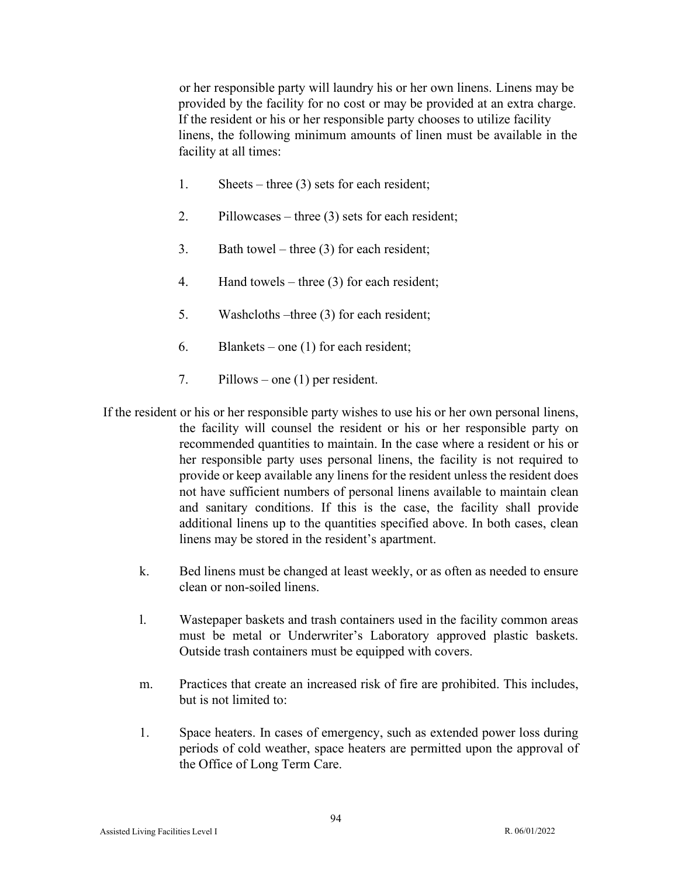or her responsible party will laundry his or her own linens. Linens may be provided by the facility for no cost or may be provided at an extra charge. If the resident or his or her responsible party chooses to utilize facility linens, the following minimum amounts of linen must be available in the facility at all times:

- 1. Sheets three (3) sets for each resident;
- 2. Pillowcases three (3) sets for each resident;
- 3. Bath towel three (3) for each resident;
- 4. Hand towels three (3) for each resident;
- 5. Washcloths –three (3) for each resident;
- 6. Blankets one (1) for each resident;
- 7. Pillows one (1) per resident.
- If the resident or his or her responsible party wishes to use his or her own personal linens, the facility will counsel the resident or his or her responsible party on recommended quantities to maintain. In the case where a resident or his or her responsible party uses personal linens, the facility is not required to provide or keep available any linens for the resident unless the resident does not have sufficient numbers of personal linens available to maintain clean and sanitary conditions. If this is the case, the facility shall provide additional linens up to the quantities specified above. In both cases, clean linens may be stored in the resident's apartment.
	- k. Bed linens must be changed at least weekly, or as often as needed to ensure clean or non-soiled linens.
	- l. Wastepaper baskets and trash containers used in the facility common areas must be metal or Underwriter's Laboratory approved plastic baskets. Outside trash containers must be equipped with covers.
	- m. Practices that create an increased risk of fire are prohibited. This includes, but is not limited to:
	- 1. Space heaters. In cases of emergency, such as extended power loss during periods of cold weather, space heaters are permitted upon the approval of the Office of Long Term Care.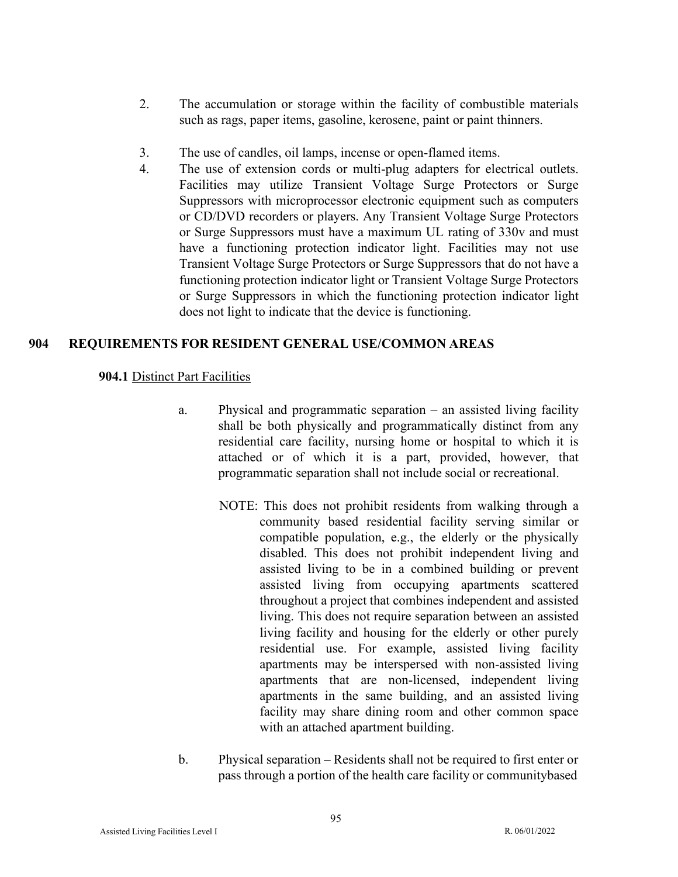- 2. The accumulation or storage within the facility of combustible materials such as rags, paper items, gasoline, kerosene, paint or paint thinners.
- 3. The use of candles, oil lamps, incense or open-flamed items.
- 4. The use of extension cords or multi-plug adapters for electrical outlets. Facilities may utilize Transient Voltage Surge Protectors or Surge Suppressors with microprocessor electronic equipment such as computers or CD/DVD recorders or players. Any Transient Voltage Surge Protectors or Surge Suppressors must have a maximum UL rating of 330v and must have a functioning protection indicator light. Facilities may not use Transient Voltage Surge Protectors or Surge Suppressors that do not have a functioning protection indicator light or Transient Voltage Surge Protectors or Surge Suppressors in which the functioning protection indicator light does not light to indicate that the device is functioning.

# **904 REQUIREMENTS FOR RESIDENT GENERAL USE/COMMON AREAS**

## **904.1** Distinct Part Facilities

- a. Physical and programmatic separation an assisted living facility shall be both physically and programmatically distinct from any residential care facility, nursing home or hospital to which it is attached or of which it is a part, provided, however, that programmatic separation shall not include social or recreational.
	- NOTE: This does not prohibit residents from walking through a community based residential facility serving similar or compatible population, e.g., the elderly or the physically disabled. This does not prohibit independent living and assisted living to be in a combined building or prevent assisted living from occupying apartments scattered throughout a project that combines independent and assisted living. This does not require separation between an assisted living facility and housing for the elderly or other purely residential use. For example, assisted living facility apartments may be interspersed with non-assisted living apartments that are non-licensed, independent living apartments in the same building, and an assisted living facility may share dining room and other common space with an attached apartment building.
- b. Physical separation Residents shall not be required to first enter or pass through a portion of the health care facility or communitybased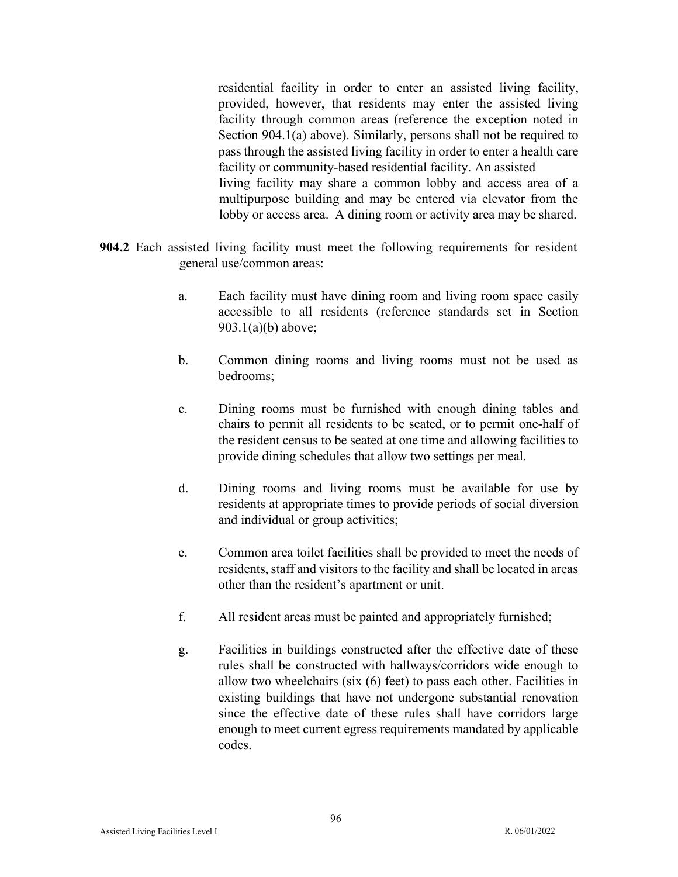residential facility in order to enter an assisted living facility, provided, however, that residents may enter the assisted living facility through common areas (reference the exception noted in Section 904.1(a) above). Similarly, persons shall not be required to pass through the assisted living facility in order to enter a health care facility or community-based residential facility. An assisted living facility may share a common lobby and access area of a multipurpose building and may be entered via elevator from the lobby or access area. A dining room or activity area may be shared.

- **904.2** Each assisted living facility must meet the following requirements for resident general use/common areas:
	- a. Each facility must have dining room and living room space easily accessible to all residents (reference standards set in Section 903.1(a)(b) above;
	- b. Common dining rooms and living rooms must not be used as bedrooms;
	- c. Dining rooms must be furnished with enough dining tables and chairs to permit all residents to be seated, or to permit one-half of the resident census to be seated at one time and allowing facilities to provide dining schedules that allow two settings per meal.
	- d. Dining rooms and living rooms must be available for use by residents at appropriate times to provide periods of social diversion and individual or group activities;
	- e. Common area toilet facilities shall be provided to meet the needs of residents, staff and visitors to the facility and shall be located in areas other than the resident's apartment or unit.
	- f. All resident areas must be painted and appropriately furnished;
	- g. Facilities in buildings constructed after the effective date of these rules shall be constructed with hallways/corridors wide enough to allow two wheelchairs (six (6) feet) to pass each other. Facilities in existing buildings that have not undergone substantial renovation since the effective date of these rules shall have corridors large enough to meet current egress requirements mandated by applicable codes.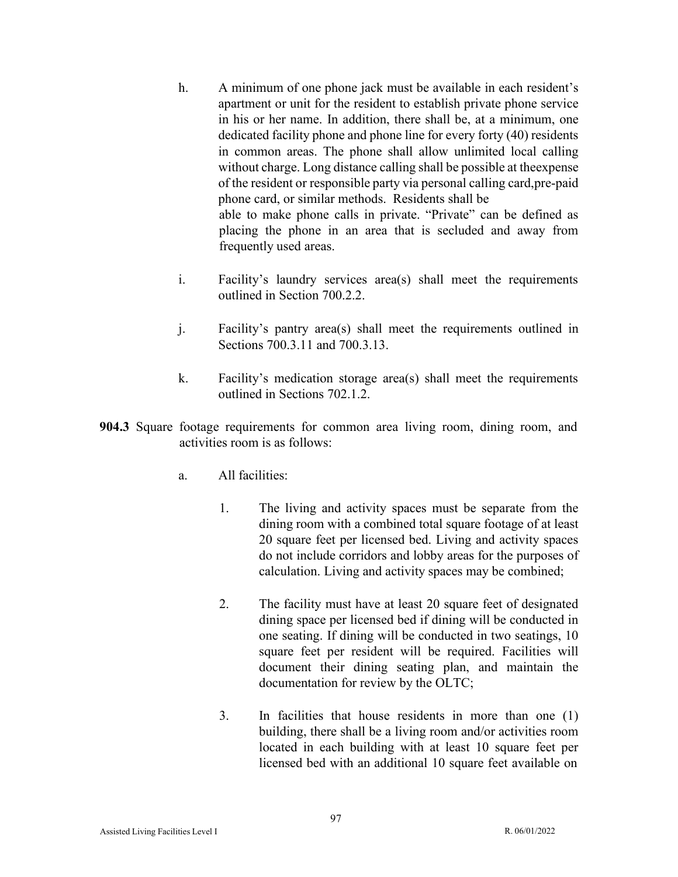- h. A minimum of one phone jack must be available in each resident's apartment or unit for the resident to establish private phone service in his or her name. In addition, there shall be, at a minimum, one dedicated facility phone and phone line for every forty (40) residents in common areas. The phone shall allow unlimited local calling without charge. Long distance calling shall be possible at theexpense of the resident or responsible party via personal calling card,pre-paid phone card, or similar methods. Residents shall be able to make phone calls in private. "Private" can be defined as placing the phone in an area that is secluded and away from frequently used areas.
- i. Facility's laundry services area(s) shall meet the requirements outlined in Section 700.2.2.
- j. Facility's pantry area(s) shall meet the requirements outlined in Sections 700.3.11 and 700.3.13.
- k. Facility's medication storage area(s) shall meet the requirements outlined in Sections 702.1.2.
- **904.3** Square footage requirements for common area living room, dining room, and activities room is as follows:
	- a. All facilities:
		- 1. The living and activity spaces must be separate from the dining room with a combined total square footage of at least 20 square feet per licensed bed. Living and activity spaces do not include corridors and lobby areas for the purposes of calculation. Living and activity spaces may be combined;
		- 2. The facility must have at least 20 square feet of designated dining space per licensed bed if dining will be conducted in one seating. If dining will be conducted in two seatings, 10 square feet per resident will be required. Facilities will document their dining seating plan, and maintain the documentation for review by the OLTC;
		- 3. In facilities that house residents in more than one (1) building, there shall be a living room and/or activities room located in each building with at least 10 square feet per licensed bed with an additional 10 square feet available on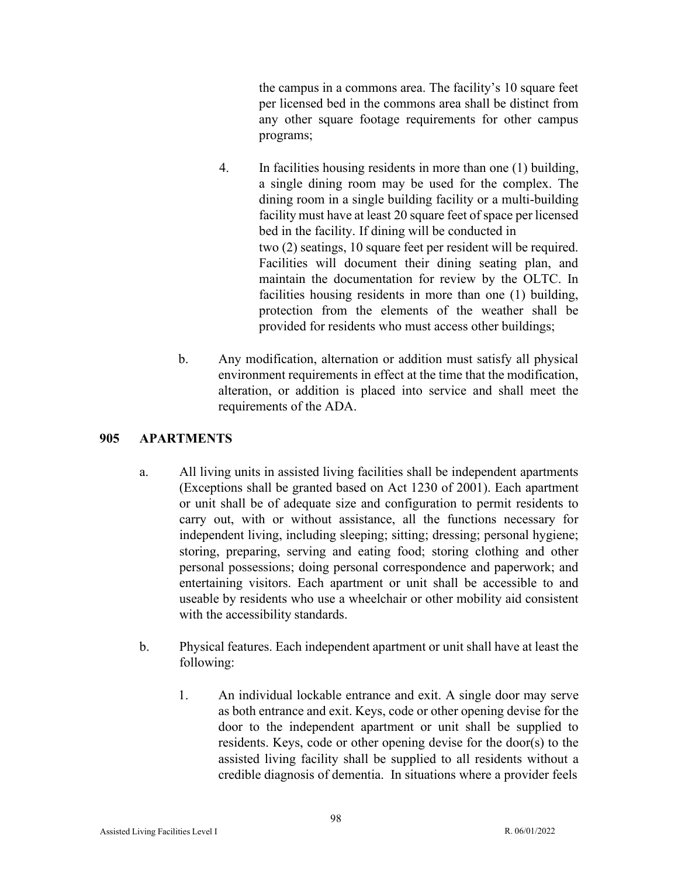the campus in a commons area. The facility's 10 square feet per licensed bed in the commons area shall be distinct from any other square footage requirements for other campus programs;

- 4. In facilities housing residents in more than one (1) building, a single dining room may be used for the complex. The dining room in a single building facility or a multi-building facility must have at least 20 square feet of space per licensed bed in the facility. If dining will be conducted in two (2) seatings, 10 square feet per resident will be required. Facilities will document their dining seating plan, and maintain the documentation for review by the OLTC. In facilities housing residents in more than one (1) building, protection from the elements of the weather shall be provided for residents who must access other buildings;
- b. Any modification, alternation or addition must satisfy all physical environment requirements in effect at the time that the modification, alteration, or addition is placed into service and shall meet the requirements of the ADA.

# **905 APARTMENTS**

- a. All living units in assisted living facilities shall be independent apartments (Exceptions shall be granted based on Act 1230 of 2001). Each apartment or unit shall be of adequate size and configuration to permit residents to carry out, with or without assistance, all the functions necessary for independent living, including sleeping; sitting; dressing; personal hygiene; storing, preparing, serving and eating food; storing clothing and other personal possessions; doing personal correspondence and paperwork; and entertaining visitors. Each apartment or unit shall be accessible to and useable by residents who use a wheelchair or other mobility aid consistent with the accessibility standards.
- b. Physical features. Each independent apartment or unit shall have at least the following:
	- 1. An individual lockable entrance and exit. A single door may serve as both entrance and exit. Keys, code or other opening devise for the door to the independent apartment or unit shall be supplied to residents. Keys, code or other opening devise for the door(s) to the assisted living facility shall be supplied to all residents without a credible diagnosis of dementia. In situations where a provider feels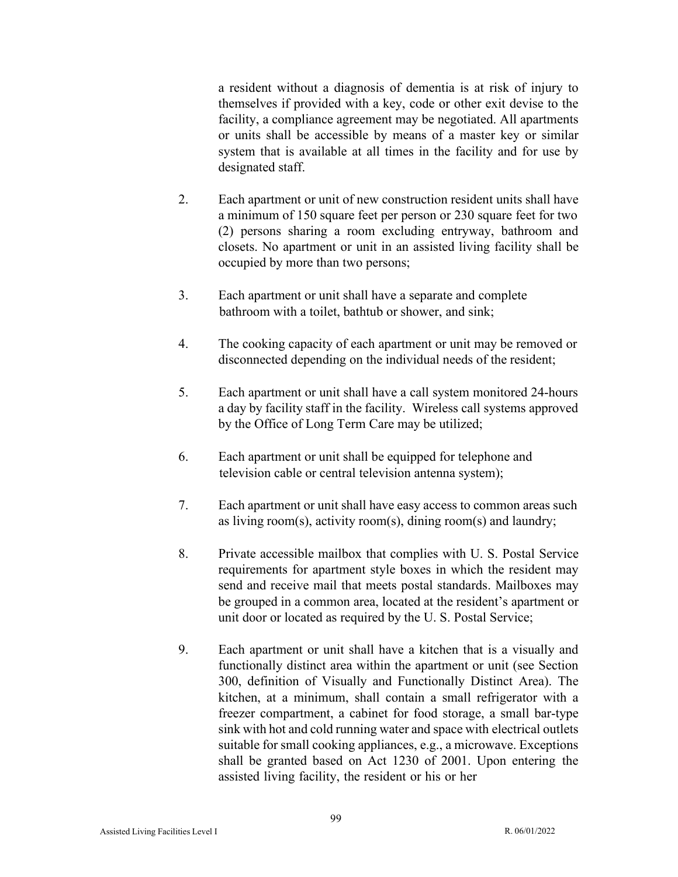a resident without a diagnosis of dementia is at risk of injury to themselves if provided with a key, code or other exit devise to the facility, a compliance agreement may be negotiated. All apartments or units shall be accessible by means of a master key or similar system that is available at all times in the facility and for use by designated staff.

- 2. Each apartment or unit of new construction resident units shall have a minimum of 150 square feet per person or 230 square feet for two (2) persons sharing a room excluding entryway, bathroom and closets. No apartment or unit in an assisted living facility shall be occupied by more than two persons;
- 3. Each apartment or unit shall have a separate and complete bathroom with a toilet, bathtub or shower, and sink;
- 4. The cooking capacity of each apartment or unit may be removed or disconnected depending on the individual needs of the resident;
- 5. Each apartment or unit shall have a call system monitored 24-hours a day by facility staff in the facility. Wireless call systems approved by the Office of Long Term Care may be utilized;
- 6. Each apartment or unit shall be equipped for telephone and television cable or central television antenna system);
- 7. Each apartment or unit shall have easy access to common areas such as living room(s), activity room(s), dining room(s) and laundry;
- 8. Private accessible mailbox that complies with U. S. Postal Service requirements for apartment style boxes in which the resident may send and receive mail that meets postal standards. Mailboxes may be grouped in a common area, located at the resident's apartment or unit door or located as required by the U. S. Postal Service;
- 9. Each apartment or unit shall have a kitchen that is a visually and functionally distinct area within the apartment or unit (see Section 300, definition of Visually and Functionally Distinct Area). The kitchen, at a minimum, shall contain a small refrigerator with a freezer compartment, a cabinet for food storage, a small bar-type sink with hot and cold running water and space with electrical outlets suitable for small cooking appliances, e.g., a microwave. Exceptions shall be granted based on Act 1230 of 2001. Upon entering the assisted living facility, the resident or his or her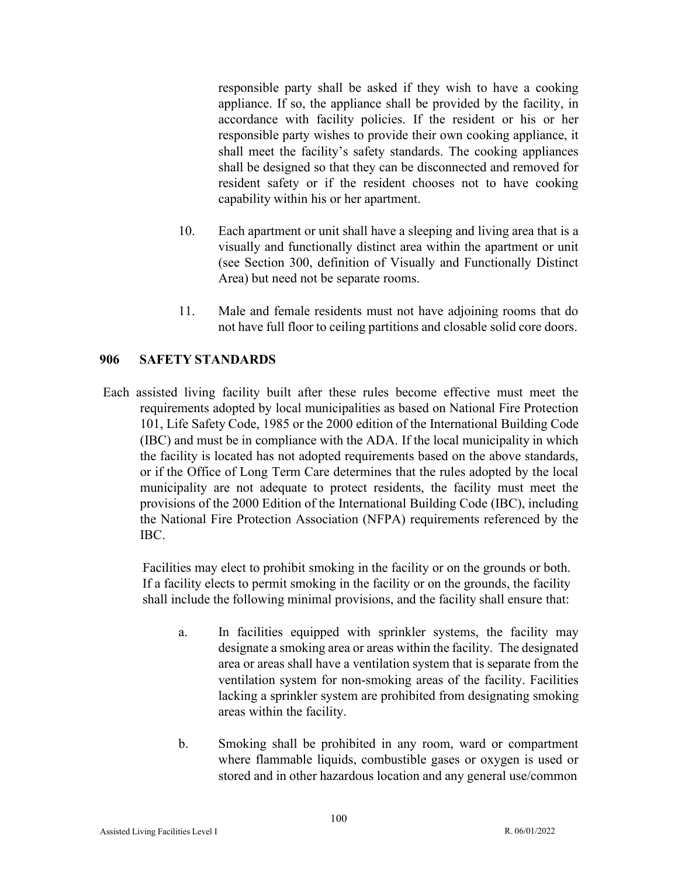responsible party shall be asked if they wish to have a cooking appliance. If so, the appliance shall be provided by the facility, in accordance with facility policies. If the resident or his or her responsible party wishes to provide their own cooking appliance, it shall meet the facility's safety standards. The cooking appliances shall be designed so that they can be disconnected and removed for resident safety or if the resident chooses not to have cooking capability within his or her apartment.

- 10. Each apartment or unit shall have a sleeping and living area that is a visually and functionally distinct area within the apartment or unit (see Section 300, definition of Visually and Functionally Distinct Area) but need not be separate rooms.
- 11. Male and female residents must not have adjoining rooms that do not have full floor to ceiling partitions and closable solid core doors.

# **906 SAFETY STANDARDS**

Each assisted living facility built after these rules become effective must meet the requirements adopted by local municipalities as based on National Fire Protection 101, Life Safety Code, 1985 or the 2000 edition of the International Building Code (IBC) and must be in compliance with the ADA. If the local municipality in which the facility is located has not adopted requirements based on the above standards, or if the Office of Long Term Care determines that the rules adopted by the local municipality are not adequate to protect residents, the facility must meet the provisions of the 2000 Edition of the International Building Code (IBC), including the National Fire Protection Association (NFPA) requirements referenced by the IBC.

Facilities may elect to prohibit smoking in the facility or on the grounds or both. If a facility elects to permit smoking in the facility or on the grounds, the facility shall include the following minimal provisions, and the facility shall ensure that:

- a. In facilities equipped with sprinkler systems, the facility may designate a smoking area or areas within the facility. The designated area or areas shall have a ventilation system that is separate from the ventilation system for non-smoking areas of the facility. Facilities lacking a sprinkler system are prohibited from designating smoking areas within the facility.
- b. Smoking shall be prohibited in any room, ward or compartment where flammable liquids, combustible gases or oxygen is used or stored and in other hazardous location and any general use/common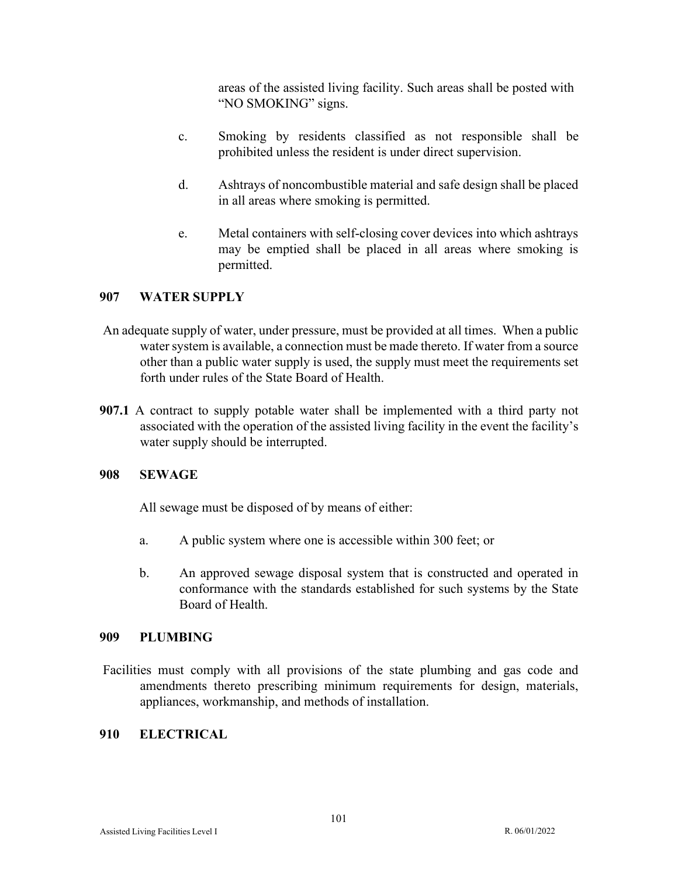areas of the assisted living facility. Such areas shall be posted with "NO SMOKING" signs.

- c. Smoking by residents classified as not responsible shall be prohibited unless the resident is under direct supervision.
- d. Ashtrays of noncombustible material and safe design shall be placed in all areas where smoking is permitted.
- e. Metal containers with self-closing cover devices into which ashtrays may be emptied shall be placed in all areas where smoking is permitted.

# **907 WATER SUPPLY**

- An adequate supply of water, under pressure, must be provided at all times. When a public water system is available, a connection must be made thereto. If water from a source other than a public water supply is used, the supply must meet the requirements set forth under rules of the State Board of Health.
- **907.1** A contract to supply potable water shall be implemented with a third party not associated with the operation of the assisted living facility in the event the facility's water supply should be interrupted.

# **908 SEWAGE**

All sewage must be disposed of by means of either:

- a. A public system where one is accessible within 300 feet; or
- b. An approved sewage disposal system that is constructed and operated in conformance with the standards established for such systems by the State Board of Health.

# **909 PLUMBING**

Facilities must comply with all provisions of the state plumbing and gas code and amendments thereto prescribing minimum requirements for design, materials, appliances, workmanship, and methods of installation.

# **910 ELECTRICAL**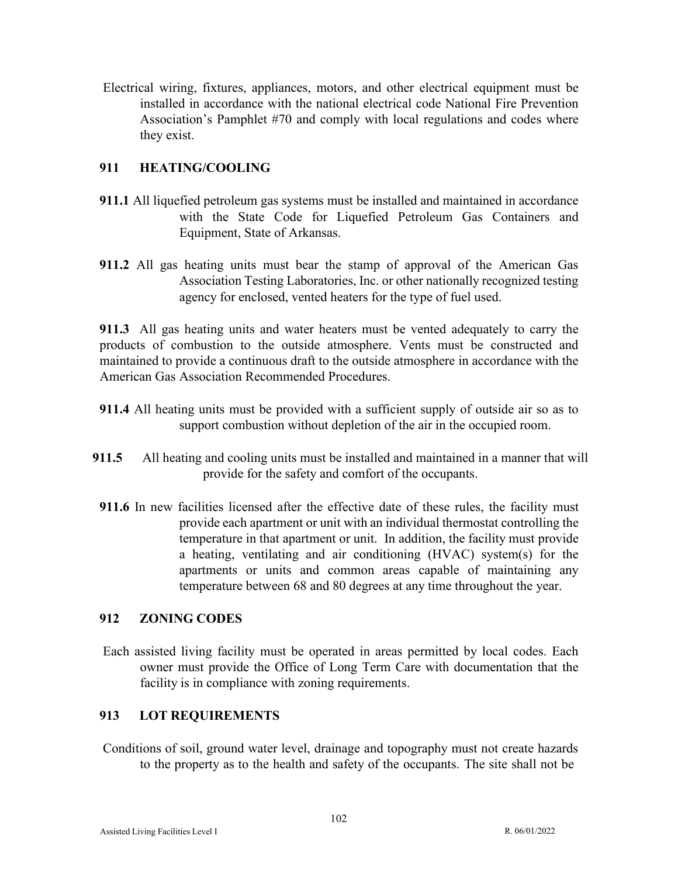Electrical wiring, fixtures, appliances, motors, and other electrical equipment must be installed in accordance with the national electrical code National Fire Prevention Association's Pamphlet #70 and comply with local regulations and codes where they exist.

## **911 HEATING/COOLING**

- **911.1** All liquefied petroleum gas systems must be installed and maintained in accordance with the State Code for Liquefied Petroleum Gas Containers and Equipment, State of Arkansas.
- **911.2** All gas heating units must bear the stamp of approval of the American Gas Association Testing Laboratories, Inc. or other nationally recognized testing agency for enclosed, vented heaters for the type of fuel used.

**911.3** All gas heating units and water heaters must be vented adequately to carry the products of combustion to the outside atmosphere. Vents must be constructed and maintained to provide a continuous draft to the outside atmosphere in accordance with the American Gas Association Recommended Procedures.

- **911.4** All heating units must be provided with a sufficient supply of outside air so as to support combustion without depletion of the air in the occupied room.
- **911.5** All heating and cooling units must be installed and maintained in a manner that will provide for the safety and comfort of the occupants.
	- **911.6** In new facilities licensed after the effective date of these rules, the facility must provide each apartment or unit with an individual thermostat controlling the temperature in that apartment or unit. In addition, the facility must provide a heating, ventilating and air conditioning (HVAC) system(s) for the apartments or units and common areas capable of maintaining any temperature between 68 and 80 degrees at any time throughout the year.

# **912 ZONING CODES**

Each assisted living facility must be operated in areas permitted by local codes. Each owner must provide the Office of Long Term Care with documentation that the facility is in compliance with zoning requirements.

# **913 LOT REQUIREMENTS**

Conditions of soil, ground water level, drainage and topography must not create hazards to the property as to the health and safety of the occupants. The site shall not be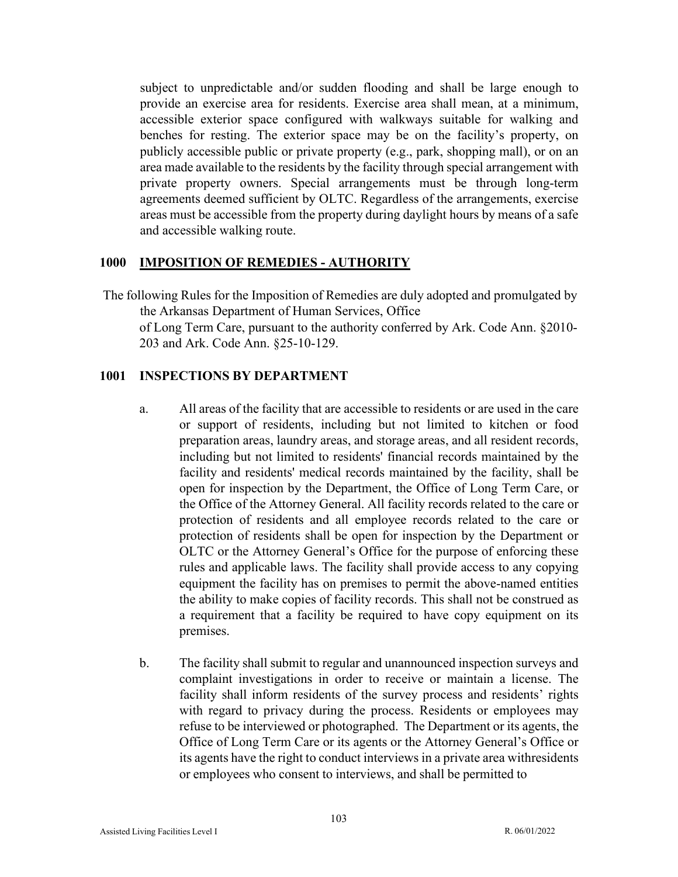subject to unpredictable and/or sudden flooding and shall be large enough to provide an exercise area for residents. Exercise area shall mean, at a minimum, accessible exterior space configured with walkways suitable for walking and benches for resting. The exterior space may be on the facility's property, on publicly accessible public or private property (e.g., park, shopping mall), or on an area made available to the residents by the facility through special arrangement with private property owners. Special arrangements must be through long-term agreements deemed sufficient by OLTC. Regardless of the arrangements, exercise areas must be accessible from the property during daylight hours by means of a safe and accessible walking route.

### **1000 IMPOSITION OF REMEDIES - AUTHORITY**

The following Rules for the Imposition of Remedies are duly adopted and promulgated by the Arkansas Department of Human Services, Office of Long Term Care, pursuant to the authority conferred by Ark. Code Ann. §2010- 203 and Ark. Code Ann. §25-10-129.

### **1001 INSPECTIONS BY DEPARTMENT**

- a. All areas of the facility that are accessible to residents or are used in the care or support of residents, including but not limited to kitchen or food preparation areas, laundry areas, and storage areas, and all resident records, including but not limited to residents' financial records maintained by the facility and residents' medical records maintained by the facility, shall be open for inspection by the Department, the Office of Long Term Care, or the Office of the Attorney General. All facility records related to the care or protection of residents and all employee records related to the care or protection of residents shall be open for inspection by the Department or OLTC or the Attorney General's Office for the purpose of enforcing these rules and applicable laws. The facility shall provide access to any copying equipment the facility has on premises to permit the above-named entities the ability to make copies of facility records. This shall not be construed as a requirement that a facility be required to have copy equipment on its premises.
- b. The facility shall submit to regular and unannounced inspection surveys and complaint investigations in order to receive or maintain a license. The facility shall inform residents of the survey process and residents' rights with regard to privacy during the process. Residents or employees may refuse to be interviewed or photographed. The Department or its agents, the Office of Long Term Care or its agents or the Attorney General's Office or its agents have the right to conduct interviews in a private area withresidents or employees who consent to interviews, and shall be permitted to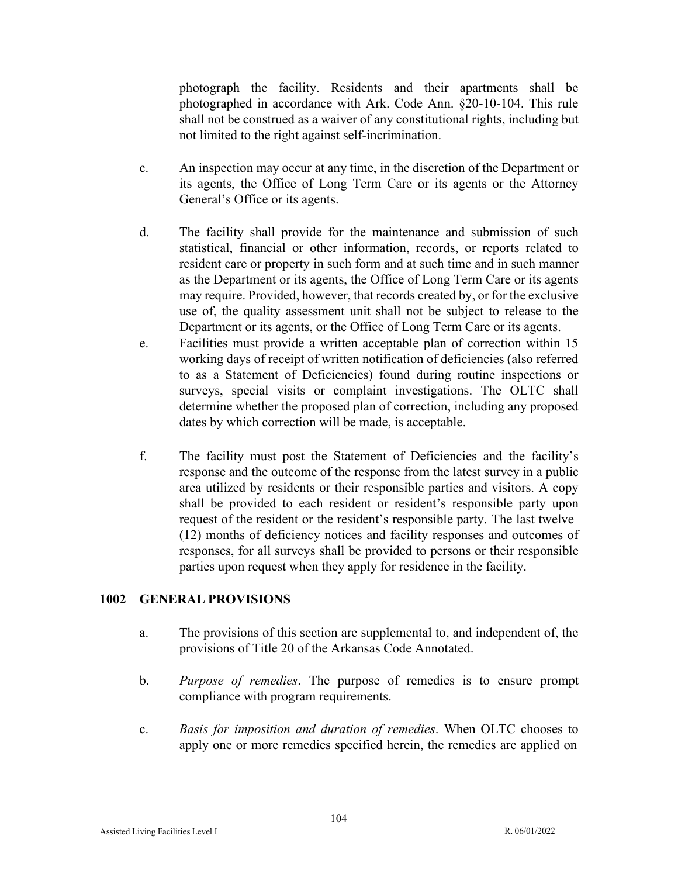photograph the facility. Residents and their apartments shall be photographed in accordance with Ark. Code Ann. §20-10-104. This rule shall not be construed as a waiver of any constitutional rights, including but not limited to the right against self-incrimination.

- c. An inspection may occur at any time, in the discretion of the Department or its agents, the Office of Long Term Care or its agents or the Attorney General's Office or its agents.
- d. The facility shall provide for the maintenance and submission of such statistical, financial or other information, records, or reports related to resident care or property in such form and at such time and in such manner as the Department or its agents, the Office of Long Term Care or its agents may require. Provided, however, that records created by, or for the exclusive use of, the quality assessment unit shall not be subject to release to the Department or its agents, or the Office of Long Term Care or its agents.
- e. Facilities must provide a written acceptable plan of correction within 15 working days of receipt of written notification of deficiencies (also referred to as a Statement of Deficiencies) found during routine inspections or surveys, special visits or complaint investigations. The OLTC shall determine whether the proposed plan of correction, including any proposed dates by which correction will be made, is acceptable.
- f. The facility must post the Statement of Deficiencies and the facility's response and the outcome of the response from the latest survey in a public area utilized by residents or their responsible parties and visitors. A copy shall be provided to each resident or resident's responsible party upon request of the resident or the resident's responsible party. The last twelve (12) months of deficiency notices and facility responses and outcomes of responses, for all surveys shall be provided to persons or their responsible parties upon request when they apply for residence in the facility.

# **1002 GENERAL PROVISIONS**

- a. The provisions of this section are supplemental to, and independent of, the provisions of Title 20 of the Arkansas Code Annotated.
- b. *Purpose of remedies*. The purpose of remedies is to ensure prompt compliance with program requirements.
- c. *Basis for imposition and duration of remedies*. When OLTC chooses to apply one or more remedies specified herein, the remedies are applied on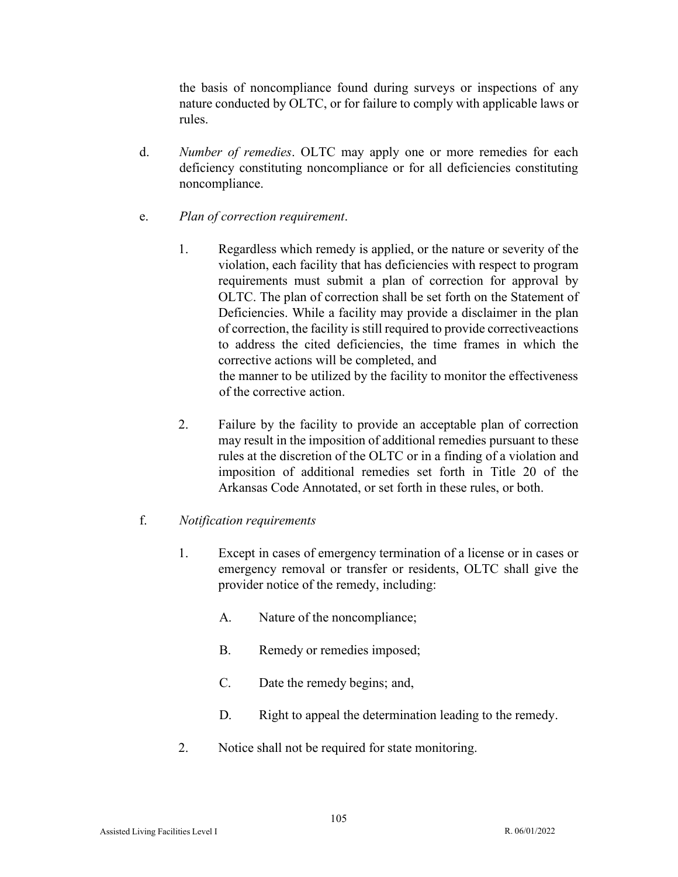the basis of noncompliance found during surveys or inspections of any nature conducted by OLTC, or for failure to comply with applicable laws or rules.

- d. *Number of remedies*. OLTC may apply one or more remedies for each deficiency constituting noncompliance or for all deficiencies constituting noncompliance.
- e. *Plan of correction requirement*.
	- 1. Regardless which remedy is applied, or the nature or severity of the violation, each facility that has deficiencies with respect to program requirements must submit a plan of correction for approval by OLTC. The plan of correction shall be set forth on the Statement of Deficiencies. While a facility may provide a disclaimer in the plan of correction, the facility isstill required to provide correctiveactions to address the cited deficiencies, the time frames in which the corrective actions will be completed, and the manner to be utilized by the facility to monitor the effectiveness of the corrective action.
	- 2. Failure by the facility to provide an acceptable plan of correction may result in the imposition of additional remedies pursuant to these rules at the discretion of the OLTC or in a finding of a violation and imposition of additional remedies set forth in Title 20 of the Arkansas Code Annotated, or set forth in these rules, or both.

# f. *Notification requirements*

- 1. Except in cases of emergency termination of a license or in cases or emergency removal or transfer or residents, OLTC shall give the provider notice of the remedy, including:
	- A. Nature of the noncompliance;
	- B. Remedy or remedies imposed;
	- C. Date the remedy begins; and,
	- D. Right to appeal the determination leading to the remedy.
- 2. Notice shall not be required for state monitoring.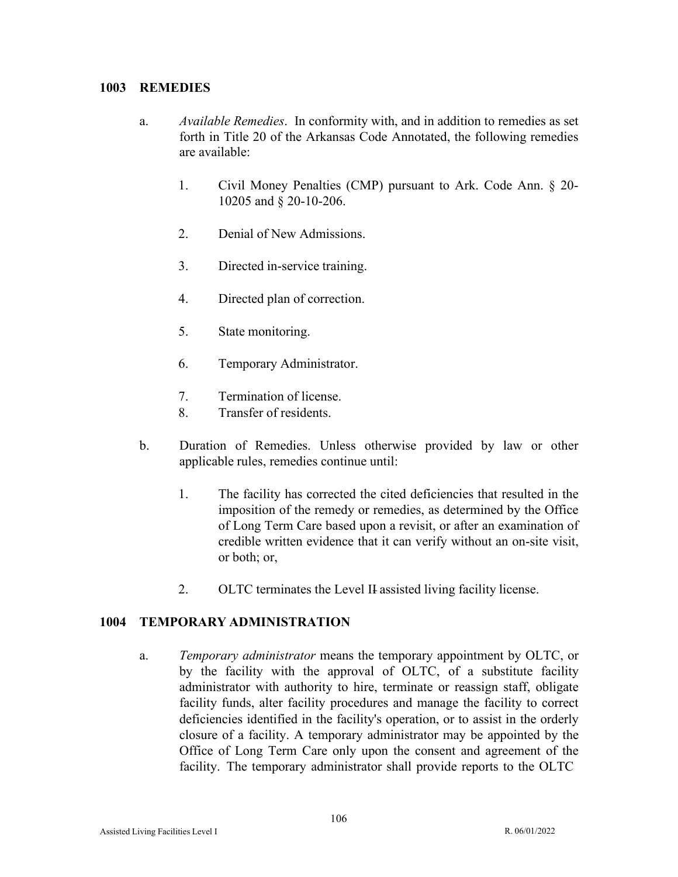### **1003 REMEDIES**

- a. *Available Remedies*. In conformity with, and in addition to remedies as set forth in Title 20 of the Arkansas Code Annotated, the following remedies are available:
	- 1. Civil Money Penalties (CMP) pursuant to Ark. Code Ann. § 20- 10205 and § 20-10-206.
	- 2. Denial of New Admissions.
	- 3. Directed in-service training.
	- 4. Directed plan of correction.
	- 5. State monitoring.
	- 6. Temporary Administrator.
	- 7. Termination of license.
	- 8. Transfer of residents.
- b. Duration of Remedies. Unless otherwise provided by law or other applicable rules, remedies continue until:
	- 1. The facility has corrected the cited deficiencies that resulted in the imposition of the remedy or remedies, as determined by the Office of Long Term Care based upon a revisit, or after an examination of credible written evidence that it can verify without an on-site visit, or both; or,
	- 2. OLTC terminates the Level II assisted living facility license.

### **1004 TEMPORARY ADMINISTRATION**

a. *Temporary administrator* means the temporary appointment by OLTC, or by the facility with the approval of OLTC, of a substitute facility administrator with authority to hire, terminate or reassign staff, obligate facility funds, alter facility procedures and manage the facility to correct deficiencies identified in the facility's operation, or to assist in the orderly closure of a facility. A temporary administrator may be appointed by the Office of Long Term Care only upon the consent and agreement of the facility. The temporary administrator shall provide reports to the OLTC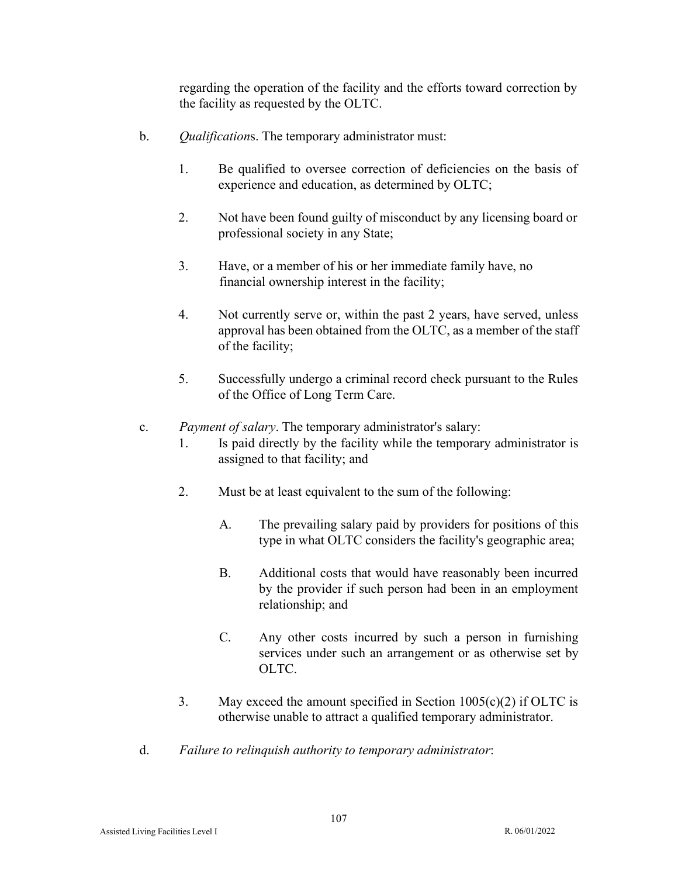regarding the operation of the facility and the efforts toward correction by the facility as requested by the OLTC.

- b. *Qualification*s. The temporary administrator must:
	- 1. Be qualified to oversee correction of deficiencies on the basis of experience and education, as determined by OLTC;
	- 2. Not have been found guilty of misconduct by any licensing board or professional society in any State;
	- 3. Have, or a member of his or her immediate family have, no financial ownership interest in the facility;
	- 4. Not currently serve or, within the past 2 years, have served, unless approval has been obtained from the OLTC, as a member of the staff of the facility;
	- 5. Successfully undergo a criminal record check pursuant to the Rules of the Office of Long Term Care.
- c. *Payment of salary*. The temporary administrator's salary:
	- 1. Is paid directly by the facility while the temporary administrator is assigned to that facility; and
	- 2. Must be at least equivalent to the sum of the following:
		- A. The prevailing salary paid by providers for positions of this type in what OLTC considers the facility's geographic area;
		- B. Additional costs that would have reasonably been incurred by the provider if such person had been in an employment relationship; and
		- C. Any other costs incurred by such a person in furnishing services under such an arrangement or as otherwise set by OLTC.
	- 3. May exceed the amount specified in Section  $1005(c)(2)$  if OLTC is otherwise unable to attract a qualified temporary administrator.
- d. *Failure to relinquish authority to temporary administrator*: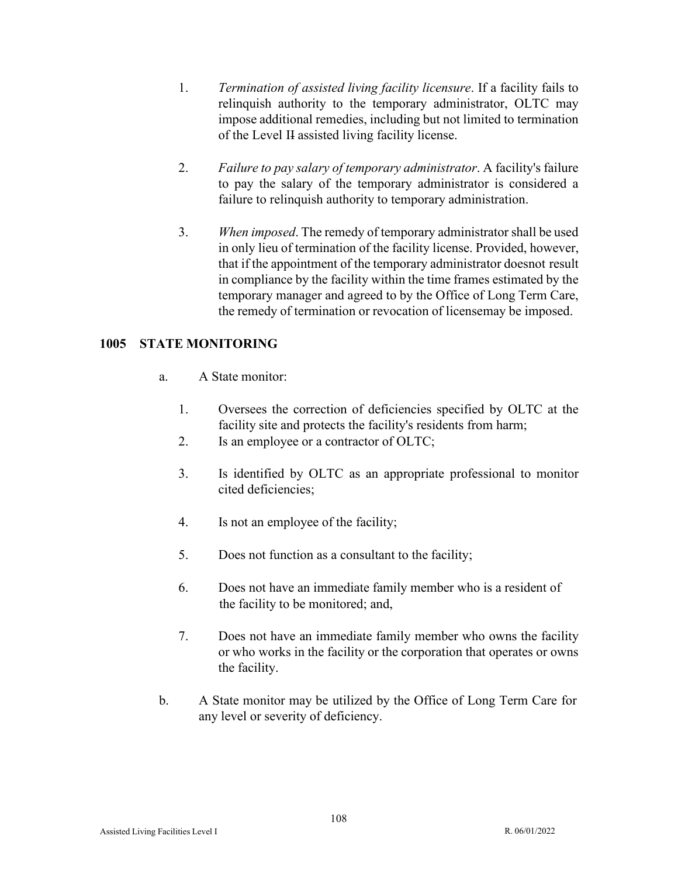- 1. *Termination of assisted living facility licensure*. If a facility fails to relinquish authority to the temporary administrator, OLTC may impose additional remedies, including but not limited to termination of the Level II assisted living facility license.
- 2. *Failure to pay salary of temporary administrator*. A facility's failure to pay the salary of the temporary administrator is considered a failure to relinquish authority to temporary administration.
- 3. *When imposed*. The remedy of temporary administrator shall be used in only lieu of termination of the facility license. Provided, however, that if the appointment of the temporary administrator doesnot result in compliance by the facility within the time frames estimated by the temporary manager and agreed to by the Office of Long Term Care, the remedy of termination or revocation of licensemay be imposed.

## **1005 STATE MONITORING**

- a. A State monitor:
	- 1. Oversees the correction of deficiencies specified by OLTC at the facility site and protects the facility's residents from harm;
	- 2. Is an employee or a contractor of OLTC;
	- 3. Is identified by OLTC as an appropriate professional to monitor cited deficiencies;
	- 4. Is not an employee of the facility;
	- 5. Does not function as a consultant to the facility;
	- 6. Does not have an immediate family member who is a resident of the facility to be monitored; and,
	- 7. Does not have an immediate family member who owns the facility or who works in the facility or the corporation that operates or owns the facility.
- b. A State monitor may be utilized by the Office of Long Term Care for any level or severity of deficiency.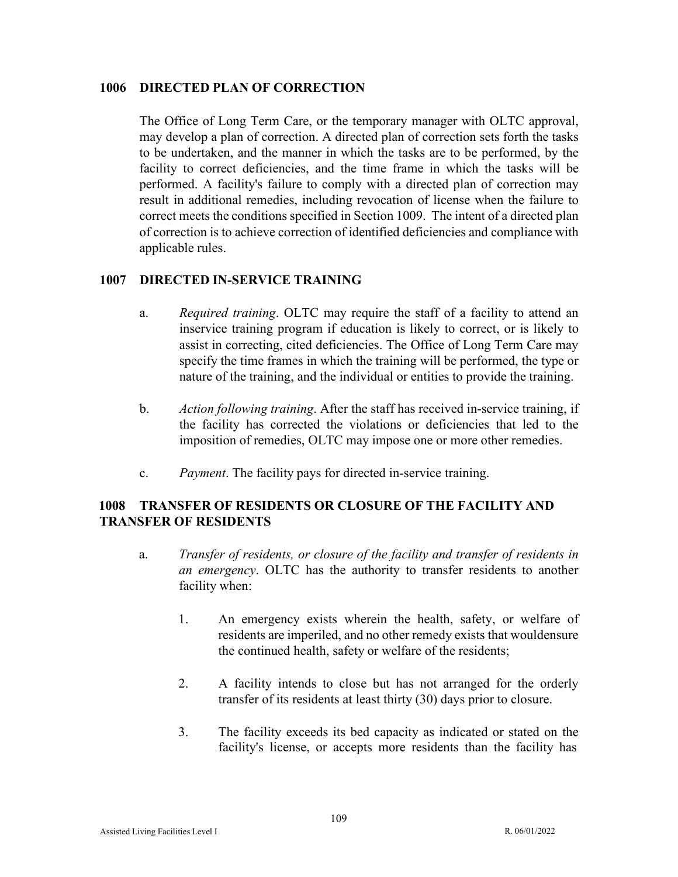### **1006 DIRECTED PLAN OF CORRECTION**

The Office of Long Term Care, or the temporary manager with OLTC approval, may develop a plan of correction. A directed plan of correction sets forth the tasks to be undertaken, and the manner in which the tasks are to be performed, by the facility to correct deficiencies, and the time frame in which the tasks will be performed. A facility's failure to comply with a directed plan of correction may result in additional remedies, including revocation of license when the failure to correct meets the conditions specified in Section 1009. The intent of a directed plan of correction is to achieve correction of identified deficiencies and compliance with applicable rules.

### **1007 DIRECTED IN-SERVICE TRAINING**

- a. *Required training*. OLTC may require the staff of a facility to attend an inservice training program if education is likely to correct, or is likely to assist in correcting, cited deficiencies. The Office of Long Term Care may specify the time frames in which the training will be performed, the type or nature of the training, and the individual or entities to provide the training.
- b. *Action following training*. After the staff has received in-service training, if the facility has corrected the violations or deficiencies that led to the imposition of remedies, OLTC may impose one or more other remedies.
- c. *Payment*. The facility pays for directed in-service training.

## **1008 TRANSFER OF RESIDENTS OR CLOSURE OF THE FACILITY AND TRANSFER OF RESIDENTS**

- a. *Transfer of residents, or closure of the facility and transfer of residents in an emergency*. OLTC has the authority to transfer residents to another facility when:
	- 1. An emergency exists wherein the health, safety, or welfare of residents are imperiled, and no other remedy exists that wouldensure the continued health, safety or welfare of the residents;
	- 2. A facility intends to close but has not arranged for the orderly transfer of its residents at least thirty (30) days prior to closure.
	- 3. The facility exceeds its bed capacity as indicated or stated on the facility's license, or accepts more residents than the facility has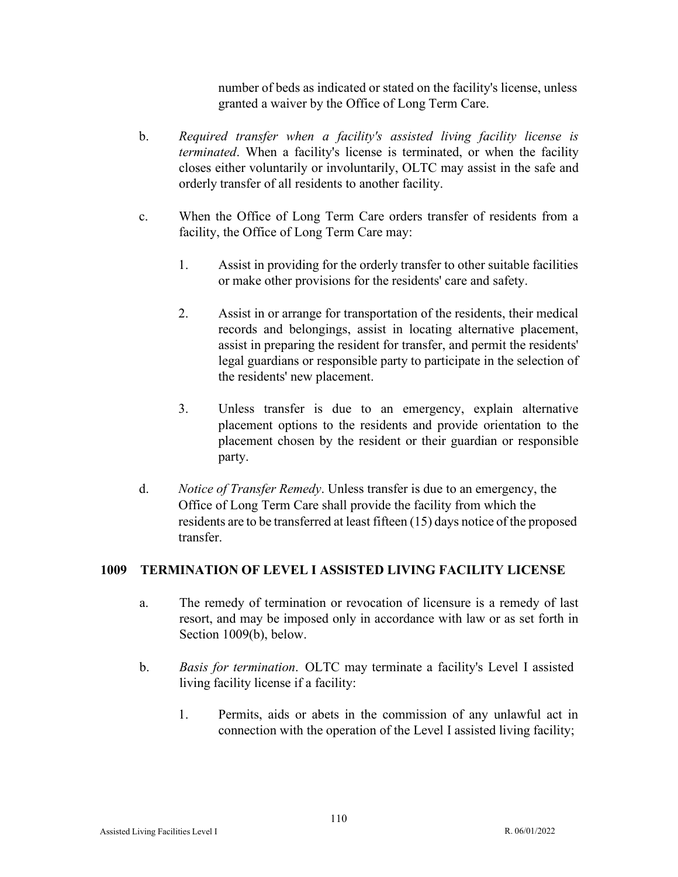number of beds as indicated or stated on the facility's license, unless granted a waiver by the Office of Long Term Care.

- b. *Required transfer when a facility's assisted living facility license is terminated*. When a facility's license is terminated, or when the facility closes either voluntarily or involuntarily, OLTC may assist in the safe and orderly transfer of all residents to another facility.
- c. When the Office of Long Term Care orders transfer of residents from a facility, the Office of Long Term Care may:
	- 1. Assist in providing for the orderly transfer to other suitable facilities or make other provisions for the residents' care and safety.
	- 2. Assist in or arrange for transportation of the residents, their medical records and belongings, assist in locating alternative placement, assist in preparing the resident for transfer, and permit the residents' legal guardians or responsible party to participate in the selection of the residents' new placement.
	- 3. Unless transfer is due to an emergency, explain alternative placement options to the residents and provide orientation to the placement chosen by the resident or their guardian or responsible party.
- d. *Notice of Transfer Remedy*. Unless transfer is due to an emergency, the Office of Long Term Care shall provide the facility from which the residents are to be transferred at least fifteen (15) days notice of the proposed transfer.

## **1009 TERMINATION OF LEVEL I ASSISTED LIVING FACILITY LICENSE**

- a. The remedy of termination or revocation of licensure is a remedy of last resort, and may be imposed only in accordance with law or as set forth in Section 1009(b), below.
- b. *Basis for termination*. OLTC may terminate a facility's Level I assisted living facility license if a facility:
	- 1. Permits, aids or abets in the commission of any unlawful act in connection with the operation of the Level I assisted living facility;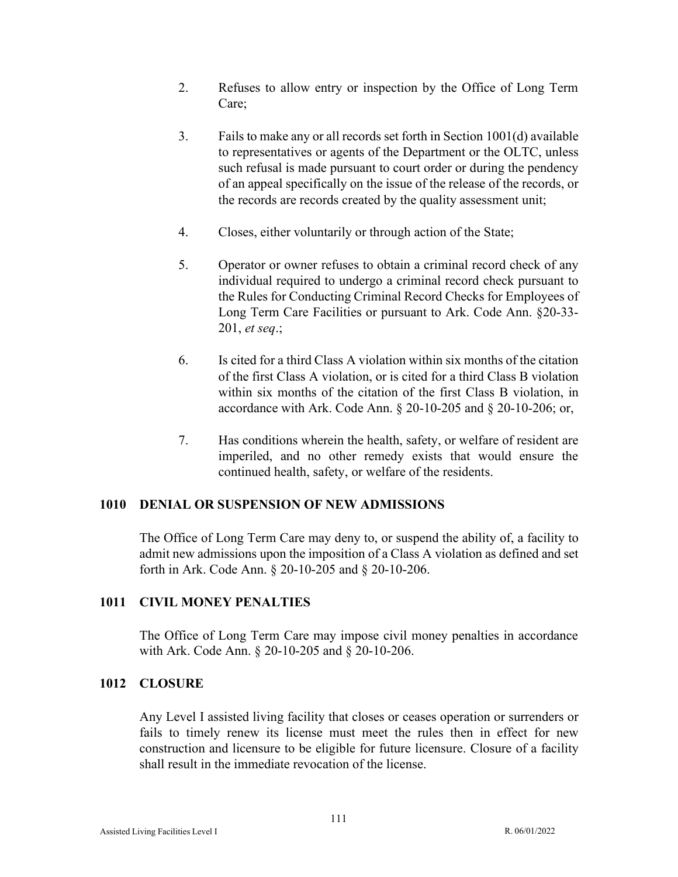- 2. Refuses to allow entry or inspection by the Office of Long Term Care;
- 3. Fails to make any or all records set forth in Section 1001(d) available to representatives or agents of the Department or the OLTC, unless such refusal is made pursuant to court order or during the pendency of an appeal specifically on the issue of the release of the records, or the records are records created by the quality assessment unit;
- 4. Closes, either voluntarily or through action of the State;
- 5. Operator or owner refuses to obtain a criminal record check of any individual required to undergo a criminal record check pursuant to the Rules for Conducting Criminal Record Checks for Employees of Long Term Care Facilities or pursuant to Ark. Code Ann. §20-33- 201, *et seq*.;
- 6. Is cited for a third Class A violation within six months of the citation of the first Class A violation, or is cited for a third Class B violation within six months of the citation of the first Class B violation, in accordance with Ark. Code Ann. § 20-10-205 and § 20-10-206; or,
- 7. Has conditions wherein the health, safety, or welfare of resident are imperiled, and no other remedy exists that would ensure the continued health, safety, or welfare of the residents.

### **1010 DENIAL OR SUSPENSION OF NEW ADMISSIONS**

The Office of Long Term Care may deny to, or suspend the ability of, a facility to admit new admissions upon the imposition of a Class A violation as defined and set forth in Ark. Code Ann. § 20-10-205 and § 20-10-206.

### **1011 CIVIL MONEY PENALTIES**

The Office of Long Term Care may impose civil money penalties in accordance with Ark. Code Ann. § 20-10-205 and § 20-10-206.

### **1012 CLOSURE**

Any Level I assisted living facility that closes or ceases operation or surrenders or fails to timely renew its license must meet the rules then in effect for new construction and licensure to be eligible for future licensure. Closure of a facility shall result in the immediate revocation of the license.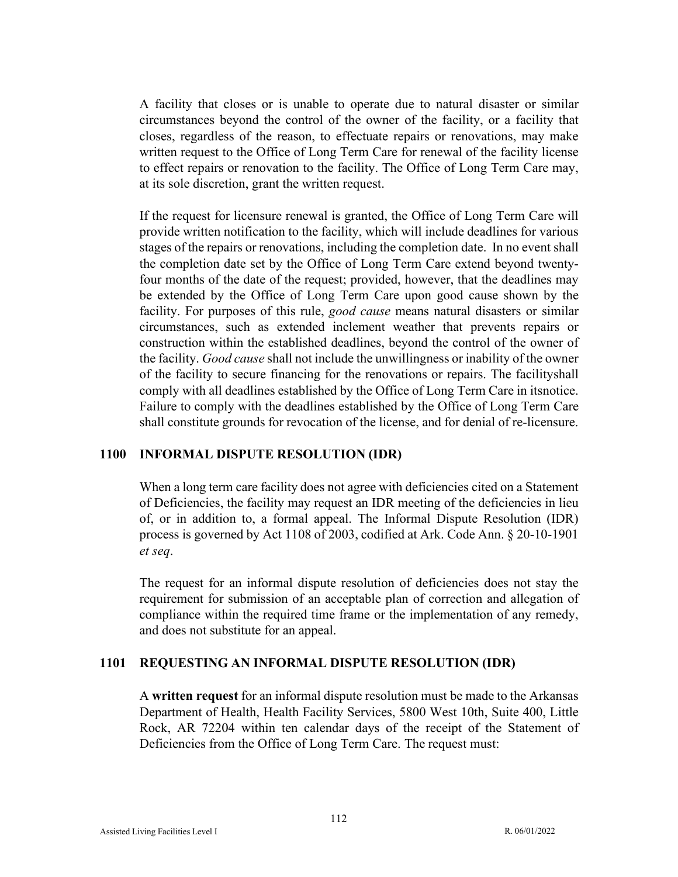A facility that closes or is unable to operate due to natural disaster or similar circumstances beyond the control of the owner of the facility, or a facility that closes, regardless of the reason, to effectuate repairs or renovations, may make written request to the Office of Long Term Care for renewal of the facility license to effect repairs or renovation to the facility. The Office of Long Term Care may, at its sole discretion, grant the written request.

If the request for licensure renewal is granted, the Office of Long Term Care will provide written notification to the facility, which will include deadlines for various stages of the repairs or renovations, including the completion date. In no event shall the completion date set by the Office of Long Term Care extend beyond twentyfour months of the date of the request; provided, however, that the deadlines may be extended by the Office of Long Term Care upon good cause shown by the facility. For purposes of this rule, *good cause* means natural disasters or similar circumstances, such as extended inclement weather that prevents repairs or construction within the established deadlines, beyond the control of the owner of the facility. *Good cause* shall not include the unwillingness or inability of the owner of the facility to secure financing for the renovations or repairs. The facilityshall comply with all deadlines established by the Office of Long Term Care in itsnotice. Failure to comply with the deadlines established by the Office of Long Term Care shall constitute grounds for revocation of the license, and for denial of re-licensure.

### **1100 INFORMAL DISPUTE RESOLUTION (IDR)**

When a long term care facility does not agree with deficiencies cited on a Statement of Deficiencies, the facility may request an IDR meeting of the deficiencies in lieu of, or in addition to, a formal appeal. The Informal Dispute Resolution (IDR) process is governed by Act 1108 of 2003, codified at Ark. Code Ann. § 20-10-1901 *et seq*.

The request for an informal dispute resolution of deficiencies does not stay the requirement for submission of an acceptable plan of correction and allegation of compliance within the required time frame or the implementation of any remedy, and does not substitute for an appeal.

## **1101 REQUESTING AN INFORMAL DISPUTE RESOLUTION (IDR)**

A **written request** for an informal dispute resolution must be made to the Arkansas Department of Health, Health Facility Services, 5800 West 10th, Suite 400, Little Rock, AR 72204 within ten calendar days of the receipt of the Statement of Deficiencies from the Office of Long Term Care. The request must: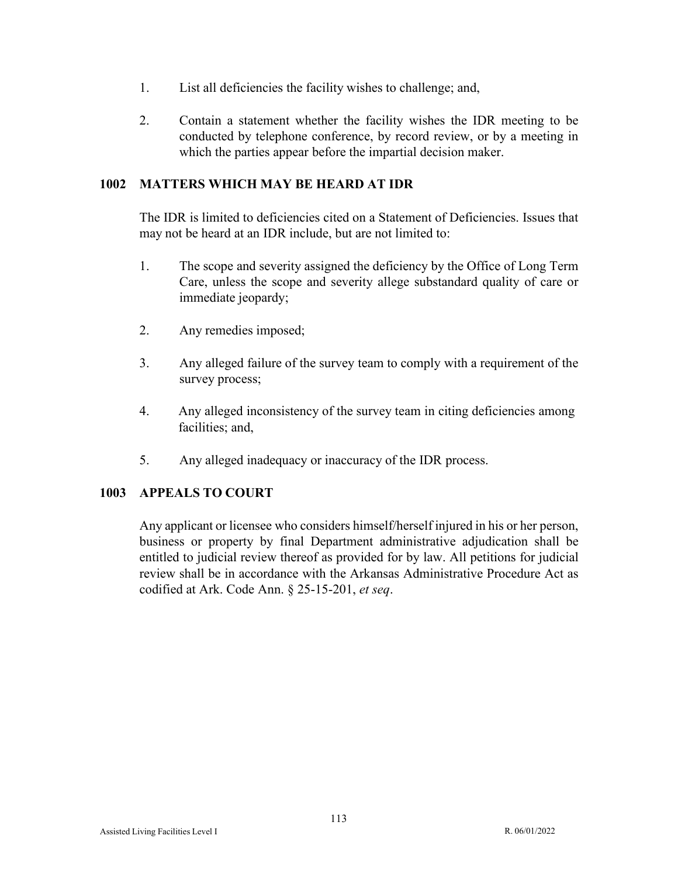- 1. List all deficiencies the facility wishes to challenge; and,
- 2. Contain a statement whether the facility wishes the IDR meeting to be conducted by telephone conference, by record review, or by a meeting in which the parties appear before the impartial decision maker.

### **1002 MATTERS WHICH MAY BE HEARD AT IDR**

The IDR is limited to deficiencies cited on a Statement of Deficiencies. Issues that may not be heard at an IDR include, but are not limited to:

- 1. The scope and severity assigned the deficiency by the Office of Long Term Care, unless the scope and severity allege substandard quality of care or immediate jeopardy;
- 2. Any remedies imposed;
- 3. Any alleged failure of the survey team to comply with a requirement of the survey process;
- 4. Any alleged inconsistency of the survey team in citing deficiencies among facilities; and,
- 5. Any alleged inadequacy or inaccuracy of the IDR process.

## **1003 APPEALS TO COURT**

Any applicant or licensee who considers himself/herself injured in his or her person, business or property by final Department administrative adjudication shall be entitled to judicial review thereof as provided for by law. All petitions for judicial review shall be in accordance with the Arkansas Administrative Procedure Act as codified at Ark. Code Ann. § 25-15-201, *et seq*.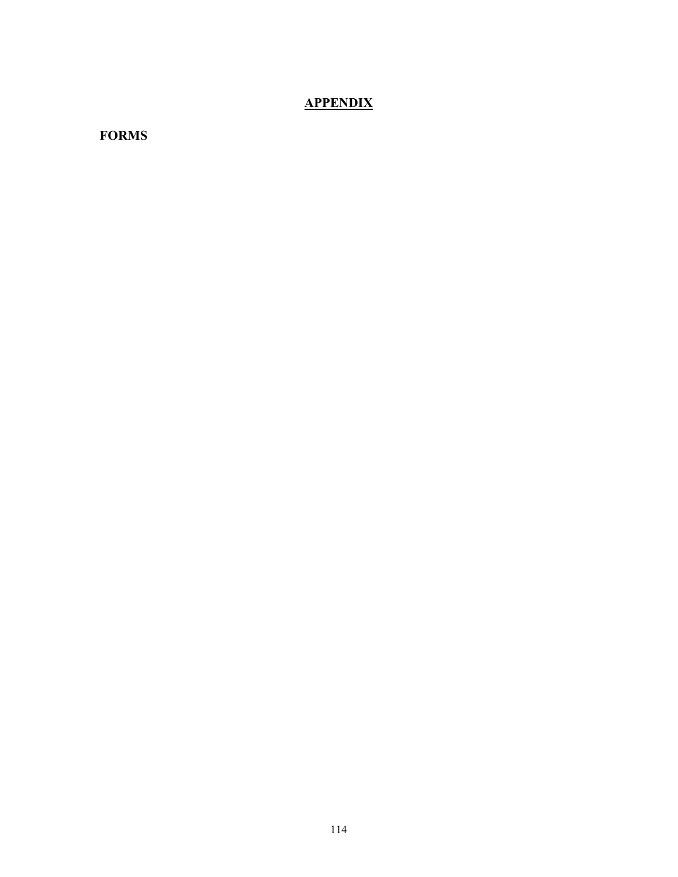## **APPENDIX**

## **FORMS**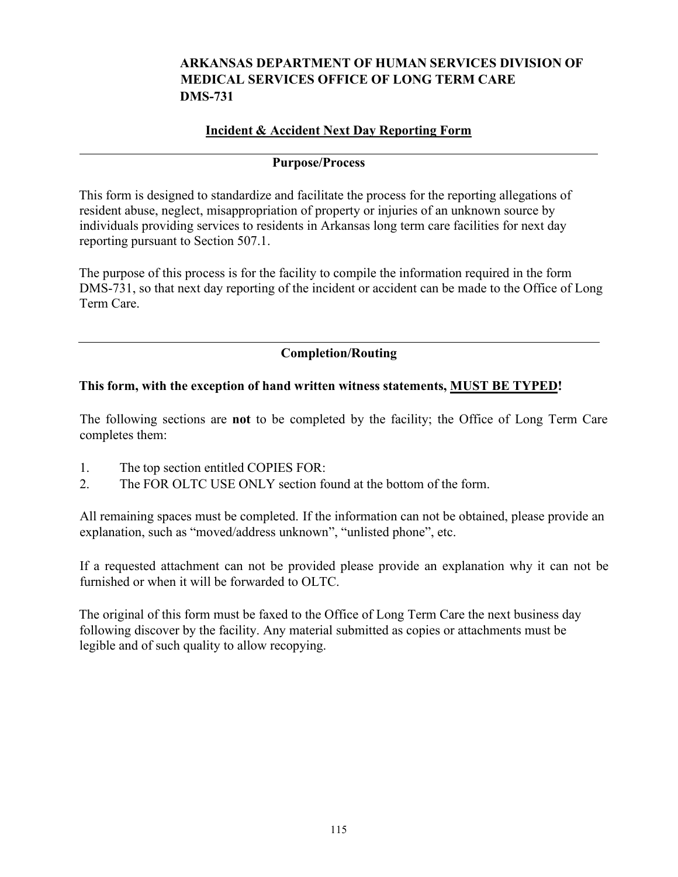## **ARKANSAS DEPARTMENT OF HUMAN SERVICES DIVISION OF MEDICAL SERVICES OFFICE OF LONG TERM CARE DMS-731**

## **Incident & Accident Next Day Reporting Form**

## **Purpose/Process**

This form is designed to standardize and facilitate the process for the reporting allegations of resident abuse, neglect, misappropriation of property or injuries of an unknown source by individuals providing services to residents in Arkansas long term care facilities for next day reporting pursuant to Section 507.1.

The purpose of this process is for the facility to compile the information required in the form DMS-731, so that next day reporting of the incident or accident can be made to the Office of Long Term Care.

## **Completion/Routing**

## **This form, with the exception of hand written witness statements, MUST BE TYPED!**

The following sections are **not** to be completed by the facility; the Office of Long Term Care completes them:

- 1. The top section entitled COPIES FOR:
- 2. The FOR OLTC USE ONLY section found at the bottom of the form.

All remaining spaces must be completed. If the information can not be obtained, please provide an explanation, such as "moved/address unknown", "unlisted phone", etc.

If a requested attachment can not be provided please provide an explanation why it can not be furnished or when it will be forwarded to OLTC.

The original of this form must be faxed to the Office of Long Term Care the next business day following discover by the facility. Any material submitted as copies or attachments must be legible and of such quality to allow recopying.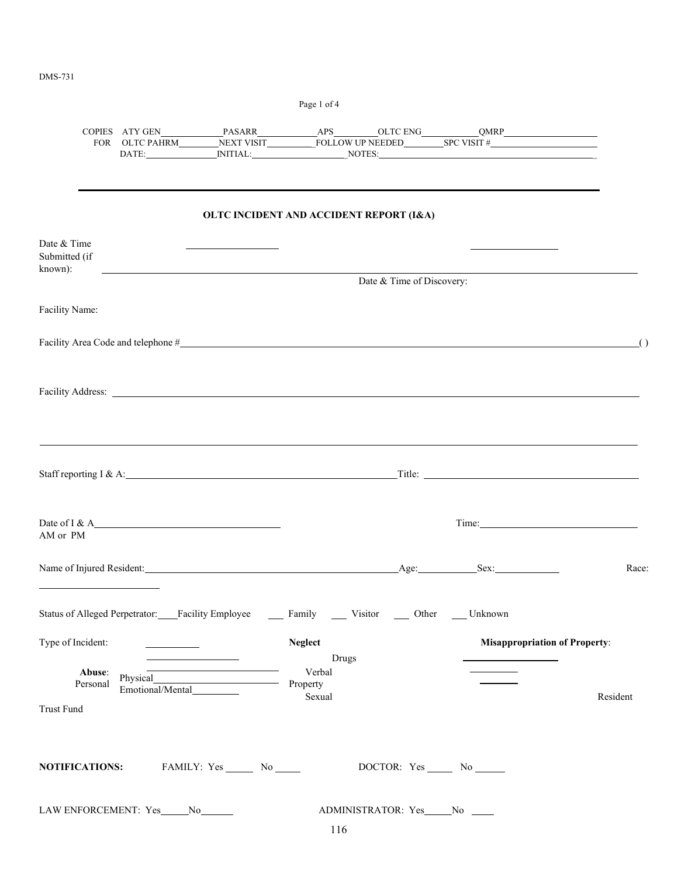DMS-731

|                                         |                    |  |                                      | Page 1 of 4                                                                                                                                                                                                                          |       |                                |                                                                                                       |          |
|-----------------------------------------|--------------------|--|--------------------------------------|--------------------------------------------------------------------------------------------------------------------------------------------------------------------------------------------------------------------------------------|-------|--------------------------------|-------------------------------------------------------------------------------------------------------|----------|
|                                         |                    |  |                                      |                                                                                                                                                                                                                                      |       |                                | DATE: INITIAL: NOTES: NOTES:                                                                          |          |
|                                         |                    |  |                                      | <b>OLTC INCIDENT AND ACCIDENT REPORT (I&amp;A)</b>                                                                                                                                                                                   |       |                                |                                                                                                       |          |
| Date & Time<br>Submitted (if<br>known): |                    |  |                                      | <u> Listen de la contrada de la contrada de la contrada de la contrada de la contrada de la contrada de la contrad</u>                                                                                                               |       | Date & Time of Discovery:      |                                                                                                       |          |
| Facility Name:                          |                    |  |                                      |                                                                                                                                                                                                                                      |       |                                |                                                                                                       |          |
|                                         |                    |  |                                      |                                                                                                                                                                                                                                      |       |                                |                                                                                                       | $\Delta$ |
|                                         |                    |  |                                      | Facility Address: <u>New York: New York: New York: New York: New York: New York: New York: New York: New York: New York: New York: New York: New York: New York: New York: New York: New York: New York: New York: New York: New</u> |       |                                |                                                                                                       |          |
|                                         |                    |  |                                      |                                                                                                                                                                                                                                      |       |                                |                                                                                                       |          |
| AM or PM                                |                    |  |                                      |                                                                                                                                                                                                                                      |       |                                | Time: Time:                                                                                           |          |
|                                         |                    |  |                                      |                                                                                                                                                                                                                                      |       |                                | Name of Injured Resident: Sextern Contract of Injured Resident: Sextern Contract of Injured Resident: | Race:    |
|                                         |                    |  |                                      | Status of Alleged Perpetrator: Facility Employee _____ Family _____ Visitor ____ Other ____ Unknown                                                                                                                                  |       |                                |                                                                                                       |          |
| Type of Incident:                       | Abuse:<br>Personal |  |                                      | <b>Neglect</b><br>Verbal<br>Property                                                                                                                                                                                                 | Drugs |                                | <b>Misappropriation of Property:</b>                                                                  |          |
| Trust Fund                              |                    |  |                                      | Sexual                                                                                                                                                                                                                               |       |                                |                                                                                                       | Resident |
|                                         |                    |  | <b>NOTIFICATIONS:</b> FAMILY: Yes No |                                                                                                                                                                                                                                      |       | DOCTOR: Yes ______ No ______   |                                                                                                       |          |
| LAW ENFORCEMENT: Yes_____No______       |                    |  |                                      |                                                                                                                                                                                                                                      | 116   | ADMINISTRATOR: Yes_____No ____ |                                                                                                       |          |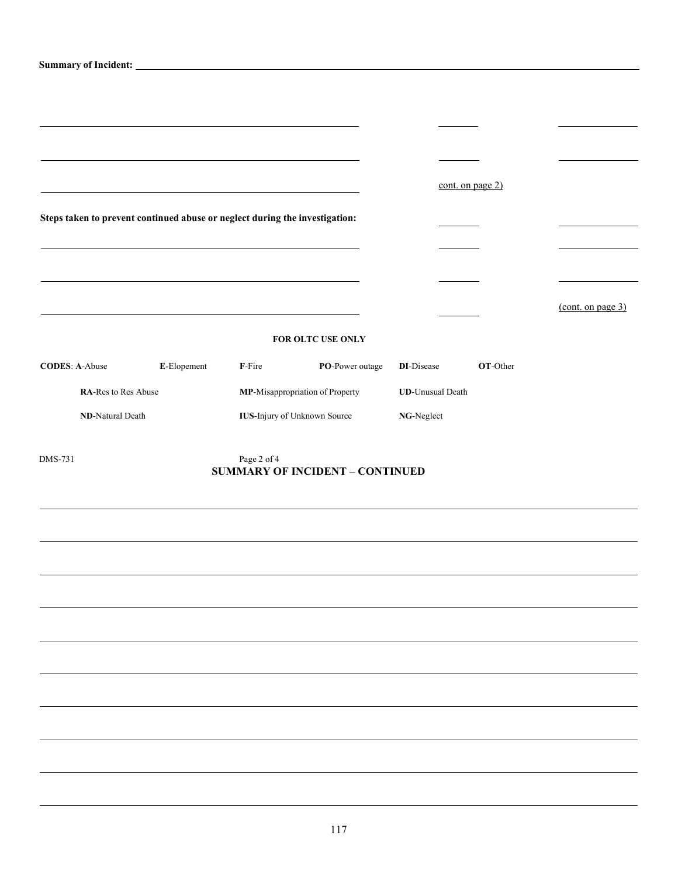|                                                                             |             |             |                                        |                         | cont. on page 2) |                   |
|-----------------------------------------------------------------------------|-------------|-------------|----------------------------------------|-------------------------|------------------|-------------------|
| Steps taken to prevent continued abuse or neglect during the investigation: |             |             |                                        |                         |                  |                   |
|                                                                             |             |             |                                        |                         |                  |                   |
|                                                                             |             |             |                                        |                         |                  | (cont. on page 3) |
|                                                                             |             |             | FOR OLTC USE ONLY                      |                         |                  |                   |
| <b>CODES: A-Abuse</b>                                                       | E-Elopement | F-Fire      | PO-Power outage                        | DI-Disease              | OT-Other         |                   |
| RA-Res to Res Abuse                                                         |             |             | MP-Misappropriation of Property        | <b>UD-Unusual Death</b> |                  |                   |
| <b>ND-Natural Death</b>                                                     |             |             | <b>IUS-Injury of Unknown Source</b>    | $\bf NG\mbox{-}Neglect$ |                  |                   |
| <b>DMS-731</b>                                                              |             | Page 2 of 4 | <b>SUMMARY OF INCIDENT - CONTINUED</b> |                         |                  |                   |
|                                                                             |             |             |                                        |                         |                  |                   |
|                                                                             |             |             |                                        |                         |                  |                   |
|                                                                             |             |             |                                        |                         |                  |                   |
|                                                                             |             |             |                                        |                         |                  |                   |
|                                                                             |             |             |                                        |                         |                  |                   |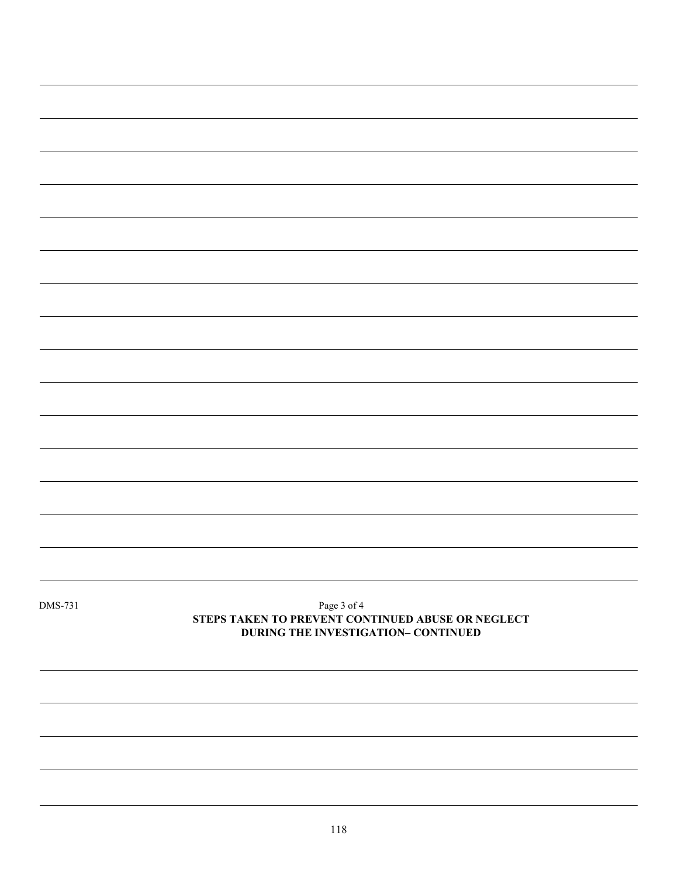| DMS-731 | Page 3 of 4<br>STEPS TAKEN TO PREVENT CONTINUED ABUSE OR NEGLECT<br>DURING THE INVESTIGATION- CONTINUED |  |
|---------|---------------------------------------------------------------------------------------------------------|--|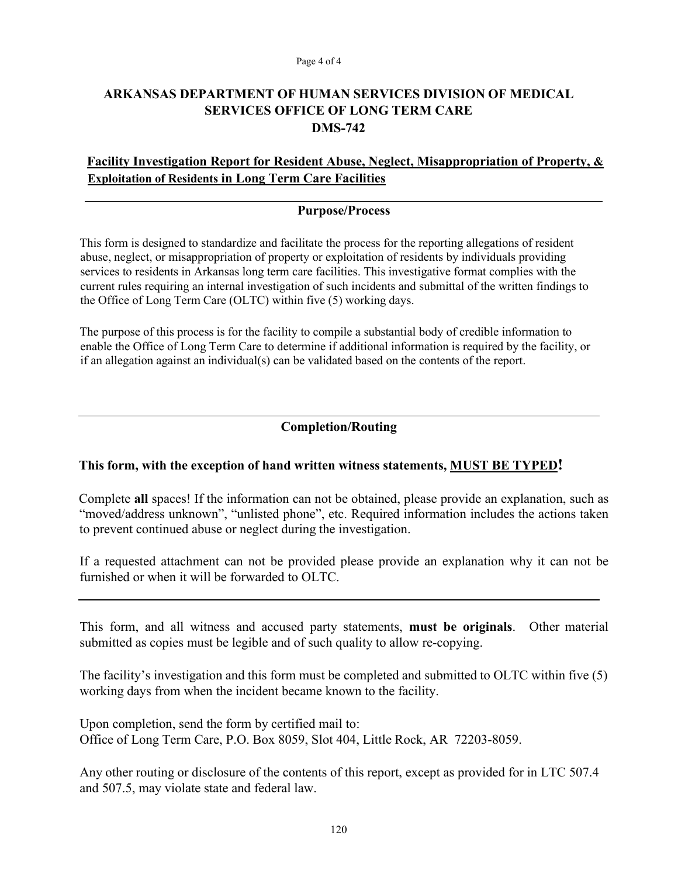#### Page 4 of 4

## **ARKANSAS DEPARTMENT OF HUMAN SERVICES DIVISION OF MEDICAL SERVICES OFFICE OF LONG TERM CARE DMS-742**

## **Facility Investigation Report for Resident Abuse, Neglect, Misappropriation of Property, & Exploitation of Residents in Long Term Care Facilities**

### **Purpose/Process**

This form is designed to standardize and facilitate the process for the reporting allegations of resident abuse, neglect, or misappropriation of property or exploitation of residents by individuals providing services to residents in Arkansas long term care facilities. This investigative format complies with the current rules requiring an internal investigation of such incidents and submittal of the written findings to the Office of Long Term Care (OLTC) within five (5) working days.

The purpose of this process is for the facility to compile a substantial body of credible information to enable the Office of Long Term Care to determine if additional information is required by the facility, or if an allegation against an individual(s) can be validated based on the contents of the report.

## **Completion/Routing**

### **This form, with the exception of hand written witness statements, MUST BE TYPED!**

Complete **all** spaces! If the information can not be obtained, please provide an explanation, such as "moved/address unknown", "unlisted phone", etc. Required information includes the actions taken to prevent continued abuse or neglect during the investigation.

If a requested attachment can not be provided please provide an explanation why it can not be furnished or when it will be forwarded to OLTC.

This form, and all witness and accused party statements, **must be originals**. Other material submitted as copies must be legible and of such quality to allow re-copying.

The facility's investigation and this form must be completed and submitted to OLTC within five (5) working days from when the incident became known to the facility.

Upon completion, send the form by certified mail to: Office of Long Term Care, P.O. Box 8059, Slot 404, Little Rock, AR 72203-8059.

Any other routing or disclosure of the contents of this report, except as provided for in LTC 507.4 and 507.5, may violate state and federal law.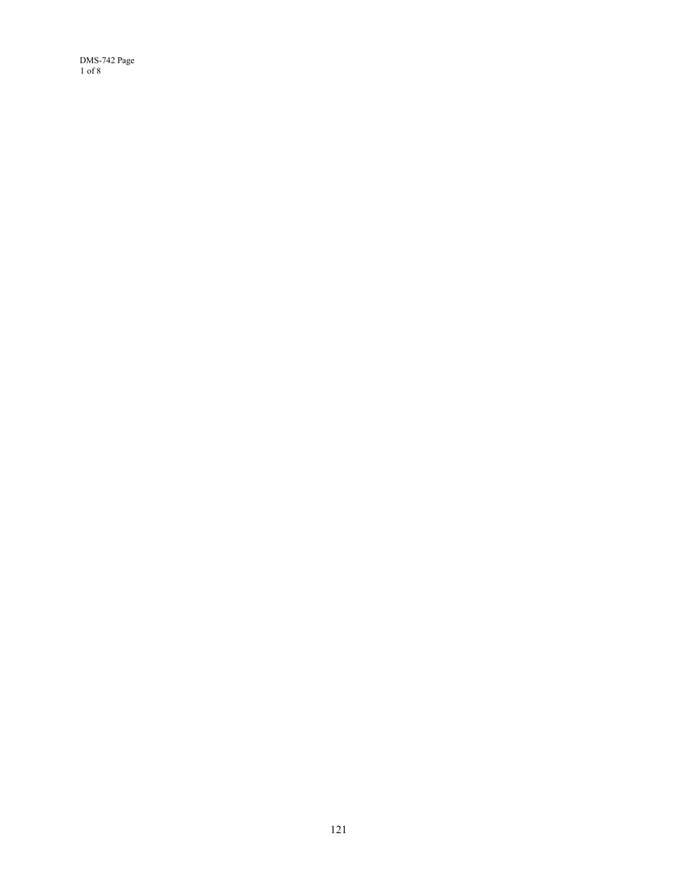DMS-742 Page of 8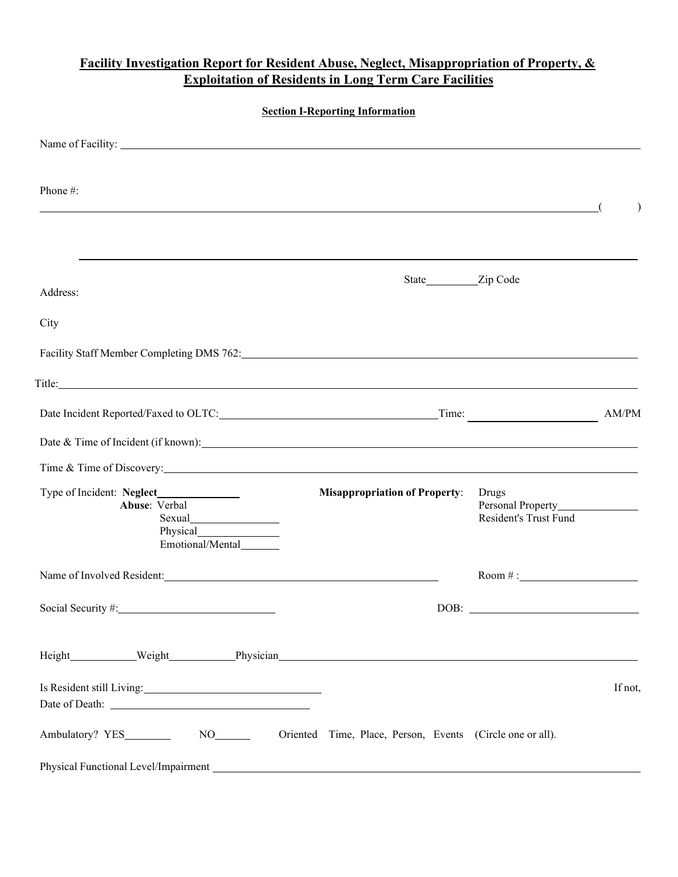## **Facility Investigation Report for Resident Abuse, Neglect, Misappropriation of Property, & Exploitation of Residents in Long Term Care Facilities**

|                                                                                       | <b>Section I-Reporting Information</b>                    |                                |
|---------------------------------------------------------------------------------------|-----------------------------------------------------------|--------------------------------|
|                                                                                       |                                                           |                                |
| Phone#:                                                                               |                                                           | $\overline{A}$<br>$\lambda$    |
|                                                                                       |                                                           |                                |
| Address:                                                                              | State______________Zip Code                               |                                |
| City                                                                                  |                                                           |                                |
|                                                                                       |                                                           |                                |
| Title:                                                                                |                                                           |                                |
| Date Incident Reported/Faxed to OLTC: Time: Time:                                     |                                                           | AM/PM                          |
|                                                                                       |                                                           |                                |
|                                                                                       |                                                           |                                |
| Type of Incident: Neglect_______________<br>Abuse: Verbal<br>Emotional/Mental________ | <b>Misappropriation of Property:</b>                      | Drugs<br>Resident's Trust Fund |
| Name of Involved Resident:                                                            |                                                           | Room #:                        |
| Social Security #: 1999                                                               |                                                           |                                |
|                                                                                       |                                                           |                                |
| Is Resident still Living:<br>Date of Death:                                           |                                                           | If not,                        |
| Ambulatory? YES_________<br>$NO$ <sub>_______</sub>                                   | Oriented Time, Place, Person, Events (Circle one or all). |                                |
|                                                                                       |                                                           |                                |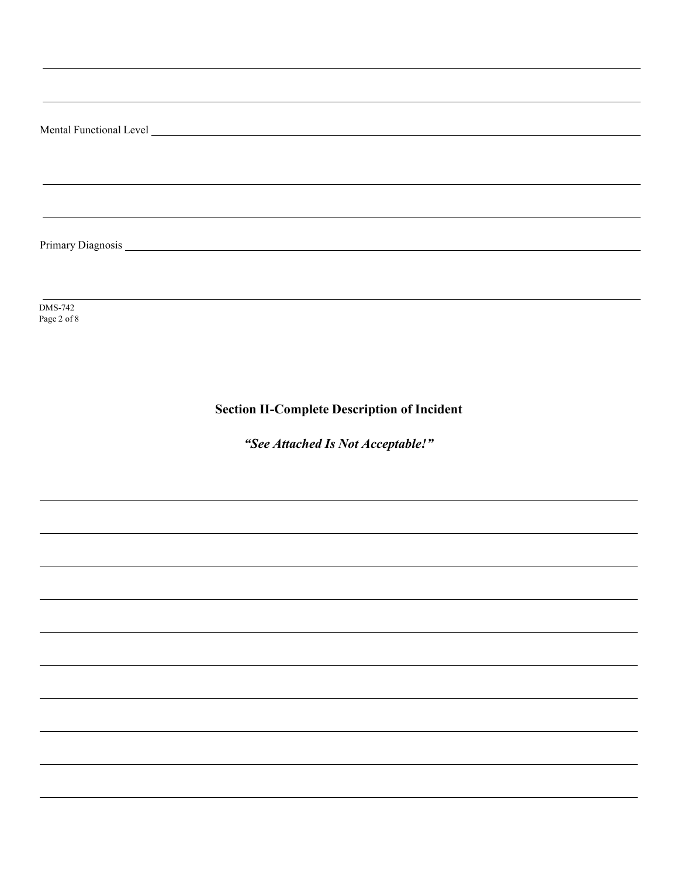Primary Diagnosis

DMS-742 Page 2 of 8

# **Section II-Complete Description of Incident**

*"See Attached Is Not Acceptable!"*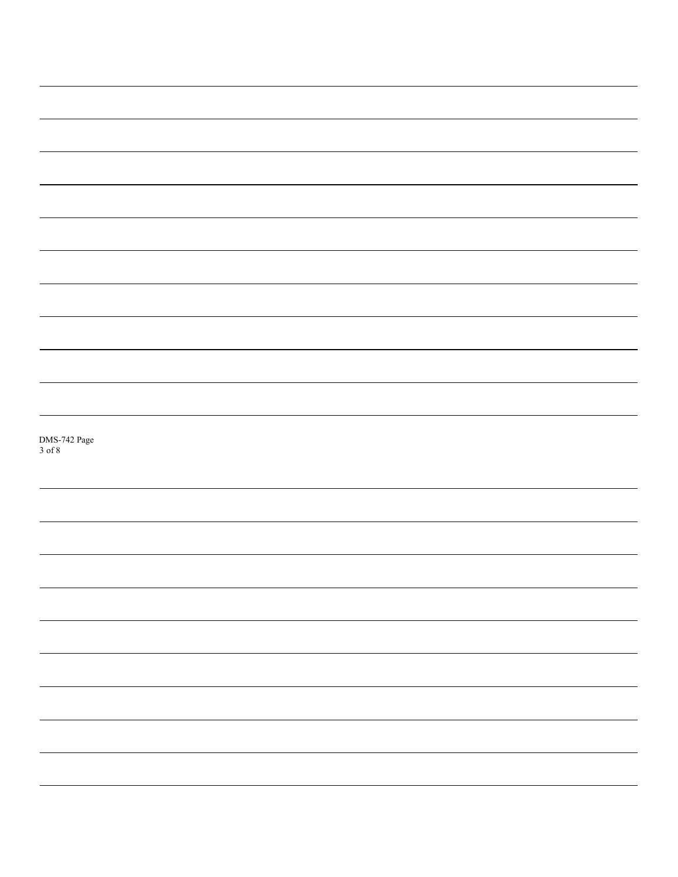| DMS-742 Page 3 of 8 |  |  |
|---------------------|--|--|
|                     |  |  |
|                     |  |  |
|                     |  |  |
|                     |  |  |
|                     |  |  |
|                     |  |  |
|                     |  |  |
|                     |  |  |
|                     |  |  |
|                     |  |  |
|                     |  |  |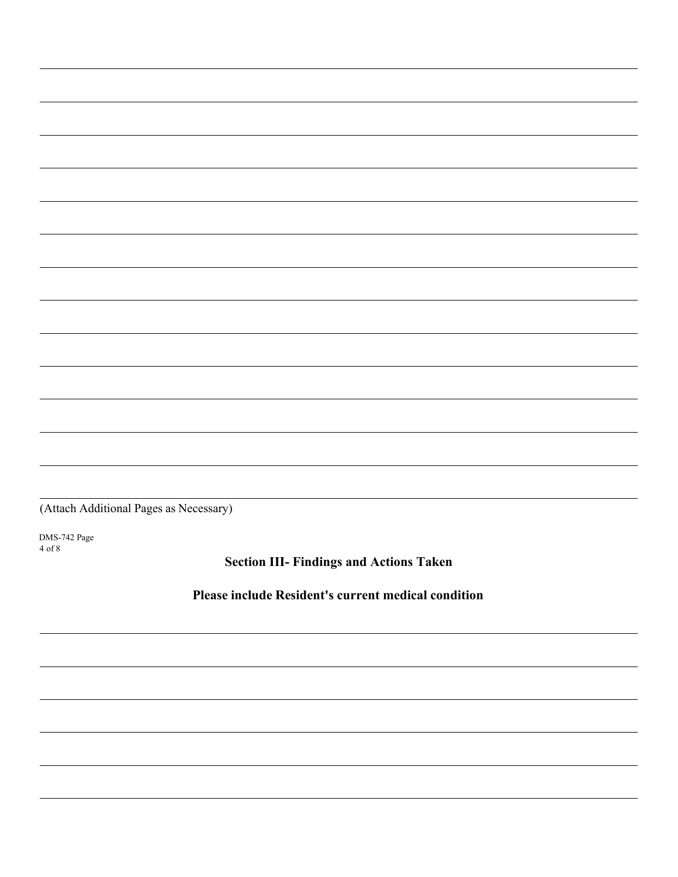(Attach Additional Pages as Necessary)

DMS-742 Page 4 of 8

**Section III- Findings and Actions Taken**

**Please include Resident's current medical condition**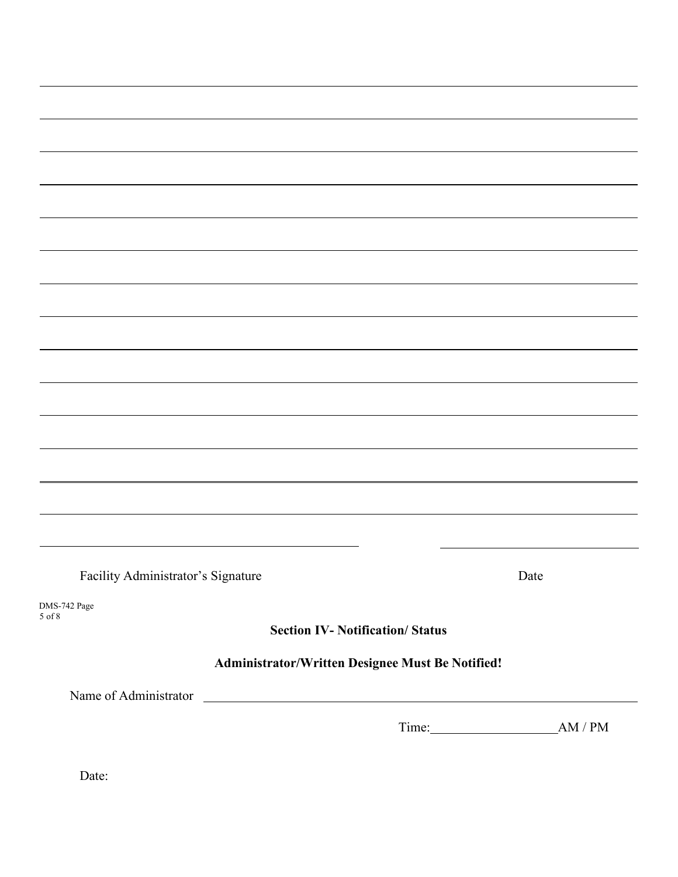| Facility Administrator's Signature               | Date |
|--------------------------------------------------|------|
| DMS-742 Page<br>$5$ of $8$                       |      |
| <b>Section IV- Notification/ Status</b>          |      |
| Administrator/Written Designee Must Be Notified! |      |
| Name of Administrator 2008                       |      |
|                                                  |      |
|                                                  |      |

Date: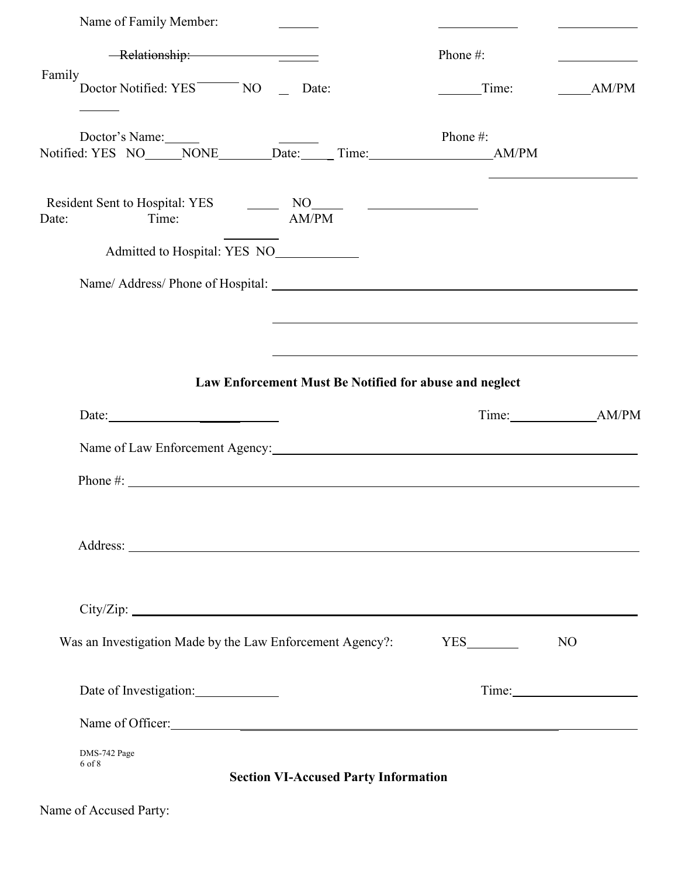| Name of Family Member:                                                                                                                                                                                                                                                                                                                                                                                        |                                                                                                                                                                                                                                      |                            |                 |
|---------------------------------------------------------------------------------------------------------------------------------------------------------------------------------------------------------------------------------------------------------------------------------------------------------------------------------------------------------------------------------------------------------------|--------------------------------------------------------------------------------------------------------------------------------------------------------------------------------------------------------------------------------------|----------------------------|-----------------|
| Relationship: Relationship:                                                                                                                                                                                                                                                                                                                                                                                   |                                                                                                                                                                                                                                      | Phone #:                   |                 |
| Family<br>Doctor Notified: YES NO _ Date:                                                                                                                                                                                                                                                                                                                                                                     |                                                                                                                                                                                                                                      | Time:                      | AM/PM           |
| Doctor's Name:                                                                                                                                                                                                                                                                                                                                                                                                | <u>and the company of the company of the company of the company of the company of the company of the company of the company of the company of the company of the company of the company of the company of the company of the com</u> | Phone #:                   |                 |
| Time:<br>Date:                                                                                                                                                                                                                                                                                                                                                                                                | AM/PM                                                                                                                                                                                                                                |                            |                 |
| Admitted to Hospital: YES NO                                                                                                                                                                                                                                                                                                                                                                                  |                                                                                                                                                                                                                                      |                            |                 |
|                                                                                                                                                                                                                                                                                                                                                                                                               |                                                                                                                                                                                                                                      |                            |                 |
|                                                                                                                                                                                                                                                                                                                                                                                                               |                                                                                                                                                                                                                                      |                            |                 |
|                                                                                                                                                                                                                                                                                                                                                                                                               |                                                                                                                                                                                                                                      |                            |                 |
|                                                                                                                                                                                                                                                                                                                                                                                                               |                                                                                                                                                                                                                                      |                            |                 |
|                                                                                                                                                                                                                                                                                                                                                                                                               | Law Enforcement Must Be Notified for abuse and neglect                                                                                                                                                                               |                            |                 |
| Date: $\frac{1}{\sqrt{1-\frac{1}{2}}\sqrt{1-\frac{1}{2}}\sqrt{1-\frac{1}{2}}\sqrt{1-\frac{1}{2}}\sqrt{1-\frac{1}{2}}\sqrt{1-\frac{1}{2}}\sqrt{1-\frac{1}{2}}\sqrt{1-\frac{1}{2}}\sqrt{1-\frac{1}{2}}\sqrt{1-\frac{1}{2}}\sqrt{1-\frac{1}{2}}\sqrt{1-\frac{1}{2}}\sqrt{1-\frac{1}{2}}\sqrt{1-\frac{1}{2}}\sqrt{1-\frac{1}{2}}\sqrt{1-\frac{1}{2}}\sqrt{1-\frac{1}{2}}\sqrt{1-\frac{1}{2}}\sqrt{1-\frac{1}{2}}$ |                                                                                                                                                                                                                                      |                            |                 |
| Name of Law Enforcement Agency: 1988 and 2008 and 2008 and 2008 and 2008 and 2008 and 2008 and 2008 and 2008 and 2008 and 2008 and 2008 and 2008 and 2008 and 2008 and 2008 and 2008 and 2008 and 2008 and 2008 and 2008 and 2                                                                                                                                                                                |                                                                                                                                                                                                                                      |                            |                 |
| Phone #: $\frac{1}{2}$ = $\frac{1}{2}$ = $\frac{1}{2}$ = $\frac{1}{2}$ = $\frac{1}{2}$ = $\frac{1}{2}$ = $\frac{1}{2}$ = $\frac{1}{2}$ = $\frac{1}{2}$ = $\frac{1}{2}$ = $\frac{1}{2}$ = $\frac{1}{2}$ = $\frac{1}{2}$ = $\frac{1}{2}$ = $\frac{1}{2}$ = $\frac{1}{2}$ = $\frac{1}{2}$ = $\frac{1}{2}$                                                                                                        |                                                                                                                                                                                                                                      |                            |                 |
|                                                                                                                                                                                                                                                                                                                                                                                                               |                                                                                                                                                                                                                                      |                            |                 |
|                                                                                                                                                                                                                                                                                                                                                                                                               |                                                                                                                                                                                                                                      |                            |                 |
|                                                                                                                                                                                                                                                                                                                                                                                                               |                                                                                                                                                                                                                                      |                            |                 |
|                                                                                                                                                                                                                                                                                                                                                                                                               |                                                                                                                                                                                                                                      |                            |                 |
| Was an Investigation Made by the Law Enforcement Agency?:                                                                                                                                                                                                                                                                                                                                                     |                                                                                                                                                                                                                                      | $YES$ <sub>_________</sub> | NO <sub>1</sub> |
| Date of Investigation:                                                                                                                                                                                                                                                                                                                                                                                        |                                                                                                                                                                                                                                      |                            |                 |
| Name of Officer:                                                                                                                                                                                                                                                                                                                                                                                              |                                                                                                                                                                                                                                      |                            |                 |
| DMS-742 Page                                                                                                                                                                                                                                                                                                                                                                                                  |                                                                                                                                                                                                                                      |                            |                 |
| 6 of 8                                                                                                                                                                                                                                                                                                                                                                                                        | <b>Section VI-Accused Party Information</b>                                                                                                                                                                                          |                            |                 |

| Name of Accused Party: |  |
|------------------------|--|
|------------------------|--|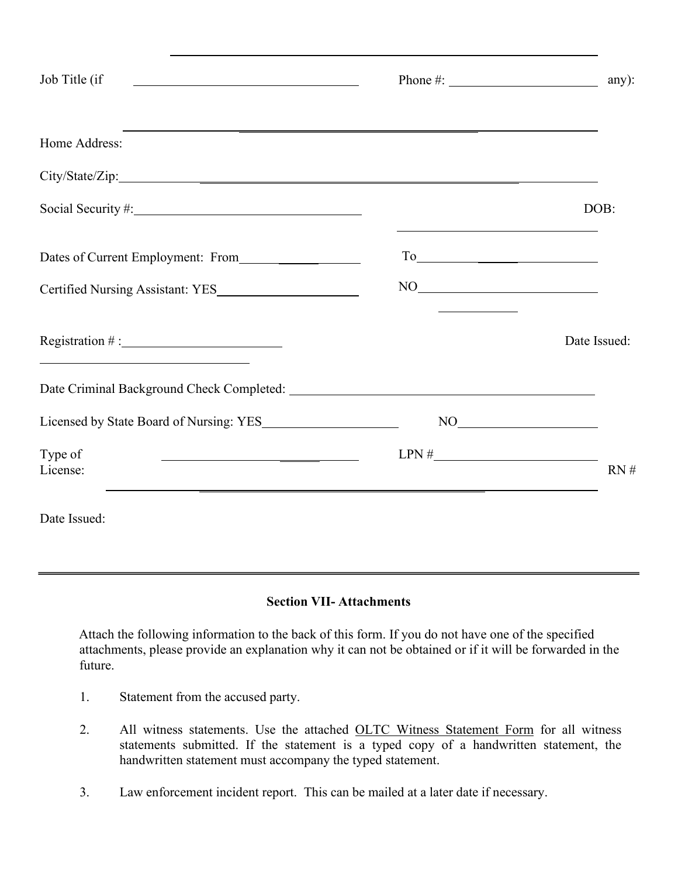| Job Title (if                                                                                                                               | Phone #: $\frac{1}{2}$ $\frac{1}{2}$ $\frac{1}{2}$ $\frac{1}{2}$ $\frac{1}{2}$ $\frac{1}{2}$ $\frac{1}{2}$ $\frac{1}{2}$ $\frac{1}{2}$ $\frac{1}{2}$ $\frac{1}{2}$ $\frac{1}{2}$ $\frac{1}{2}$ $\frac{1}{2}$ $\frac{1}{2}$ $\frac{1}{2}$ $\frac{1}{2}$ $\frac{1}{2}$ $\frac{1}{2}$ $\frac{1}{2}$ $\frac{1}{2}$ $\$                                                                                                                                                                                   | $any)$ :                                                                                                                                                                                                                                                                                                                                                                          |
|---------------------------------------------------------------------------------------------------------------------------------------------|------------------------------------------------------------------------------------------------------------------------------------------------------------------------------------------------------------------------------------------------------------------------------------------------------------------------------------------------------------------------------------------------------------------------------------------------------------------------------------------------------|-----------------------------------------------------------------------------------------------------------------------------------------------------------------------------------------------------------------------------------------------------------------------------------------------------------------------------------------------------------------------------------|
| ,我们也不会有什么。""我们的人,我们也不会有什么?""我们的人,我们也不会有什么?""我们的人,我们也不会有什么?""我们的人,我们也不会有什么?""我们的人                                                            |                                                                                                                                                                                                                                                                                                                                                                                                                                                                                                      |                                                                                                                                                                                                                                                                                                                                                                                   |
| Home Address:                                                                                                                               |                                                                                                                                                                                                                                                                                                                                                                                                                                                                                                      |                                                                                                                                                                                                                                                                                                                                                                                   |
|                                                                                                                                             |                                                                                                                                                                                                                                                                                                                                                                                                                                                                                                      |                                                                                                                                                                                                                                                                                                                                                                                   |
|                                                                                                                                             |                                                                                                                                                                                                                                                                                                                                                                                                                                                                                                      | DOB:                                                                                                                                                                                                                                                                                                                                                                              |
| Dates of Current Employment: From                                                                                                           |                                                                                                                                                                                                                                                                                                                                                                                                                                                                                                      |                                                                                                                                                                                                                                                                                                                                                                                   |
|                                                                                                                                             | $\begin{tabular}{ c c c } \hline \multicolumn{3}{ c }{\text{NO}} & \multicolumn{3}{ c }{\text{NO}} \\ \hline \multicolumn{3}{ c }{\text{NO}} & \multicolumn{3}{ c }{\text{O}} & \multicolumn{3}{ c }{\text{NO}} \\ \hline \multicolumn{3}{ c }{\text{NO}} & \multicolumn{3}{ c }{\text{O}} & \multicolumn{3}{ c }{\text{O}} & \multicolumn{3}{ c }{\text{O}} & \multicolumn{3}{ c }{\text{O}} \\ \hline \multicolumn{3}{ c }{\text{NO}} & \multicolumn{3}{$<br><u> 1980 - Johann Barbara, martxa</u> |                                                                                                                                                                                                                                                                                                                                                                                   |
| $\text{Region} \# :$<br><u> 1989 - Johann Barn, fransk politik (d. 1989)</u>                                                                |                                                                                                                                                                                                                                                                                                                                                                                                                                                                                                      | Date Issued:                                                                                                                                                                                                                                                                                                                                                                      |
|                                                                                                                                             |                                                                                                                                                                                                                                                                                                                                                                                                                                                                                                      |                                                                                                                                                                                                                                                                                                                                                                                   |
|                                                                                                                                             |                                                                                                                                                                                                                                                                                                                                                                                                                                                                                                      | $\begin{picture}(150,10) \put(0,0){\dashbox{0.5}(10,0){ }} \put(150,0){\circle{10}} \put(150,0){\circle{10}} \put(150,0){\circle{10}} \put(150,0){\circle{10}} \put(150,0){\circle{10}} \put(150,0){\circle{10}} \put(150,0){\circle{10}} \put(150,0){\circle{10}} \put(150,0){\circle{10}} \put(150,0){\circle{10}} \put(150,0){\circle{10}} \put(150,0){\circle{10}} \put(150,$ |
| Type of<br><u> 1980 - Johann Barn, mars eta bat erroman erroman erroman erroman erroman erroman erroman erroman erroman err</u><br>License: |                                                                                                                                                                                                                                                                                                                                                                                                                                                                                                      | RN#                                                                                                                                                                                                                                                                                                                                                                               |
| Date Issued:                                                                                                                                |                                                                                                                                                                                                                                                                                                                                                                                                                                                                                                      |                                                                                                                                                                                                                                                                                                                                                                                   |

## **Section VII- Attachments**

Attach the following information to the back of this form. If you do not have one of the specified attachments, please provide an explanation why it can not be obtained or if it will be forwarded in the future.

- 1. Statement from the accused party.
- 2. All witness statements. Use the attached OLTC Witness Statement Form for all witness statements submitted. If the statement is a typed copy of a handwritten statement, the handwritten statement must accompany the typed statement.
- 3. Law enforcement incident report. This can be mailed at a later date if necessary.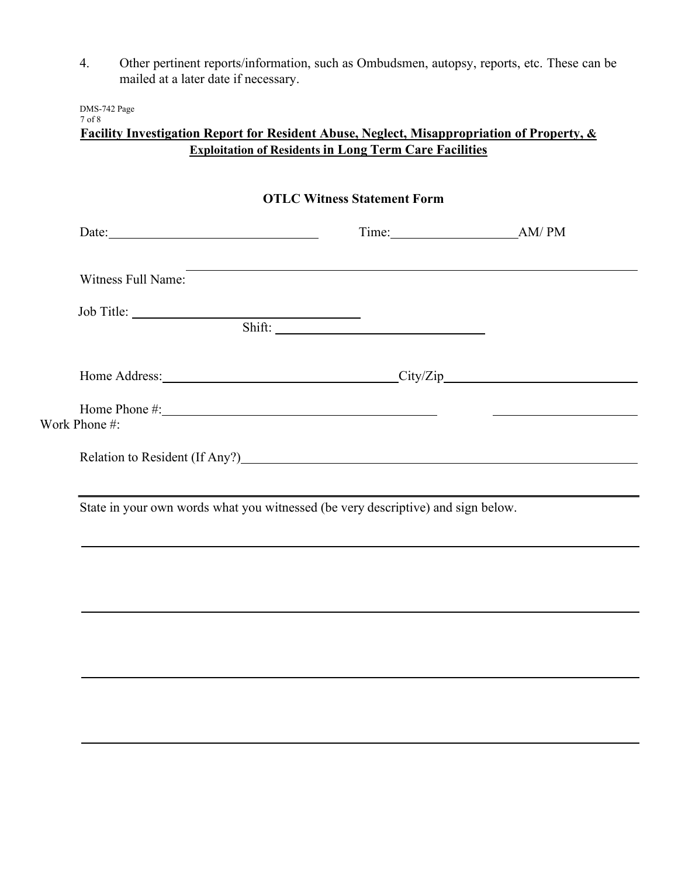4. Other pertinent reports/information, such as Ombudsmen, autopsy, reports, etc. These can be mailed at a later date if necessary.

DMS-742 Page 7 of 8

## **Facility Investigation Report for Resident Abuse, Neglect, Misappropriation of Property, & Exploitation of Residents in Long Term Care Facilities**

| Date: $\qquad \qquad$                                                            |        |  |
|----------------------------------------------------------------------------------|--------|--|
|                                                                                  |        |  |
| <b>Witness Full Name:</b>                                                        |        |  |
|                                                                                  | Shift: |  |
| Home Address: City/Zip                                                           |        |  |
| Work Phone #:                                                                    |        |  |
|                                                                                  |        |  |
| State in your own words what you witnessed (be very descriptive) and sign below. |        |  |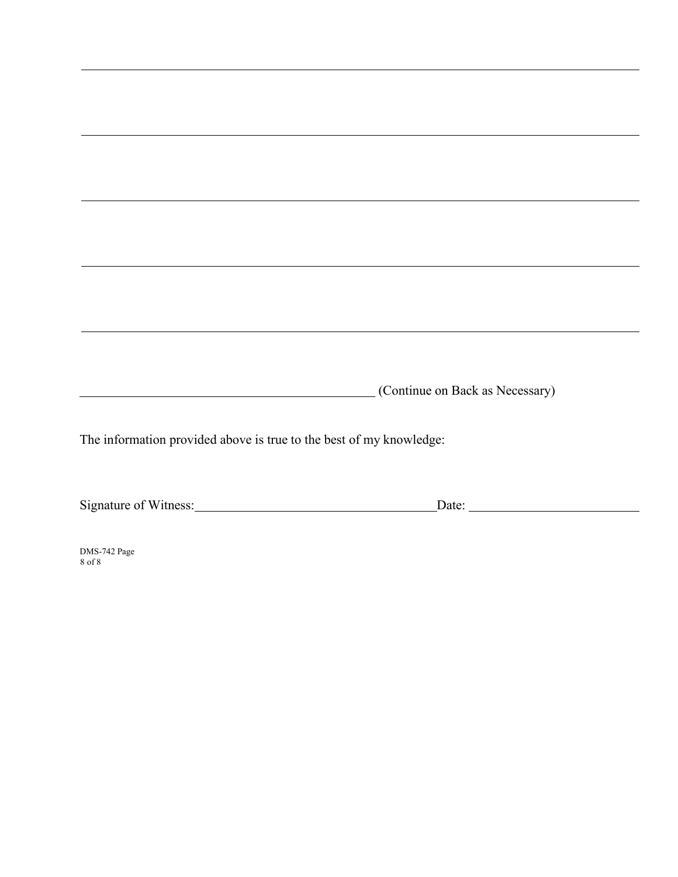**Continue on Back as Necessary**)

The information provided above is true to the best of my knowledge:

| Signature of Witness:<br>Date <sup>.</sup> |
|--------------------------------------------|
|--------------------------------------------|

DMS-742 Page 8 of 8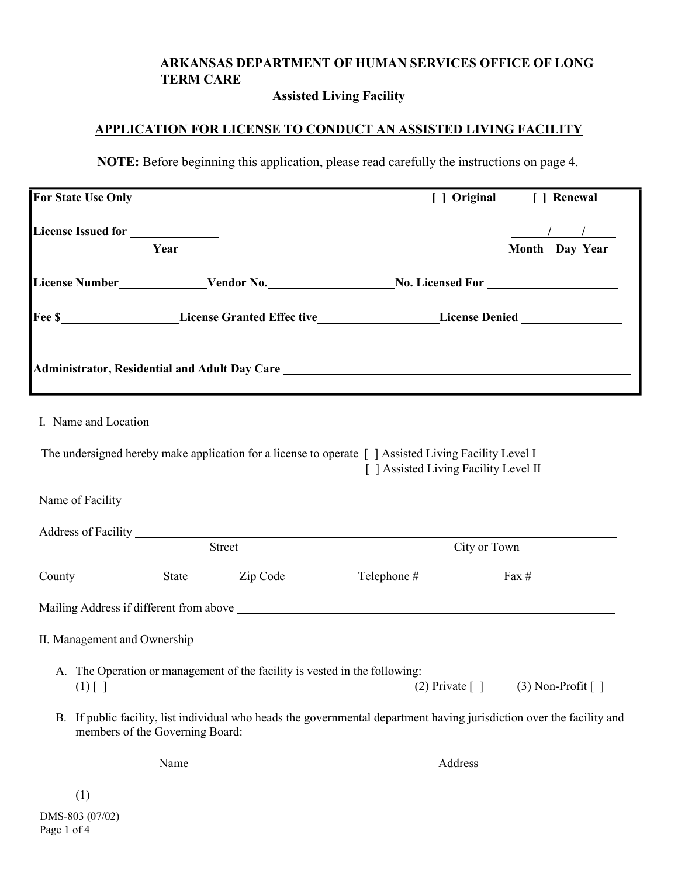## **ARKANSAS DEPARTMENT OF HUMAN SERVICES OFFICE OF LONG TERM CARE**

## **Assisted Living Facility**

## **APPLICATION FOR LICENSE TO CONDUCT AN ASSISTED LIVING FACILITY**

**NOTE:** Before beginning this application, please read carefully the instructions on page 4.

| <b>For State Use Only</b>           |             |                                                                            |                                                                                                                                                | [   Original     Renewal                                                                                                                                                                                                                                                                                            |
|-------------------------------------|-------------|----------------------------------------------------------------------------|------------------------------------------------------------------------------------------------------------------------------------------------|---------------------------------------------------------------------------------------------------------------------------------------------------------------------------------------------------------------------------------------------------------------------------------------------------------------------|
| License Issued for ________________ |             |                                                                            |                                                                                                                                                | $\frac{1}{2}$ $\frac{1}{2}$ $\frac{1}{2}$ $\frac{1}{2}$ $\frac{1}{2}$ $\frac{1}{2}$ $\frac{1}{2}$ $\frac{1}{2}$ $\frac{1}{2}$ $\frac{1}{2}$ $\frac{1}{2}$ $\frac{1}{2}$ $\frac{1}{2}$ $\frac{1}{2}$ $\frac{1}{2}$ $\frac{1}{2}$ $\frac{1}{2}$ $\frac{1}{2}$ $\frac{1}{2}$ $\frac{1}{2}$ $\frac{1}{2}$ $\frac{1}{2}$ |
|                                     | Year        |                                                                            |                                                                                                                                                | Month Day Year                                                                                                                                                                                                                                                                                                      |
|                                     |             |                                                                            |                                                                                                                                                |                                                                                                                                                                                                                                                                                                                     |
|                                     |             |                                                                            | Fee \$___________________License Granted Effec tive__________________License Denied _________________                                          |                                                                                                                                                                                                                                                                                                                     |
|                                     |             |                                                                            | Administrator, Residential and Adult Day Care ___________________________________                                                              |                                                                                                                                                                                                                                                                                                                     |
| I. Name and Location                |             |                                                                            |                                                                                                                                                |                                                                                                                                                                                                                                                                                                                     |
|                                     |             |                                                                            | The undersigned hereby make application for a license to operate [ ] Assisted Living Facility Level I<br>[ ] Assisted Living Facility Level II |                                                                                                                                                                                                                                                                                                                     |
|                                     |             |                                                                            |                                                                                                                                                |                                                                                                                                                                                                                                                                                                                     |
|                                     |             |                                                                            |                                                                                                                                                |                                                                                                                                                                                                                                                                                                                     |
|                                     |             | <b>Street</b>                                                              | City or Town                                                                                                                                   |                                                                                                                                                                                                                                                                                                                     |
| County                              | State       | Zip Code                                                                   | Telephone #                                                                                                                                    | Fax $#$                                                                                                                                                                                                                                                                                                             |
|                                     |             |                                                                            |                                                                                                                                                |                                                                                                                                                                                                                                                                                                                     |
| II. Management and Ownership        |             |                                                                            |                                                                                                                                                |                                                                                                                                                                                                                                                                                                                     |
| $(1)$ [ ]                           |             | A. The Operation or management of the facility is vested in the following: | $(2)$ Private $\begin{bmatrix} \end{bmatrix}$                                                                                                  | $(3)$ Non-Profit $[$ ]                                                                                                                                                                                                                                                                                              |
| members of the Governing Board:     |             |                                                                            | B. If public facility, list individual who heads the governmental department having jurisdiction over the facility and                         |                                                                                                                                                                                                                                                                                                                     |
|                                     | <b>Name</b> |                                                                            | <b>Address</b>                                                                                                                                 |                                                                                                                                                                                                                                                                                                                     |
|                                     |             | $(1) \qquad \qquad \overbrace{\qquad \qquad }$                             |                                                                                                                                                |                                                                                                                                                                                                                                                                                                                     |
| DMS-803 (07/02)                     |             |                                                                            |                                                                                                                                                |                                                                                                                                                                                                                                                                                                                     |

Page 1 of 4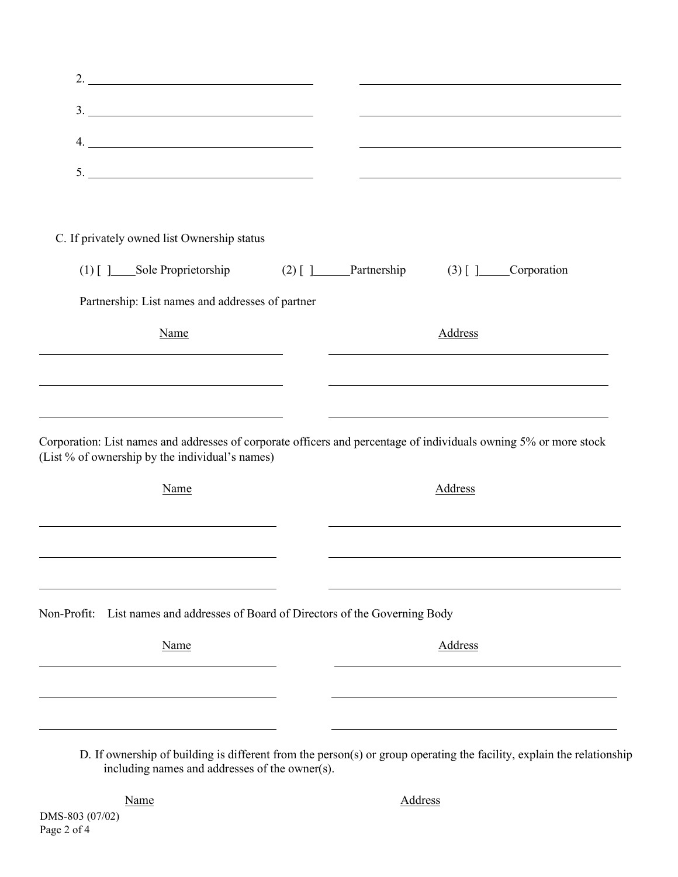| 4.                                                                                                                                                                                                                                                                                            |                             |                                                                                                                                                                                                                               |
|-----------------------------------------------------------------------------------------------------------------------------------------------------------------------------------------------------------------------------------------------------------------------------------------------|-----------------------------|-------------------------------------------------------------------------------------------------------------------------------------------------------------------------------------------------------------------------------|
|                                                                                                                                                                                                                                                                                               |                             | <u> 1989 - Johann Stoff, deutscher Stoffen und der Stoffen und der Stoffen und der Stoffen und der Stoffen und der</u>                                                                                                        |
|                                                                                                                                                                                                                                                                                               |                             |                                                                                                                                                                                                                               |
| C. If privately owned list Ownership status                                                                                                                                                                                                                                                   |                             |                                                                                                                                                                                                                               |
| (1) [] Sole Proprietorship                                                                                                                                                                                                                                                                    | $(2)$ [ ] ______Partnership | $(3)$ [ ] ______ Corporation                                                                                                                                                                                                  |
| Partnership: List names and addresses of partner                                                                                                                                                                                                                                              |                             |                                                                                                                                                                                                                               |
| Name                                                                                                                                                                                                                                                                                          |                             | Address                                                                                                                                                                                                                       |
|                                                                                                                                                                                                                                                                                               |                             | the control of the control of the control of the control of the control of                                                                                                                                                    |
| <u> 1989 - Johann Stein, marwolaethau a bhann an t-Amhainn an t-Amhainn an t-Amhainn an t-Amhainn an t-Amhainn a</u>                                                                                                                                                                          |                             | the control of the control of the control of the control of the control of the control of the control of the control of the control of the control of the control of the control of the control of the control of the control |
| <u> 1989 - Johann Stoff, deutscher Stoff, der Stoff, der Stoff, der Stoff, der Stoff, der Stoff, der Stoff, der S</u><br>Corporation: List names and addresses of corporate officers and percentage of individuals owning 5% or more stock<br>(List % of ownership by the individual's names) |                             | <u> 1989 - Johann Stein, marwolaethau a bhann an t-Amhain an t-Amhain an t-Amhain an t-Amhain an t-Amhain an t-A</u>                                                                                                          |
| Name                                                                                                                                                                                                                                                                                          |                             | <b>Address</b>                                                                                                                                                                                                                |
|                                                                                                                                                                                                                                                                                               |                             |                                                                                                                                                                                                                               |
|                                                                                                                                                                                                                                                                                               |                             |                                                                                                                                                                                                                               |
|                                                                                                                                                                                                                                                                                               |                             |                                                                                                                                                                                                                               |
| List names and addresses of Board of Directors of the Governing Body<br>Non-Profit:                                                                                                                                                                                                           |                             |                                                                                                                                                                                                                               |
| Name                                                                                                                                                                                                                                                                                          |                             | Address                                                                                                                                                                                                                       |
|                                                                                                                                                                                                                                                                                               |                             |                                                                                                                                                                                                                               |
|                                                                                                                                                                                                                                                                                               |                             |                                                                                                                                                                                                                               |
|                                                                                                                                                                                                                                                                                               |                             |                                                                                                                                                                                                                               |

D. If ownership of building is different from the person(s) or group operating the facility, explain the relationship including names and addresses of the owner(s).

Name Address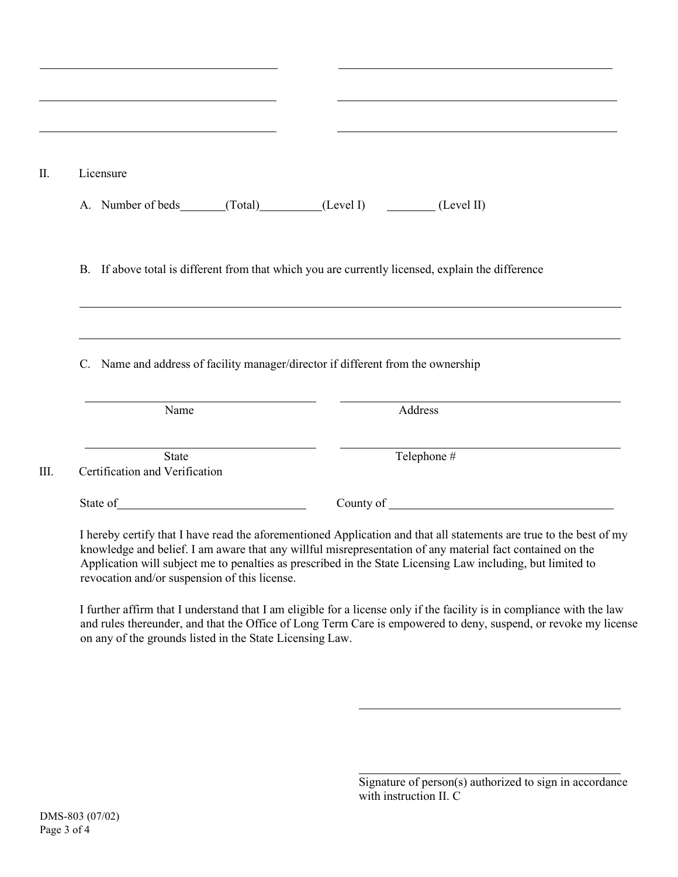| Licensure                                      |                                                                                                   |  |
|------------------------------------------------|---------------------------------------------------------------------------------------------------|--|
|                                                | A. Number of beds (Total) (Level I) (Level II) (Level II)                                         |  |
|                                                | B. If above total is different from that which you are currently licensed, explain the difference |  |
|                                                |                                                                                                   |  |
|                                                | C. Name and address of facility manager/director if different from the ownership                  |  |
| Name                                           | Address                                                                                           |  |
| <b>State</b><br>Certification and Verification | Telephone #                                                                                       |  |

I further affirm that I understand that I am eligible for a license only if the facility is in compliance with the law and rules thereunder, and that the Office of Long Term Care is empowered to deny, suspend, or revoke my license on any of the grounds listed in the State Licensing Law.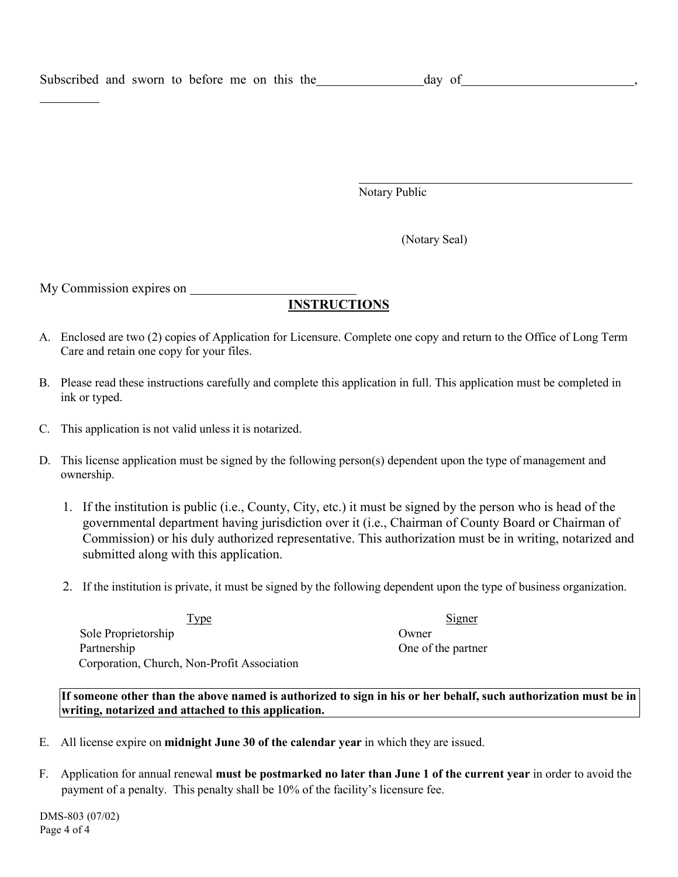Subscribed and sworn to before me on this the day of

Notary Public

(Notary Seal)

My Commission expires on

## **INSTRUCTIONS**

- A. Enclosed are two (2) copies of Application for Licensure. Complete one copy and return to the Office of Long Term Care and retain one copy for your files.
- B. Please read these instructions carefully and complete this application in full. This application must be completed in ink or typed.
- C. This application is not valid unless it is notarized.
- D. This license application must be signed by the following person(s) dependent upon the type of management and ownership.
	- 1. If the institution is public (i.e., County, City, etc.) it must be signed by the person who is head of the governmental department having jurisdiction over it (i.e., Chairman of County Board or Chairman of Commission) or his duly authorized representative. This authorization must be in writing, notarized and submitted along with this application.
	- 2. If the institution is private, it must be signed by the following dependent upon the type of business organization.

Type Signer Sole Proprietorship Owner Partnership One of the partner Corporation, Church, Non-Profit Association

**If someone other than the above named is authorized to sign in his or her behalf, such authorization must be in writing, notarized and attached to this application.**

- E. All license expire on **midnight June 30 of the calendar year** in which they are issued.
- F. Application for annual renewal **must be postmarked no later than June 1 of the current year** in order to avoid the payment of a penalty. This penalty shall be 10% of the facility's licensure fee.

DMS-803 (07/02) Page 4 of 4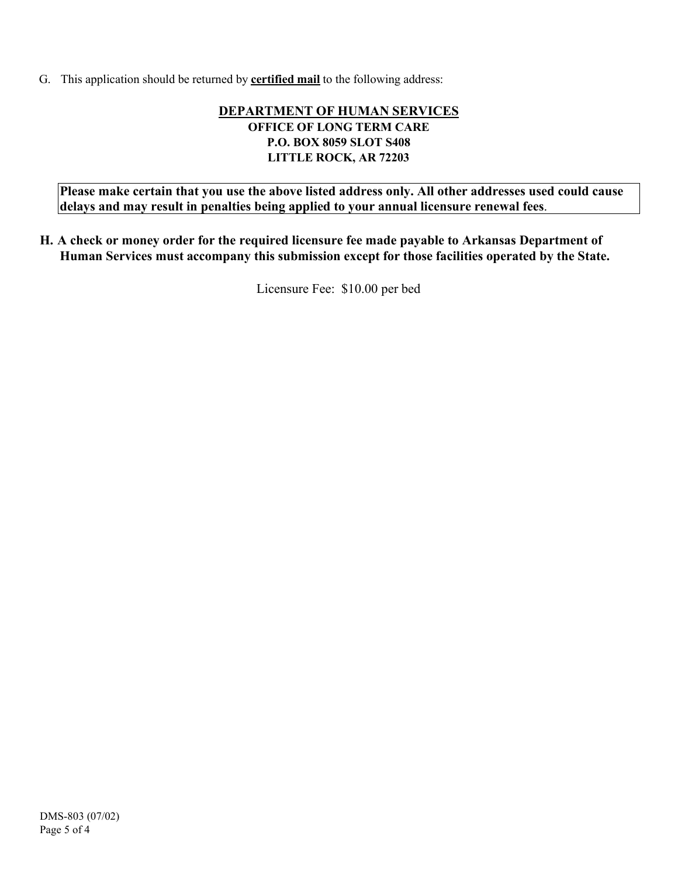G. This application should be returned by **certified mail** to the following address:

## **DEPARTMENT OF HUMAN SERVICES OFFICE OF LONG TERM CARE P.O. BOX 8059 SLOT S408 LITTLE ROCK, AR 72203**

**Please make certain that you use the above listed address only. All other addresses used could cause delays and may result in penalties being applied to your annual licensure renewal fees**.

**H. A check or money order for the required licensure fee made payable to Arkansas Department of Human Services must accompany this submission except for those facilities operated by the State.**

Licensure Fee: \$10.00 per bed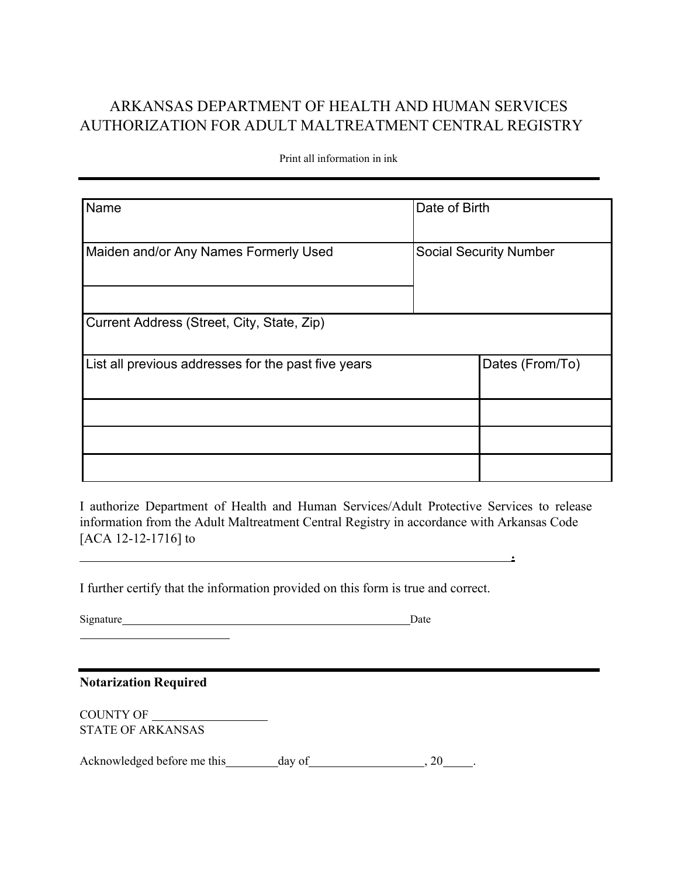# ARKANSAS DEPARTMENT OF HEALTH AND HUMAN SERVICES AUTHORIZATION FOR ADULT MALTREATMENT CENTRAL REGISTRY

| <b>Name</b>                                         | Date of Birth |                               |
|-----------------------------------------------------|---------------|-------------------------------|
| Maiden and/or Any Names Formerly Used               |               | <b>Social Security Number</b> |
| Current Address (Street, City, State, Zip)          |               |                               |
| List all previous addresses for the past five years |               | Dates (From/To)               |
|                                                     |               |                               |
|                                                     |               |                               |
|                                                     |               |                               |

Print all information in ink

I authorize Department of Health and Human Services/Adult Protective Services to release information from the Adult Maltreatment Central Registry in accordance with Arkansas Code [ACA 12-12-1716] to

I further certify that the information provided on this form is true and correct.

Signature Date

**.** 

**Notarization Required**

COUNTY OF STATE OF ARKANSAS

Acknowledged before me this day of , 20 .